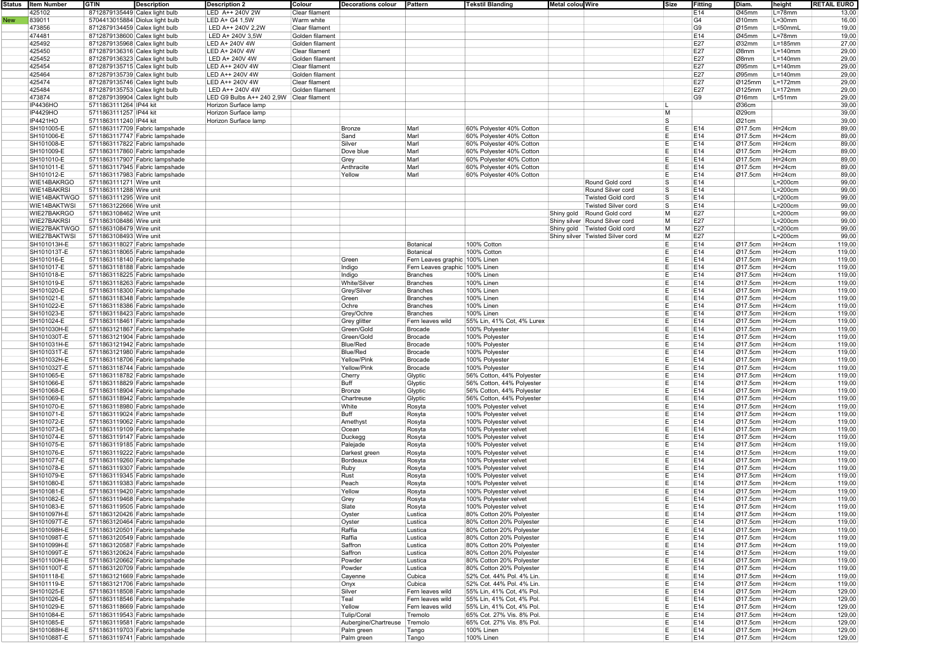|            | Status Item Number | <b>GTIN</b>                    | <b>Description</b>              | <b>Description 2</b>                     | Colour          | Decorations colour           | Pattern                        | <b>Tekstil Blanding</b>    | Metal colou Wire |                                    | Size     | <b>Fitting</b>  | Diam.            | height       | <b>RETAIL EURO</b> |
|------------|--------------------|--------------------------------|---------------------------------|------------------------------------------|-----------------|------------------------------|--------------------------------|----------------------------|------------------|------------------------------------|----------|-----------------|------------------|--------------|--------------------|
|            | 425102             | 8712879135449 Calex light bulb |                                 | LED A++ 240V 2W                          | Clear filament  |                              |                                |                            |                  |                                    |          | E14             | Ø45mm            | $L = 78$ mm  | 13,00              |
| <b>New</b> | 839011             |                                | 5704413015884 Diolux light bulb | LED A+ G4 1,5W                           | Warm white      |                              |                                |                            |                  |                                    |          | G4              | $\emptyset$ 10mm | $L = 30$ mm  | 16,00              |
|            | 473856             | 8712879134459 Calex light bulb |                                 | LED A++ 240V 2,2W                        | Clear filament  |                              |                                |                            |                  |                                    |          | G9              | Ø15mm            | L=50mmL      | 19,00              |
|            | 474481             | 8712879138600 Calex light bulb |                                 | LED A+ 240V 3,5W                         | Golden filament |                              |                                |                            |                  |                                    |          | E14             | Ø45mm            | $L = 78$ mm  | 19,00              |
|            | 425492             | 8712879135968 Calex light bulb |                                 | LED A+ 240V 4W                           | Golden filament |                              |                                |                            |                  |                                    |          | E27             | Ø32mm            | $L = 185$ mm | 27,00              |
|            | 425450             | 8712879136316 Calex light bulb |                                 | LED A+ 240V 4W                           | Clear filament  |                              |                                |                            |                  |                                    |          | E27             | Ø8mm             | $L = 140$ mm | 29,00              |
|            | 425452             | 8712879136323 Calex light bulb |                                 | LED A+ 240V 4W                           | Golden filament |                              |                                |                            |                  |                                    |          | E27             | Ø8mm             | $L = 140$ mm | 29,00              |
|            | 425454             | 8712879135715 Calex light bulb |                                 | LED A++ 240V 4W                          | Clear filament  |                              |                                |                            |                  |                                    |          | E27             | Ø95mm            | $L = 140$ mm | 29,00              |
|            | 425464             | 8712879135739 Calex light bulb |                                 | LED A++ 240V 4W                          | Golden filament |                              |                                |                            |                  |                                    |          | E27             | Ø95mm            | $L = 140$ mm | 29,00              |
|            | 425474             | 8712879135746 Calex light bulb |                                 | LED A++ 240V 4W                          | Clear filament  |                              |                                |                            |                  |                                    |          | E27             | Ø125mm           | $L = 172$ mm | 29,00              |
|            | 425484             | 8712879135753 Calex light bulb |                                 | LED A++ 240V 4W                          | Golden filament |                              |                                |                            |                  |                                    |          | E27             | Ø125mm           | $L = 172$ mm | 29,00              |
|            | 473874             | 8712879139904 Calex light bulb |                                 | LED G9 Bulbs A++ 240 2,9W Clear filament |                 |                              |                                |                            |                  |                                    |          | G9              | $\emptyset$ 16mm | $L = 51$ mm  | 29,00              |
|            | IP4436HO           | 5711863111264 IP44 kit         |                                 | Horizon Surface lamp                     |                 |                              |                                |                            |                  |                                    |          |                 | Ø36cm            |              | 39,00              |
|            | IP4429HO           | 5711863111257 IP44 kit         |                                 | Horizon Surface lamp                     |                 |                              |                                |                            |                  |                                    | м        |                 | Ø29cm            |              | 39,00              |
|            | IP4421HO           | 5711863111240 IP44 kit         |                                 | Horizon Surface lamp                     |                 |                              |                                |                            |                  |                                    | l S      |                 | Ø21cm            |              | 39,00              |
|            | SH101005-E         |                                | 5711863117709 Fabric lampshade  |                                          |                 | <b>Bronze</b>                | Marl                           | 60% Polvester 40% Cotton   |                  |                                    | E        | E14             | Ø17.5cm          | $H=24cm$     | 89,00              |
|            | SH101006-E         |                                | 5711863117747 Fabric lampshade  |                                          |                 | Sand                         | Marl                           | 60% Polyester 40% Cotton   |                  |                                    | E        | E14             | Ø17.5cm          | $H = 24cm$   | 89,00              |
|            | SH101008-E         |                                | 5711863117822 Fabric lampshade  |                                          |                 | Silver                       | Marl                           | 60% Polyester 40% Cotton   |                  |                                    | E        | E14             | Ø17.5cm          | $H=24cm$     | 89,00              |
|            | SH101009-E         |                                | 5711863117860 Fabric lampshade  |                                          |                 | Dove blue                    | Marl                           | 60% Polyester 40% Cotton   |                  |                                    | E        | E14             | Ø17.5cm          | $H=24cm$     | 89,00              |
|            | SH101010-E         |                                | 5711863117907 Fabric lampshade  |                                          |                 | Grey                         | Marl                           | 60% Polyester 40% Cotton   |                  |                                    | E        | E14             | Ø17.5cm          | $H=24cm$     | 89,00              |
|            | SH101011-E         |                                | 5711863117945 Fabric lampshade  |                                          |                 | Anthracite                   | Marl                           | 60% Polyester 40% Cotton   |                  |                                    | E        | E14             | Ø17.5cm          | $H=24cm$     | 89,00              |
|            | SH101012-E         |                                | 5711863117983 Fabric lampshade  |                                          |                 | Yellow                       | Marl                           | 60% Polyester 40% Cotton   |                  |                                    | E        | E14             | Ø17.5cm          | $H=24cm$     | 89,00              |
|            | WIE14BAKRGO        | 5711863111271 Wire unit        |                                 |                                          |                 |                              |                                |                            |                  | Round Gold cord                    | S        | E14             |                  | $L=200cm$    | 99,00              |
|            | WIE14BAKRSI        | 5711863111288 Wire unit        |                                 |                                          |                 |                              |                                |                            |                  | Round Silver cord                  | s        | E14             |                  | $L=200cm$    | 99,00              |
|            | WIE14BAKTWGO       | 5711863111295 Wire unit        |                                 |                                          |                 |                              |                                |                            |                  | <b>Twisted Gold cord</b>           | s        | E <sub>14</sub> |                  | $L=200cm$    | 99,00              |
|            | WIE14BAKTWSI       | 5711863122666 Wire unit        |                                 |                                          |                 |                              |                                |                            |                  | <b>Twisted Silver cord</b>         | <b>S</b> | E14             |                  | $L=200cm$    | 99,00              |
|            | WIE27BAKRGO        | 5711863108462 Wire unit        |                                 |                                          |                 |                              |                                |                            |                  | Shiny gold Round Gold cord         | М        | E27             |                  | $L=200cm$    | 99,00              |
|            | WIE27BAKRSI        | 5711863108486 Wire unit        |                                 |                                          |                 |                              |                                |                            |                  | Shiny silver Round Silver cord     | M        | E27             |                  | $L=200cm$    | 99,00              |
|            | WIE27BAKTWGO       | 5711863108479 Wire unit        |                                 |                                          |                 |                              |                                |                            |                  | Shiny gold   Twisted Gold cord     | M        | E27             |                  | $L=200cm$    | 99,00              |
|            | WIE27BAKTWSI       | 5711863108493 Wire unit        |                                 |                                          |                 |                              |                                |                            |                  | Shiny silver   Twisted Silver cord | М        | E27             |                  | $L=200cm$    | 99,00              |
|            | SH101013H-E        |                                | 5711863118027 Fabric lampshade  |                                          |                 |                              | Botanical                      | 100% Cotton                |                  |                                    | E        | E14             | Ø17.5cm          | $H=24cm$     | 119,00             |
|            | SH101013T-E        |                                | 5711863118065 Fabric lampshade  |                                          |                 |                              | Botanical                      | 100% Cotton                |                  |                                    | E        | E14             | Ø17.5cm          | $H=24cm$     | 119,00             |
|            | SH101016-E         |                                | 5711863118140 Fabric lampshade  |                                          |                 | Green                        | Fern Leaves graphic 100% Linen |                            |                  |                                    | E        | E14             | Ø17.5cm          | $H=24cm$     | 119,00             |
|            | SH101017-E         |                                | 5711863118188 Fabric lampshade  |                                          |                 | Indigo                       | Fern Leaves graphic 100% Linen |                            |                  |                                    | E        | E14             | Ø17.5cm          | $H=24cm$     | 119,00             |
|            | SH101018-E         |                                | 5711863118225 Fabric lampshade  |                                          |                 | Indigo                       | <b>Branches</b>                | 100% Linen                 |                  |                                    | E        | E14             | Ø17.5cm          | $H=24cm$     | 119,00             |
|            | SH101019-E         |                                | 5711863118263 Fabric lampshade  |                                          |                 | White/Silver                 | <b>Branches</b>                | 100% Linen                 |                  |                                    | E        | E14             | Ø17.5cm          | $H=24cm$     | 119,00             |
|            | SH101020-E         |                                | 5711863118300 Fabric lampshade  |                                          |                 | Grey/Silver                  | <b>Branches</b>                | 100% Linen                 |                  |                                    | E        | E14             | Ø17.5cm          | $H=24cm$     | 119,00             |
|            | SH101021-E         |                                | 5711863118348 Fabric lampshade  |                                          |                 | Green                        | <b>Branches</b>                | 100% Linen                 |                  |                                    | E        | E14             | Ø17.5cm          | $H=24cm$     | 119,00             |
|            | SH101022-E         |                                | 5711863118386 Fabric lampshade  |                                          |                 | Ochre                        | <b>Branches</b>                | 100% Linen                 |                  |                                    | E        | E14             | Ø17.5cm          | $H=24cm$     | 119,00             |
|            | SH101023-E         |                                | 5711863118423 Fabric lampshade  |                                          |                 | Grey/Ochre                   | <b>Branches</b>                | 100% Linen                 |                  |                                    | E        | E14             | Ø17.5cm          | $H=24cm$     | 119,00             |
|            | SH101024-E         |                                | 5711863118461 Fabric lampshade  |                                          |                 | Grey glitter                 | Fern leaves wild               | 55% Lin, 41% Cot, 4% Lurex |                  |                                    | E        | E14             | Ø17.5cm          | $H=24cm$     | 119,00             |
|            | SH101030H-E        |                                | 5711863121867 Fabric lampshade  |                                          |                 | Green/Gold                   | <b>Brocade</b>                 | 100% Polyester             |                  |                                    | E        | E14             | Ø17.5cm          | $H=24cm$     | 119,00             |
|            | SH101030T-E        |                                | 5711863121904 Fabric lampshade  |                                          |                 | Green/Gold                   | Brocade                        | 100% Polyester             |                  |                                    | E        | E14             | Ø17.5cm          | $H = 24cm$   | 119,00             |
|            | SH101031H-E        |                                | 5711863121942 Fabric lampshade  |                                          |                 | <b>Blue/Red</b>              | <b>Brocade</b>                 | 100% Polyester             |                  |                                    | E        | E14             | Ø17.5cm          | $H=24cm$     | 119,00             |
|            | SH101031T-E        |                                | 5711863121980 Fabric lampshade  |                                          |                 | <b>Blue/Red</b>              | <b>Brocade</b>                 | 100% Polyester             |                  |                                    | E        | E14             | Ø17.5cm          | $H=24cm$     | 119,00             |
|            | SH101032H-E        |                                | 5711863118706 Fabric lampshade  |                                          |                 | Yellow/Pink                  | <b>Brocade</b>                 | 100% Polyester             |                  |                                    | E        | E14             | Ø17.5cm          | $H=24cm$     | 119,00             |
|            | SH101032T-E        |                                | 5711863118744 Fabric lampshade  |                                          |                 | Yellow/Pink                  | <b>Brocade</b>                 | 100% Polyester             |                  |                                    | E        | E14             | Ø17.5cm          | $H=24cm$     | 119,00             |
|            | SH101065-E         |                                | 5711863118782 Fabric lampshade  |                                          |                 | Cherry                       | Glyptic                        | 56% Cotton, 44% Polyester  |                  |                                    | E        | E14             | Ø17.5cm          | $H=24cm$     | 119,00             |
|            | SH101066-E         |                                | 5711863118829 Fabric lampshade  |                                          |                 | Buff                         | Glyptic                        | 56% Cotton, 44% Polyester  |                  |                                    | E        | E14             | Ø17.5cm          | $H=24cm$     | 119,00             |
|            | SH101068-E         |                                | 5711863118904 Fabric lampshade  |                                          |                 | Bronze                       | Glyptic                        | 56% Cotton, 44% Polyester  |                  |                                    | E        | E14             | Ø17.5cm          | $H=24cm$     | 119,00             |
|            | SH101069-E         |                                | 5711863118942 Fabric lampshade  |                                          |                 | Chartreuse                   | Glyptic                        | 56% Cotton, 44% Polyester  |                  |                                    | E        | E14             | Ø17.5cm          | $H = 24cm$   | 119,00             |
|            | SH101070-E         |                                | 5711863118980 Fabric lampshade  |                                          |                 | White                        | Rosyta                         | 100% Polyester velvet      |                  |                                    | E        | E14             | Ø17.5cm          | $H=24cm$     | 119,00             |
|            | SH101071-E         |                                | 5711863119024 Fabric lampshade  |                                          |                 | Buff                         | Rosyta                         | 100% Polyester velvet      |                  |                                    | E        | E14             | Ø17.5cm          | $H=24cm$     | 119,00             |
|            | SH101072-E         |                                | 5711863119062 Fabric lampshade  |                                          |                 | Amethyst                     | Rosyta                         | 100% Polyester velvet      |                  |                                    | E        | E14             | Ø17.5cm          | $H = 24cm$   | 119,00             |
|            | SH101073-E         |                                | 5711863119109 Fabric lampshade  |                                          |                 | Ocean                        | Rosyta                         | 100% Polyester velvet      |                  |                                    | E        | E14             | Ø17.5cm          | $H=24cm$     | 119,00             |
|            | SH101074-E         |                                | 5711863119147 Fabric lampshade  |                                          |                 | Duckegg                      | Rosyta                         | 100% Polyester velvet      |                  |                                    | E        | E14             | Ø17.5cm          | $H=24cm$     | 119,00             |
|            | SH101075-E         |                                | 5711863119185 Fabric lampshade  |                                          |                 | Palejade                     | Rosyta                         | 100% Polyester velvet      |                  |                                    | E        | E14             | Ø17.5cm          | $H=24cm$     | 119,00             |
|            | SH101076-E         |                                | 5711863119222 Fabric lampshade  |                                          |                 | Darkest green                | Rosyta                         | 100% Polyester velvet      |                  |                                    | E        | E14             | Ø17.5cm          | $H = 24cm$   | 119,00             |
|            | SH101077-E         |                                | 5711863119260 Fabric lampshade  |                                          |                 | Bordeaux                     | Rosyta                         | 100% Polyester velvet      |                  |                                    | E        | E14             | Ø17.5cm          | $H=24cm$     | 119,00             |
|            | SH101078-E         |                                | 5711863119307 Fabric lampshade  |                                          |                 | Ruby                         | Rosyta                         | 100% Polyester velvet      |                  |                                    | E        | E14             | Ø17.5cm          | $H=24cm$     | 119,00             |
|            | SH101079-E         |                                | 5711863119345 Fabric lampshade  |                                          |                 | Rust                         | Rosyta                         | 100% Polyester velvet      |                  |                                    | E        | E14             | Ø17.5cm          | $H = 24cm$   | 119,00             |
|            | SH101080-E         |                                | 5711863119383 Fabric lampshade  |                                          |                 | Peach                        | Rosyta                         | 100% Polyester velvet      |                  |                                    | E        | E14             | Ø17.5cm          | $H=24cm$     | 119,00             |
|            | SH101081-E         |                                | 5711863119420 Fabric lampshade  |                                          |                 | Yellow                       | Rosyta                         | 100% Polyester velvet      |                  |                                    | E        | E14             | Ø17.5cm          | $H=24cm$     | 119,00             |
|            | SH101082-E         |                                | 5711863119468 Fabric lampshade  |                                          |                 | Grey                         | Rosyta                         | 100% Polyester velvet      |                  |                                    | E        | E14             | Ø17.5cm          | $H = 24cm$   | 119,00             |
|            | SH101083-E         |                                | 5711863119505 Fabric lampshade  |                                          |                 | Slate                        | Rosyta                         | 100% Polyester velvet      |                  |                                    |          | E14             | Ø17.5cm          | $H=24cm$     | 119,00             |
|            | SH101097H-E        |                                | 5711863120426 Fabric lampshade  |                                          |                 | Oyster                       | Lustica                        | 80% Cotton 20% Polyester   |                  |                                    | E        | E14             | Ø17.5cm          | $H=24cm$     | 119,00             |
|            | SH101097T-E        |                                | 5711863120464 Fabric lampshade  |                                          |                 | Oyster                       | Lustica                        | 80% Cotton 20% Polyester   |                  |                                    | E        | E14             | Ø17.5cm          | $H=24cm$     | 119,00             |
|            | SH101098H-E        |                                | 5711863120501 Fabric lampshade  |                                          |                 | Raffia                       | Lustica                        | 80% Cotton 20% Polyester   |                  |                                    | E        | E14             | Ø17.5cm          | $H=24cm$     | 119,00             |
|            | SH101098T-E        |                                | 5711863120549 Fabric lampshade  |                                          |                 | Raffia                       | Lustica                        | 80% Cotton 20% Polyester   |                  |                                    | E        | E14             | Ø17.5cm          | $H=24cm$     | 119,00             |
|            | SH101099H-E        |                                | 5711863120587 Fabric lampshade  |                                          |                 | Saffron                      | Lustica                        | 80% Cotton 20% Polyester   |                  |                                    | E        | E14             | Ø17.5cm          | $H=24cm$     | 119,00             |
|            | SH101099T-E        |                                | 5711863120624 Fabric lampshade  |                                          |                 | Saffron                      | Lustica                        | 80% Cotton 20% Polyester   |                  |                                    | E        | E14             | Ø17.5cm          | $H=24cm$     | 119,00             |
|            | SH101100H-E        |                                | 5711863120662 Fabric lampshade  |                                          |                 | Powder                       | Lustica                        | 80% Cotton 20% Polvester   |                  |                                    | E        | E14             | Ø17.5cm          | $H=24cm$     | 119,00             |
|            | SH101100T-E        |                                | 5711863120709 Fabric lampshade  |                                          |                 | Powder                       | Lustica                        | 80% Cotton 20% Polyester   |                  |                                    | E        | E14             | Ø17.5cm          | $H=24cm$     | 119,00             |
|            | SH101118-E         |                                | 5711863121669 Fabric lampshade  |                                          |                 | Cayenne                      | Cubica                         | 52% Cot. 44% Pol. 4% Lin.  |                  |                                    | E        | E14             | Ø17.5cm          | $H=24cm$     | 119,00             |
|            | SH101119-E         |                                | 5711863121706 Fabric lampshade  |                                          |                 | Onyx                         | Cubica                         | 52% Cot. 44% Pol. 4% Lin.  |                  |                                    | E        | E14             | Ø17.5cm          | $H=24cm$     | 119,00             |
|            | SH101025-E         |                                | 5711863118508 Fabric lampshade  |                                          |                 | Silver                       | Fern leaves wild               | 55% Lin, 41% Cot, 4% Pol.  |                  |                                    | E        | E14             | Ø17.5cm          | $H=24cm$     | 129,00             |
|            | SH101026-E         |                                | 5711863118546 Fabric lampshade  |                                          |                 | Teal                         | Fern leaves wild               | 55% Lin, 41% Cot, 4% Pol.  |                  |                                    | E        | E14             | Ø17.5cm          | $H=24cm$     | 129,00             |
|            | SH101029-E         |                                | 5711863118669 Fabric lampshade  |                                          |                 | Yellow                       | Fern leaves wild               | 55% Lin, 41% Cot, 4% Pol.  |                  |                                    | E        | E14             | Ø17.5cm          | $H=24cm$     | 129,00             |
|            | SH101084-E         |                                | 5711863119543 Fabric lampshade  |                                          |                 | Tulip/Coral                  | Tremolo                        | 65% Cot. 27% Vis. 8% Pol.  |                  |                                    | E        | E14             | Ø17.5cm          | $H=24cm$     | 129,00             |
|            | SH101085-E         |                                | 5711863119581 Fabric lampshade  |                                          |                 | Aubergine/Chartreuse Tremolo |                                | 65% Cot. 27% Vis. 8% Pol.  |                  |                                    | E        | E14             | Ø17.5cm          | $H=24cm$     |                    |
|            | SH101088H-E        |                                |                                 |                                          |                 |                              |                                | 100% Linen                 |                  |                                    | E        | E14             |                  | $H=24cm$     | 129,00             |
|            |                    |                                | 5711863119703 Fabric lampshade  |                                          |                 | Palm green                   | Tango                          |                            |                  |                                    |          |                 | Ø17.5cm          |              | 129,00             |
|            | SH101088T-E        |                                | 5711863119741 Fabric lampshade  |                                          |                 | Palm green                   | Tango                          | 100% Linen                 |                  |                                    | E        | E14             | Ø17.5cm          | $H=24cm$     | 129,00             |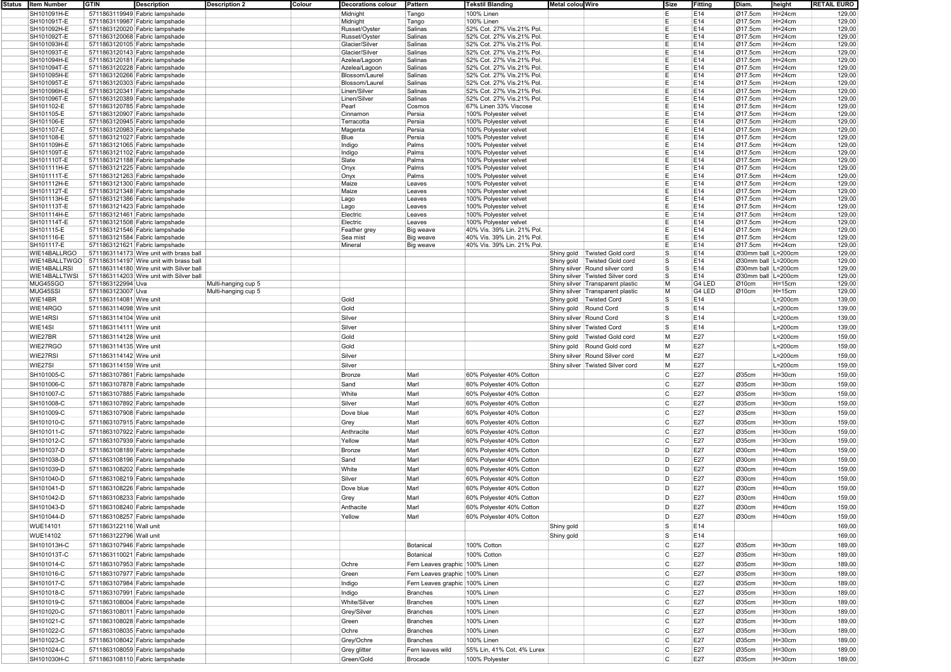| Status | Item Number     | GTIN<br>Description                                   | <b>Description 2</b> | Colour | Decorations colour | Pattern                        | Tekstil Blanding           | ∣Metal colou Wire       |                                    | Size           | <b> Fitting</b> | Diam.              | height     | RETAIL EURO |  |
|--------|-----------------|-------------------------------------------------------|----------------------|--------|--------------------|--------------------------------|----------------------------|-------------------------|------------------------------------|----------------|-----------------|--------------------|------------|-------------|--|
|        | SH101091H-E     | 5711863119949 Fabric lampshade                        |                      |        | Midnight           | Tango                          | 100% Linen                 |                         |                                    | E              | E14             | Ø17.5cm            | $H=24cm$   | 129,00      |  |
|        | SH101091T-E     | 5711863119987 Fabric lampshade                        |                      |        | Midnight           | Tango                          | 100% Linen                 |                         |                                    | E              | E14             | Ø17.5cm            | $H=24cm$   | 129,00      |  |
|        |                 |                                                       |                      |        |                    |                                |                            |                         |                                    |                |                 |                    |            |             |  |
|        | SH101092H-E     | 5711863120020 Fabric lampshade                        |                      |        | Russet/Oyster      | Salinas                        | 52% Cot. 27% Vis.21% Pol   |                         |                                    | Ε              | E14             | Ø17.5cm            | $H=24cm$   | 129,00      |  |
|        | SH101092T-E     | 5711863120068 Fabric lampshade                        |                      |        | Russet/Oyster      | Salinas                        | 52% Cot. 27% Vis.21% Pol   |                         |                                    | E              | E14             | Ø17.5cm            | $H=24cm$   | 129,00      |  |
|        | SH101093H-E     | 5711863120105 Fabric lampshade                        |                      |        | Glacier/Silver     | Salinas                        | 52% Cot. 27% Vis.21% Pol   |                         |                                    | E              | E14             | Ø17.5cm            | $H = 24cm$ | 129,00      |  |
|        | SH101093T-E     | 5711863120143 Fabric lampshade                        |                      |        | Glacier/Silver     | Salinas                        | 52% Cot. 27% Vis.21% Pol   |                         |                                    | E              | E14             | Ø17.5cm            | $H = 24cm$ | 129,00      |  |
|        | SH101094H-E     | 5711863120181 Fabric lampshade                        |                      |        | Azelea/Lagoon      | Salinas                        | 52% Cot. 27% Vis.21% Pol   |                         |                                    | E              | E14             | Ø17.5cm            | $H = 24cm$ | 129,00      |  |
|        | SH101094T-E     | 5711863120228 Fabric lampshade                        |                      |        | Azelea/Lagoon      | Salinas                        | 52% Cot. 27% Vis.21% Pol.  |                         |                                    | Е              | E14             | Ø17.5cm            | $H=24cm$   | 129,00      |  |
|        |                 |                                                       |                      |        |                    |                                |                            |                         |                                    |                |                 |                    |            |             |  |
|        | SH101095H-E     | 5711863120266 Fabric lampshade                        |                      |        | Blossom/Laure      | Salinas                        | 52% Cot. 27% Vis.21% Pol.  |                         |                                    | Е              | E14             | Ø17.5cm            | $H=24cm$   | 129,00      |  |
|        | SH101095T-E     | 5711863120303 Fabric lampshade                        |                      |        | Blossom/Laurel     | Salinas                        | 52% Cot. 27% Vis.21% Pol   |                         |                                    | E              | E14             | Ø17.5cm            | $H=24cm$   | 129,00      |  |
|        | SH101096H-E     | 5711863120341 Fabric lampshade                        |                      |        | Linen/Silver       | Salinas                        | 52% Cot. 27% Vis.21% Pol   |                         |                                    | E              | E14             | Ø17.5cm            | $H=24cm$   | 129,00      |  |
|        | SH101096T-E     | 5711863120389 Fabric lampshade                        |                      |        | Linen/Silver       | Salinas                        | 52% Cot. 27% Vis.21% Pol   |                         |                                    | E              | E14             | Ø17.5cm            | $H=24cm$   | 129,00      |  |
|        | SH101102-E      | 5711863120785 Fabric lampshade                        |                      |        | Pearl              | Cosmos                         | 67% Linen 33% Viscose      |                         |                                    | E              | E14             | Ø17.5cm            | $H=24cm$   | 129,00      |  |
|        |                 |                                                       |                      |        |                    |                                |                            |                         |                                    |                |                 |                    |            |             |  |
|        | SH101105-E      | 5711863120907 Fabric lampshade                        |                      |        | Cinnamon           | Persia                         | 100% Polyester velvet      |                         |                                    | E              | E14             | Ø17.5cm            | $H = 24cm$ | 129,00      |  |
|        | SH101106-E      | 5711863120945 Fabric lampshade                        |                      |        | Terracotta         | Persia                         | 100% Polyester velvet      |                         |                                    | E              | E14             | Ø17.5cm            | $H=24cm$   | 129,00      |  |
|        | SH101107-E      | 5711863120983 Fabric lampshade                        |                      |        | Magenta            | Persia                         | 100% Polyester velvet      |                         |                                    | E              | E14             | Ø17.5cm            | $H = 24cm$ | 129,00      |  |
|        | SH101108-E      | 5711863121027 Fabric lampshade                        |                      |        | Blue               | Persia                         | 100% Polyester velvet      |                         |                                    | E              | E14             | Ø17.5cm            | $H=24cm$   | 129,00      |  |
|        | SH101109H-E     | 5711863121065 Fabric lampshade                        |                      |        | Indigo             | Palms                          | 100% Polyester velvet      |                         |                                    | E              | E14             | Ø17.5cm            | $H=24cm$   | 129,00      |  |
|        |                 |                                                       |                      |        |                    |                                |                            |                         |                                    | E              |                 |                    |            |             |  |
|        | SH101109T-E     | 5711863121102 Fabric lampshade                        |                      |        | Indigo             | Palms                          | 100% Polyester velvet      |                         |                                    |                | E14             | Ø17.5cm            | $H=24cm$   | 129,00      |  |
|        | SH101110T-E     | 5711863121188 Fabric lampshade                        |                      |        | Slate              | Palms                          | 100% Polyester velvet      |                         |                                    | E              | E14             | Ø17.5cm            | $H = 24cm$ | 129,00      |  |
|        | SH101111H-E     | 5711863121225 Fabric lampshade                        |                      |        | Onyx               | Palms                          | 100% Polyester velvet      |                         |                                    | E              | E14             | Ø17.5cm            | $H=24cm$   | 129,00      |  |
|        | SH101111T-E     | 5711863121263 Fabric lampshade                        |                      |        | Onyx               | Palms                          | 100% Polyester velvet      |                         |                                    | E              | E14             | Ø17.5cm            | $H=24cm$   | 129,00      |  |
|        | SH101112H-E     | 5711863121300 Fabric lampshade                        |                      |        | Maize              | Leaves                         | 100% Polyester velvet      |                         |                                    | E              | E14             | Ø17.5cm            | $H=24cm$   | 129,00      |  |
|        |                 |                                                       |                      |        | Maize              |                                |                            |                         |                                    |                | E14             |                    |            |             |  |
|        | SH101112T-E     | 5711863121348 Fabric lampshade                        |                      |        |                    | Leaves                         | 100% Polyester velvet      |                         |                                    | E              |                 | Ø17.5cm            | $H = 24cm$ | 129,00      |  |
|        | SH101113H-E     | 5711863121386 Fabric lampshade                        |                      |        | Lago               | Leaves                         | 100% Polyester velvet      |                         |                                    | E              | E14             | Ø17.5cm            | $H=24cm$   | 129,00      |  |
|        | SH101113T-E     | 5711863121423 Fabric lampshade                        |                      |        | Lago               | Leaves                         | 100% Polyester velvet      |                         |                                    | E              | E14             | Ø17.5cm            | $H=24cm$   | 129,00      |  |
|        | SH101114H-E     | 5711863121461 Fabric lampshade                        |                      |        | Electric           | Leaves                         | 100% Polyester velvet      |                         |                                    | E              | E14             | Ø17.5cm            | $H = 24cm$ | 129,00      |  |
|        | SH101114T-E     | 5711863121508 Fabric lampshade                        |                      |        | Electric           | Leaves                         | 100% Polyester velvet      |                         |                                    | E              | E14             | Ø17.5cm            | $H=24cm$   | 129,00      |  |
|        |                 |                                                       |                      |        |                    |                                |                            |                         |                                    | E              |                 |                    |            |             |  |
|        | SH101115-E      | 5711863121546 Fabric lampshade                        |                      |        | Feather grey       | Big weave                      | 40% Vis. 39% Lin. 21% Pol. |                         |                                    |                | E14             | Ø17.5cm            | $H=24cm$   | 129,00      |  |
|        | SH101116-E      | 5711863121584 Fabric lampshade                        |                      |        | Sea mist           | Big weave                      | 40% Vis. 39% Lin. 21% Pol. |                         |                                    | E              | E14             | Ø17.5cm            | $H=24cm$   | 129,00      |  |
|        | SH101117-E      | 5711863121621 Fabric lampshade                        |                      |        | Mineral            | Big weave                      | 40% Vis. 39% Lin. 21% Pol. |                         |                                    | E              | E14             | Ø17.5cm            | $H = 24cm$ | 129,00      |  |
|        | WIE14BALLRGO    | 5711863114173 Wire unit with brass ball               |                      |        |                    |                                |                            |                         | Shiny gold   Twisted Gold cord     | $\overline{s}$ | E14             | Ø30mm ball L=200cm |            | 129,00      |  |
|        |                 | WIE14BALLTWGO 5711863114197 Wire unit with brass ball |                      |        |                    |                                |                            |                         | Shiny gold   Twisted Gold cord     | s              | E14             | Ø30mm ball L=200cm |            | 129,00      |  |
|        | WIE14BALLRSI    | 5711863114180 Wire unit with Silver ball              |                      |        |                    |                                |                            |                         |                                    |                | E14             | Ø30mm ball L=200cm |            |             |  |
|        |                 |                                                       |                      |        |                    |                                |                            |                         | Shiny silver Round silver cord     | S              |                 |                    |            | 129,00      |  |
|        | WIE14BALLTWSI   | 5711863114203 Wire unit with Silver ball              |                      |        |                    |                                |                            |                         | Shiny silver   Twisted Silver cord | $\mathbf{s}$   | E14             | Ø30mm ball L=200cm |            | 129,00      |  |
|        | MUG45SGO        | 5711863122994 Uva                                     | Multi-hanging cup 5  |        |                    |                                |                            |                         | Shiny silver Transparent plastic   | M              | G4 LED          | Ø10cm              | $H = 15cm$ | 129,00      |  |
|        | MUG45SSI        | 5711863123007 Uva                                     | Multi-hanging cup 5  |        |                    |                                |                            |                         | Shiny silver Transparent plastic   | M              | G4 LED          | Ø10cm              | $H = 15cm$ | 129,00      |  |
|        | WIE14BR         | 5711863114081 Wire unit                               |                      |        | Gold               |                                |                            |                         | Shiny gold   Twisted Cord          | ls             | E14             |                    | $L=200cm$  | 139,00      |  |
|        |                 |                                                       |                      |        |                    |                                |                            |                         |                                    |                |                 |                    |            |             |  |
|        | WIE14RGO        | 5711863114098 Wire unit                               |                      |        | Gold               |                                |                            | Shiny gold Round Cord   |                                    | s              | E14             |                    | $L=200cm$  | 139,00      |  |
|        | WIE14RSI        | 5711863114104 Wire unit                               |                      |        | Silver             |                                |                            | Shiny silver Round Cord |                                    | s              | E14             |                    | $L=200cm$  | 139,00      |  |
|        |                 |                                                       |                      |        |                    |                                |                            |                         |                                    |                |                 |                    |            |             |  |
|        | WIE14SI         | 5711863114111 Wire unit                               |                      |        | Silver             |                                |                            |                         | Shiny silver   Twisted Cord        | s              | E14             |                    | $L=200cm$  | 139,00      |  |
|        | WIE27BR         | 5711863114128 Wire unit                               |                      |        | Gold               |                                |                            |                         | Shiny gold   Twisted Gold cord     | M              | E27             |                    | $L=200cm$  | 159,00      |  |
|        |                 |                                                       |                      |        | Gold               |                                |                            |                         |                                    | M              | E27             |                    | $L=200cm$  |             |  |
|        | WIE27RGO        | 5711863114135 Wire unit                               |                      |        |                    |                                |                            |                         | Shiny gold Round Gold cord         |                |                 |                    |            | 159,00      |  |
|        | WIE27RSI        | 5711863114142 Wire unit                               |                      |        | Silver             |                                |                            |                         | Shiny silver Round Silver cord     | M              | E27             |                    | $L=200cm$  | 159,00      |  |
|        | WIE27SI         | 5711863114159 Wire unit                               |                      |        | Silver             |                                |                            |                         | Shiny silver   Twisted Silver cord | M              | E27             |                    | $L=200cm$  | 159,00      |  |
|        |                 |                                                       |                      |        |                    |                                |                            |                         |                                    |                |                 |                    |            |             |  |
|        | SH101005-C      | 5711863107861 Fabric lampshade                        |                      |        | Bronze             | Marl                           | 60% Polyester 40% Cotton   |                         |                                    | C              | E27             | Ø35cm              | $H = 30cm$ | 159,00      |  |
|        | SH101006-C      | 5711863107878 Fabric lampshade                        |                      |        | Sand               | Marl                           | 60% Polyester 40% Cotton   |                         |                                    | C              | E27             | Ø35cm              | $H = 30cm$ | 159,00      |  |
|        |                 |                                                       |                      |        |                    |                                |                            |                         |                                    |                |                 |                    |            |             |  |
|        | SH101007-C      | 5711863107885 Fabric lampshade                        |                      |        | White              | Marl                           | 60% Polyester 40% Cotton   |                         |                                    | C              | E27             | Ø35cm              | $H = 30cm$ | 159,00      |  |
|        | SH101008-C      | 5711863107892 Fabric lampshade                        |                      |        | Silver             | Marl                           | 60% Polyester 40% Cotton   |                         |                                    | C              | E27             | Ø35cm              | $H = 30cm$ | 159,00      |  |
|        |                 |                                                       |                      |        |                    |                                |                            |                         |                                    |                |                 |                    |            |             |  |
|        | SH101009-C      | 5711863107908 Fabric lampshade                        |                      |        | Dove blue          | Marl                           | 60% Polyester 40% Cotton   |                         |                                    | C              | E27             | Ø35cm              | $H = 30cm$ | 159,00      |  |
|        | SH101010-C      | 5711863107915 Fabric lampshade                        |                      |        | Grey               | Marl                           | 60% Polyester 40% Cotton   |                         |                                    | C              | E27             | Ø35cm              | $H = 30cm$ | 159,00      |  |
|        |                 |                                                       |                      |        |                    |                                |                            |                         |                                    |                |                 |                    |            |             |  |
|        | SH101011-C      | 5711863107922 Fabric lampshade                        |                      |        | Anthracite         | Marl                           | 60% Polyester 40% Cotton   |                         |                                    | C              | E27             | Ø35cm              | H=30cm     | 159,00      |  |
|        | SH101012-C      | 5711863107939 Fabric lampshade                        |                      |        | Yellow             | Marl                           | 60% Polyester 40% Cotton   |                         |                                    | C              | E27             | Ø35cm              | $H = 30cm$ | 159,00      |  |
|        |                 |                                                       |                      |        |                    |                                |                            |                         |                                    |                |                 |                    |            |             |  |
|        | SH101037-D      | 5711863108189 Fabric lampshade                        |                      |        | Bronze             | Marl                           | 60% Polyester 40% Cotton   |                         |                                    | D              | E27             | Ø30cm              | $H=40cm$   | 159,00      |  |
|        | SH101038-D      | 5711863108196 Fabric lampshade                        |                      |        | Sand               | Marl                           | 60% Polyester 40% Cotton   |                         |                                    | D              | E27             | Ø30cm              | $H=40cm$   | 159,00      |  |
|        | SH101039-D      | 5711863108202 Fabric lampshade                        |                      |        | White              | Marl                           | 60% Polyester 40% Cotton   |                         |                                    | D              | E27             | Ø30cm              | $H=40cm$   | 159,00      |  |
|        |                 |                                                       |                      |        |                    |                                |                            |                         |                                    |                |                 |                    |            |             |  |
|        | SH101040-D      | 5711863108219 Fabric lampshade                        |                      |        | Silver             | Marl                           | 60% Polyester 40% Cotton   |                         |                                    | D              | E27             | Ø30cm              | H=40cm     | 159,00      |  |
|        | SH101041-D      | 5711863108226 Fabric lampshade                        |                      |        | Dove blue          | Marl                           | 60% Polyester 40% Cotton   |                         |                                    | D              | E27             | Ø30cm              | $H = 40cm$ | 159,00      |  |
|        |                 |                                                       |                      |        |                    |                                |                            |                         |                                    |                |                 |                    |            |             |  |
|        | SH101042-D      | 5711863108233 Fabric lampshade                        |                      |        | Grey               | Marl                           | 60% Polyester 40% Cotton   |                         |                                    | D              | E27             | Ø30cm              | $H=40cm$   | 159,00      |  |
|        | SH101043-D      | 5711863108240 Fabric lampshade                        |                      |        | Anthacite          | Marl                           | 60% Polyester 40% Cotton   |                         |                                    | D              | E27             | Ø30cm              | $H=40cm$   | 159,00      |  |
|        |                 |                                                       |                      |        |                    |                                |                            |                         |                                    |                |                 |                    |            |             |  |
|        | SH101044-D      | 5711863108257 Fabric lampshade                        |                      |        | Yellow             | Marl                           | 60% Polyester 40% Cotton   |                         |                                    | D              | E27             | Ø30cm              | $H=40cm$   | 159,00      |  |
|        | <b>WUE14101</b> | 5711863122116 Wall unit                               |                      |        |                    |                                |                            | Shiny gold              |                                    | s              | E14             |                    |            | 169,00      |  |
|        | <b>WUE14102</b> | 5711863122796 Wall unit                               |                      |        |                    |                                |                            | Shiny gold              |                                    | s              | E14             |                    |            |             |  |
|        |                 |                                                       |                      |        |                    |                                |                            |                         |                                    |                |                 |                    |            | 169,00      |  |
|        | SH101013H-C     | 5711863107946 Fabric lampshade                        |                      |        |                    | Botanical                      | 100% Cotton                |                         |                                    | C              | E27             | Ø35cm              | $H=30cm$   | 189,00      |  |
|        | SH101013T-C     | 5711863110021 Fabric lampshade                        |                      |        |                    | Botanical                      | 100% Cotton                |                         |                                    | C              | E27             | Ø35cm              | $H=30cm$   | 189,00      |  |
|        |                 |                                                       |                      |        |                    |                                |                            |                         |                                    |                |                 |                    |            |             |  |
|        | SH101014-C      | 5711863107953 Fabric lampshade                        |                      |        | Ochre              | Fern Leaves graphic 100% Linen |                            |                         |                                    | C              | E27             | Ø35cm              | $H = 30cm$ | 189,00      |  |
|        | SH101016-C      | 5711863107977 Fabric lampshade                        |                      |        | Green              | Fern Leaves graphic 100% Linen |                            |                         |                                    | C              | E27             | Ø35cm              | $H=30cm$   | 189,00      |  |
|        |                 |                                                       |                      |        |                    |                                |                            |                         |                                    |                |                 |                    |            |             |  |
|        | SH101017-C      | 5711863107984 Fabric lampshade                        |                      |        | Indigo             | Fern Leaves graphic 100% Linen |                            |                         |                                    | C              | E27             | Ø35cm              | $H = 30cm$ | 189,00      |  |
|        | SH101018-C      | 5711863107991 Fabric lampshade                        |                      |        | Indigo             | Branches                       | 100% Linen                 |                         |                                    | C              | E27             | Ø35cm              | $H=30cm$   | 189,00      |  |
|        |                 |                                                       |                      |        |                    |                                |                            |                         |                                    |                |                 |                    |            |             |  |
|        | SH101019-C      | 5711863108004 Fabric lampshade                        |                      |        | White/Silver       | <b>Branches</b>                | 100% Linen                 |                         |                                    | $\mathsf{C}$   | E27             | Ø35cm              | $H=30cm$   | 189,00      |  |
|        | SH101020-C      | 5711863108011 Fabric lampshade                        |                      |        | Grey/Silver        | <b>Branches</b>                | 100% Linen                 |                         |                                    | C              | E27             | Ø35cm              | $H = 30cm$ | 189,00      |  |
|        |                 |                                                       |                      |        |                    |                                |                            |                         |                                    |                |                 |                    |            |             |  |
|        | SH101021-C      | 5711863108028 Fabric lampshade                        |                      |        | Green              | Branches                       | 100% Linen                 |                         |                                    | C              | E27             | Ø35cm              | $H=30cm$   | 189,00      |  |
|        | SH101022-C      | 5711863108035 Fabric lampshade                        |                      |        | Ochre              | Branches                       | 100% Linen                 |                         |                                    | C              | E27             | Ø35cm              | $H = 30cm$ | 189,00      |  |
|        |                 |                                                       |                      |        |                    |                                |                            |                         |                                    |                |                 |                    |            |             |  |
|        | SH101023-C      | 5711863108042 Fabric lampshade                        |                      |        | Grey/Ochre         | Branches                       | 100% Linen                 |                         |                                    | C              | E27             | Ø35cm              | $H=30cm$   | 189,00      |  |
|        | SH101024-C      | 5711863108059 Fabric lampshade                        |                      |        | Grey glitter       | Fern leaves wild               | 55% Lin, 41% Cot, 4% Lurex |                         |                                    | C              | E27             | Ø35cm              | $H=30cm$   | 189,00      |  |
|        | SH101030H-C     |                                                       |                      |        |                    |                                | 100% Polyester             |                         |                                    | C              | E27             |                    |            |             |  |
|        |                 | 5711863108110 Fabric lampshade                        |                      |        | Green/Gold         | Brocade                        |                            |                         |                                    |                |                 | Ø35cm              | $H=30cm$   | 189,00      |  |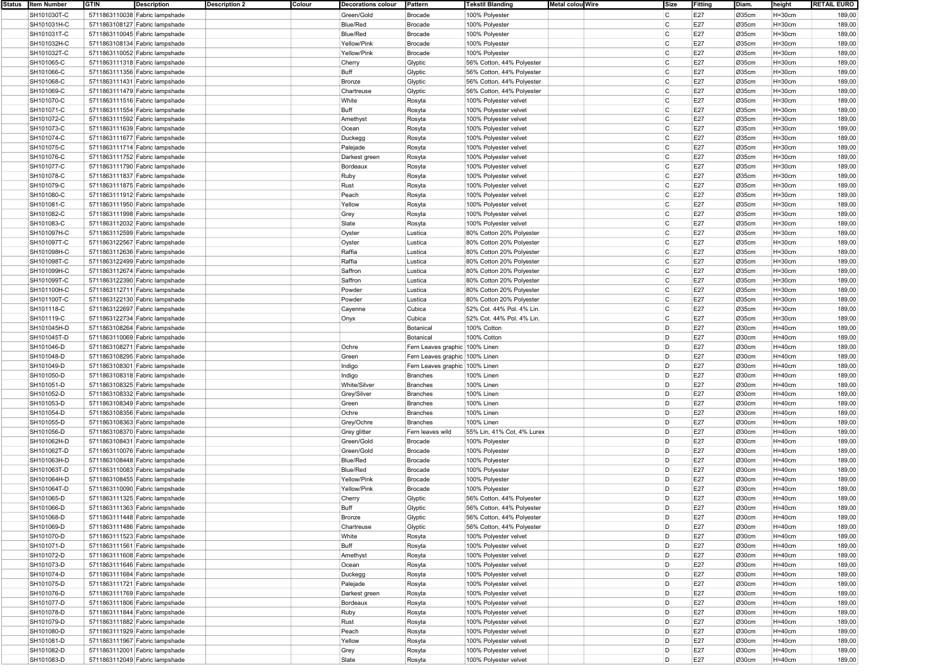| Status   Item Number | <b>GTIN</b> | <b>Description</b>             | <b>Description 2</b> | Colour | Decorations colour | Pattern                        | <b>Tekstil Blanding</b>    | Metal colou Wire | Size         | Fitting | Diam. | height     | <b>RETAIL EURO</b> |
|----------------------|-------------|--------------------------------|----------------------|--------|--------------------|--------------------------------|----------------------------|------------------|--------------|---------|-------|------------|--------------------|
| SH101030T-C          |             | 5711863110038 Fabric lampshade |                      |        | Green/Gold         | Brocade                        | 100% Polyester             |                  | C            | E27     | Ø35cm | $H=30cm$   | 189,00             |
| SH101031H-C          |             | 5711863108127 Fabric lampshade |                      |        | <b>Blue/Red</b>    | Brocade                        | 100% Polyester             |                  | C            | E27     | Ø35cm | $H = 30cm$ | 189,00             |
| SH101031T-C          |             | 5711863110045 Fabric lampshade |                      |        | <b>Blue/Red</b>    | Brocade                        | 100% Polyester             |                  | C            | E27     | Ø35cm | $H=30cm$   | 189,00             |
| SH101032H-C          |             | 5711863108134 Fabric lampshade |                      |        | Yellow/Pink        | <b>Brocade</b>                 | 100% Polyester             |                  | C            | E27     | Ø35cm | $H=30cm$   | 189,00             |
|                      |             |                                |                      |        |                    |                                |                            |                  | C            |         |       |            |                    |
| SH101032T-C          |             | 5711863110052 Fabric lampshade |                      |        | Yellow/Pink        | <b>Brocade</b>                 | 100% Polyester             |                  |              | E27     | Ø35cm | $H=30cm$   | 189,00             |
| SH101065-C           |             | 5711863111318 Fabric lampshade |                      |        | Cherry             | Glyptic                        | 56% Cotton, 44% Polyester  |                  | C            | E27     | Ø35cm | $H = 30cm$ | 189,00             |
| SH101066-C           |             | 5711863111356 Fabric lampshade |                      |        | Buff               | Glyptic                        | 56% Cotton, 44% Polyester  |                  | C            | E27     | Ø35cm | $H=30cm$   | 189,00             |
| SH101068-C           |             | 5711863111431 Fabric lampshade |                      |        | Bronze             | Glyptic                        | 56% Cotton, 44% Polyester  |                  | C            | E27     | Ø35cm | $H=30cm$   | 189,00             |
| SH101069-C           |             | 5711863111479 Fabric lampshade |                      |        | Chartreuse         | Glyptic                        | 56% Cotton, 44% Polyester  |                  | C            | E27     | Ø35cm | $H = 30cm$ | 189,00             |
| SH101070-C           |             | 5711863111516 Fabric lampshade |                      |        | White              | Rosyta                         | 100% Polyester velvet      |                  | C            | E27     | Ø35cm | $H=30cm$   | 189,00             |
| SH101071-C           |             | 5711863111554 Fabric lampshade |                      |        | Buff               | Rosyta                         | 100% Polyester velvet      |                  | C            | E27     | Ø35cm | $H = 30cm$ | 189,00             |
| SH101072-C           |             | 5711863111592 Fabric lampshade |                      |        | Amethyst           | Rosyta                         | 100% Polyester velvet      |                  | C            | E27     | Ø35cm | $H=30cm$   | 189,00             |
|                      |             |                                |                      |        |                    |                                |                            |                  |              |         |       |            |                    |
| SH101073-C           |             | 5711863111639 Fabric lampshade |                      |        | Ocean              | Rosyta                         | 100% Polyester velvet      |                  | C            | E27     | Ø35cm | $H = 30cm$ | 189,00             |
| SH101074-C           |             | 5711863111677 Fabric lampshade |                      |        | Duckegg            | Rosyta                         | 100% Polyester velvet      |                  | C            | E27     | Ø35cm | $H=30cm$   | 189,00             |
| SH101075-C           |             | 5711863111714 Fabric lampshade |                      |        | Palejade           | Rosyta                         | 100% Polyester velvet      |                  | C            | E27     | Ø35cm | $H=30cm$   | 189,00             |
| SH101076-C           |             | 5711863111752 Fabric lampshade |                      |        | Darkest green      | Rosyta                         | 100% Polyester velvet      |                  | C            | E27     | Ø35cm | $H = 30cm$ | 189,00             |
| SH101077-C           |             | 5711863111790 Fabric lampshade |                      |        | Bordeaux           | Rosyta                         | 100% Polyester velvet      |                  | C            | E27     | Ø35cm | $H = 30cm$ | 189,00             |
| SH101078-C           |             | 5711863111837 Fabric lampshade |                      |        | Ruby               | Rosyta                         | 100% Polyester velvet      |                  | C            | E27     | Ø35cm | $H=30cm$   | 189,00             |
| SH101079-C           |             | 5711863111875 Fabric lampshade |                      |        | Rust               | Rosyta                         | 100% Polyester velvet      |                  | C            | E27     | Ø35cm | $H = 30cm$ | 189,00             |
| SH101080-C           |             | 5711863111912 Fabric lampshade |                      |        | Peach              |                                |                            |                  | C            | E27     | Ø35cm | $H=30cm$   | 189,00             |
|                      |             |                                |                      |        |                    | Rosyta                         | 100% Polyester velvet      |                  |              |         |       |            |                    |
| SH101081-C           |             | 5711863111950 Fabric lampshade |                      |        | Yellow             | Rosyta                         | 100% Polyester velvet      |                  | C            | E27     | Ø35cm | $H = 30cm$ | 189,00             |
| SH101082-C           |             | 5711863111998 Fabric lampshade |                      |        | Grey               | Rosyta                         | 100% Polyester velvet      |                  | C            | E27     | Ø35cm | $H = 30cm$ | 189,00             |
| SH101083-C           |             | 5711863112032 Fabric lampshade |                      |        | Slate              | Rosyta                         | 100% Polyester velvet      |                  | C            | E27     | Ø35cm | $H = 30cm$ | 189,00             |
| SH101097H-C          |             | 5711863112599 Fabric lampshade |                      |        | Oyster             | Lustica                        | 80% Cotton 20% Polyester   |                  | C            | E27     | Ø35cm | $H = 30cm$ | 189,00             |
| SH101097T-C          |             | 5711863122567 Fabric lampshade |                      |        | Oyster             | Lustica                        | 80% Cotton 20% Polyester   |                  | C            | E27     | Ø35cm | $H=30cm$   | 189,00             |
| SH101098H-C          |             | 5711863112636 Fabric lampshade |                      |        | Raffia             | Lustica                        | 80% Cotton 20% Polyester   |                  | C            | E27     | Ø35cm | $H = 30cm$ | 189,00             |
| SH101098T-C          |             | 5711863122499 Fabric lampshade |                      |        | Raffia             | Lustica                        | 80% Cotton 20% Polyester   |                  | C            | E27     | Ø35cm | $H = 30cm$ | 189,00             |
| SH101099H-C          |             | 5711863112674 Fabric lampshade |                      |        | Saffron            |                                | 80% Cotton 20% Polyester   |                  | C            | E27     | Ø35cm | $H=30cm$   | 189,00             |
|                      |             |                                |                      |        |                    | Lustica                        |                            |                  |              |         |       |            |                    |
| SH101099T-C          |             | 5711863122390 Fabric lampshade |                      |        | Saffron            | Lustica                        | 80% Cotton 20% Polyester   |                  | C            | E27     | Ø35cm | $H = 30cm$ | 189,00             |
| SH101100H-C          |             | 5711863112711 Fabric lampshade |                      |        | Powder             | Lustica                        | 80% Cotton 20% Polyester   |                  | C            | E27     | Ø35cm | $H=30cm$   | 189,00             |
| SH101100T-C          |             | 5711863122130 Fabric lampshade |                      |        | Powder             | Lustica                        | 80% Cotton 20% Polyester   |                  | C            | E27     | Ø35cm | $H=30cm$   | 189,00             |
| SH101118-C           |             | 5711863122697 Fabric lampshade |                      |        | Cayenne            | Cubica                         | 52% Cot. 44% Pol. 4% Lin.  |                  | C            | E27     | Ø35cm | $H = 30cm$ | 189,00             |
| SH101119-C           |             | 5711863122734 Fabric lampshade |                      |        | Onyx               | Cubica                         | 52% Cot. 44% Pol. 4% Lin.  |                  | C            | E27     | Ø35cm | $H = 30cm$ | 189,00             |
| SH101045H-D          |             | 5711863108264 Fabric lampshade |                      |        |                    | Botanical                      | 100% Cotton                |                  | D            | E27     | Ø30cm | $H=40cm$   | 189,00             |
| SH101045T-D          |             | 5711863110069 Fabric lampshade |                      |        |                    | Botanical                      | 100% Cotton                |                  | D            | E27     | Ø30cm | $H=40cm$   | 189,00             |
|                      |             |                                |                      |        | Ochre              |                                |                            |                  | D            |         |       |            |                    |
| SH101046-D           |             | 5711863108271 Fabric lampshade |                      |        |                    | Fern Leaves graphic 100% Linen |                            |                  |              | E27     | Ø30cm | $H=40cm$   | 189,00             |
| SH101048-D           |             | 5711863108295 Fabric lampshade |                      |        | Green              | Fern Leaves graphic 100% Linen |                            |                  | D            | E27     | Ø30cm | $H=40cm$   | 189,00             |
| SH101049-D           |             | 5711863108301 Fabric lampshade |                      |        | Indigo             | Fern Leaves graphic 100% Linen |                            |                  | D            | E27     | Ø30cm | $H=40cm$   | 189,00             |
| SH101050-D           |             | 5711863108318 Fabric lampshade |                      |        | Indigo             | <b>Branches</b>                | 100% Linen                 |                  | D            | E27     | Ø30cm | $H=40cm$   | 189,00             |
| SH101051-D           |             | 5711863108325 Fabric lampshade |                      |        | White/Silver       | <b>Branches</b>                | 100% Linen                 |                  | D            | E27     | Ø30cm | $H=40cm$   | 189,00             |
| SH101052-D           |             | 5711863108332 Fabric lampshade |                      |        | Grey/Silver        | <b>Branches</b>                | 100% Linen                 |                  | D            | E27     | Ø30cm | $H=40cm$   | 189,00             |
| SH101053-D           |             | 5711863108349 Fabric lampshade |                      |        | Green              | Branches                       | 100% Linen                 |                  | D            | E27     | Ø30cm | $H=40cm$   | 189,00             |
| SH101054-D           |             | 5711863108356 Fabric lampshade |                      |        | Ochre              | <b>Branches</b>                | 100% Linen                 |                  | D            | E27     | Ø30cm | $H=40cm$   | 189,00             |
|                      |             |                                |                      |        |                    | <b>Branches</b>                | 100% Linen                 |                  | D            | E27     | Ø30cm | H=40cm     | 189,00             |
| SH101055-D           |             | 5711863108363 Fabric lampshade |                      |        | Grey/Ochre         |                                |                            |                  |              |         |       |            |                    |
| SH101056-D           |             | 5711863108370 Fabric lampshade |                      |        | Grey glitter       | Fern leaves wild               | 55% Lin, 41% Cot, 4% Lurex |                  | D            | E27     | Ø30cm | $H=40cm$   | 189,00             |
| SH101062H-D          |             | 5711863108431 Fabric lampshade |                      |        | Green/Gold         | <b>Brocade</b>                 | 100% Polyester             |                  | D            | E27     | Ø30cm | $H=40cm$   | 189,00             |
| SH101062T-D          |             | 5711863110076 Fabric lampshade |                      |        | Green/Gold         | <b>Brocade</b>                 | 100% Polyester             |                  | D            | E27     | Ø30cm | $H=40cm$   | 189,00             |
| SH101063H-D          |             | 5711863108448 Fabric lampshade |                      |        | <b>Blue/Red</b>    | Brocade                        | 100% Polyester             |                  | D            | E27     | Ø30cm | $H = 40cm$ | 189,00             |
| SH101063T-D          |             | 5711863110083 Fabric lampshade |                      |        | <b>Blue/Red</b>    | <b>Brocade</b>                 | 100% Polyester             |                  | D            | E27     | Ø30cm | $H=40cm$   | 189,00             |
| SH101064H-D          |             | 5711863108455 Fabric lampshade |                      |        | Yellow/Pink        | <b>Brocade</b>                 | 100% Polyester             |                  | D            | E27     | Ø30cm | $H=40cm$   | 189,00             |
| SH101064T-D          |             | 5711863110090 Fabric lampshade |                      |        | Yellow/Pink        | <b>Brocade</b>                 | 100% Polyester             |                  | D            | E27     | Ø30cm | $H=40cm$   | 189,00             |
| SH101065-D           |             |                                |                      |        | Cherry             |                                | 56% Cotton, 44% Polvester  |                  | D            | E27     | Ø30cm | $H = 40cm$ | 189,00             |
|                      |             | 5711863111325 Fabric lampshade |                      |        |                    | Glyptic                        |                            |                  | <sub>D</sub> |         |       |            |                    |
| SH101066-D           |             | 5711863111363 Fabric lampshade |                      |        | <b>Buff</b>        | Glyptic                        | 56% Cotton, 44% Polyester  |                  |              | E27     | Ø30cm | $H=40cm$   | 189,00             |
| SH101068-D           |             | 5711863111448 Fabric lampshade |                      |        | Bronze             | Glyptic                        | 56% Cotton, 44% Polyester  |                  | D            | E27     | Ø30cm | $H=40cm$   | 189,00             |
| SH101069-D           |             | 5711863111486 Fabric lampshade |                      |        | Chartreuse         | Glyptic                        | 56% Cotton, 44% Polyester  |                  | D            | E27     | Ø30cm | $H=40cm$   | 189,00             |
| SH101070-D           |             | 5711863111523 Fabric lampshade |                      |        | White              | Rosyta                         | 100% Polyester velvet      |                  | D            | E27     | Ø30cm | $H=40cm$   | 189,00             |
| SH101071-D           |             | 5711863111561 Fabric lampshade |                      |        | Buff               | Rosyta                         | 100% Polyester velvet      |                  | D            | E27     | Ø30cm | $H=40cm$   | 189,00             |
| SH101072-D           |             | 5711863111608 Fabric lampshade |                      |        | Amethyst           | Rosyta                         | 100% Polyester velvet      |                  | D            | E27     | Ø30cm | $H=40cm$   | 189,00             |
| SH101073-D           |             | 5711863111646 Fabric lampshade |                      |        | Ocean              | Rosyta                         | 100% Polyester velvet      |                  | D            | E27     | Ø30cm | $H = 40cm$ | 189,00             |
| SH101074-D           |             | 5711863111684 Fabric lampshade |                      |        |                    | Rosyta                         | 100% Polyester velvet      |                  | D            | E27     | Ø30cm | $H=40cm$   | 189,00             |
|                      |             |                                |                      |        | Duckegg            |                                |                            |                  |              |         |       |            |                    |
| SH101075-D           |             | 5711863111721 Fabric lampshade |                      |        | Palejade           | Rosyta                         | 100% Polyester velvet      |                  | D            | E27     | Ø30cm | $H=40cm$   | 189,00             |
| SH101076-D           |             | 5711863111769 Fabric lampshade |                      |        | Darkest green      | Rosyta                         | 100% Polyester velvet      |                  | D            | E27     | Ø30cm | $H = 40cm$ | 189,00             |
| SH101077-D           |             | 5711863111806 Fabric lampshade |                      |        | Bordeaux           | Rosyta                         | 100% Polyester velvet      |                  | D            | E27     | Ø30cm | $H=40cm$   | 189,00             |
| SH101078-D           |             | 5711863111844 Fabric lampshade |                      |        | Ruby               | Rosyta                         | 100% Polyester velvet      |                  | D            | E27     | Ø30cm | $H = 40cm$ | 189,00             |
| SH101079-D           |             | 5711863111882 Fabric lampshade |                      |        | Rust               | Rosyta                         | 100% Polyester velvet      |                  | D            | E27     | Ø30cm | $H=40cm$   | 189,00             |
| SH101080-D           |             | 5711863111929 Fabric lampshade |                      |        | Peach              | Rosyta                         | 100% Polyester velvet      |                  | D            | E27     | Ø30cm | $H=40cm$   | 189,00             |
| SH101081-D           |             | 5711863111967 Fabric lampshade |                      |        | Yellow             | Rosyta                         | 100% Polyester velvet      |                  | D            | E27     | Ø30cm | $H=40cm$   | 189,00             |
| SH101082-D           |             |                                |                      |        |                    |                                |                            |                  | D            | E27     |       | $H=40cm$   |                    |
|                      |             | 5711863112001 Fabric lampshade |                      |        | Grey               | Rosyta                         | 100% Polyester velvet      |                  |              |         | Ø30cm |            | 189,00             |
| SH101083-D           |             | 5711863112049 Fabric lampshade |                      |        | Slate              | Rosyta                         | 100% Polyester velvet      |                  | D            | E27     | Ø30cm | $H=40cm$   | 189,00             |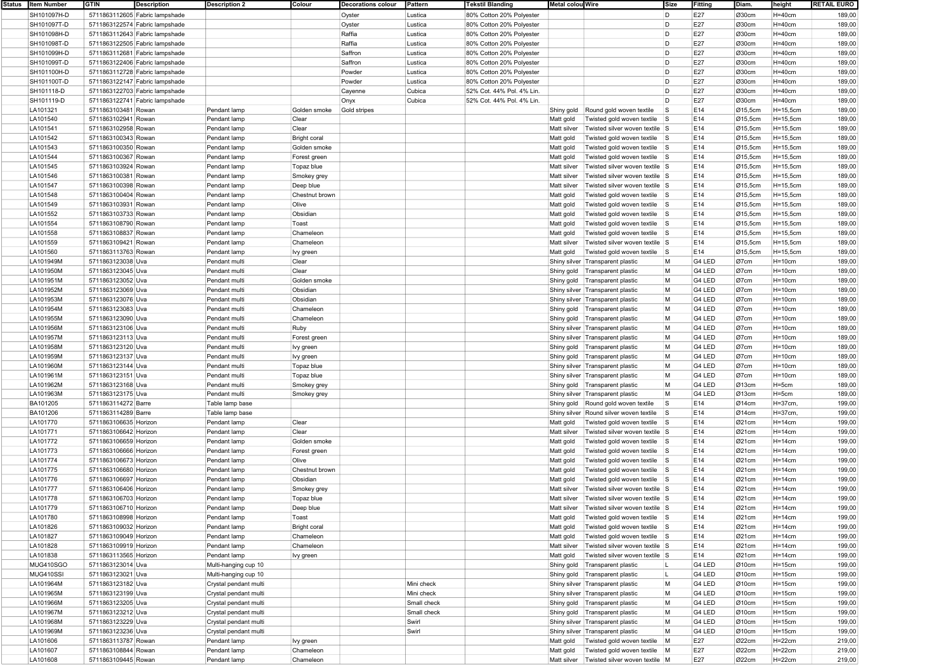| Status   Item Number | <b>GTIN</b>           | <b>Description</b>             | <b>Description 2</b>  | Colour              | <b>Decorations colour</b> | Pattern     | <b>Tekstil Blanding</b>   | Metal colou Wire |                                         | Size      | Fitting | Diam.                | height       | <b>RETAIL EURO</b> |
|----------------------|-----------------------|--------------------------------|-----------------------|---------------------|---------------------------|-------------|---------------------------|------------------|-----------------------------------------|-----------|---------|----------------------|--------------|--------------------|
| SH101097H-D          |                       | 5711863112605 Fabric lampshade |                       |                     | Oyster                    | Lustica     | 80% Cotton 20% Polyester  |                  |                                         | D         | E27     | Ø30cm                | $H=40cm$     | 189,00             |
| SH101097T-D          |                       | 5711863122574 Fabric lampshade |                       |                     | Oyster                    | Lustica     | 80% Cotton 20% Polyester  |                  |                                         | D         | E27     | Ø30cm                | $H=40cm$     | 189,00             |
| SH101098H-D          |                       | 5711863112643 Fabric lampshade |                       |                     | Raffia                    | Lustica     | 80% Cotton 20% Polyester  |                  |                                         | D         | E27     | Ø30cm                | $H=40cm$     | 189,00             |
| SH101098T-D          |                       | 5711863122505 Fabric lampshade |                       |                     | Raffia                    | Lustica     | 80% Cotton 20% Polvester  |                  |                                         | D         | E27     | Ø30cm                | $H = 40cm$   | 189,00             |
|                      |                       |                                |                       |                     |                           |             |                           |                  |                                         |           |         |                      |              |                    |
| SH101099H-D          |                       | 5711863112681 Fabric lampshade |                       |                     | Saffron                   | Lustica     | 80% Cotton 20% Polyester  |                  |                                         | D         | E27     | Ø30cm                | $H=40cm$     | 189,00             |
| SH101099T-D          |                       | 5711863122406 Fabric lampshade |                       |                     | Saffron                   | Lustica     | 80% Cotton 20% Polyester  |                  |                                         | D         | E27     | Ø30cm                | $H=40cm$     | 189,00             |
| SH101100H-D          |                       | 5711863112728 Fabric lampshade |                       |                     | Powder                    | Lustica     | 80% Cotton 20% Polyester  |                  |                                         | D         | E27     | Ø30cm                | $H = 40cm$   | 189,00             |
| SH101100T-D          |                       | 5711863122147 Fabric lampshade |                       |                     | Powder                    | Lustica     | 80% Cotton 20% Polyester  |                  |                                         | D         | E27     | Ø30cm                | $H=40cm$     | 189,00             |
| SH101118-D           |                       | 5711863122703 Fabric lampshade |                       |                     | Cayenne                   | Cubica      | 52% Cot. 44% Pol. 4% Lin  |                  |                                         | D         | E27     | Ø30cm                | $H=40cm$     | 189,00             |
| SH101119-D           |                       | 5711863122741 Fabric lampshade |                       |                     | Onyx                      | Cubica      | 52% Cot. 44% Pol. 4% Lin. |                  |                                         | D         | E27     | Ø30cm                | $H=40cm$     | 189,00             |
| LA101321             | 5711863103481 Rowan   |                                | Pendant lamp          | Golden smoke        | Gold stripes              |             |                           | Shiny gold       | Round gold woven textile                | <b>S</b>  | E14     | Ø15,5cm              | $H=15,5cm$   | 189,00             |
| LA101540             | 5711863102941 Rowan   |                                | Pendant lamp          | Clear               |                           |             |                           | Matt gold        | Twisted gold woven textile              | s         | E14     | Ø15,5cm              | $H=15,5cm$   | 189,00             |
|                      |                       |                                |                       |                     |                           |             |                           |                  |                                         |           |         |                      |              |                    |
| LA101541             | 5711863102958 Rowan   |                                | Pendant lamp          | Clear               |                           |             |                           | Matt silver      | Twisted silver woven textile S          |           | E14     | Ø15,5cm              | $H=15,5cm$   | 189,00             |
| LA101542             | 5711863100343 Rowan   |                                | Pendant lamp          | <b>Bright coral</b> |                           |             |                           | Matt gold        | Twisted gold woven textile S            |           | E14     | $\varnothing$ 15,5cm | H=15,5cm     | 189,00             |
| LA101543             | 5711863100350 Rowan   |                                | Pendant lamp          | Golden smoke        |                           |             |                           | Matt gold        | Twisted gold woven textile S            |           | E14     | Ø15,5cm              | H=15,5cm     | 189,00             |
| LA101544             | 5711863100367 Rowan   |                                | Pendant lamp          | Forest green        |                           |             |                           | Matt gold        | Twisted gold woven textile S            |           | E14     | Ø15,5cm              | $H=15,5cm$   | 189,00             |
| LA101545             | 5711863103924 Rowan   |                                | Pendant lamp          | Topaz blue          |                           |             |                           | Matt silver      | Twisted silver woven textile S          |           | E14     | Ø15,5cm              | $H=15,5cm$   | 189,00             |
| LA101546             | 5711863100381 Rowan   |                                | Pendant lamp          | Smokey grey         |                           |             |                           | Matt silver      | Twisted silver woven textile S          |           | E14     | Ø15,5cm              | $H=15,5cm$   | 189,00             |
| LA101547             | 5711863100398 Rowan   |                                | Pendant lamp          | Deep blue           |                           |             |                           | Matt silver      | Twisted silver woven textile S          |           | E14     | Ø15,5cm              | $H=15,5cm$   | 189,00             |
| LA101548             | 5711863100404 Rowan   |                                | Pendant lamp          | Chestnut brown      |                           |             |                           |                  |                                         |           | E14     |                      | $H=15,5cm$   | 189,00             |
|                      |                       |                                |                       |                     |                           |             |                           | Matt gold        | Twisted gold woven textile S            |           |         | Ø15,5cm              |              |                    |
| LA101549             | 5711863103931 Rowan   |                                | Pendant lamp          | Olive               |                           |             |                           | Matt gold        | Twisted gold woven textile S            |           | E14     | Ø15,5cm              | $H=15,5cm$   | 189,00             |
| LA101552             | 5711863103733 Rowan   |                                | Pendant lamp          | Obsidian            |                           |             |                           | Matt gold        | Twisted gold woven textile S            |           | E14     | Ø15,5cm              | $H=15,5cm$   | 189,00             |
| LA101554             | 5711863108790 Rowan   |                                | Pendant lamp          | Toast               |                           |             |                           | Matt gold        | Twisted gold woven textile              | s         | E14     | Ø15,5cm              | $H=15,5cm$   | 189,00             |
| LA101558             | 5711863108837 Rowan   |                                | Pendant lamp          | Chameleon           |                           |             |                           | Matt gold        | Twisted gold woven textile S            |           | E14     | $Q$ 15,5cm           | H=15,5cm     | 189,00             |
| LA101559             | 5711863109421 Rowan   |                                | Pendant lamp          | Chameleon           |                           |             |                           | Matt silver      | Twisted silver woven textile S          |           | E14     | $\varnothing$ 15,5cm | H=15,5cm     | 189,00             |
| LA101560             | 5711863113763 Rowan   |                                | Pendant lamp          | Ivy green           |                           |             |                           | Matt gold        | Twisted gold woven textile              | S         | E14     | $\varnothing$ 15,5cm | $H = 15,5cm$ | 189,00             |
| LA101949M            | 5711863123038 Uva     |                                | Pendant multi         | Clear               |                           |             |                           |                  | Shiny silver Transparent plastic        | M         | G4 LED  | Ø7cm                 | $H = 10cm$   | 189,00             |
| LA101950M            | 5711863123045 Uva     |                                | Pendant multi         | Clear               |                           |             |                           |                  |                                         | M         | G4 LED  | Ø7cm                 | $H = 10cm$   | 189,00             |
|                      |                       |                                |                       |                     |                           |             |                           | Shiny gold       | Transparent plastic                     |           |         |                      |              |                    |
| LA101951M            | 5711863123052 Uva     |                                | Pendant mult          | Golden smoke        |                           |             |                           | Shiny gold       | Transparent plastic                     | M         | G4 LED  | Ø7cm                 | $H = 10cm$   | 189,00             |
| LA101952M            | 5711863123069 Uva     |                                | Pendant mult          | Obsidian            |                           |             |                           |                  | Shiny silver Transparent plastic        | M         | G4 LED  | Ø7cm                 | $H = 10cm$   | 189,00             |
| LA101953M            | 5711863123076 Uva     |                                | Pendant multi         | Obsidian            |                           |             |                           |                  | Shiny silver Transparent plastic        | M         | G4 LED  | Ø7cm                 | $H=10cm$     | 189,00             |
| LA101954M            | 5711863123083 Uva     |                                | Pendant multi         | Chameleon           |                           |             |                           |                  | Shiny gold Transparent plastic          | M         | G4 LED  | Ø7cm                 | $H = 10cm$   | 189,00             |
| LA101955M            | 5711863123090 Uva     |                                | Pendant multi         | Chameleon           |                           |             |                           |                  | Shiny gold   Transparent plastic        | M         | G4 LED  | Ø7cm                 | $H = 10cm$   | 189,00             |
| LA101956M            | 5711863123106 Uva     |                                | Pendant mult          | Ruby                |                           |             |                           |                  | Shiny silver Transparent plastic        | M         | G4 LED  | Ø7cm                 | $H = 10cm$   | 189,00             |
| LA101957M            | 5711863123113 Uva     |                                | Pendant multi         | Forest green        |                           |             |                           |                  | Shiny silver Transparent plastic        | M         | G4 LED  | Ø7cm                 | $H=10cm$     | 189,00             |
| LA101958M            | 5711863123120 Uva     |                                | Pendant multi         |                     |                           |             |                           |                  |                                         | M         | G4 LED  | Ø7cm                 | $H=10cm$     | 189,00             |
|                      |                       |                                |                       | Ivy green           |                           |             |                           |                  | Shiny gold   Transparent plastic        |           |         |                      |              |                    |
| LA101959M            | 5711863123137 Uva     |                                | Pendant multi         | Ivy green           |                           |             |                           |                  | Shiny gold   Transparent plastic        | M         | G4 LED  | Ø7cm                 | $H = 10cm$   | 189,00             |
| LA101960M            | 5711863123144 Uva     |                                | Pendant multi         | Topaz blue          |                           |             |                           |                  | Shiny silver Transparent plastic        | M         | G4 LED  | Ø7cm                 | $H = 10cm$   | 189,00             |
| LA101961M            | 5711863123151 Uva     |                                | Pendant mult          | Topaz blue          |                           |             |                           |                  | Shiny silver Transparent plastic        | M         | G4 LED  | Ø7cm                 | $H=10cm$     | 189,00             |
| LA101962M            | 5711863123168 Uva     |                                | Pendant multi         | Smokey grey         |                           |             |                           |                  | Shiny gold   Transparent plastic        | M         | G4 LED  | Ø13cm                | H=5cm        | 189,00             |
| LA101963M            | 5711863123175 Uva     |                                | Pendant multi         | Smokey grey         |                           |             |                           |                  | Shiny silver Transparent plastic        | M         | G4 LED  | Ø13cm                | H=5cm        | 189,00             |
| BA101205             | 5711863114272 Barre   |                                | Table lamp base       |                     |                           |             |                           | Shiny gold       | Round gold woven textile                | l S       | E14     | Ø14cm                | $H = 37$ cm, | 199,00             |
| BA101206             | 5711863114289 Barre   |                                | Table lamp base       |                     |                           |             |                           |                  | Shiny silver Round silver woven textile | <b>S</b>  | E14     | Ø14cm                | $H = 37cm$   | 199,00             |
| LA101770             | 5711863106635 Horizon |                                | Pendant lamp          | Clear               |                           |             |                           |                  | Twisted gold woven textile              | $\vert$ S | E14     | Ø21cm                | $H = 14cm$   | 199,00             |
|                      |                       |                                |                       |                     |                           |             |                           | Matt gold        |                                         |           |         |                      |              |                    |
| LA101771             | 5711863106642 Horizon |                                | Pendant lamp          | Clear               |                           |             |                           | Matt silver      | Twisted silver woven textile S          |           | E14     | Ø21cm                | $H = 14cm$   | 199,00             |
| LA101772             | 5711863106659 Horizon |                                | Pendant lamp          | Golden smoke        |                           |             |                           | Matt gold        | Twisted gold woven textile S            |           | E14     | Ø21cm                | $H = 14cm$   | 199,00             |
| LA101773             | 5711863106666 Horizon |                                | Pendant lamp          | Forest green        |                           |             |                           | Matt gold        | Twisted gold woven textile S            |           | E14     | Ø21cm                | $H = 14cm$   | 199,00             |
| LA101774             | 5711863106673 Horizon |                                | Pendant lamp          | Olive               |                           |             |                           | Matt gold        | Twisted gold woven textile              | s         | E14     | Ø21cm                | $H = 14cm$   | 199,00             |
| LA101775             | 5711863106680 Horizon |                                | Pendant lamp          | Chestnut brown      |                           |             |                           | Matt gold        | Twisted gold woven textile S            |           | E14     | Ø21cm                | $H = 14cm$   | 199,00             |
| LA101776             | 5711863106697 Horizon |                                | Pendant lamp          | Obsidian            |                           |             |                           | Matt gold        | Twisted gold woven textile S            |           | E14     | Ø21cm                | $H = 14cm$   | 199,00             |
| LA101777             | 5711863106406 Horizon |                                | Pendant lamp          | Smokey grey         |                           |             |                           | Matt silver      | Twisted silver woven textile S          |           | E14     | Ø21cm                | $H = 14cm$   | 199,00             |
| LA101778             | 5711863106703 Horizon |                                | Pendant lamp          | Topaz blue          |                           |             |                           | Matt silver      | Twisted silver woven textile S          |           | E14     | Ø21cm                | $H = 14cm$   | 199,00             |
|                      |                       |                                |                       |                     |                           |             |                           |                  |                                         |           |         |                      |              |                    |
| LA101779             | 5711863106710 Horizon |                                | Pendant lamp          | Deep blue           |                           |             |                           | Matt silver      | Twisted silver woven textile S          |           | E14     | Ø21cm                | $H = 14cm$   | 199,00             |
| LA101780             | 5711863108998 Horizon |                                | Pendant lamp          | Toast               |                           |             |                           | Matt gold        | Twisted gold woven textile S            |           | E14     | Ø21cm                | $H = 14cm$   | 199,00             |
| LA101826             | 5711863109032 Horizon |                                | Pendant lamp          | <b>Bright coral</b> |                           |             |                           | Matt gold        | Twisted gold woven textile S            |           | E14     | Ø21cm                | $H = 14cm$   | 199,00             |
| LA101827             | 5711863109049 Horizon |                                | Pendant lamp          | Chameleon           |                           |             |                           | Matt gold        | Twisted gold woven textile S            |           | E14     | Ø21cm                | $H=14cm$     | 199,00             |
| LA101828             | 5711863109919 Horizon |                                | Pendant lamp          | Chameleon           |                           |             |                           | Matt silver      | Twisted silver woven textile S          |           | E14     | Ø21cm                | $H = 14cm$   | 199,00             |
| LA101838             | 5711863113565 Horizon |                                | Pendant lamp          | lvy green           |                           |             |                           | Matt gold        | Twisted silver woven textile S          |           | E14     | Ø21cm                | $H = 14cm$   | 199,00             |
| MUG410SGO            | 5711863123014 Uva     |                                | Multi-hanging cup 10  |                     |                           |             |                           | Shiny gold       | Transparent plastic                     |           | G4 LED  | Ø10cm                | $H = 15cm$   | 199,00             |
| MUG410SSI            | 5711863123021 Uva     |                                |                       |                     |                           |             |                           |                  |                                         | L         | G4 LED  | Ø10cm                |              | 199,00             |
|                      |                       |                                | Multi-hanging cup 10  |                     |                           |             |                           |                  | Shiny gold   Transparent plastic        |           |         |                      | $H = 15cm$   |                    |
| LA101964M            | 5711863123182 Uva     |                                | Crystal pendant multi |                     |                           | Mini check  |                           |                  | Shiny silver Transparent plastic        | M         | G4 LED  | Ø10cm                | $H = 15cm$   | 199,00             |
| LA101965M            | 5711863123199 Uva     |                                | Crystal pendant multi |                     |                           | Mini check  |                           |                  | Shiny silver Transparent plastic        | M         | G4 LED  | Ø10cm                | $H = 15cm$   | 199,00             |
| LA101966M            | 5711863123205 Uva     |                                | Crystal pendant multi |                     |                           | Small check |                           |                  | Shiny gold   Transparent plastic        | M         | G4 LED  | Ø10cm                | $H = 15cm$   | 199,00             |
| LA101967M            | 5711863123212 Uva     |                                | Crystal pendant multi |                     |                           | Small check |                           |                  | Shiny gold   Transparent plastic        | M         | G4 LED  | Ø10cm                | $H = 15cm$   | 199,00             |
| LA101968M            | 5711863123229 Uva     |                                | Crystal pendant multi |                     |                           | Swirl       |                           |                  | Shiny silver Transparent plastic        | M         | G4 LED  | Ø10cm                | $H = 15cm$   | 199,00             |
| LA101969M            | 5711863123236 Uva     |                                | Crystal pendant multi |                     |                           | Swirl       |                           |                  | Shiny silver Transparent plastic        | M         | G4 LED  | Ø10cm                | $H = 15cm$   | 199,00             |
| LA101606             | 5711863113787 Rowan   |                                | Pendant lamp          | Ivy green           |                           |             |                           | Matt gold        | Twisted gold woven textile              | M         | E27     | Ø22cm                | $H=22cm$     | 219,00             |
| LA101607             |                       |                                |                       |                     |                           |             |                           |                  |                                         |           |         |                      |              |                    |
|                      | 5711863108844 Rowan   |                                | Pendant lamp          | Chameleon           |                           |             |                           | Matt gold        | Twisted gold woven textile              | M         | E27     | Ø22cm                | $H = 22cm$   | 219,00             |
| LA101608             | 5711863109445 Rowan   |                                | Pendant lamp          | Chameleon           |                           |             |                           | Matt silver      | Twisted silver woven textile M          |           | E27     | Ø22cm                | $H=22cm$     | 219,00             |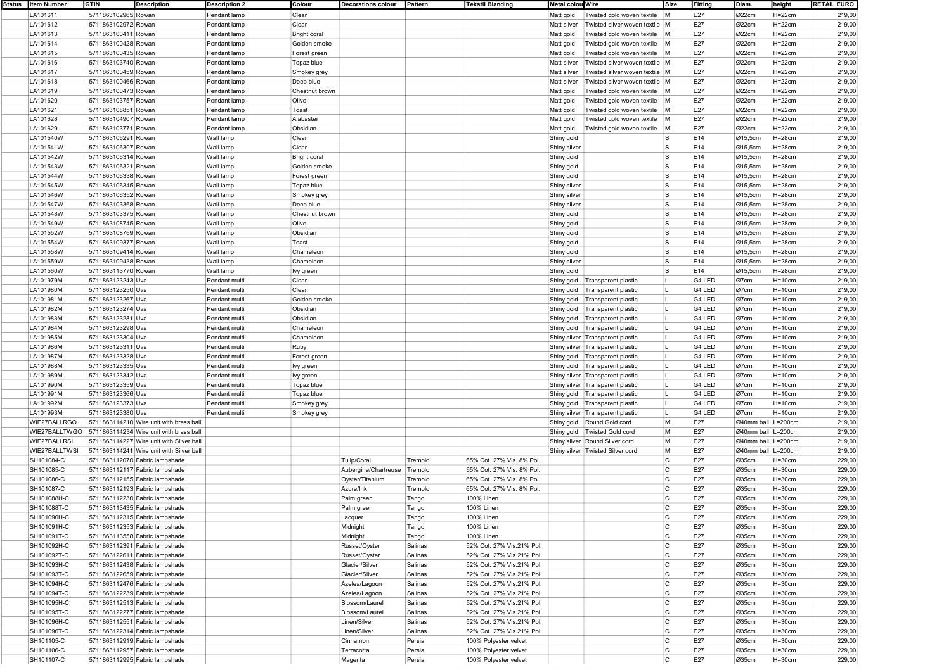| Status   Item Number | <b>GTIN</b>                    | <b>Description</b>                                    | <b>Description 2</b> | Colour              | <b>Decorations colour</b> | Pattern | <b>Tekstil Blanding</b>   | Metal colou Wire |                                    | Size           | Fitting | Diam.                | height     | <b>RETAIL EURO</b> |
|----------------------|--------------------------------|-------------------------------------------------------|----------------------|---------------------|---------------------------|---------|---------------------------|------------------|------------------------------------|----------------|---------|----------------------|------------|--------------------|
| LA101611             | 5711863102965 Rowan            |                                                       | Pendant lamp         | Clear               |                           |         |                           | Matt gold        | Twisted gold woven textile         | $\mathsf{M}$   | E27     | Ø22cm                | H=22cm     | 219,00             |
| LA101612             | 5711863102972 Rowan            |                                                       | Pendant lamp         | Clear               |                           |         |                           | Matt silver      | Twisted silver woven textile M     |                | E27     | Ø22cm                | $H=22cm$   | 219,00             |
| LA101613             | 5711863100411 Rowan            |                                                       | Pendant lamp         | <b>Bright coral</b> |                           |         |                           | Matt gold        | Twisted gold woven textile M       |                | E27     | Ø22cm                | $H=22cm$   | 219,00             |
| LA101614             | 5711863100428 Rowan            |                                                       | Pendant lamp         | Golden smoke        |                           |         |                           | Matt gold        | Twisted gold woven textile M       |                | E27     | Ø22cm                | $H=22cm$   | 219,00             |
| LA101615             | 5711863100435 Rowan            |                                                       | Pendant lamp         | Forest green        |                           |         |                           | Matt gold        | Twisted gold woven textile M       |                | E27     | Ø22cm                | $H=22cm$   | 219,00             |
| LA101616             | 5711863103740 Rowan            |                                                       |                      |                     |                           |         |                           |                  | Twisted silver woven textile M     |                | E27     | Ø22cm                | $H=22cm$   |                    |
|                      |                                |                                                       | Pendant lamp         | Topaz blue          |                           |         |                           | Matt silver      |                                    |                |         |                      |            | 219,00             |
| LA101617             | 5711863100459 Rowan            |                                                       | Pendant lamp         | Smokey grey         |                           |         |                           | Matt silver      | Twisted silver woven textile M     |                | E27     | Ø22cm                | $H=22cm$   | 219,00             |
| LA101618             | 5711863100466 Rowan            |                                                       | Pendant lamp         | Deep blue           |                           |         |                           | Matt silver      | Twisted silver woven textile M     |                | E27     | Ø22cm                | $H = 22cm$ | 219,00             |
| LA101619             | 5711863100473 Rowan            |                                                       | Pendant lamp         | Chestnut brown      |                           |         |                           | Matt gold        | Twisted gold woven textile M       |                | E27     | Ø22cm                | $H=22cm$   | 219,00             |
| LA101620             | 5711863103757 Rowan            |                                                       | Pendant lamp         | Olive               |                           |         |                           | Matt gold        | Twisted gold woven textile M       |                | E27     | Ø22cm                | $H=22cm$   | 219,00             |
| LA101621             | 5711863108851 Rowan            |                                                       | Pendant lamp         | Toast               |                           |         |                           | Matt gold        | Twisted gold woven textile M       |                | E27     | Ø22cm                | $H=22cm$   | 219,00             |
| LA101628             | 5711863104907 Rowan            |                                                       | Pendant lamp         | Alabaster           |                           |         |                           | Matt gold        | Twisted gold woven textile         | $\mathsf{M}$   | E27     | Ø22cm                | $H=22cm$   | 219,00             |
| LA101629             | 5711863103771 Rowan            |                                                       | Pendant lamp         | Obsidian            |                           |         |                           | Matt gold        | Twisted gold woven textile         | M              | E27     | Ø22cm                | $H=22cm$   | 219,00             |
| LA101540W            |                                |                                                       |                      |                     |                           |         |                           |                  |                                    | l S            | E14     |                      |            |                    |
|                      | 5711863106291 Rowan            |                                                       | Wall lamp            | Clear               |                           |         |                           | Shiny gold       |                                    |                |         | $\varnothing$ 15,5cm | $H = 28cm$ | 219,00             |
| LA101541W            | 5711863106307 Rowan            |                                                       | Wall lamp            | Clear               |                           |         |                           | Shiny silver     |                                    | ls.            | E14     | Ø15,5cm              | $H=28cm$   | 219,00             |
| LA101542W            | 5711863106314 Rowan            |                                                       | Wall lamp            | <b>Bright coral</b> |                           |         |                           | Shiny gold       |                                    | ls.            | E14     | Ø15,5cm              | $H = 28cm$ | 219,00             |
| LA101543W            | 5711863106321 Rowan            |                                                       | Wall lamp            | Golden smoke        |                           |         |                           | Shiny gold       |                                    | ls.            | E14     | Ø15,5cm              | $H = 28cm$ | 219,00             |
| LA101544W            | 5711863106338 Rowan            |                                                       | Wall lamp            | Forest green        |                           |         |                           | Shiny gold       |                                    | ls.            | E14     | Ø15,5cm              | $H=28cm$   | 219,00             |
| LA101545W            | 5711863106345 Rowan            |                                                       | Wall lamp            | Topaz blue          |                           |         |                           | Shiny silver     |                                    | ls.            | E14     | Ø15,5cm              | $H = 28cm$ | 219,00             |
| LA101546W            | 5711863106352 Rowan            |                                                       | Wall lamp            | Smokey grey         |                           |         |                           | Shiny silver     |                                    | ls.            | E14     | Ø15,5cm              | $H = 28cm$ | 219,00             |
| LA101547W            | 5711863103368 Rowan            |                                                       | Wall lamp            | Deep blue           |                           |         |                           | Shiny silver     |                                    | ls.            | E14     | Ø15,5cm              | $H = 28cm$ | 219,00             |
|                      |                                |                                                       |                      |                     |                           |         |                           |                  |                                    |                |         |                      |            |                    |
| LA101548W            | 5711863103375 Rowan            |                                                       | Wall lamp            | Chestnut brown      |                           |         |                           | Shiny gold       |                                    | l S            | E14     | Ø15,5cm              | $H=28cm$   | 219,00             |
| LA101549W            | 5711863108745 Rowan            |                                                       | Wall lamp            | Olive               |                           |         |                           | Shiny gold       |                                    | ls.            | E14     | Ø15,5cm              | $H = 28cm$ | 219,00             |
| LA101552W            | 5711863108769 Rowan            |                                                       | Wall lamp            | Obsidian            |                           |         |                           | Shiny gold       |                                    | ls.            | E14     | Ø15,5cm              | $H=28cm$   | 219,00             |
| LA101554W            | 5711863109377 Rowan            |                                                       | Wall lamp            | Toast               |                           |         |                           | Shiny gold       |                                    | ls.            | E14     | Ø15,5cm              | $H=28cm$   | 219,00             |
| LA101558W            | 5711863109414 Rowan            |                                                       | Wall lamp            | Chameleon           |                           |         |                           | Shiny gold       |                                    | ls.            | E14     | Ø15,5cm              | $H = 28cm$ | 219,00             |
| LA101559W            | 5711863109438 Rowan            |                                                       | Wall lamp            | Chameleon           |                           |         |                           | Shiny silver     |                                    | ls.            | E14     | Ø15,5cm              | $H = 28cm$ | 219,00             |
| LA101560W            | 5711863113770 Rowan            |                                                       | Wall lamp            | lvy green           |                           |         |                           | Shiny gold       |                                    | ls.            | E14     | Ø15,5cm              | $H = 28cm$ | 219,00             |
| LA101979M            | 5711863123243 Uva              |                                                       | Pendant mult         | Clear               |                           |         |                           |                  | Shiny gold   Transparent plastic   |                | G4 LED  | Ø7cm                 | $H = 10cm$ | 219,00             |
|                      |                                |                                                       |                      |                     |                           |         |                           |                  |                                    |                |         |                      |            |                    |
| LA101980M            | 5711863123250 Uva              |                                                       | Pendant multi        | Clear               |                           |         |                           | Shiny gold       | Transparent plastic                |                | G4 LED  | Ø7cm                 | $H = 10cm$ | 219,00             |
| LA101981M            | 5711863123267 Uva              |                                                       | Pendant multi        | Golden smoke        |                           |         |                           | Shiny gold       | Transparent plastic                | L              | G4 LED  | Ø7cm                 | $H=10cm$   | 219,00             |
| LA101982M            | 5711863123274 Uva              |                                                       | Pendant multi        | Obsidian            |                           |         |                           | Shiny gold       | Transparent plastic                |                | G4 LED  | Ø7cm                 | $H = 10cm$ | 219,00             |
| LA101983M            | 5711863123281 Uva              |                                                       | Pendant multi        | Obsidian            |                           |         |                           |                  | Shiny gold Transparent plastic     |                | G4 LED  | Ø7cm                 | $H = 10cm$ | 219,00             |
| LA101984M            | 5711863123298 Uva              |                                                       | Pendant mult         | Chameleon           |                           |         |                           |                  | Shiny gold Transparent plastic     |                | G4 LED  | Ø7cm                 | $H = 10cm$ | 219,00             |
| LA101985M            | 5711863123304 Uva              |                                                       | Pendant multi        | Chameleon           |                           |         |                           |                  | Shiny silver Transparent plastic   |                | G4 LED  | Ø7cm                 | $H=10cm$   | 219,00             |
| LA101986M            | 5711863123311 Uva              |                                                       | Pendant multi        | Ruby                |                           |         |                           |                  | Shiny silver Transparent plastic   | L              | G4 LED  | Ø7cm                 | $H=10cm$   | 219,00             |
| LA101987M            | 5711863123328 Uva              |                                                       | Pendant multi        | Forest green        |                           |         |                           |                  | Shiny gold   Transparent plastic   |                | G4 LED  | Ø7cm                 | $H = 10cm$ | 219,00             |
|                      |                                |                                                       |                      |                     |                           |         |                           |                  |                                    | H.             |         |                      |            |                    |
| LA101988M            | 5711863123335 Uva              |                                                       | Pendant multi        | Ivy green           |                           |         |                           |                  | Shiny gold   Transparent plastic   |                | G4 LED  | Ø7cm                 | $H = 10cm$ | 219,00             |
| LA101989M            | 5711863123342 Uva              |                                                       | Pendant mult         | Ivy green           |                           |         |                           |                  | Shiny silver Transparent plastic   |                | G4 LED  | Ø7cm                 | $H = 10cm$ | 219,00             |
| LA101990M            | 5711863123359 Uva              |                                                       | Pendant multi        | Topaz blue          |                           |         |                           |                  | Shiny silver Transparent plastic   |                | G4 LED  | Ø7cm                 | $H = 10cm$ | 219,00             |
| LA101991M            | 5711863123366 Uva              |                                                       | Pendant multi        | Topaz blue          |                           |         |                           |                  | Shiny gold   Transparent plastic   |                | G4 LED  | Ø7cm                 | $H=10cm$   | 219,00             |
| LA101992M            | 5711863123373 Uva              |                                                       | Pendant multi        | Smokey grey         |                           |         |                           |                  | Shiny gold   Transparent plastic   | L              | G4 LED  | Ø7cm                 | $H = 10cm$ | 219,00             |
| LA101993M            | 5711863123380 Uva              |                                                       | Pendant multi        | Smokey grey         |                           |         |                           |                  | Shiny silver Transparent plastic   | п.             | G4 LED  | Ø7cm                 | $H = 10cm$ | 219,00             |
| WIE27BALLRGO         |                                | 5711863114210 Wire unit with brass ball               |                      |                     |                           |         |                           |                  | Shiny gold Round Gold cord         | M              | E27     | Ø40mm ball   L=200cm |            | 219,00             |
|                      |                                | WIE27BALLTWGO 5711863114234 Wire unit with brass ball |                      |                     |                           |         |                           |                  | Shiny gold   Twisted Gold cord     | M              | E27     | Ø40mm ball L=200cm   |            | 219,00             |
| WIE27BALLRSI         |                                |                                                       |                      |                     |                           |         |                           |                  |                                    | M              | E27     |                      |            |                    |
|                      |                                | 5711863114227 Wire unit with Silver ball              |                      |                     |                           |         |                           |                  | Shiny silver Round Silver cord     |                |         | Ø40mm ball L=200cm   |            | 219,00             |
| WIE27BALLTWSI        |                                | 5711863114241 Wire unit with Silver ball              |                      |                     |                           |         |                           |                  | Shiny silver   Twisted Silver cord | M              | E27     | Ø40mm ball L=200cm   |            | 219,00             |
| SH101084-C           | 5711863112070 Fabric lampshade |                                                       |                      |                     | <b>Tulip/Coral</b>        | Tremolo | 65% Cot. 27% Vis. 8% Pol. |                  |                                    | C              | E27     | Ø35cm                | $H = 30cm$ | 229,00             |
| SH101085-C           | 5711863112117 Fabric lampshade |                                                       |                      |                     | Aubergine/Chartreuse      | Tremolo | 65% Cot. 27% Vis. 8% Pol. |                  |                                    | $\mathsf{C}$   | E27     | Ø35cm                | $H = 30cm$ | 229,00             |
| SH101086-C           | 5711863112155 Fabric lampshade |                                                       |                      |                     | Oyster/Titanium           | Tremolo | 65% Cot. 27% Vis. 8% Pol. |                  |                                    | C              | E27     | Ø35cm                | $H = 30cm$ | 229,00             |
| SH101087-C           | 5711863112193 Fabric lampshade |                                                       |                      |                     | Azure/Ink                 | Tremolo | 65% Cot. 27% Vis. 8% Pol. |                  |                                    | <b>C</b>       | E27     | Ø35cm                | $H = 30cm$ | 229,00             |
| SH101088H-C          | 5711863112230 Fabric lampshade |                                                       |                      |                     | Palm green                | Tango   | 100% Linen                |                  |                                    | C.             | E27     | Ø35cm                | $H = 30cm$ | 229,00             |
| SH101088T-C          | 5711863113435 Fabric lampshade |                                                       |                      |                     | Palm green                | Tango   | 100% Linen                |                  |                                    | Ċ              | E27     | Ø35cm                | $H = 30cm$ | 229,00             |
|                      |                                |                                                       |                      |                     |                           |         | 100% Linen                |                  |                                    | C              | E27     |                      | $H = 30cm$ |                    |
| SH101090H-C          | 5711863112315 Fabric lampshade |                                                       |                      |                     | Lacquer                   | Tango   |                           |                  |                                    |                |         | Ø35cm                |            | 229,00             |
| SH101091H-C          | 5711863112353 Fabric lampshade |                                                       |                      |                     | Midnight                  | Tango   | 100% Linen                |                  |                                    | C              | E27     | Ø35cm                | $H = 30cm$ | 229,00             |
| SH101091T-C          | 5711863113558 Fabric lampshade |                                                       |                      |                     | Midnight                  | Tango   | 100% Linen                |                  |                                    | $\circ$        | E27     | Ø35cm                | $H=30cm$   | 229,00             |
| SH101092H-C          | 5711863112391 Fabric lampshade |                                                       |                      |                     | Russet/Oyster             | Salinas | 52% Cot. 27% Vis.21% Pol. |                  |                                    | $\mathsf{C}$   | E27     | Ø35cm                | $H=30cm$   | 229,00             |
| SH101092T-C          | 5711863122611 Fabric lampshade |                                                       |                      |                     | Russet/Oyster             | Salinas | 52% Cot. 27% Vis.21% Pol. |                  |                                    | C              | E27     | Ø35cm                | $H=30cm$   | 229,00             |
| SH101093H-C          | 5711863112438 Fabric lampshade |                                                       |                      |                     | Glacier/Silver            | Salinas | 52% Cot. 27% Vis.21% Pol. |                  |                                    | C              | E27     | Ø35cm                | $H = 30cm$ | 229,00             |
| SH101093T-C          | 5711863122659 Fabric lampshade |                                                       |                      |                     | Glacier/Silver            | Salinas | 52% Cot. 27% Vis.21% Pol. |                  |                                    | $\overline{c}$ | E27     | Ø35cm                | $H=30cm$   | 229,00             |
| SH101094H-C          | 5711863112476 Fabric lampshade |                                                       |                      |                     | Azelea/Lagoon             | Salinas | 52% Cot. 27% Vis.21% Pol. |                  |                                    | $\circ$        | E27     | Ø35cm                | $H=30cm$   | 229,00             |
|                      |                                |                                                       |                      |                     |                           |         |                           |                  |                                    | $\mathsf{C}$   |         |                      |            |                    |
| SH101094T-C          | 5711863122239 Fabric lampshade |                                                       |                      |                     | Azelea/Lagoon             | Salinas | 52% Cot. 27% Vis.21% Pol. |                  |                                    |                | E27     | Ø35cm                | $H = 30cm$ | 229,00             |
| SH101095H-C          | 5711863112513 Fabric lampshade |                                                       |                      |                     | Blossom/Laurel            | Salinas | 52% Cot. 27% Vis.21% Pol. |                  |                                    | C              | E27     | Ø35cm                | $H=30cm$   | 229,00             |
| SH101095T-C          | 5711863122277 Fabric lampshade |                                                       |                      |                     | Blossom/Laurel            | Salinas | 52% Cot. 27% Vis.21% Pol. |                  |                                    | C              | E27     | Ø35cm                | $H = 30cm$ | 229,00             |
| SH101096H-C          | 5711863112551 Fabric lampshade |                                                       |                      |                     | Linen/Silver              | Salinas | 52% Cot. 27% Vis.21% Pol. |                  |                                    | C              | E27     | Ø35cm                | $H=30cm$   | 229,00             |
| SH101096T-C          | 5711863122314 Fabric lampshade |                                                       |                      |                     | Linen/Silver              | Salinas | 52% Cot. 27% Vis.21% Pol. |                  |                                    | $\circ$        | E27     | Ø35cm                | $H=30cm$   | 229,00             |
| SH101105-C           | 5711863112919 Fabric lampshade |                                                       |                      |                     | Cinnamon                  | Persia  | 100% Polyester velvet     |                  |                                    | C              | E27     | Ø35cm                | $H=30cm$   | 229,00             |
| SH101106-C           | 5711863112957 Fabric lampshade |                                                       |                      |                     | Terracotta                | Persia  | 100% Polyester velvet     |                  |                                    | C              | E27     | Ø35cm                | $H=30cm$   | 229,00             |
| SH101107-C           | 5711863112995 Fabric lampshade |                                                       |                      |                     | Magenta                   | Persia  | 100% Polyester velvet     |                  |                                    | C              | E27     | Ø35cm                | $H=30cm$   | 229,00             |
|                      |                                |                                                       |                      |                     |                           |         |                           |                  |                                    |                |         |                      |            |                    |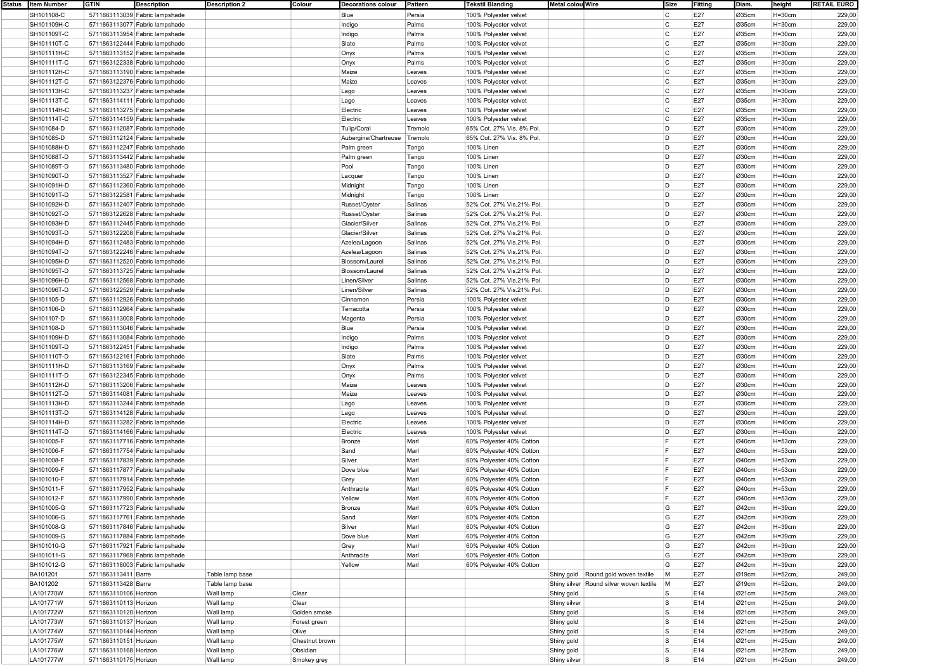| Status | <b>Item Number</b> | <b>GTIN</b><br><b>Description</b> | <b>Description 2</b><br>Colour | <b>Decorations colour</b> | Pattern | <b>Tekstil Blanding</b>   | <b>Metal colou Wire</b>                 | Size         | Fitting | Diam. | height     | <b>RETAIL EURO</b> |
|--------|--------------------|-----------------------------------|--------------------------------|---------------------------|---------|---------------------------|-----------------------------------------|--------------|---------|-------|------------|--------------------|
|        | SH101108-C         | 5711863113039 Fabric lampshade    |                                | Blue                      | Persia  | 100% Polyester velvet     |                                         | C            | E27     | Ø35cm | $H=30cm$   | 229,00             |
|        | SH101109H-C        | 5711863113077 Fabric lampshade    |                                | Indigo                    | Palms   | 100% Polyester velvet     |                                         | C.           | E27     | Ø35cm | $H = 30cm$ | 229,00             |
|        |                    |                                   |                                |                           |         |                           |                                         |              |         |       |            |                    |
|        | SH101109T-C        | 5711863113954 Fabric lampshade    |                                | Indigo                    | Palms   | 100% Polyester velvet     |                                         | C            | E27     | Ø35cm | $H = 30cm$ | 229,00             |
|        | SH101110T-C        | 5711863122444 Fabric lampshade    |                                | Slate                     | Palms   | 100% Polyester velvet     |                                         | C            | E27     | Ø35cm | $H=30cm$   | 229,00             |
|        | SH101111H-C        | 5711863113152 Fabric lampshade    |                                | Onyx                      | Palms   | 100% Polyester velvet     |                                         | <b>C</b>     | E27     | Ø35cm | $H = 30cm$ | 229,00             |
|        | SH101111T-C        | 5711863122338 Fabric lampshade    |                                | Onyx                      | Palms   | 100% Polyester velvet     |                                         | $\mathsf{C}$ | E27     | Ø35cm | $H = 30cm$ | 229,00             |
|        | SH101112H-C        | 5711863113190 Fabric lampshade    |                                | Maize                     | Leaves  | 100% Polyester velvet     |                                         | C            | E27     | Ø35cm | $H = 30cm$ | 229,00             |
|        |                    |                                   |                                |                           |         |                           |                                         |              |         |       |            |                    |
|        | SH101112T-C        | 5711863122376 Fabric lampshade    |                                | Maize                     | Leaves  | 100% Polyester velvet     |                                         | C            | E27     | Ø35cm | $H=30cm$   | 229,00             |
|        | SH101113H-C        | 5711863113237 Fabric lampshade    |                                | Lago                      | Leaves  | 100% Polyester velvet     |                                         | C            | E27     | Ø35cm | $H=30cm$   | 229,00             |
|        | SH101113T-C        | 5711863114111 Fabric lampshade    |                                | Lago                      | Leaves  | 100% Polyester velvet     |                                         | <b>C</b>     | E27     | Ø35cm | $H = 30cm$ | 229,00             |
|        | SH101114H-C        | 5711863113275 Fabric lampshade    |                                | Electric                  | Leaves  | 100% Polyester velvet     |                                         | C            | E27     | Ø35cm | $H = 30cm$ | 229,00             |
|        | SH101114T-C        | 5711863114159 Fabric lampshade    |                                |                           | Leaves  | 100% Polyester velvet     |                                         | C            | E27     | Ø35cm | $H = 30cm$ | 229,00             |
|        |                    |                                   |                                | Electric                  |         |                           |                                         |              |         |       |            |                    |
|        | SH101084-D         | 5711863112087 Fabric lampshade    |                                | Tulip/Coral               | Tremolo | 65% Cot. 27% Vis. 8% Pol. |                                         | D            | E27     | Ø30cm | $H=40cm$   | 229,00             |
|        | SH101085-D         | 5711863112124 Fabric lampshade    |                                | Aubergine/Chartreuse      | Tremolo | 65% Cot. 27% Vis. 8% Pol. |                                         | D            | E27     | Ø30cm | $H=40cm$   | 229,00             |
|        | SH101088H-D        | 5711863112247 Fabric lampshade    |                                | Palm green                | Tango   | 100% Linen                |                                         | D            | E27     | Ø30cm | $H=40cm$   | 229,00             |
|        | SH101088T-D        | 5711863113442 Fabric lampshade    |                                | Palm green                | Tango   | 100% Linen                |                                         | D            | E27     | Ø30cm | $H=40cm$   | 229,00             |
|        |                    |                                   |                                |                           |         |                           |                                         | D            | E27     |       |            | 229,00             |
|        | SH101089T-D        | 5711863113480 Fabric lampshade    |                                | Pool                      | Tango   | 100% Linen                |                                         |              |         | Ø30cm | $H=40cm$   |                    |
|        | SH101090T-D        | 5711863113527 Fabric lampshade    |                                | Lacquer                   | Tango   | <b>100% Linen</b>         |                                         | D            | E27     | Ø30cm | $H=40cm$   | 229,00             |
|        | SH101091H-D        | 5711863112360 Fabric lampshade    |                                | Midnight                  | Tango   | 100% Linen                |                                         | D            | E27     | Ø30cm | $H=40cm$   | 229,00             |
|        | SH101091T-D        | 5711863122581 Fabric lampshade    |                                | Midnight                  | Tango   | 100% Linen                |                                         | D            | E27     | Ø30cm | $H=40cm$   | 229,00             |
|        | SH101092H-D        | 5711863112407 Fabric lampshade    |                                | Russet/Oyster             | Salinas | 52% Cot. 27% Vis.21% Pol. |                                         | D            | E27     | Ø30cm | $H=40cm$   | 229,00             |
|        |                    |                                   |                                |                           |         |                           |                                         |              |         |       |            |                    |
|        | SH101092T-D        | 5711863122628 Fabric lampshade    |                                | Russet/Oyster             | Salinas | 52% Cot. 27% Vis.21% Pol. |                                         | D            | E27     | Ø30cm | $H=40cm$   | 229,00             |
|        | SH101093H-D        | 5711863112445 Fabric lampshade    |                                | Glacier/Silver            | Salinas | 52% Cot. 27% Vis.21% Pol. |                                         | D            | E27     | Ø30cm | $H=40cm$   | 229,00             |
|        | SH101093T-D        | 5711863122208 Fabric lampshade    |                                | Glacier/Silver            | Salinas | 52% Cot. 27% Vis.21% Pol. |                                         | D            | E27     | Ø30cm | $H=40cm$   | 229,00             |
|        | SH101094H-D        | 5711863112483 Fabric lampshade    |                                | Azelea/Lagoon             | Salinas | 52% Cot. 27% Vis.21% Pol. |                                         | D            | E27     | Ø30cm | $H=40cm$   | 229,00             |
|        | SH101094T-D        | 5711863122246 Fabric lampshade    |                                | Azelea/Lagoon             | Salinas | 52% Cot. 27% Vis.21% Pol. |                                         | D            | E27     | Ø30cm | $H=40cm$   | 229,00             |
|        |                    |                                   |                                |                           |         |                           |                                         |              |         |       |            |                    |
|        | SH101095H-D        | 5711863112520 Fabric lampshade    |                                | Blossom/Laurel            | Salinas | 52% Cot. 27% Vis.21% Pol. |                                         | D            | E27     | Ø30cm | $H = 40cm$ | 229,00             |
|        | SH101095T-D        | 5711863113725 Fabric lampshade    |                                | Blossom/Laurel            | Salinas | 52% Cot. 27% Vis.21% Pol. |                                         | D            | E27     | Ø30cm | $H=40cm$   | 229,00             |
|        | SH101096H-D        | 5711863112568 Fabric lampshade    |                                | Linen/Silver              | Salinas | 52% Cot. 27% Vis.21% Pol. |                                         | D            | E27     | Ø30cm | $H=40cm$   | 229,00             |
|        | SH101096T-D        | 5711863122529 Fabric lampshade    |                                | Linen/Silver              | Salinas | 52% Cot. 27% Vis.21% Pol. |                                         | D            | E27     | Ø30cm | $H=40cm$   | 229,00             |
|        | SH101105-D         | 5711863112926 Fabric lampshade    |                                | Cinnamon                  | Persia  | 100% Polyester velvet     |                                         | D            | E27     | Ø30cm | $H=40cm$   | 229,00             |
|        |                    |                                   |                                |                           |         |                           |                                         |              |         |       |            |                    |
|        | SH101106-D         | 5711863112964 Fabric lampshade    |                                | Terracotta                | Persia  | 100% Polyester velvet     |                                         | D            | E27     | Ø30cm | $H = 40cm$ | 229,00             |
|        | SH101107-D         | 5711863113008 Fabric lampshade    |                                | Magenta                   | Persia  | 100% Polyester velvet     |                                         | D            | E27     | Ø30cm | $H=40cm$   | 229,00             |
|        | SH101108-D         | 5711863113046 Fabric lampshade    |                                | Blue                      | Persia  | 100% Polyester velvet     |                                         | D            | E27     | Ø30cm | $H=40cm$   | 229,00             |
|        | SH101109H-D        | 5711863113084 Fabric lampshade    |                                | Indigo                    | Palms   | 100% Polyester velvet     |                                         | D            | E27     | Ø30cm | $H=40cm$   | 229,00             |
|        |                    |                                   |                                |                           |         |                           |                                         | D            | E27     |       |            |                    |
|        | SH101109T-D        | 5711863122451 Fabric lampshade    |                                | Indigo                    | Palms   | 100% Polyester velvet     |                                         |              |         | Ø30cm | $H = 40cm$ | 229,00             |
|        | SH101110T-D        | 5711863122161 Fabric lampshade    |                                | Slate                     | Palms   | 100% Polyester velvet     |                                         | D            | E27     | Ø30cm | $H = 40cm$ | 229,00             |
|        | SH101111H-D        | 5711863113169 Fabric lampshade    |                                | Onyx                      | Palms   | 100% Polyester velvet     |                                         | D            | E27     | Ø30cm | $H=40cm$   | 229,00             |
|        | SH101111T-D        | 5711863122345 Fabric lampshade    |                                | Onyx                      | Palms   | 100% Polyester velvet     |                                         | D            | E27     | Ø30cm | $H=40cm$   | 229,00             |
|        | SH101112H-D        | 5711863113206 Fabric lampshade    |                                | Maize                     | Leaves  | 100% Polyester velvet     |                                         | D            | E27     | Ø30cm | $H=40cm$   | 229,00             |
|        |                    |                                   |                                |                           |         |                           |                                         | D            | E27     |       |            |                    |
|        | SH101112T-D        | 5711863114081 Fabric lampshade    |                                | Maize                     | Leaves  | 100% Polyester velvet     |                                         |              |         | Ø30cm | $H=40cm$   | 229,00             |
|        | SH101113H-D        | 5711863113244 Fabric lampshade    |                                | Lago                      | Leaves  | 100% Polyester velvet     |                                         | D            | E27     | Ø30cm | $H=40cm$   | 229,00             |
|        | SH101113T-D        | 5711863114128 Fabric lampshade    |                                | Lago                      | Leaves  | 100% Polyester velvet     |                                         | D            | E27     | Ø30cm | $H=40cm$   | 229,00             |
|        | SH101114H-D        | 5711863113282 Fabric lampshade    |                                | Electric                  | Leaves  | 100% Polyester velvet     |                                         | D            | E27     | Ø30cm | $H=40cm$   | 229,00             |
|        | SH101114T-D        | 5711863114166 Fabric lampshade    |                                | Electric                  | Leaves  | 100% Polyester velvet     |                                         | D            | E27     | Ø30cm | $H=40cm$   | 229,00             |
|        |                    |                                   |                                |                           |         |                           |                                         | l F          |         |       |            |                    |
|        | SH101005-F         | 5711863117716 Fabric lampshade    |                                | Bronze                    | Marl    | 60% Polyester 40% Cotton  |                                         |              | E27     | Ø40cm | $H = 53cm$ | 229,00             |
|        | SH101006-F         | 5711863117754 Fabric lampshade    |                                | Sand                      | Marl    | 60% Polyester 40% Cotton  |                                         | E            | E27     | Ø40cm | $H = 53cm$ | 229,00             |
|        | SH101008-F         | 5711863117839 Fabric lampshade    |                                | Silver                    | Marl    | 60% Polyester 40% Cotton  |                                         | F            | E27     | Ø40cm | $H = 53cm$ | 229,00             |
|        | SH101009-F         | 5711863117877 Fabric lampshade    |                                | Dove blue                 | Marl    | 60% Polyester 40% Cotton  |                                         | l ⊏          | E27     | Ø40cm | $H = 53cm$ | 229,00             |
|        | SH101010-F         | 5711863117914 Fabric lampshade    |                                | Grey                      | Marl    | 60% Polyester 40% Cotton  |                                         |              | E27     | Ø40cm | $H = 53cm$ | 229,00             |
|        |                    |                                   |                                |                           |         |                           |                                         |              |         |       |            |                    |
|        | SH101011-F         | 5711863117952 Fabric lampshade    |                                | Anthracite                | Marl    | 60% Polyester 40% Cotton  |                                         |              | E27     | Ø40cm | $H = 53cm$ | 229,00             |
|        | SH101012-F         | 5711863117990 Fabric lampshade    |                                | Yellow                    | Marl    | 60% Polyester 40% Cotton  |                                         | IF.          | E27     | Ø40cm | $H = 53cm$ | 229,00             |
|        | SH101005-G         | 5711863117723 Fabric lampshade    |                                | Bronze                    | Mari    | 60% Polyester 40% Cotton  |                                         | G            | E27     | Ø42cm | H=39cm     | 229,00             |
|        | SH101006-G         | 5711863117761 Fabric lampshade    |                                | Sand                      | Marl    | 60% Polyester 40% Cotton  |                                         | G            | E27     | Ø42cm | $H = 39cm$ | 229,00             |
|        |                    |                                   |                                |                           |         |                           |                                         |              |         |       |            |                    |
|        | SH101008-G         | 5711863117846 Fabric lampshade    |                                | Silver                    | Marl    | 60% Polyester 40% Cotton  |                                         | G            | E27     | Ø42cm | $H = 39cm$ | 229,00             |
|        | SH101009-G         | 5711863117884 Fabric lampshade    |                                | Dove blue                 | Marl    | 60% Polyester 40% Cotton  |                                         | G            | E27     | Ø42cm | $H = 39cm$ | 229,00             |
|        | SH101010-G         | 5711863117921 Fabric lampshade    |                                | Grey                      | Marl    | 60% Polyester 40% Cotton  |                                         | G            | E27     | Ø42cm | $H = 39cm$ | 229,00             |
|        | SH101011-G         | 5711863117969 Fabric lampshade    |                                | Anthracite                | Marl    | 60% Polyester 40% Cotton  |                                         | G            | E27     | Ø42cm | $H = 39cm$ | 229,00             |
|        | SH101012-G         | 5711863118003 Fabric lampshade    |                                | Yellow                    | Marl    | 60% Polyester 40% Cotton  |                                         | G            | E27     | Ø42cm | $H = 39cm$ | 229,00             |
|        |                    |                                   |                                |                           |         |                           |                                         |              |         |       |            |                    |
|        | BA101201           | 5711863113411 Barre               | Table lamp base                |                           |         |                           | Shiny gold   Round gold woven textile   | M            | E27     | Ø19cm | H=52cm,    | 249,00             |
|        | BA101202           | 5711863113428 Barre               | Table lamp base                |                           |         |                           | Shiny silver Round silver woven textile | M            | E27     | Ø19cm | H=52cm,    | 249,00             |
|        | LA101770W          | 5711863110106 Horizon             | Wall lamp<br>Clear             |                           |         |                           | Shiny gold                              | S            | E14     | Ø21cm | $H = 25cm$ | 249,00             |
|        | LA101771W          | 5711863110113 Horizon             | Wall lamp<br>Clear             |                           |         |                           | Shiny silver                            | $\vert$ S    | E14     | Ø21cm | $H=25cm$   | 249,00             |
|        |                    |                                   | Wall lamp<br>Golden smoke      |                           |         |                           |                                         | S            | E14     |       |            | 249,00             |
|        | LA101772W          | 5711863110120 Horizon             |                                |                           |         |                           | Shiny gold                              |              |         | Ø21cm | $H = 25cm$ |                    |
|        | LA101773W          | 5711863110137 Horizon             | Wall lamp<br>Forest green      |                           |         |                           | Shiny gold                              | ls.          | E14     | Ø21cm | $H=25cm$   | 249,00             |
|        | LA101774W          | 5711863110144 Horizon             | Wall lamp<br>Olive             |                           |         |                           | Shiny gold                              | ls.          | E14     | Ø21cm | $H = 25cm$ | 249,00             |
|        | LA101775W          | 5711863110151 Horizon             | Wall lamp                      | Chestnut brown            |         |                           | Shiny gold                              | l S          | E14     | Ø21cm | $H = 25cm$ | 249,00             |
|        | LA101776W          | 5711863110168 Horizon             | Wall lamp<br>Obsidian          |                           |         |                           | Shiny gold                              | ls.          | E14     | Ø21cm | $H = 25cm$ | 249,00             |
|        |                    |                                   |                                |                           |         |                           |                                         | ls.          |         |       |            |                    |
|        | LA101777W          | 5711863110175 Horizon             | Smokey grey<br>Wall lamp       |                           |         |                           | Shiny silver                            |              | E14     | Ø21cm | $H = 25cm$ | 249,00             |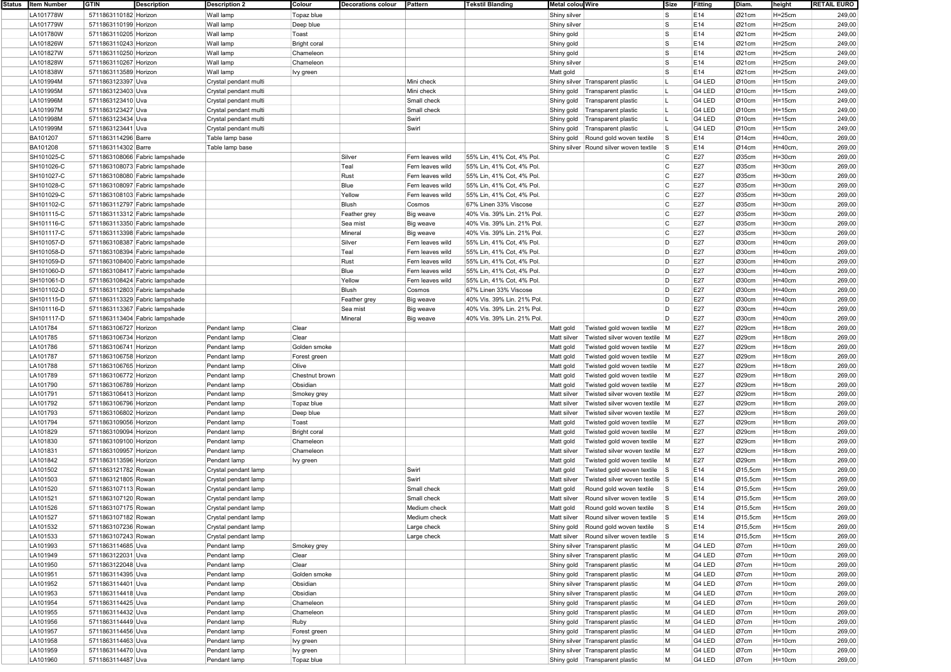| Status | <b>Item Number</b> |                       | <b>Description</b>             | <b>Description 2</b>  | Colour              | <b>Decorations colour</b> | Pattern          | <b>Tekstil Blanding</b>    | <b>Metal colou Wire</b>                       | Size           | Fitting | Diam.                | height     | <b>RETAIL EURO</b> |
|--------|--------------------|-----------------------|--------------------------------|-----------------------|---------------------|---------------------------|------------------|----------------------------|-----------------------------------------------|----------------|---------|----------------------|------------|--------------------|
|        | LA101778W          | 5711863110182 Horizon |                                | Wall lamp             | Topaz blue          |                           |                  |                            | Shiny silver                                  | ls.            | E14     | Ø21cm                | $H=25cm$   | 249,00             |
|        | LA101779W          | 5711863110199 Horizon |                                | Wall lamp             | Deep blue           |                           |                  |                            | Shiny silver                                  | ls.            | E14     | Ø21cm                | $H = 25cm$ | 249,00             |
|        | LA101780W          | 5711863110205 Horizon |                                | Wall lamp             | Toast               |                           |                  |                            | Shiny gold                                    | ls.            | E14     | Ø21cm                | $H=25cm$   | 249,00             |
|        | LA101826W          | 5711863110243 Horizon |                                | Wall lamp             | <b>Bright coral</b> |                           |                  |                            | Shiny gold                                    | ls.            | E14     | Ø21cm                | $H=25cm$   | 249,00             |
|        | LA101827W          | 5711863110250 Horizon |                                | Wall lamp             | Chameleon           |                           |                  |                            | Shiny gold                                    | ls.            | E14     | Ø21cm                | $H=25cm$   | 249,00             |
|        | LA101828W          | 5711863110267 Horizon |                                | Wall lamp             | Chameleon           |                           |                  |                            | Shiny silver                                  | ls.            | E14     | Ø21cm                | $H = 25cm$ | 249,00             |
|        | LA101838W          | 5711863113589 Horizon |                                | Wall lamp             | Ivy green           |                           |                  |                            | Matt gold                                     | ls             | E14     | Ø21cm                | $H = 25cm$ | 249,00             |
|        | LA101994M          | 5711863123397 Uva     |                                | Crystal pendant multi |                     |                           | Mini check       |                            | Shiny silver Transparent plastic              |                | G4 LED  | Ø10cm                | $H = 15cm$ | 249,00             |
|        | LA101995M          | 5711863123403 Uva     |                                | Crystal pendant multi |                     |                           | Mini check       |                            | Shiny gold<br>Transparent plastic             |                | G4 LED  | Ø10cm                | $H = 15cm$ | 249,00             |
|        | LA101996M          | 5711863123410 Uva     |                                |                       |                     |                           | Small check      |                            | Transparent plastic                           |                | G4 LED  | Ø10cm                | $H = 15cm$ | 249,00             |
|        | LA101997M          | 5711863123427 Uva     |                                | Crystal pendant multi |                     |                           | Small check      |                            | Shiny gold                                    | п.             | G4 LED  | Ø10cm                |            | 249,00             |
|        |                    |                       |                                | Crystal pendant multi |                     |                           | Swirl            |                            | Shiny gold<br>Transparent plastic             | L              | G4 LED  |                      | $H = 15cm$ |                    |
|        | LA101998M          | 5711863123434 Uva     |                                | Crystal pendant multi |                     |                           |                  |                            | Shiny gold<br>Transparent plastic             |                |         | Ø10cm                | $H = 15cm$ | 249,00             |
|        | LA101999M          | 5711863123441 Uva     |                                | Crystal pendant multi |                     |                           | Swirl            |                            | Shiny gold<br>Transparent plastic             |                | G4 LED  | Ø10cm                | $H = 15cm$ | 249,00             |
|        | BA101207           | 5711863114296 Barre   |                                | Table lamp base       |                     |                           |                  |                            | Shiny gold<br>Round gold woven textile        | $\mathsf{s}$   | E14     | Ø14cm                | $H=40cm$   | 269,00             |
|        | BA101208           | 5711863114302 Barre   |                                | Table lamp base       |                     |                           |                  |                            | Shiny silver Round silver woven textile       | <b>S</b>       | E14     | Ø14cm                | $H=40cm$   | 269,00             |
|        | SH101025-C         |                       | 5711863108066 Fabric lampshade |                       |                     | Silver                    | Fern leaves wild | 55% Lin, 41% Cot, 4% Pol   |                                               | C              | E27     | Ø35cm                | $H=30cm$   | 269,00             |
|        | SH101026-C         |                       | 5711863108073 Fabric lampshade |                       |                     | Teal                      | Fern leaves wild | 55% Lin, 41% Cot, 4% Pol   |                                               | $\mathsf{C}$   | E27     | Ø35cm                | $H=30cm$   | 269,00             |
|        | SH101027-C         |                       | 5711863108080 Fabric lampshade |                       |                     | Rust                      | Fern leaves wild | 55% Lin, 41% Cot, 4% Pol   |                                               | C              | E27     | Ø35cm                | $H = 30cm$ | 269,00             |
|        | SH101028-C         |                       | 5711863108097 Fabric lampshade |                       |                     | Blue                      | Fern leaves wild | 55% Lin, 41% Cot, 4% Pol.  |                                               | C              | E27     | Ø35cm                | $H=30cm$   | 269,00             |
|        | SH101029-C         |                       | 5711863108103 Fabric lampshade |                       |                     | Yellow                    | Fern leaves wild | 55% Lin, 41% Cot, 4% Pol   |                                               | <sup>c</sup>   | E27     | Ø35cm                | $H = 30cm$ | 269,00             |
|        | SH101102-C         |                       | 5711863112797 Fabric lampshade |                       |                     | Blush                     | Cosmos           | 67% Linen 33% Viscose      |                                               | C              | E27     | Ø35cm                | $H = 30cm$ | 269,00             |
|        | SH101115-C         |                       | 5711863113312 Fabric lampshade |                       |                     | Feather grey              | <b>Big weave</b> | 40% Vis. 39% Lin. 21% Pol. |                                               | C              | E27     | Ø35cm                | $H = 30cm$ | 269,00             |
|        | SH101116-C         |                       | 5711863113350 Fabric lampshade |                       |                     | Sea mist                  | Big weave        | 40% Vis. 39% Lin. 21% Pol. |                                               | C              | E27     | Ø35cm                | $H = 30cm$ | 269,00             |
|        | SH101117-C         |                       | 5711863113398 Fabric lampshade |                       |                     | Mineral                   | Big weave        | 40% Vis. 39% Lin. 21% Pol. |                                               | C              | E27     | Ø35cm                | $H=30cm$   | 269,00             |
|        | SH101057-D         |                       | 5711863108387 Fabric lampshade |                       |                     | Silver                    | Fern leaves wild | 55% Lin, 41% Cot, 4% Pol   |                                               | D              | E27     | Ø30cm                | $H=40cm$   | 269,00             |
|        | SH101058-D         |                       | 5711863108394 Fabric lampshade |                       |                     | Teal                      | Fern leaves wild | 55% Lin, 41% Cot, 4% Pol   |                                               | D              | E27     | Ø30cm                | $H=40cm$   | 269,00             |
|        | SH101059-D         |                       | 5711863108400 Fabric lampshade |                       |                     | Rust                      | Fern leaves wild | 55% Lin, 41% Cot, 4% Pol   |                                               | D              | E27     | Ø30cm                | $H=40cm$   | 269,00             |
|        | SH101060-D         |                       | 5711863108417 Fabric lampshade |                       |                     | Blue                      | Fern leaves wild | 55% Lin, 41% Cot, 4% Pol   |                                               | D              | E27     | Ø30cm                | $H=40cm$   | 269,00             |
|        | SH101061-D         |                       | 5711863108424 Fabric lampshade |                       |                     | Yellow                    | Fern leaves wild | 55% Lin, 41% Cot, 4% Pol   |                                               | D              | E27     | Ø30cm                | $H=40cm$   | 269,00             |
|        | SH101102-D         |                       | 5711863112803 Fabric lampshade |                       |                     | Blush                     | Cosmos           | 67% Linen 33% Viscose      |                                               | D              | E27     | Ø30cm                | $H=40cm$   | 269,00             |
|        | SH101115-D         |                       | 5711863113329 Fabric lampshade |                       |                     | Feather grey              | Big weave        | 40% Vis. 39% Lin. 21% Pol. |                                               | D              | E27     | Ø30cm                | $H = 40cm$ | 269,00             |
|        |                    |                       | 5711863113367 Fabric lampshade |                       |                     |                           |                  | 40% Vis. 39% Lin. 21% Pol. |                                               | D              | E27     | Ø30cm                |            |                    |
|        | SH101116-D         |                       | 5711863113404 Fabric lampshade |                       |                     | Sea mist                  | Big weave        |                            |                                               | D              | E27     |                      | $H = 40cm$ | 269,00             |
|        | SH101117-D         |                       |                                |                       |                     | Mineral                   | Big weave        | 40% Vis. 39% Lin. 21% Pol. |                                               |                |         | Ø30cm                | $H=40cm$   | 269,00             |
|        | LA101784           | 5711863106727 Horizon |                                | Pendant lamp          | Clear               |                           |                  |                            | Twisted gold woven textile<br>Matt gold       | M              | E27     | Ø29cm                | $H = 18cm$ | 269,00             |
|        | LA101785           | 5711863106734 Horizon |                                | Pendant lamp          | Clear               |                           |                  |                            | Twisted silver woven textile M<br>Matt silver |                | E27     | Ø29cm                | $H = 18cm$ | 269,00             |
|        | LA101786           | 5711863106741 Horizon |                                | Pendant lamp          | Golden smoke        |                           |                  |                            | Matt gold<br>Twisted gold woven textile       | $\blacksquare$ | E27     | Ø29cm                | $H = 18cm$ | 269,00             |
|        | LA101787           | 5711863106758 Horizon |                                | Pendant lamp          | Forest green        |                           |                  |                            | Matt gold<br>Twisted gold woven textile       | M              | E27     | Ø29cm                | $H = 18cm$ | 269,00             |
|        | LA101788           | 5711863106765 Horizon |                                | Pendant lamp          | Olive               |                           |                  |                            | Twisted gold woven textile M<br>Matt gold     |                | E27     | Ø29cm                | $H = 18cm$ | 269,00             |
|        | LA101789           | 5711863106772 Horizon |                                | Pendant lamp          | Chestnut brown      |                           |                  |                            | Twisted gold woven textile M<br>Matt gold     |                | E27     | Ø29cm                | $H=18cm$   | 269,00             |
|        | LA101790           | 5711863106789 Horizon |                                | Pendant lamp          | Obsidian            |                           |                  |                            | Twisted gold woven textile M<br>Matt gold     |                | E27     | Ø29cm                | $H = 18cm$ | 269,00             |
|        | LA101791           | 5711863106413 Horizon |                                | Pendant lamp          | Smokey grey         |                           |                  |                            | Twisted silver woven textile M<br>Matt silver |                | E27     | Ø29cm                | $H = 18cm$ | 269,00             |
|        | LA101792           | 5711863106796 Horizon |                                | Pendant lamp          | Topaz blue          |                           |                  |                            | Twisted silver woven textile M<br>Matt silver |                | E27     | Ø29cm                | $H = 18cm$ | 269,00             |
|        | LA101793           | 5711863106802 Horizon |                                | Pendant lamp          | Deep blue           |                           |                  |                            | Matt silver<br>Twisted silver woven textile M |                | E27     | Ø29cm                | $H = 18cm$ | 269,00             |
|        | LA101794           | 5711863109056 Horizon |                                | Pendant lamp          | Toast               |                           |                  |                            | Matt gold<br>Twisted gold woven textile M     |                | E27     | Ø29cm                | $H=18cm$   | 269,00             |
|        | LA101829           | 5711863109094 Horizon |                                | Pendant lamp          | <b>Bright coral</b> |                           |                  |                            | Twisted gold woven textile M<br>Matt gold     |                | E27     | Ø29cm                | $H = 18cm$ | 269,00             |
|        | LA101830           | 5711863109100 Horizon |                                | Pendant lamp          | Chameleon           |                           |                  |                            | Twisted gold woven textile<br>Matt gold       | $\blacksquare$ | E27     | Ø29cm                | $H = 18cm$ | 269,00             |
|        | LA101831           | 5711863109957 Horizon |                                | Pendant lamp          | Chameleon           |                           |                  |                            | Twisted silver woven textile M<br>Matt silver |                | E27     | Ø29cm                | $H = 18cm$ | 269,00             |
|        | LA101842           | 5711863113596 Horizon |                                | Pendant lamp          | Ivy green           |                           |                  |                            | Matt gold<br>Twisted gold woven textile       | $\blacksquare$ | E27     | Ø29cm                | $H=18cm$   | 269,00             |
|        | LA101502           | 5711863121782 Rowan   |                                | Crystal pendant lamp  |                     |                           | Swirl            |                            | Twisted gold woven textile S<br>Matt gold     |                | E14     | Ø15,5cm              | $H = 15cm$ | 269,00             |
|        | LA101503           | 5711863121805 Rowan   |                                | Crystal pendant lamp  |                     |                           | Swirl            |                            | Twisted silver woven textile S<br>Matt silver |                | E14     | Ø15,5cm              | $H = 15cm$ | 269,00             |
|        | LA101520           | 5711863107113 Rowan   |                                | Crystal pendant lamp  |                     |                           | Small check      |                            | Round gold woven textile<br>Matt gold         | l S            | E14     | $\varnothing$ 15,5cm | $H = 15cm$ | 269,00             |
|        | LA101521           | 5711863107120 Rowan   |                                | Crystal pendant lamp  |                     |                           | Small check      |                            | Round silver woven textile<br>Matt silver     | s              | E14     | Ø15,5cm              | $H = 15cm$ | 269,00             |
|        |                    | 5711863107175 Rowan   |                                |                       |                     |                           | Medium check     |                            |                                               | ls             | E14     | Ø15.5cm              | $H = 15cm$ | 269,00             |
|        | LA101526           |                       |                                | Crystal pendant lamp  |                     |                           |                  |                            | Matt gold<br>Round gold woven textile         |                |         |                      |            |                    |
|        | LA101527           | 5711863107182 Rowan   |                                | Crystal pendant lamp  |                     |                           | Medium check     |                            | Matt silver Round silver woven textile S      |                | E14     | Ø15,5cm              | $H = 15cm$ | 269,00             |
|        | LA101532           | 5711863107236 Rowan   |                                | Crystal pendant lamp  |                     |                           | Large check      |                            | Shiny gold Round gold woven textile           | $\mathsf{s}$   | E14     | Ø15,5cm              | $H = 15cm$ | 269,00             |
|        | LA101533           | 5711863107243 Rowan   |                                | Crystal pendant lamp  |                     |                           | Large check      |                            | Matt silver Round silver woven textile        | <b>S</b>       | E14     | Ø15,5cm              | $H = 15cm$ | 269,00             |
|        | LA101993           | 5711863114685 Uva     |                                | Pendant lamp          | Smokey grey         |                           |                  |                            | Shiny silver Transparent plastic              | M              | G4 LED  | Ø7cm                 | $H = 10cm$ | 269,00             |
|        | LA101949           | 5711863122031 Uva     |                                | Pendant lamp          | Clear               |                           |                  |                            | Shiny silver Transparent plastic              | M              | G4 LED  | Ø7cm                 | $H = 10cm$ | 269,00             |
|        | LA101950           | 5711863122048 Uva     |                                | Pendant lamp          | Clear               |                           |                  |                            | Shiny gold Transparent plastic                | M              | G4 LED  | Ø7cm                 | $H=10cm$   | 269,00             |
|        | LA101951           | 5711863114395 Uva     |                                | Pendant lamp          | Golden smoke        |                           |                  |                            | Shiny gold   Transparent plastic              | M              | G4 LED  | Ø7cm                 | $H = 10cm$ | 269,00             |
|        | LA101952           | 5711863114401 Uva     |                                | Pendant lamp          | Obsidian            |                           |                  |                            | Shiny silver Transparent plastic              | M              | G4 LED  | Ø7cm                 | $H = 10cm$ | 269,00             |
|        | LA101953           | 5711863114418 Uva     |                                | Pendant lamp          | Obsidian            |                           |                  |                            | Shiny silver Transparent plastic              | M              | G4 LED  | Ø7cm                 | $H = 10cm$ | 269,00             |
|        | LA101954           | 5711863114425 Uva     |                                | Pendant lamp          | Chameleon           |                           |                  |                            | Shiny gold   Transparent plastic              | M              | G4 LED  | Ø7cm                 | $H=10cm$   | 269,00             |
|        | LA101955           | 5711863114432 Uva     |                                | Pendant lamp          | Chameleon           |                           |                  |                            | Shiny gold Transparent plastic                | M              | G4 LED  | Ø7cm                 | $H=10cm$   | 269,00             |
|        | LA101956           | 5711863114449 Uva     |                                | Pendant lamp          | Ruby                |                           |                  |                            | Shiny gold   Transparent plastic              | M              | G4 LED  | Ø7cm                 | $H=10cm$   | 269,00             |
|        | LA101957           | 5711863114456 Uva     |                                | Pendant lamp          | Forest green        |                           |                  |                            | Shiny gold Transparent plastic                | M              | G4 LED  | Ø7cm                 | $H = 10cm$ | 269,00             |
|        | LA101958           | 5711863114463 Uva     |                                | Pendant lamp          | Ivy green           |                           |                  |                            | Shiny silver Transparent plastic              | M              | G4 LED  | Ø7cm                 | $H = 10cm$ | 269,00             |
|        | LA101959           | 5711863114470 Uva     |                                | Pendant lamp          | Ivy green           |                           |                  |                            | Shiny silver Transparent plastic              | M              | G4 LED  | Ø7cm                 | $H = 10cm$ | 269,00             |
|        | LA101960           | 5711863114487 Uva     |                                | Pendant lamp          | Topaz blue          |                           |                  |                            | Shiny gold   Transparent plastic              | M              | G4 LED  | Ø7cm                 | $H = 10cm$ | 269,00             |
|        |                    |                       |                                |                       |                     |                           |                  |                            |                                               |                |         |                      |            |                    |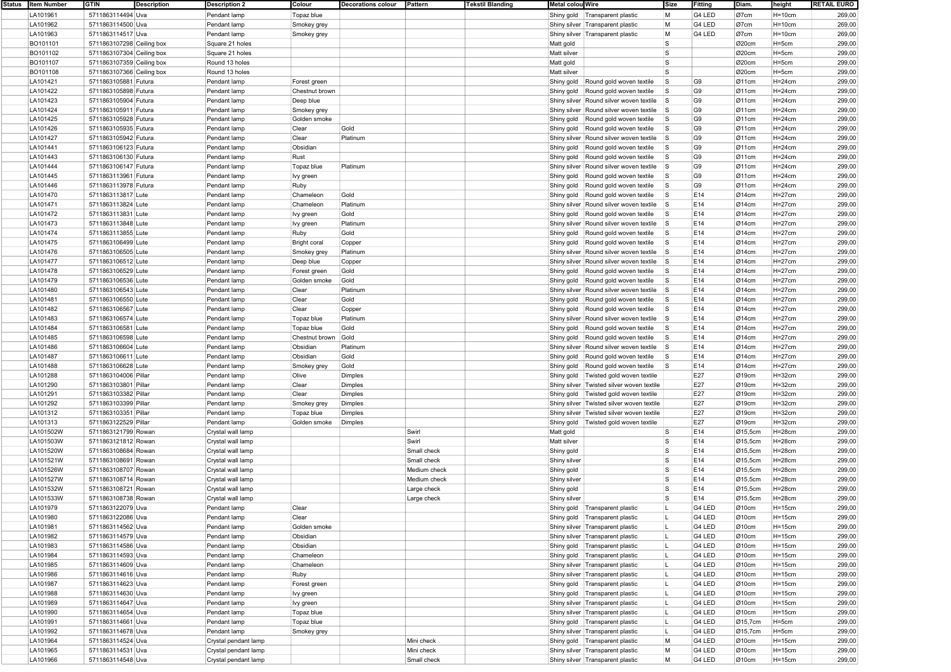| Status   Item Number | <b>GTIN</b>               | <b>Description</b> | <b>Description 2</b> | Colour              | <b>Decorations colour</b> | Pattern      | <b>Tekstil Blanding</b> | Metal colou Wire |                                             | Size     | <b>Fitting</b> | Diam.                | height      | <b>RETAIL EURO</b> |
|----------------------|---------------------------|--------------------|----------------------|---------------------|---------------------------|--------------|-------------------------|------------------|---------------------------------------------|----------|----------------|----------------------|-------------|--------------------|
| LA101961             | 5711863114494 Uva         |                    | Pendant lamp         | Topaz blue          |                           |              |                         |                  | Shiny gold   Transparent plastic            | M        | G4 LED         | Ø7cm                 | $H=10cm$    | 269,00             |
| LA101962             | 5711863114500 Uva         |                    | Pendant lamp         | Smokey grey         |                           |              |                         |                  | Shiny silver Transparent plastic            | M        | G4 LED         | Ø7cm                 | $H = 10cm$  | 269,00             |
|                      |                           |                    |                      |                     |                           |              |                         |                  |                                             |          |                |                      |             |                    |
| LA101963             | 5711863114517 Uva         |                    | Pendant lamp         | Smokey grey         |                           |              |                         |                  | Shiny silver Transparent plastic            | M        | G4 LED         | Ø7cm                 | $H=10cm$    | 269,00             |
| BO101101             | 5711863107298 Ceiling box |                    | Square 21 holes      |                     |                           |              |                         | Matt gold        |                                             | ls.      |                | Ø20cm                | H=5cm       | 299,00             |
| BO101102             | 5711863107304 Ceiling box |                    | Square 21 holes      |                     |                           |              |                         | Matt silver      |                                             | ls.      |                | Ø20cm                | H=5cm       | 299,00             |
| BO101107             | 5711863107359 Ceiling box |                    | Round 13 holes       |                     |                           |              |                         | Matt gold        |                                             | ls.      |                | Ø20cm                | $H=5cm$     | 299,00             |
| BO101108             | 5711863107366 Ceiling box |                    | Round 13 holes       |                     |                           |              |                         | Matt silver      |                                             | ls.      |                | Ø20cm                | H=5cm       | 299,00             |
|                      |                           |                    |                      |                     |                           |              |                         |                  |                                             |          |                |                      |             |                    |
| LA101421             | 5711863105881 Futura      |                    | Pendant lamp         | Forest green        |                           |              |                         | Shiny gold       | Round gold woven textile                    | l S      | G <sub>9</sub> | Ø11cm                | $H=24cm$    | 299,00             |
| LA101422             | 5711863105898 Futura      |                    | Pendant lamp         | Chestnut brown      |                           |              |                         | Shiny gold       | Round gold woven textile                    | ls.      | G <sub>9</sub> | Ø11cm                | $H = 24cm$  | 299,00             |
| LA101423             | 5711863105904 Futura      |                    | Pendant lamp         | Deep blue           |                           |              |                         |                  | Shiny silver Round silver woven textile     | s        | G <sub>9</sub> | Ø11cm                | $H=24cm$    | 299,00             |
| LA101424             | 5711863105911 Futura      |                    | Pendant lamp         | Smokey grey         |                           |              |                         |                  | Shiny silver Round silver woven textile     | <b>S</b> | G <sub>9</sub> | Ø11cm                | $H=24cm$    | 299,00             |
|                      |                           |                    |                      |                     |                           |              |                         |                  |                                             |          |                |                      |             |                    |
| LA101425             | 5711863105928 Futura      |                    | Pendant lamp         | Golden smoke        |                           |              |                         | Shiny gold       | Round gold woven textile                    | l S      | G <sub>9</sub> | Ø11cm                | $H=24cm$    | 299,00             |
| LA101426             | 5711863105935 Futura      |                    | Pendant lamp         | Clear               | Gold                      |              |                         | Shiny gold       | Round gold woven textile                    | l S      | G <sub>9</sub> | Ø11cm                | $H=24cm$    | 299,00             |
| LA101427             | 5711863105942 Futura      |                    | Pendant lamp         | Clear               | Platinum                  |              |                         |                  | Shiny silver Round silver woven textile     | <b>S</b> | G <sub>9</sub> | Ø11cm                | $H = 24cm$  | 299,00             |
| LA101441             | 5711863106123 Futura      |                    | Pendant lamp         | Obsidian            |                           |              |                         | Shiny gold       | Round gold woven textile                    | l S      | G <sub>9</sub> | Ø11cm                | $H=24cm$    | 299,00             |
| LA101443             | 5711863106130 Futura      |                    | Pendant lamp         | Rust                |                           |              |                         | Shiny gold       | Round gold woven textile                    | l S      | G <sub>9</sub> | Ø11cm                | $H=24cm$    | 299,00             |
|                      |                           |                    |                      |                     |                           |              |                         |                  |                                             |          |                |                      |             |                    |
| LA101444             | 5711863106147 Futura      |                    | Pendant lamp         | Topaz blue          | Platinum                  |              |                         |                  | Shiny silver Round silver woven textile     | <b>S</b> | G <sub>9</sub> | Ø11cm                | $H = 24cm$  | 299,00             |
| LA101445             | 5711863113961 Futura      |                    | Pendant lamp         | Ivy green           |                           |              |                         | Shiny gold       | Round gold woven textile                    | l S      | G <sub>9</sub> | Ø11cm                | $H = 24cm$  | 299,00             |
| LA101446             | 5711863113978 Futura      |                    | Pendant lamp         | Ruby                |                           |              |                         | Shiny gold       | Round gold woven textile                    | l S      | G <sub>9</sub> | Ø11cm                | $H=24cm$    | 299,00             |
| LA101470             | 5711863113817 Lute        |                    | Pendant lamp         | Chameleon           | Gold                      |              |                         | Shiny gold       | Round gold woven textile                    | <b>S</b> | E14            | Ø14cm                | $H=27cm$    | 299,00             |
|                      |                           |                    |                      |                     | Platinum                  |              |                         |                  |                                             |          |                |                      |             |                    |
| LA101471             | 5711863113824 Lute        |                    | Pendant lamp         | Chameleon           |                           |              |                         |                  | Shiny silver Round silver woven textile     | <b>S</b> | E14            | Ø14cm                | $H=27cm$    | 299,00             |
| LA101472             | 5711863113831 Lute        |                    | Pendant lamp         | Ivy green           | Gold                      |              |                         | Shiny gold       | Round gold woven textile                    | l S      | E14            | Ø14cm                | $H = 27$ cm | 299,00             |
| LA101473             | 5711863113848 Lute        |                    | Pendant lamp         | Ivy green           | Platinum                  |              |                         |                  | Shiny silver Round silver woven textile     | <b>S</b> | E14            | Ø14cm                | $H = 27cm$  | 299,00             |
| LA101474             | 5711863113855 Lute        |                    | Pendant lamp         | Ruby                | Gold                      |              |                         | Shiny gold       | Round gold woven textile                    | <b>S</b> | E14            | Ø14cm                | $H = 27$ cm | 299,00             |
| LA101475             | 5711863106499 Lute        |                    | Pendant lamp         | <b>Bright coral</b> |                           |              |                         | Shiny gold       | Round gold woven textile                    | <b>S</b> | E14            | Ø14cm                | $H=27cm$    | 299,00             |
|                      |                           |                    |                      |                     | Copper                    |              |                         |                  |                                             |          |                |                      |             |                    |
| LA101476             | 5711863106505 Lute        |                    | Pendant lamp         | Smokey grey         | Platinum                  |              |                         |                  | Shiny silver Round silver woven textile     | <b>S</b> | E14            | Ø14cm                | $H=27cm$    | 299,00             |
| LA101477             | 5711863106512 Lute        |                    | Pendant lamp         | Deep blue           | Copper                    |              |                         |                  | Shiny silver Round silver woven textile     | <b>S</b> | E14            | Ø14cm                | $H=27cm$    | 299,00             |
| LA101478             | 5711863106529 Lute        |                    | Pendant lamp         | Forest green        | Gold                      |              |                         | Shiny gold       | Round gold woven textile                    | l S      | E14            | Ø14cm                | $H=27cm$    | 299,00             |
| LA101479             | 5711863106536 Lute        |                    | Pendant lamp         | Golden smoke        | Gold                      |              |                         | Shiny gold       | Round gold woven textile                    | <b>S</b> | E14            | Ø14cm                | $H=27cm$    | 299,00             |
|                      |                           |                    |                      |                     |                           |              |                         |                  |                                             | s        |                |                      |             |                    |
| LA101480             | 5711863106543 Lute        |                    | Pendant lamp         | Clear               | Platinum                  |              |                         |                  | Shiny silver Round silver woven textile     |          | E14            | Ø14cm                | $H=27cm$    | 299,00             |
| LA101481             | 5711863106550 Lute        |                    | Pendant lamp         | Clear               | Gold                      |              |                         | Shiny gold       | Round gold woven textile                    | l S      | E14            | Ø14cm                | $H=27cm$    | 299,00             |
| LA101482             | 5711863106567 Lute        |                    | Pendant lamp         | Clear               | Copper                    |              |                         |                  | Shiny gold Round gold woven textile         | l S      | E14            | Ø14cm                | $H=27cm$    | 299,00             |
| LA101483             | 5711863106574 Lute        |                    | Pendant lamp         | Topaz blue          | Platinum                  |              |                         |                  | Shiny silver Round silver woven textile     | <b>S</b> | E14            | Ø14cm                | $H = 27cm$  | 299,00             |
| LA101484             | 5711863106581 Lute        |                    | Pendant lamp         | Topaz blue          | Gold                      |              |                         | Shiny gold       | Round gold woven textile                    | <b>S</b> | E14            | Ø14cm                | $H = 27$ cm | 299,00             |
|                      |                           |                    |                      |                     |                           |              |                         |                  |                                             |          |                |                      |             |                    |
| LA101485             | 5711863106598 Lute        |                    | Pendant lamp         | Chestnut brown Gold |                           |              |                         | Shiny gold       | Round gold woven textile                    | <b>S</b> | E14            | Ø14cm                | $H=27cm$    | 299,00             |
| LA101486             | 5711863106604 Lute        |                    | Pendant lamp         | Obsidian            | Platinum                  |              |                         |                  | Shiny silver Round silver woven textile     | <b>S</b> | E14            | Ø14cm                | $H=27cm$    | 299,00             |
| LA101487             | 5711863106611 Lute        |                    | Pendant lamp         | Obsidian            | Gold                      |              |                         | Shiny gold       | Round gold woven textile                    | l S      | E14            | Ø14cm                | $H = 27$ cm | 299,00             |
| LA101488             | 5711863106628 Lute        |                    | Pendant lamp         | Smokey grey         | Gold                      |              |                         | Shiny gold       | Round gold woven textile                    | l S      | E14            | Ø14cm                | $H=27cm$    | 299,00             |
|                      |                           |                    |                      |                     |                           |              |                         |                  |                                             |          | E27            |                      |             |                    |
| LA101288             | 5711863104006 Pillar      |                    | Pendant lamp         | Olive               | Dimples                   |              |                         | Shiny gold       | Twisted gold woven textile                  |          |                | Ø19cm                | $H = 32$ cm | 299,00             |
| LA101290             | 5711863103801 Pillar      |                    | Pendant lamp         | Clear               | Dimples                   |              |                         |                  | Shiny silver   Twisted silver woven textile |          | E27            | $O$ 19cm             | $H = 32$ cm | 299,00             |
| LA101291             | 5711863103382 Pillar      |                    | Pendant lamp         | Clear               | Dimples                   |              |                         | Shiny gold       | Twisted gold woven textile                  |          | E27            | $O$ 19cm             | $H = 32cm$  | 299,00             |
| LA101292             | 5711863103399 Pillar      |                    | Pendant lamp         | Smokey grey         | Dimples                   |              |                         |                  | Shiny silver   Twisted silver woven textile |          | E27            | $O$ 19cm             | $H = 32$ cm | 299,00             |
| LA101312             | 5711863103351 Pillar      |                    | Pendant lamp         | Topaz blue          | Dimples                   |              |                         |                  | Shiny silver   Twisted silver woven textile |          | E27            | Ø19cm                | $H = 32cm$  | 299,00             |
|                      |                           |                    |                      |                     |                           |              |                         |                  |                                             |          |                |                      |             |                    |
| LA101313             | 5711863122529 Pillar      |                    | Pendant lamp         | Golden smoke        | Dimples                   |              |                         | Shiny gold       | Twisted gold woven textile                  |          | E27            | Ø19cm                | $H = 32$ cm | 299,00             |
| LA101502W            | 5711863121799 Rowan       |                    | Crystal wall lamp    |                     |                           | Swirl        |                         | Matt gold        |                                             | l S      | E14            | Ø15,5cm              | $H=28cm$    | 299,00             |
| LA101503W            | 5711863121812 Rowan       |                    | Crystal wall lamp    |                     |                           | Swirl        |                         | Matt silver      |                                             | l S      | E14            | Ø15,5cm              | $H = 28cm$  | 299,00             |
| LA101520W            | 5711863108684 Rowan       |                    | Crystal wall lamp    |                     |                           | Small check  |                         | Shiny gold       |                                             | ls.      | E14            | $\varnothing$ 15,5cm | $H = 28cm$  | 299,00             |
|                      |                           |                    |                      |                     |                           |              |                         |                  |                                             | ls.      |                |                      |             |                    |
| LA101521W            | 5711863108691 Rowan       |                    | Crystal wall lamp    |                     |                           | Small check  |                         | Shiny silver     |                                             |          | E14            | Ø15,5cm              | $H = 28cm$  | 299,00             |
| LA101526W            | 5711863108707 Rowan       |                    | Crystal wall lamp    |                     |                           | Medium check |                         | Shiny gold       |                                             | l S      | E14            | $\varnothing$ 15,5cm | $H=28cm$    | 299,00             |
| LA101527W            | 5711863108714 Rowan       |                    | Crystal wall lamp    |                     |                           | Medium check |                         | Shiny silver     |                                             | ls.      | E14            | Ø15,5cm              | $H = 28cm$  | 299,00             |
| LA101532W            | 5711863108721 Rowan       |                    | Crystal wall lamp    |                     |                           | Large check  |                         | Shiny gold       |                                             | l S      | E14            | $\varnothing$ 15,5cm | $H = 28cm$  | 299,00             |
| LA101533W            | 5711863108738 Rowan       |                    | Crystal wall lamp    |                     |                           | Large check  |                         | Shiny silver     |                                             | ls       | E14            | $Q$ 15,5cm           | $H=28cm$    | 299,00             |
|                      |                           |                    |                      |                     |                           |              |                         |                  |                                             |          |                |                      |             |                    |
| LA101979             | 5711863122079 Uva         |                    | Pendant lamp         | Clear               |                           |              |                         |                  | Shiny gold   Transparent plastic            |          | G4 LED         | Ø10cm                | $H = 15cm$  | 299,00             |
| LA101980             | 5711863122086 Uva         |                    | Pendant lamp         | Clear               |                           |              |                         |                  | Shiny gold   Transparent plastic            |          | G4 LED         | Ø10cm                | H=15cm      | 299,00             |
| LA101981             | 5711863114562 Uva         |                    | Pendant lamp         | Golden smoke        |                           |              |                         |                  | Shiny silver Transparent plastic            |          | G4 LED         | Ø10cm                | $H = 15cm$  | 299,00             |
| LA101982             | 5711863114579 Uva         |                    | Pendant lamp         | Obsidian            |                           |              |                         |                  | Shiny silver Transparent plastic            |          | G4 LED         | Ø10cm                | $H = 15cm$  | 299,00             |
| LA101983             | 5711863114586 Uva         |                    | Pendant lamp         | Obsidian            |                           |              |                         |                  | Shiny gold   Transparent plastic            | L        | G4 LED         | Ø10cm                | $H = 15cm$  | 299,00             |
|                      |                           |                    |                      |                     |                           |              |                         |                  |                                             |          |                |                      |             |                    |
| LA101984             | 5711863114593 Uva         |                    | Pendant lamp         | Chameleon           |                           |              |                         |                  | Shiny gold   Transparent plastic            | п.       | G4 LED         | Ø10cm                | $H = 15cm$  | 299,00             |
| LA101985             | 5711863114609 Uva         |                    | Pendant lamp         | Chameleon           |                           |              |                         |                  | Shiny silver Transparent plastic            |          | G4 LED         | Ø10cm                | $H = 15cm$  | 299,00             |
| LA101986             | 5711863114616 Uva         |                    | Pendant lamp         | Ruby                |                           |              |                         |                  | Shiny silver Transparent plastic            | L        | G4 LED         | Ø10cm                | $H = 15cm$  | 299,00             |
| LA101987             | 5711863114623 Uva         |                    | Pendant lamp         | Forest green        |                           |              |                         |                  | Shiny gold   Transparent plastic            | L        | G4 LED         | Ø10cm                | $H = 15cm$  | 299,00             |
|                      |                           |                    |                      |                     |                           |              |                         |                  |                                             |          |                |                      |             |                    |
| LA101988             | 5711863114630 Uva         |                    | Pendant lamp         | Ivy green           |                           |              |                         |                  | Shiny gold   Transparent plastic            |          | G4 LED         | Ø10cm                | $H = 15cm$  | 299,00             |
| LA101989             | 5711863114647 Uva         |                    | Pendant lamp         | Ivy green           |                           |              |                         |                  | Shiny silver Transparent plastic            | п.       | G4 LED         | Ø10cm                | $H = 15cm$  | 299,00             |
| LA101990             | 5711863114654 Uva         |                    | Pendant lamp         | Topaz blue          |                           |              |                         |                  | Shiny silver Transparent plastic            |          | G4 LED         | Ø10cm                | $H = 15cm$  | 299,00             |
| LA101991             | 5711863114661 Uva         |                    | Pendant lamp         | Topaz blue          |                           |              |                         |                  | Shiny gold   Transparent plastic            | L        | G4 LED         | Ø15,7cm              | H=5cm       | 299,00             |
| LA101992             | 5711863114678 Uva         |                    | Pendant lamp         | Smokey grey         |                           |              |                         |                  | Shiny silver Transparent plastic            | L        | G4 LED         | Ø15,7cm              | H=5cm       | 299,00             |
|                      |                           |                    |                      |                     |                           |              |                         |                  |                                             |          |                |                      |             |                    |
| LA101964             | 5711863114524 Uva         |                    | Crystal pendant lamp |                     |                           | Mini check   |                         |                  | Shiny gold   Transparent plastic            | M        | G4 LED         | Q10cm                | $H = 15cm$  | 299,00             |
| LA101965             | 5711863114531 Uva         |                    | Crystal pendant lamp |                     |                           | Mini check   |                         |                  | Shiny silver Transparent plastic            | M        | G4 LED         | Ø10cm                | $H = 15cm$  | 299,00             |
| LA101966             | 5711863114548 Uva         |                    | Crystal pendant lamp |                     |                           | Small check  |                         |                  | Shiny silver Transparent plastic            | M        | G4 LED         | Ø10cm                | $H = 15cm$  | 299,00             |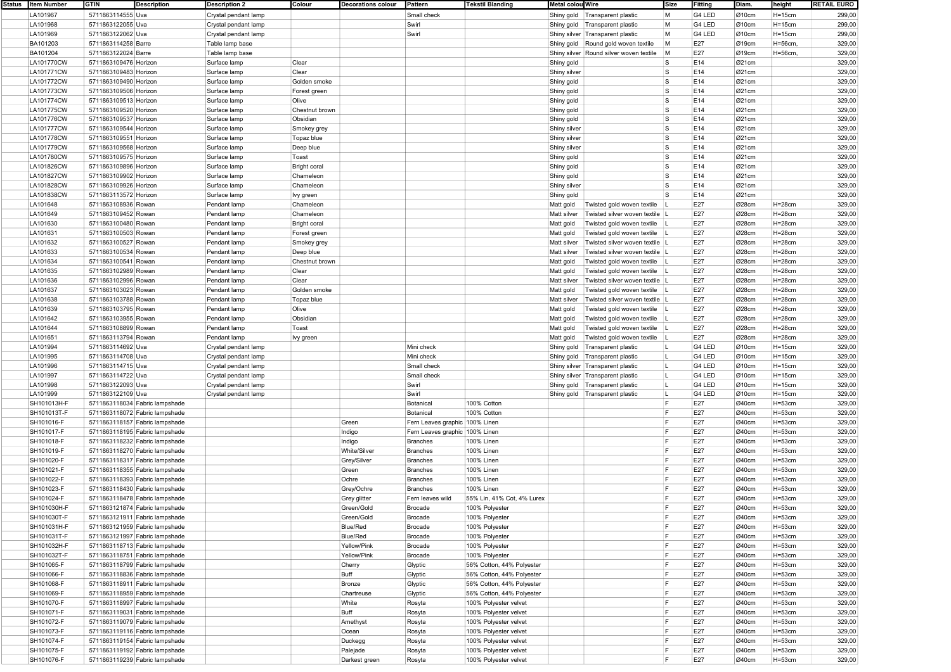| Status Item Number | <b>GTIN</b>           | Description                    | <b>Description 2</b> | Colour              | <b>Decorations colour</b> | Pattern                        | <b>Tekstil Blanding</b>    | Metal colou Wire |                                         | Size | Fitting | Diam. | height     | <b>RETAIL EURO</b> |
|--------------------|-----------------------|--------------------------------|----------------------|---------------------|---------------------------|--------------------------------|----------------------------|------------------|-----------------------------------------|------|---------|-------|------------|--------------------|
| LA101967           | 5711863114555 Uva     |                                | Crystal pendant lamp |                     |                           | Small check                    |                            |                  | Shiny gold Transparent plastic          | M    | G4 LED  | Ø10cm | $H = 15cm$ | 299,00             |
| LA101968           | 5711863122055 Uva     |                                | Crystal pendant lamp |                     |                           | Swirl                          |                            |                  | Shiny gold   Transparent plastic        | M    | G4 LED  | Ø10cm | $H = 15cm$ | 299,00             |
| LA101969           | 5711863122062 Uva     |                                |                      |                     |                           | Swirl                          |                            |                  |                                         | M    | G4 LED  | Ø10cm | $H = 15cm$ | 299,00             |
|                    |                       |                                | Crystal pendant lamp |                     |                           |                                |                            |                  | Shiny silver Transparent plastic        |      |         |       |            |                    |
| BA101203           | 5711863114258 Barre   |                                | Table lamp base      |                     |                           |                                |                            |                  | Shiny gold Round gold woven textile     | M    | E27     | Ø19cm | H=56cm,    | 329,00             |
| BA101204           | 5711863122024 Barre   |                                | Table lamp base      |                     |                           |                                |                            |                  | Shiny silver Round silver woven textile | M    | E27     | Ø19cm | H=56cm,    | 329,00             |
| LA101770CW         | 5711863109476 Horizon |                                | Surface lamp         | Clear               |                           |                                |                            | Shiny gold       |                                         | s    | E14     | Ø21cm |            | 329,00             |
| LA101771CW         | 5711863109483 Horizon |                                | Surface lamp         | Clear               |                           |                                |                            | Shiny silver     |                                         | s    | E14     | Ø21cm |            | 329,00             |
| LA101772CW         | 5711863109490 Horizon |                                | Surface lamp         | Golden smoke        |                           |                                |                            | Shiny gold       |                                         | l S  | E14     | Ø21cm |            | 329,00             |
| LA101773CW         | 5711863109506 Horizon |                                | Surface lamp         | Forest green        |                           |                                |                            | Shiny gold       |                                         | s    | E14     | Ø21cm |            | 329,00             |
| LA101774CW         | 5711863109513 Horizon |                                | Surface lamp         | Olive               |                           |                                |                            | Shiny gold       |                                         | s    | E14     | Ø21cm |            | 329,00             |
| LA101775CW         | 5711863109520 Horizon |                                | Surface lamp         | Chestnut brown      |                           |                                |                            | Shiny gold       |                                         | S    | E14     | Ø21cm |            | 329,00             |
| LA101776CW         | 5711863109537 Horizon |                                | Surface lamp         | Obsidian            |                           |                                |                            |                  |                                         | s    | E14     | Ø21cm |            | 329,00             |
|                    |                       |                                |                      |                     |                           |                                |                            | Shiny gold       |                                         |      |         |       |            |                    |
| LA101777CW         | 5711863109544 Horizon |                                | Surface lamp         | Smokey grey         |                           |                                |                            | Shiny silver     |                                         | S    | E14     | Ø21cm |            | 329,00             |
| LA101778CW         | 5711863109551 Horizon |                                | Surface lamp         | Topaz blue          |                           |                                |                            | Shiny silver     |                                         | s    | E14     | Ø21cm |            | 329,00             |
| LA101779CW         | 5711863109568 Horizon |                                | Surface lamp         | Deep blue           |                           |                                |                            | Shiny silver     |                                         | s    | E14     | Ø21cm |            | 329,00             |
| LA101780CW         | 5711863109575 Horizon |                                | Surface lamp         | Toast               |                           |                                |                            | Shiny gold       |                                         | S    | E14     | Ø21cm |            | 329,00             |
| LA101826CW         | 5711863109896 Horizon |                                | Surface lamp         | <b>Bright coral</b> |                           |                                |                            | Shiny gold       |                                         | s    | E14     | Ø21cm |            | 329,00             |
| LA101827CW         | 5711863109902 Horizon |                                | Surface lamp         | Chameleon           |                           |                                |                            | Shiny gold       |                                         | s    | E14     | Ø21cm |            | 329,00             |
| LA101828CW         | 5711863109926 Horizon |                                | Surface lamp         | Chameleon           |                           |                                |                            | Shiny silver     |                                         | s    | E14     | Ø21cm |            | 329,00             |
| LA101838CW         | 5711863113572 Horizon |                                | Surface lamp         | Ivy green           |                           |                                |                            | Shiny gold       |                                         | s    | E14     | Ø21cm |            | 329,00             |
| LA101648           | 5711863108936 Rowan   |                                | Pendant lamp         | Chameleon           |                           |                                |                            | Matt gold        | Twisted gold woven textile              |      | E27     | Ø28cm | $H=28cm$   | 329,00             |
|                    |                       |                                |                      |                     |                           |                                |                            |                  |                                         |      |         |       |            |                    |
| LA101649           | 5711863109452 Rowan   |                                | Pendant lamp         | Chameleon           |                           |                                |                            | Matt silver      | Twisted silver woven textile  L         |      | E27     | Ø28cm | $H=28cm$   | 329,00             |
| LA101630           | 5711863100480 Rowan   |                                | Pendant lamp         | <b>Bright coral</b> |                           |                                |                            | Matt gold        | Twisted gold woven textile              |      | E27     | Ø28cm | $H=28cm$   | 329,00             |
| LA101631           | 5711863100503 Rowan   |                                | Pendant lamp         | Forest green        |                           |                                |                            | Matt gold        | Twisted gold woven textile              |      | E27     | Ø28cm | H=28cm     | 329,00             |
| LA101632           | 5711863100527 Rowan   |                                | Pendant lamp         | Smokey grey         |                           |                                |                            | Matt silver      | Twisted silver woven textile L          |      | E27     | Ø28cm | $H=28cm$   | 329,00             |
| LA101633           | 5711863100534 Rowan   |                                | Pendant lamp         | Deep blue           |                           |                                |                            | Matt silver      | Twisted silver woven textile  L         |      | E27     | Ø28cm | $H=28cm$   | 329,00             |
| LA101634           | 5711863100541 Rowan   |                                | Pendant lamp         | Chestnut brown      |                           |                                |                            | Matt gold        | Twisted gold woven textile              |      | E27     | Ø28cm | $H=28cm$   | 329,00             |
| LA101635           | 5711863102989 Rowan   |                                | Pendant lamp         | Clear               |                           |                                |                            | Matt gold        | Twisted gold woven textile              |      | E27     | Ø28cm | $H=28cm$   | 329,00             |
| LA101636           | 5711863102996 Rowan   |                                | Pendant lamp         | Clear               |                           |                                |                            | Matt silver      | Twisted silver woven textile   L        |      | E27     | Ø28cm | $H=28cm$   | 329,00             |
| LA101637           | 5711863103023 Rowan   |                                | Pendant lamp         | Golden smoke        |                           |                                |                            | Matt gold        | Twisted gold woven textile              |      | E27     | Ø28cm | $H=28cm$   | 329,00             |
|                    |                       |                                |                      |                     |                           |                                |                            |                  | Twisted silver woven textile  L         |      |         |       | $H=28cm$   |                    |
| LA101638           | 5711863103788 Rowan   |                                | Pendant lamp         | Topaz blue          |                           |                                |                            | Matt silver      |                                         |      | E27     | Ø28cm |            | 329,00             |
| LA101639           | 5711863103795 Rowan   |                                | Pendant lamp         | Olive               |                           |                                |                            | Matt gold        | Twisted gold woven textile              |      | E27     | Ø28cm | $H=28cm$   | 329,00             |
| LA101642           | 5711863103955 Rowan   |                                | Pendant lamp         | Obsidian            |                           |                                |                            | Matt gold        | Twisted gold woven textile              |      | E27     | Ø28cm | $H=28cm$   | 329,00             |
| LA101644           | 5711863108899 Rowan   |                                | Pendant lamp         | Toast               |                           |                                |                            | Matt gold        | Twisted gold woven textile              |      | E27     | Ø28cm | $H=28cm$   | 329,00             |
| LA101651           | 5711863113794 Rowan   |                                | Pendant lamp         | Ivy green           |                           |                                |                            | Matt gold        | Twisted gold woven textile              |      | E27     | Ø28cm | $H=28cm$   | 329,00             |
| LA101994           | 5711863114692 Uva     |                                | Crystal pendant lamp |                     |                           | Mini check                     |                            | Shiny gold       | Transparent plastic                     | L    | G4 LED  | Ø10cm | $H = 15cm$ | 329,00             |
| LA101995           | 5711863114708 Uva     |                                | Crystal pendant lamp |                     |                           | Mini check                     |                            | Shiny gold       | Transparent plastic                     | L    | G4 LED  | Ø10cm | $H = 15cm$ | 329,00             |
| LA101996           | 5711863114715 Uva     |                                | Crystal pendant lamp |                     |                           | Small check                    |                            |                  | Shiny silver Transparent plastic        | L    | G4 LED  | Ø10cm | $H = 15cm$ | 329,00             |
| LA101997           | 5711863114722 Uva     |                                | Crystal pendant lamp |                     |                           | Small check                    |                            |                  | Shiny silver Transparent plastic        | L    | G4 LED  | Ø10cm | $H = 15cm$ | 329,00             |
| LA101998           | 5711863122093 Uva     |                                |                      |                     |                           | Swirl                          |                            |                  |                                         | L    | G4 LED  | Ø10cm | $H = 15cm$ | 329,00             |
|                    |                       |                                | Crystal pendant lamp |                     |                           |                                |                            |                  | Shiny gold   Transparent plastic        |      |         |       |            |                    |
| LA101999           | 5711863122109 Uva     |                                | Crystal pendant lamp |                     |                           | Swirl                          |                            |                  | Shiny gold Transparent plastic          | L    | G4 LED  | Ø10cm | $H = 15cm$ | 329,00             |
| SH101013H-F        |                       | 5711863118034 Fabric lampshade |                      |                     |                           | Botanical                      | 100% Cotton                |                  |                                         | E    | E27     | Ø40cm | $H = 53cm$ | 329,00             |
| SH101013T-F        |                       | 5711863118072 Fabric lampshade |                      |                     |                           | Botanical                      | 100% Cotton                |                  |                                         | E    | E27     | Ø40cm | $H = 53cm$ | 329,00             |
| SH101016-F         |                       | 5711863118157 Fabric lampshade |                      |                     | Green                     | Fern Leaves graphic 100% Linen |                            |                  |                                         | E    | E27     | Ø40cm | $H = 53cm$ | 329,00             |
| SH101017-F         |                       | 5711863118195 Fabric lampshade |                      |                     | Indigo                    | Fern Leaves graphic 100% Linen |                            |                  |                                         | E    | E27     | Ø40cm | $H = 53cm$ | 329,00             |
| SH101018-F         |                       | 5711863118232 Fabric lampshade |                      |                     | Indigo                    | Branches                       | 100% Linen                 |                  |                                         | E    | E27     | Ø40cm | $H = 53cm$ | 329,00             |
| SH101019-F         |                       | 5711863118270 Fabric lampshade |                      |                     | White/Silver              | Branches                       | 100% Linen                 |                  |                                         | E    | E27     | Ø40cm | $H = 53cm$ | 329,00             |
| SH101020-F         |                       | 5711863118317 Fabric lampshade |                      |                     | Grey/Silver               | Branches                       | 100% Linen                 |                  |                                         | F    | E27     | Ø40cm | $H = 53cm$ | 329,00             |
| SH101021-F         |                       | 5711863118355 Fabric lampshade |                      |                     | Green                     | Branches                       | 100% Linen                 |                  |                                         | E    | E27     | Ø40cm | $H = 53cm$ | 329,00             |
| SH101022-F         |                       | 5711863118393 Fabric lampshade |                      |                     | Ochre                     | <b>Branches</b>                | 100% Linen                 |                  |                                         | E    | E27     | Ø40cm | $H = 53cm$ | 329,00             |
|                    |                       |                                |                      |                     |                           |                                | <b>100% Linen</b>          |                  |                                         | E    |         |       |            |                    |
| SH101023-F         |                       | 5711863118430 Fabric lampshade |                      |                     | Grey/Ochre                | <b>Branches</b>                |                            |                  |                                         |      | E27     | Ø40cm | $H = 53cm$ | 329,00             |
| SH101024-F         |                       | 5711863118478 Fabric lampshade |                      |                     | Grey glitter              | Fern leaves wild               | 55% Lin, 41% Cot, 4% Lurex |                  |                                         | E    | E27     | Ø40cm | $H = 53cm$ | 329,00             |
| SH101030H-F        |                       | 5711863121874 Fabric lampshade |                      |                     | Green/Gold                | Brocade                        | 100% Polyester             |                  |                                         |      | E27     | Ø40cm | $H = 53cm$ | 329,00             |
| SH101030T-F        |                       | 5711863121911 Fabric lampshade |                      |                     | Green/Gold                | Brocade                        | 100% Polyester             |                  |                                         | E    | E27     | Ø40cm | $H = 53cm$ | 329,00             |
| SH101031H-F        |                       | 5711863121959 Fabric lampshade |                      |                     | Blue/Red                  | Brocade                        | 100% Polyester             |                  |                                         | F    | E27     | Ø40cm | $H = 53cm$ | 329,00             |
| SH101031T-F        |                       | 5711863121997 Fabric lampshade |                      |                     | Blue/Red                  | Brocade                        | 100% Polyester             |                  |                                         | E    | E27     | Ø40cm | $H = 53cm$ | 329,00             |
| SH101032H-F        |                       | 5711863118713 Fabric lampshade |                      |                     | Yellow/Pink               | Brocade                        | 100% Polyester             |                  |                                         | E    | E27     | Ø40cm | $H = 53cm$ | 329,00             |
| SH101032T-F        |                       | 5711863118751 Fabric lampshade |                      |                     | Yellow/Pink               | Brocade                        | 100% Polyester             |                  |                                         | E    | E27     | Ø40cm | $H = 53cm$ | 329,00             |
| SH101065-F         |                       | 5711863118799 Fabric lampshade |                      |                     | Cherry                    | Glyptic                        | 56% Cotton, 44% Polyester  |                  |                                         | E    | E27     | Ø40cm | $H = 53cm$ | 329,00             |
| SH101066-F         |                       | 5711863118836 Fabric lampshade |                      |                     | Buff                      | Glyptic                        | 56% Cotton, 44% Polyester  |                  |                                         | F    | E27     | Ø40cm | $H = 53cm$ | 329,00             |
| SH101068-F         |                       | 5711863118911 Fabric lampshade |                      |                     |                           |                                |                            |                  |                                         | F    |         | Ø40cm |            |                    |
|                    |                       |                                |                      |                     | Bronze                    | Glyptic                        | 56% Cotton, 44% Polyester  |                  |                                         |      | E27     |       | $H = 53cm$ | 329,00             |
| SH101069-F         |                       | 5711863118959 Fabric lampshade |                      |                     | Chartreuse                | Glyptic                        | 56% Cotton, 44% Polyester  |                  |                                         | E    | E27     | Ø40cm | $H = 53cm$ | 329,00             |
| SH101070-F         |                       | 5711863118997 Fabric lampshade |                      |                     | White                     | Rosyta                         | 100% Polyester velvet      |                  |                                         | F    | E27     | Ø40cm | $H = 53cm$ | 329,00             |
| SH101071-F         |                       | 5711863119031 Fabric lampshade |                      |                     | Buff                      | Rosyta                         | 100% Polyester velvet      |                  |                                         | E    | E27     | Ø40cm | $H = 53cm$ | 329,00             |
| SH101072-F         |                       | 5711863119079 Fabric lampshade |                      |                     | Amethyst                  | Rosyta                         | 100% Polyester velvet      |                  |                                         | F    | E27     | Ø40cm | $H = 53cm$ | 329,00             |
| SH101073-F         |                       | 5711863119116 Fabric lampshade |                      |                     | Ocean                     | Rosyta                         | 100% Polyester velvet      |                  |                                         | E    | E27     | Ø40cm | $H = 53cm$ | 329,00             |
| SH101074-F         |                       | 5711863119154 Fabric lampshade |                      |                     | Duckegg                   | Rosyta                         | 100% Polyester velvet      |                  |                                         | E    | E27     | Ø40cm | $H = 53cm$ | 329,00             |
| SH101075-F         |                       | 5711863119192 Fabric lampshade |                      |                     | Palejade                  | Rosyta                         | 100% Polyester velvet      |                  |                                         | F    | E27     | Ø40cm | $H = 53cm$ | 329,00             |
| SH101076-F         |                       | 5711863119239 Fabric lampshade |                      |                     | Darkest green             | Rosyta                         | 100% Polyester velvet      |                  |                                         | E    | E27     | Ø40cm | $H = 53cm$ | 329,00             |
|                    |                       |                                |                      |                     |                           |                                |                            |                  |                                         |      |         |       |            |                    |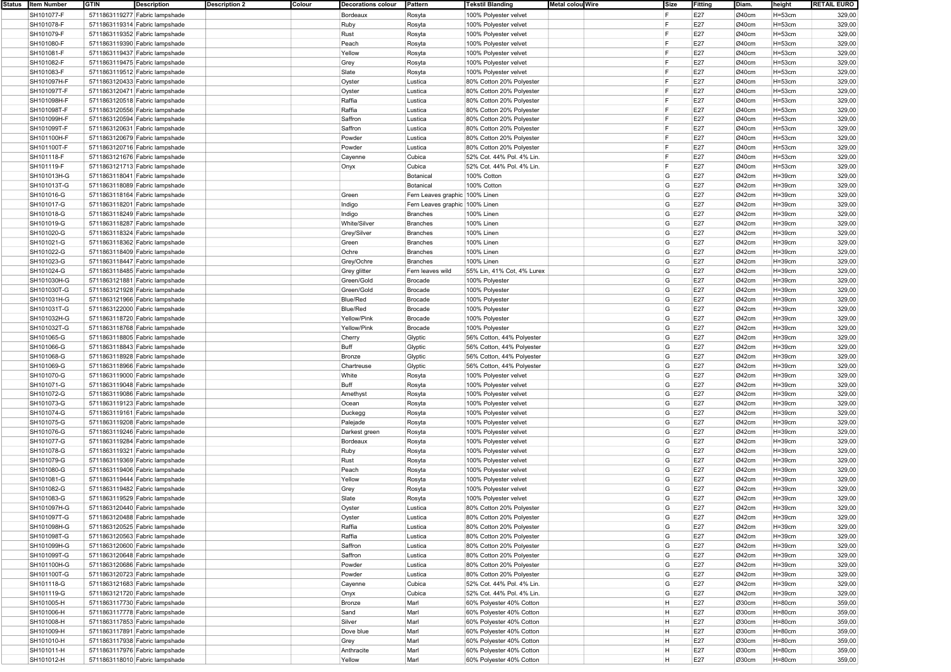| Status   Item Number | <b>GTIN</b> | <b>Description</b>             | <b>Description 2</b> | Colour | <b>Decorations colour</b> | Pattern                        | <b>Tekstil Blanding</b>    | Metal colou Wire | Size | Fitting | Diam. | height     | <b>RETAIL EURO</b> |
|----------------------|-------------|--------------------------------|----------------------|--------|---------------------------|--------------------------------|----------------------------|------------------|------|---------|-------|------------|--------------------|
| SH101077-F           |             | 5711863119277 Fabric lampshade |                      |        | Bordeaux                  | Rosyta                         | 100% Polyester velvet      |                  | F    | E27     | Ø40cm | $H = 53cm$ | 329,00             |
| SH101078-F           |             | 5711863119314 Fabric lampshade |                      |        | Ruby                      | Rosyta                         | 100% Polyester velvet      |                  | F    | E27     | Ø40cm | $H = 53cm$ | 329,00             |
| SH101079-F           |             | 5711863119352 Fabric lampshade |                      |        | Rust                      | Rosyta                         | 100% Polyester velvet      |                  | F    | E27     | Ø40cm | $H = 53cm$ | 329,00             |
|                      |             |                                |                      |        |                           |                                |                            |                  | l F  |         |       |            |                    |
| SH101080-F           |             | 5711863119390 Fabric lampshade |                      |        | Peach                     | Rosyta                         | 100% Polyester velvet      |                  |      | E27     | Ø40cm | $H = 53cm$ | 329,00             |
| SH101081-F           |             | 5711863119437 Fabric lampshade |                      |        | Yellow                    | Rosyta                         | 100% Polyester velvet      |                  |      | E27     | Ø40cm | $H = 53cm$ | 329,00             |
| SH101082-F           |             | 5711863119475 Fabric lampshade |                      |        | Grey                      | Rosyta                         | 100% Polyester velvet      |                  | F    | E27     | Ø40cm | $H = 53cm$ | 329,00             |
| SH101083-F           |             | 5711863119512 Fabric lampshade |                      |        | Slate                     | Rosyta                         | 100% Polyester velvet      |                  | l F  | E27     | Ø40cm | $H = 53cm$ | 329,00             |
| SH101097H-F          |             | 5711863120433 Fabric lampshade |                      |        | Oyster                    | Lustica                        | 80% Cotton 20% Polyester   |                  | F    | E27     | Ø40cm | $H = 53cm$ | 329,00             |
| SH101097T-F          |             | 5711863120471 Fabric lampshade |                      |        | Oyster                    | Lustica                        | 80% Cotton 20% Polyester   |                  | l F  | E27     | Ø40cm | $H = 53cm$ | 329,00             |
| SH101098H-F          |             |                                |                      |        | Raffia                    | Lustica                        |                            |                  | IF.  | E27     | Ø40cm | $H = 53cm$ | 329,00             |
|                      |             | 5711863120518 Fabric lampshade |                      |        |                           |                                | 80% Cotton 20% Polyester   |                  | F    |         |       |            |                    |
| SH101098T-F          |             | 5711863120556 Fabric lampshade |                      |        | Raffia                    | Lustica                        | 80% Cotton 20% Polyester   |                  |      | E27     | Ø40cm | $H = 53cm$ | 329,00             |
| SH101099H-F          |             | 5711863120594 Fabric lampshade |                      |        | Saffron                   | Lustica                        | 80% Cotton 20% Polyester   |                  | IF.  | E27     | Ø40cm | $H = 53cm$ | 329,00             |
| SH101099T-F          |             | 5711863120631 Fabric lampshade |                      |        | Saffron                   | Lustica                        | 80% Cotton 20% Polyester   |                  | F    | E27     | Ø40cm | $H = 53cm$ | 329,00             |
| SH101100H-F          |             | 5711863120679 Fabric lampshade |                      |        | Powder                    | Lustica                        | 80% Cotton 20% Polyester   |                  | l F  | E27     | Ø40cm | $H = 53cm$ | 329,00             |
| SH101100T-F          |             | 5711863120716 Fabric lampshade |                      |        | Powder                    | Lustica                        | 80% Cotton 20% Polyester   |                  | l ⊏  | E27     | Ø40cm | $H = 53cm$ | 329,00             |
| SH101118-F           |             | 5711863121676 Fabric lampshade |                      |        | Cayenne                   | Cubica                         | 52% Cot. 44% Pol. 4% Lin.  |                  | l F  | E27     | Ø40cm | $H = 53cm$ | 329,00             |
| SH101119-F           |             | 5711863121713 Fabric lampshade |                      |        | Onyx                      | Cubica                         | 52% Cot. 44% Pol. 4% Lin.  |                  | l F  | E27     | Ø40cm | $H = 53cm$ | 329,00             |
|                      |             |                                |                      |        |                           |                                |                            |                  |      |         |       |            |                    |
| SH101013H-G          |             | 5711863118041 Fabric lampshade |                      |        |                           | Botanical                      | 100% Cotton                |                  | G    | E27     | Ø42cm | $H = 39cm$ | 329,00             |
| SH101013T-G          |             | 5711863118089 Fabric lampshade |                      |        |                           | Botanical                      | 100% Cotton                |                  | G    | E27     | Ø42cm | $H = 39cm$ | 329,00             |
| SH101016-G           |             | 5711863118164 Fabric lampshade |                      |        | Green                     | Fern Leaves graphic 100% Linen |                            |                  | G    | E27     | Ø42cm | $H = 39cm$ | 329,00             |
| SH101017-G           |             | 5711863118201 Fabric lampshade |                      |        | Indigo                    | Fern Leaves graphic 100% Linen |                            |                  | G    | E27     | Ø42cm | $H = 39cm$ | 329,00             |
| SH101018-G           |             | 5711863118249 Fabric lampshade |                      |        | Indigo                    | <b>Branches</b>                | 100% Linen                 |                  | G    | E27     | Ø42cm | $H = 39cm$ | 329,00             |
| SH101019-G           |             | 5711863118287 Fabric lampshade |                      |        | White/Silver              | <b>Branches</b>                | 100% Linen                 |                  | G    | E27     | Ø42cm | $H = 39cm$ | 329,00             |
| SH101020-G           |             | 5711863118324 Fabric lampshade |                      |        | Grey/Silver               | <b>Branches</b>                | 100% Linen                 |                  | G    | E27     | Ø42cm | $H = 39cm$ | 329,00             |
| SH101021-G           |             | 5711863118362 Fabric lampshade |                      |        | Green                     | <b>Branches</b>                | 100% Linen                 |                  | G    | E27     | Ø42cm | $H = 39cm$ | 329,00             |
|                      |             |                                |                      |        |                           |                                |                            |                  |      |         |       |            |                    |
| SH101022-G           |             | 5711863118409 Fabric lampshade |                      |        | Ochre                     | <b>Branches</b>                | 100% Linen                 |                  | G    | E27     | Ø42cm | $H = 39cm$ | 329,00             |
| SH101023-G           |             | 5711863118447 Fabric lampshade |                      |        | Grey/Ochre                | <b>Branches</b>                | <b>100% Linen</b>          |                  | G    | E27     | Ø42cm | $H = 39cm$ | 329,00             |
| SH101024-G           |             | 5711863118485 Fabric lampshade |                      |        | Grey glitter              | Fern leaves wild               | 55% Lin, 41% Cot, 4% Lurex |                  | G    | E27     | Ø42cm | $H = 39cm$ | 329,00             |
| SH101030H-G          |             | 5711863121881 Fabric lampshade |                      |        | Green/Gold                | <b>Brocade</b>                 | 100% Polyester             |                  | G    | E27     | Ø42cm | $H = 39cm$ | 329,00             |
| SH101030T-G          |             | 5711863121928 Fabric lampshade |                      |        | Green/Gold                | Brocade                        | 100% Polyester             |                  | G    | E27     | Ø42cm | $H = 39cm$ | 329,00             |
| SH101031H-G          |             | 5711863121966 Fabric lampshade |                      |        | <b>Blue/Red</b>           | <b>Brocade</b>                 | 100% Polyester             |                  | G    | E27     | Ø42cm | $H = 39cm$ | 329,00             |
| SH101031T-G          |             | 5711863122000 Fabric lampshade |                      |        | <b>Blue/Red</b>           | <b>Brocade</b>                 | 100% Polyester             |                  | G    | E27     | Ø42cm | $H = 39cm$ | 329,00             |
| SH101032H-G          |             | 5711863118720 Fabric lampshade |                      |        | Yellow/Pink               | Brocade                        | 100% Polyester             |                  | G    | E27     | Ø42cm | $H = 39cm$ | 329,00             |
| SH101032T-G          |             | 5711863118768 Fabric lampshade |                      |        | Yellow/Pink               | <b>Brocade</b>                 | 100% Polyester             |                  | G    | E27     | Ø42cm | $H = 39cm$ | 329,00             |
|                      |             |                                |                      |        |                           |                                |                            |                  |      |         |       |            |                    |
| SH101065-G           |             | 5711863118805 Fabric lampshade |                      |        | Cherry                    | Glyptic                        | 56% Cotton, 44% Polyester  |                  | G    | E27     | Ø42cm | $H = 39cm$ | 329,00             |
| SH101066-G           |             | 5711863118843 Fabric lampshade |                      |        | Buff                      | Glyptic                        | 56% Cotton, 44% Polyester  |                  | G    | E27     | Ø42cm | $H = 39cm$ | 329,00             |
| SH101068-G           |             | 5711863118928 Fabric lampshade |                      |        | Bronze                    | Glyptic                        | 56% Cotton, 44% Polyester  |                  | G    | E27     | Ø42cm | $H = 39cm$ | 329,00             |
| SH101069-G           |             | 5711863118966 Fabric lampshade |                      |        | Chartreuse                | Glyptic                        | 56% Cotton, 44% Polyester  |                  | G    | E27     | Ø42cm | $H = 39cm$ | 329,00             |
| SH101070-G           |             | 5711863119000 Fabric lampshade |                      |        | White                     | Rosyta                         | 100% Polyester velvet      |                  | G    | E27     | Ø42cm | $H = 39cm$ | 329,00             |
| SH101071-G           |             | 5711863119048 Fabric lampshade |                      |        | Buff                      | Rosyta                         | 100% Polyester velvet      |                  | G    | E27     | Ø42cm | $H = 39cm$ | 329,00             |
| SH101072-G           |             | 5711863119086 Fabric lampshade |                      |        | Amethyst                  | Rosyta                         | 100% Polyester velvet      |                  | G    | E27     | Ø42cm | $H = 39cm$ | 329,00             |
| SH101073-G           |             | 5711863119123 Fabric lampshade |                      |        | Ocean                     | Rosyta                         | 100% Polyester velvet      |                  | G    | E27     | Ø42cm | $H = 39cm$ | 329,00             |
| SH101074-G           |             | 5711863119161 Fabric lampshade |                      |        | Duckegg                   | Rosyta                         | 100% Polyester velvet      |                  | G    | E27     | Ø42cm | $H = 39cm$ | 329,00             |
| SH101075-G           |             | 5711863119208 Fabric lampshade |                      |        | Palejade                  | Rosyta                         | 100% Polyester velvet      |                  | G    | E27     | Ø42cm | $H = 39cm$ | 329,00             |
|                      |             |                                |                      |        |                           |                                |                            |                  | G    |         |       |            |                    |
| SH101076-G           |             | 5711863119246 Fabric lampshade |                      |        | Darkest green             | Rosyta                         | 100% Polyester velvet      |                  |      | E27     | Ø42cm | $H = 39cm$ | 329,00             |
| SH101077-G           |             | 5711863119284 Fabric lampshade |                      |        | Bordeaux                  | Rosyta                         | 100% Polyester velvet      |                  | G    | E27     | Ø42cm | $H = 39cm$ | 329,00             |
| SH101078-G           |             | 5711863119321 Fabric lampshade |                      |        | Ruby                      | Rosyta                         | 100% Polyester velvet      |                  | G    | E27     | Ø42cm | $H = 39cm$ | 329,00             |
| SH101079-G           |             | 5711863119369 Fabric lampshade |                      |        | Rust                      | Rosyta                         | 100% Polyester velvet      |                  | G    | E27     | Ø42cm | $H = 39cm$ | 329,00             |
| SH101080-G           |             | 5711863119406 Fabric lampshade |                      |        | Peach                     | Rosyta                         | 100% Polyester velvet      |                  | G    | E27     | Ø42cm | $H = 39cm$ | 329,00             |
| SH101081-G           |             | 5711863119444 Fabric lampshade |                      |        | Yellow                    | Rosyta                         | 100% Polyester velvet      |                  | G    | E27     | Ø42cm | $H = 39cm$ | 329,00             |
| SH101082-G           |             | 5711863119482 Fabric lampshade |                      |        | Grey                      | Rosyta                         | 100% Polyester velvet      |                  | G    | E27     | Ø42cm | $H = 39cm$ | 329,00             |
| SH101083-G           |             | 5711863119529 Fabric lampshade |                      |        | Slate                     | Rosyta                         | 100% Polyester velvet      |                  | G    | E27     | Ø42cm | $H = 39cm$ | 329,00             |
| SH101097H-G          |             | 5711863120440 Fabric lampshade |                      |        | Oyster                    | Lustica                        | 80% Cotton 20% Polyester   |                  | G    | E27     | Ø42cm | H=39cm     | 329,00             |
|                      |             |                                |                      |        |                           |                                |                            |                  |      |         |       |            |                    |
| SH101097T-G          |             | 5711863120488 Fabric lampshade |                      |        | Oyster                    | Lustica                        | 80% Cotton 20% Polyester   |                  | G    | E27     | Ø42cm | $H = 39cm$ | 329,00             |
| SH101098H-G          |             | 5711863120525 Fabric lampshade |                      |        | Raffia                    | Lustica                        | 80% Cotton 20% Polyester   |                  | G    | E27     | Ø42cm | $H = 39cm$ | 329,00             |
| SH101098T-G          |             | 5711863120563 Fabric lampshade |                      |        | Raffia                    | Lustica                        | 80% Cotton 20% Polyester   |                  | G    | E27     | Ø42cm | $H = 39cm$ | 329,00             |
| SH101099H-G          |             | 5711863120600 Fabric lampshade |                      |        | Saffron                   | Lustica                        | 80% Cotton 20% Polyester   |                  | G    | E27     | Ø42cm | $H = 39cm$ | 329,00             |
| SH101099T-G          |             | 5711863120648 Fabric lampshade |                      |        | Saffron                   | Lustica                        | 80% Cotton 20% Polyester   |                  | G    | E27     | Ø42cm | $H = 39cm$ | 329,00             |
| SH101100H-G          |             | 5711863120686 Fabric lampshade |                      |        | Powder                    | Lustica                        | 80% Cotton 20% Polyester   |                  | G    | E27     | Ø42cm | $H = 39cm$ | 329,00             |
| SH101100T-G          |             | 5711863120723 Fabric lampshade |                      |        | Powder                    | Lustica                        | 80% Cotton 20% Polyester   |                  | G    | E27     | Ø42cm | $H = 39cm$ | 329,00             |
| SH101118-G           |             | 5711863121683 Fabric lampshade |                      |        | Cayenne                   | Cubica                         | 52% Cot. 44% Pol. 4% Lin.  |                  | G    | E27     | Ø42cm | $H = 39cm$ | 329,00             |
| SH101119-G           |             | 5711863121720 Fabric lampshade |                      |        | Onyx                      | Cubica                         | 52% Cot. 44% Pol. 4% Lin.  |                  | G    | E27     | Ø42cm | $H = 39cm$ | 329,00             |
| SH101005-H           |             | 5711863117730 Fabric lampshade |                      |        | Bronze                    | Marl                           | 60% Polyester 40% Cotton   |                  | H    | E27     | Ø30cm | $H = 80cm$ | 359,00             |
| SH101006-H           |             | 5711863117778 Fabric lampshade |                      |        | Sand                      | Marl                           | 60% Polyester 40% Cotton   |                  | H    | E27     | Ø30cm | $H = 80cm$ | 359,00             |
|                      |             |                                |                      |        |                           |                                |                            |                  |      |         |       |            |                    |
| SH101008-H           |             | 5711863117853 Fabric lampshade |                      |        | Silver                    | Marl                           | 60% Polyester 40% Cotton   |                  | H    | E27     | Ø30cm | $H = 80cm$ | 359,00             |
| SH101009-H           |             | 5711863117891 Fabric lampshade |                      |        | Dove blue                 | Marl                           | 60% Polyester 40% Cotton   |                  | H    | E27     | Ø30cm | $H = 80cm$ | 359,00             |
| SH101010-H           |             | 5711863117938 Fabric lampshade |                      |        | Grey                      | Marl                           | 60% Polyester 40% Cotton   |                  | H    | E27     | Ø30cm | $H = 80cm$ | 359,00             |
| SH101011-H           |             | 5711863117976 Fabric lampshade |                      |        | Anthracite                | Marl                           | 60% Polyester 40% Cotton   |                  | H    | E27     | Ø30cm | $H = 80cm$ | 359,00             |
| SH101012-H           |             | 5711863118010 Fabric lampshade |                      |        | Yellow                    | Marl                           | 60% Polyester 40% Cotton   |                  | H    | E27     | Ø30cm | $H = 80cm$ | 359,00             |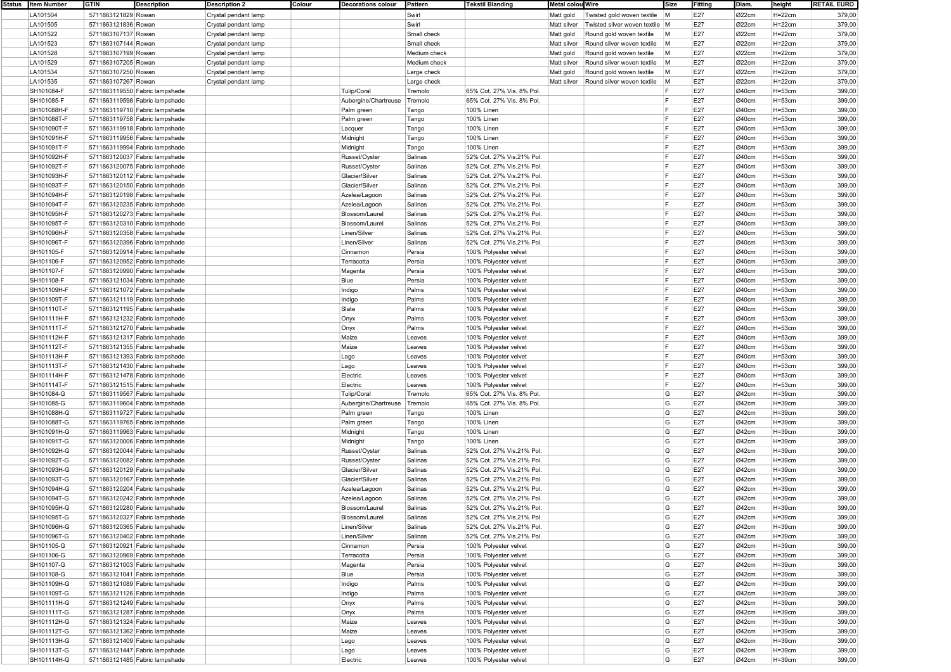| Status | <b>Item Number</b> | <b>GTIN</b><br><b>Description</b> | <b>Description 2</b><br>Colour | <b>Decorations colour</b> | Pattern      | <b>Tekstil Blanding</b>   | Metal colou Wire |                                | Size | Fitting | Diam. | height     | <b>RETAIL EURO</b> |
|--------|--------------------|-----------------------------------|--------------------------------|---------------------------|--------------|---------------------------|------------------|--------------------------------|------|---------|-------|------------|--------------------|
|        | LA101504           | 5711863121829 Rowan               | Crystal pendant lamp           |                           | Swirl        |                           | Matt gold        | Twisted gold woven textile     | M    | E27     | Ø22cm | $H=22cm$   | 379,00             |
|        | LA101505           | 5711863121836 Rowan               | Crystal pendant lamp           |                           | Swirl        |                           | Matt silver      | Twisted silver woven textile M |      | E27     | Ø22cm | $H=22cm$   | 379,00             |
|        | LA101522           | 5711863107137 Rowan               | Crystal pendant lamp           |                           | Small check  |                           |                  | Round gold woven textile       | M    | E27     | Ø22cm | $H=22cm$   | 379,00             |
|        |                    |                                   |                                |                           |              |                           | Matt gold        |                                |      |         |       |            |                    |
|        | LA101523           | 5711863107144 Rowan               | Crystal pendant lamp           |                           | Small check  |                           | Matt silver      | Round silver woven textile     | M    | E27     | Ø22cm | $H=22cm$   | 379,00             |
|        | LA101528           | 5711863107199 Rowan               | Crystal pendant lamp           |                           | Medium check |                           | Matt gold        | Round gold woven textile       | M    | E27     | Ø22cm | $H=22cm$   | 379,00             |
|        | LA101529           | 5711863107205 Rowan               | Crystal pendant lamp           |                           | Medium check |                           | Matt silver      | Round silver woven textile     | M    | E27     | Ø22cm | $H=22cm$   | 379,00             |
|        | LA101534           | 5711863107250 Rowan               | Crystal pendant lamp           |                           | Large check  |                           | Matt gold        | Round gold woven textile       | M    | E27     | Ø22cm | $H = 22cm$ | 379,00             |
|        | LA101535           | 5711863107267 Rowan               | Crystal pendant lamp           |                           | Large check  |                           | Matt silver      | Round silver woven textile     | M    | E27     | Ø22cm | $H=22cm$   | 379,00             |
|        | SH101084-F         | 5711863119550 Fabric lampshade    |                                | <b>Tulip/Coral</b>        | Tremolo      | 65% Cot. 27% Vis. 8% Pol. |                  |                                |      | E27     | Ø40cm | $H = 53cm$ | 399,00             |
|        | SH101085-F         |                                   |                                |                           |              |                           |                  |                                |      | E27     |       |            |                    |
|        |                    | 5711863119598 Fabric lampshade    |                                | Aubergine/Chartreuse      | Tremolo      | 65% Cot. 27% Vis. 8% Pol. |                  |                                |      |         | Ø40cm | $H = 53cm$ | 399,00             |
|        | SH101088H-F        | 5711863119710 Fabric lampshade    |                                | Palm green                | Tango        | 100% Linen                |                  |                                | F    | E27     | Ø40cm | $H = 53cm$ | 399,00             |
|        | SH101088T-F        | 5711863119758 Fabric lampshade    |                                | Palm green                | Tango        | 100% Linen                |                  |                                | F    | E27     | Ø40cm | $H = 53cm$ | 399,00             |
|        | SH101090T-F        | 5711863119918 Fabric lampshade    |                                | Lacquer                   | Tango        | <b>100% Linen</b>         |                  |                                | F    | E27     | Ø40cm | $H = 53cm$ | 399,00             |
|        | SH101091H-F        | 5711863119956 Fabric lampshade    |                                | Midnight                  | Tango        | 100% Linen                |                  |                                | l ⊑  | E27     | Ø40cm | $H = 53cm$ | 399,00             |
|        | SH101091T-F        | 5711863119994 Fabric lampshade    |                                | Midnight                  | Tango        | 100% Linen                |                  |                                |      | E27     | Ø40cm | $H = 53cm$ | 399,00             |
|        | SH101092H-F        | 5711863120037 Fabric lampshade    |                                | Russet/Oyster             | Salinas      | 52% Cot. 27% Vis.21% Pol. |                  |                                | F    | E27     | Ø40cm | $H = 53cm$ | 399,00             |
|        |                    |                                   |                                |                           |              |                           |                  |                                | F    | E27     |       |            |                    |
|        | SH101092T-F        | 5711863120075 Fabric lampshade    |                                | Russet/Oyster             | Salinas      | 52% Cot. 27% Vis.21% Pol. |                  |                                |      |         | Ø40cm | $H = 53cm$ | 399,00             |
|        | SH101093H-F        | 5711863120112 Fabric lampshade    |                                | Glacier/Silver            | Salinas      | 52% Cot. 27% Vis.21% Pol. |                  |                                | F    | E27     | Ø40cm | $H = 53cm$ | 399,00             |
|        | SH101093T-F        | 5711863120150 Fabric lampshade    |                                | Glacier/Silver            | Salinas      | 52% Cot. 27% Vis.21% Pol. |                  |                                | l ⊏  | E27     | Ø40cm | $H = 53cm$ | 399,00             |
|        | SH101094H-F        | 5711863120198 Fabric lampshade    |                                | Azelea/Lagoon             | Salinas      | 52% Cot. 27% Vis.21% Pol. |                  |                                | F    | E27     | Ø40cm | $H = 53cm$ | 399,00             |
|        | SH101094T-F        | 5711863120235 Fabric lampshade    |                                | Azelea/Lagoon             | Salinas      | 52% Cot. 27% Vis.21% Pol. |                  |                                | IF.  | E27     | Ø40cm | $H = 53cm$ | 399,00             |
|        | SH101095H-F        | 5711863120273 Fabric lampshade    |                                | Blossom/Laurel            | Salinas      | 52% Cot. 27% Vis.21% Pol. |                  |                                | l F  | E27     | Ø40cm | $H = 53cm$ | 399,00             |
|        | SH101095T-F        | 5711863120310 Fabric lampshade    |                                | Blossom/Laurel            | Salinas      | 52% Cot. 27% Vis.21% Pol. |                  |                                | l F  | E27     | Ø40cm | $H = 53cm$ | 399,00             |
|        | SH101096H-F        | 5711863120358 Fabric lampshade    |                                | Linen/Silver              | Salinas      | 52% Cot. 27% Vis.21% Pol. |                  |                                | l ⊏  | E27     | Ø40cm | $H = 53cm$ | 399,00             |
|        |                    |                                   |                                |                           |              |                           |                  |                                |      |         |       |            |                    |
|        | SH101096T-F        | 5711863120396 Fabric lampshade    |                                | Linen/Silver              | Salinas      | 52% Cot. 27% Vis.21% Pol. |                  |                                |      | E27     | Ø40cm | $H = 53cm$ | 399,00             |
|        | SH101105-F         | 5711863120914 Fabric lampshade    |                                | Cinnamon                  | Persia       | 100% Polyester velvet     |                  |                                | F    | E27     | Ø40cm | $H = 53cm$ | 399,00             |
|        | SH101106-F         | 5711863120952 Fabric lampshade    |                                | Terracotta                | Persia       | 100% Polyester velvet     |                  |                                | l F  | E27     | Ø40cm | $H = 53cm$ | 399,00             |
|        | SH101107-F         | 5711863120990 Fabric lampshade    |                                | Magenta                   | Persia       | 100% Polyester velvet     |                  |                                | F    | E27     | Ø40cm | $H = 53cm$ | 399,00             |
|        | SH101108-F         | 5711863121034 Fabric lampshade    |                                | Blue                      | Persia       | 100% Polyester velvet     |                  |                                | l ⊏  | E27     | Ø40cm | $H = 53cm$ | 399,00             |
|        | SH101109H-F        | 5711863121072 Fabric lampshade    |                                | Indigo                    | Palms        | 100% Polyester velvet     |                  |                                |      | E27     | Ø40cm | $H = 53cm$ | 399,00             |
|        | SH101109T-F        | 5711863121119 Fabric lampshade    |                                | Indigo                    | Palms        | 100% Polyester velvet     |                  |                                | F    | E27     | Ø40cm | $H = 53cm$ | 399,00             |
|        | SH101110T-F        | 5711863121195 Fabric lampshade    |                                | Slate                     | Palms        | 100% Polyester velvet     |                  |                                | F    | E27     | Ø40cm | $H = 53cm$ | 399,00             |
|        |                    |                                   |                                |                           |              |                           |                  |                                | F    | E27     |       |            |                    |
|        | SH101111H-F        | 5711863121232 Fabric lampshade    |                                | Onyx                      | Palms        | 100% Polyester velvet     |                  |                                | l ⊏  |         | Ø40cm | $H = 53cm$ | 399,00             |
|        | SH101111T-F        | 5711863121270 Fabric lampshade    |                                | Onyx                      | Palms        | 100% Polyester velvet     |                  |                                |      | E27     | Ø40cm | $H = 53cm$ | 399,00             |
|        | SH101112H-F        | 5711863121317 Fabric lampshade    |                                | Maize                     | Leaves       | 100% Polyester velvet     |                  |                                | F    | E27     | Ø40cm | $H = 53cm$ | 399,00             |
|        | SH101112T-F        | 5711863121355 Fabric lampshade    |                                | Maize                     | Leaves       | 100% Polyester velvet     |                  |                                | l F  | E27     | Ø40cm | $H = 53cm$ | 399,00             |
|        | SH101113H-F        | 5711863121393 Fabric lampshade    |                                | Lago                      | Leaves       | 100% Polyester velvet     |                  |                                | l F  | E27     | Ø40cm | $H = 53cm$ | 399,00             |
|        | SH101113T-F        | 5711863121430 Fabric lampshade    |                                | Lago                      | Leaves       | 100% Polyester velvet     |                  |                                | F    | E27     | Ø40cm | $H = 53cm$ | 399,00             |
|        | SH101114H-F        | 5711863121478 Fabric lampshade    |                                | Electric                  | Leaves       | 100% Polyester velvet     |                  |                                | l F  | E27     | Ø40cm | $H = 53cm$ | 399,00             |
|        | SH101114T-F        | 5711863121515 Fabric lampshade    |                                | Electric                  | Leaves       | 100% Polyester velvet     |                  |                                | F    | E27     | Ø40cm | $H = 53cm$ | 399,00             |
|        | SH101084-G         | 5711863119567 Fabric lampshade    |                                | Tulip/Coral               | Tremolo      | 65% Cot. 27% Vis. 8% Pol  |                  |                                | G    | E27     | Ø42cm | $H = 39cm$ | 399,00             |
|        | SH101085-G         |                                   |                                |                           | Tremolo      | 65% Cot. 27% Vis. 8% Pol. |                  |                                | G    | E27     | Ø42cm |            | 399,00             |
|        |                    | 5711863119604 Fabric lampshade    |                                | Aubergine/Chartreuse      |              |                           |                  |                                | G    | E27     |       | $H = 39cm$ |                    |
|        | SH101088H-G        | 5711863119727 Fabric lampshade    |                                | Palm green                | Tango        | 100% Linen                |                  |                                |      |         | Ø42cm | $H = 39cm$ | 399,00             |
|        | SH101088T-G        | 5711863119765 Fabric lampshade    |                                | Palm green                | Tango        | 100% Linen                |                  |                                | G    | E27     | Ø42cm | $H = 39cm$ | 399,00             |
|        | SH101091H-G        | 5711863119963 Fabric lampshade    |                                | Midnight                  | Tango        | 100% Linen                |                  |                                | G    | E27     | Ø42cm | $H = 39cm$ | 399,00             |
|        | SH101091T-G        | 5711863120006 Fabric lampshade    |                                | Midnight                  | Tango        | 100% Linen                |                  |                                | G    | E27     | Ø42cm | $H = 39cm$ | 399,00             |
|        | SH101092H-G        | 5711863120044 Fabric lampshade    |                                | Russet/Oyster             | Salinas      | 52% Cot. 27% Vis.21% Pol. |                  |                                | G    | E27     | Ø42cm | $H = 39cm$ | 399,00             |
|        | SH101092T-G        | 5711863120082 Fabric lampshade    |                                | Russet/Oyster             | Salinas      | 52% Cot. 27% Vis.21% Pol. |                  |                                | G    | E27     | Ø42cm | $H = 39cm$ | 399,00             |
|        | SH101093H-G        | 5711863120129 Fabric lampshade    |                                | Glacier/Silver            | Salinas      | 52% Cot. 27% Vis.21% Pol. |                  |                                | G    | E27     | Ø42cm | $H = 39cm$ | 399,00             |
|        | SH101093T-G        | 5711863120167 Fabric lampshade    |                                | Glacier/Silver            | Salinas      | 52% Cot. 27% Vis.21% Pol. |                  |                                | G    | E27     | Ø42cm | $H = 39cm$ | 399,00             |
|        |                    |                                   |                                |                           |              |                           |                  |                                |      |         |       |            |                    |
|        | SH101094H-G        | 5711863120204 Fabric lampshade    |                                | Azelea/Lagoon             | Salinas      | 52% Cot. 27% Vis.21% Pol. |                  |                                | G    | E27     | Ø42cm | $H = 39cm$ | 399,00             |
|        | SH101094T-G        | 5711863120242 Fabric lampshade    |                                | Azelea/Lagoon             | Salinas      | 52% Cot. 27% Vis.21% Pol. |                  |                                | G    | E27     | Ø42cm | $H = 39cm$ | 399,00             |
|        | SH101095H-G        | 5711863120280 Fabric lampshade    |                                | Blossom/Laure             | Salinas      | 52% Cot. 27% Vis.21% Pol  |                  |                                | G    | E27     | Ø42cm | H=39cm     | 399,00             |
|        | SH101095T-G        | 5711863120327 Fabric lampshade    |                                | Blossom/Laurel            | Salinas      | 52% Cot. 27% Vis.21% Pol. |                  |                                | G    | E27     | Ø42cm | $H = 39cm$ | 399,00             |
|        | SH101096H-G        | 5711863120365 Fabric lampshade    |                                | Linen/Silver              | Salinas      | 52% Cot. 27% Vis.21% Pol. |                  |                                | G    | E27     | Ø42cm | $H = 39cm$ | 399,00             |
|        | SH101096T-G        | 5711863120402 Fabric lampshade    |                                | Linen/Silver              | Salinas      | 52% Cot. 27% Vis.21% Pol. |                  |                                | G    | E27     | Ø42cm | $H = 39cm$ | 399,00             |
|        | SH101105-G         | 5711863120921 Fabric lampshade    |                                | Cinnamon                  | Persia       | 100% Polyester velvet     |                  |                                | G    | E27     | Ø42cm | $H = 39cm$ | 399,00             |
|        | SH101106-G         | 5711863120969 Fabric lampshade    |                                | Terracotta                | Persia       | 100% Polyester velvet     |                  |                                | G    | E27     | Ø42cm | $H = 39cm$ | 399,00             |
|        |                    |                                   |                                |                           |              |                           |                  |                                |      | E27     |       |            |                    |
|        | SH101107-G         | 5711863121003 Fabric lampshade    |                                | Magenta                   | Persia       | 100% Polyester velvet     |                  |                                | G    |         | Ø42cm | $H = 39cm$ | 399,00             |
|        | SH101108-G         | 5711863121041 Fabric lampshade    |                                | Blue                      | Persia       | 100% Polyester velvet     |                  |                                | G    | E27     | Ø42cm | $H = 39cm$ | 399,00             |
|        | SH101109H-G        | 5711863121089 Fabric lampshade    |                                | Indigo                    | Palms        | 100% Polyester velvet     |                  |                                | G    | E27     | Ø42cm | $H = 39cm$ | 399,00             |
|        | SH101109T-G        | 5711863121126 Fabric lampshade    |                                | Indigo                    | Palms        | 100% Polyester velvet     |                  |                                | G    | E27     | Ø42cm | $H = 39cm$ | 399,00             |
|        | SH101111H-G        | 5711863121249 Fabric lampshade    |                                | Onyx                      | Palms        | 100% Polyester velvet     |                  |                                | G    | E27     | Ø42cm | $H = 39cm$ | 399,00             |
|        | SH101111T-G        | 5711863121287 Fabric lampshade    |                                | Onyx                      | Palms        | 100% Polyester velvet     |                  |                                | G    | E27     | Ø42cm | $H = 39cm$ | 399,00             |
|        | SH101112H-G        | 5711863121324 Fabric lampshade    |                                | Maize                     | Leaves       | 100% Polyester velvet     |                  |                                | G    | E27     | Ø42cm | $H = 39cm$ | 399,00             |
|        | SH101112T-G        | 5711863121362 Fabric lampshade    |                                | Maize                     | Leaves       | 100% Polyester velvet     |                  |                                | G    | E27     | Ø42cm | $H = 39cm$ | 399,00             |
|        | SH101113H-G        | 5711863121409 Fabric lampshade    |                                | Lago                      | Leaves       | 100% Polyester velvet     |                  |                                | G    | E27     | Ø42cm | $H = 39cm$ | 399,00             |
|        | SH101113T-G        | 5711863121447 Fabric lampshade    |                                | Lago                      | Leaves       | 100% Polyester velvet     |                  |                                | G    | E27     | Ø42cm | $H = 39cm$ | 399,00             |
|        | SH101114H-G        | 5711863121485 Fabric lampshade    |                                | Electric                  | Leaves       | 100% Polyester velvet     |                  |                                | G    | E27     | Ø42cm | $H = 39cm$ | 399,00             |
|        |                    |                                   |                                |                           |              |                           |                  |                                |      |         |       |            |                    |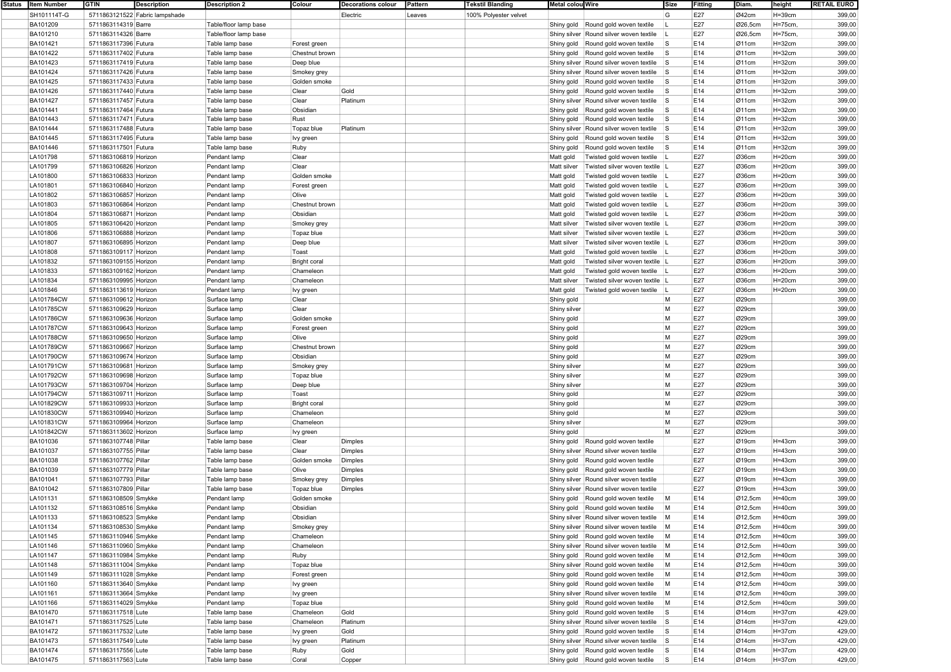| Status Item Number | <b>GTIN</b><br><b>Description</b> | <b>Description 2</b>  | Colour              | <b>Decorations colour</b> | Pattern | <b>Tekstil Blanding</b> | Metal colou Wire                                | Size           | Fitting | Diam.   | height      | <b>RETAIL EURO</b> |
|--------------------|-----------------------------------|-----------------------|---------------------|---------------------------|---------|-------------------------|-------------------------------------------------|----------------|---------|---------|-------------|--------------------|
| SH101114T-G        | 5711863121522 Fabric lampshade    |                       |                     | Electric                  | Leaves  | 100% Polyester velvet   |                                                 | G              | E27     | Ø42cm   | $H = 39cm$  | 399,00             |
| BA101209           | 5711863114319 Barre               | Table/floor lamp base |                     |                           |         |                         | Shiny gold Round gold woven textile             |                | E27     | Ø26,5cm | H=75cm,     | 399,00             |
| BA101210           | 5711863114326 Barre               | Table/floor lamp base |                     |                           |         |                         | Shiny silver Round silver woven textile         |                | E27     | Ø26,5cm | H=75cm,     | 399,00             |
|                    |                                   |                       |                     |                           |         |                         |                                                 |                |         |         |             |                    |
| BA101421           | 5711863117396 Futura              | Table lamp base       | Forest green        |                           |         |                         | Round gold woven textile<br>Shiny gold          | <b>S</b>       | E14     | Ø11cm   | $H = 32cm$  | 399,00             |
| BA101422           | 5711863117402 Futura              | Table lamp base       | Chestnut brown      |                           |         |                         | Round gold woven textile<br>Shiny gold          | <b>S</b>       | E14     | Ø11cm   | $H = 32cm$  | 399,00             |
| BA101423           | 5711863117419 Futura              | Table lamp base       | Deep blue           |                           |         |                         | Shiny silver Round silver woven textile         | <b>S</b>       | E14     | Ø11cm   | $H = 32$ cm | 399,00             |
| BA101424           | 5711863117426 Futura              | Table lamp base       | Smokey grey         |                           |         |                         | Shiny silver Round silver woven textile         | <b>S</b>       | E14     | Ø11cm   | $H = 32$ cm | 399,00             |
| BA101425           | 5711863117433 Futura              | Table lamp base       | Golden smoke        |                           |         |                         | Round gold woven textile<br>Shiny gold          | l S            | E14     | Ø11cm   | $H = 32cm$  | 399,00             |
| BA101426           | 5711863117440 Futura              | Table lamp base       | Clear               | Gold                      |         |                         | Shiny gold<br>Round gold woven textile          | <b>S</b>       | E14     | Ø11cm   | $H = 32$ cm | 399,00             |
|                    |                                   |                       |                     |                           |         |                         |                                                 |                |         |         |             |                    |
| BA101427           | 5711863117457 Futura              | Table lamp base       | Clear               | Platinum                  |         |                         | Shiny silver Round silver woven textile         | <b>S</b>       | E14     | Ø11cm   | $H = 32cm$  | 399,00             |
| <b>BA101441</b>    | 5711863117464 Futura              | Table lamp base       | Obsidian            |                           |         |                         | Shiny gold<br>Round gold woven textile          | ls.            | E14     | Ø11cm   | $H = 32$ cm | 399,00             |
| BA101443           | 5711863117471 Futura              | Table lamp base       | Rust                |                           |         |                         | Shiny gold<br>Round gold woven textile          | l S            | E14     | Ø11cm   | $H = 32cm$  | 399,00             |
| BA101444           | 5711863117488 Futura              | Table lamp base       | Topaz blue          | Platinum                  |         |                         | Shiny silver Round silver woven textile         | <b>S</b>       | E14     | Ø11cm   | $H = 32cm$  | 399,00             |
| BA101445           | 5711863117495 Futura              | Table lamp base       | Ivy green           |                           |         |                         | Shiny gold<br>Round gold woven textile          | <b>S</b>       | E14     | Ø11cm   | $H = 32cm$  | 399,00             |
| BA101446           | 5711863117501 Futura              | Table lamp base       | Ruby                |                           |         |                         | Round gold woven textile<br>Shiny gold          | <b>S</b>       | E14     | Ø11cm   | $H = 32cm$  | 399,00             |
|                    |                                   |                       | Clear               |                           |         |                         |                                                 |                | E27     | Ø36cm   |             |                    |
| LA101798           | 5711863106819 Horizon             | Pendant lamp          |                     |                           |         |                         | Matt gold<br>Twisted gold woven textile         |                |         |         | $H = 20cm$  | 399,00             |
| LA101799           | 5711863106826 Horizon             | Pendant lamp          | Clear               |                           |         |                         | Matt silver<br>Twisted silver woven textile   L |                | E27     | Ø36cm   | $H=20cm$    | 399,00             |
| LA101800           | 5711863106833 Horizon             | Pendant lamp          | Golden smoke        |                           |         |                         | Matt gold<br>Twisted gold woven textile         |                | E27     | Ø36cm   | $H=20cm$    | 399,00             |
| LA101801           | 5711863106840 Horizon             | Pendant lamp          | Forest green        |                           |         |                         | Matt gold<br>Twisted gold woven textile         |                | E27     | Ø36cm   | $H=20cm$    | 399,00             |
| LA101802           | 5711863106857 Horizon             | Pendant lamp          | Olive               |                           |         |                         | Matt gold<br>Twisted gold woven textile         |                | E27     | Ø36cm   | $H=20cm$    | 399,00             |
| LA101803           | 5711863106864 Horizon             | Pendant lamp          | Chestnut brown      |                           |         |                         | Matt gold<br>Twisted gold woven textile         |                | E27     | Ø36cm   | $H=20cm$    | 399,00             |
|                    |                                   |                       |                     |                           |         |                         |                                                 |                | E27     | Ø36cm   |             |                    |
| LA101804           | 5711863106871 Horizon             | Pendant lamp          | Obsidian            |                           |         |                         | Matt gold<br>Twisted gold woven textile         |                |         |         | $H = 20cm$  | 399,00             |
| LA101805           | 5711863106420 Horizon             | Pendant lamp          | Smokey grey         |                           |         |                         | Matt silver<br>Twisted silver woven textile     |                | E27     | Ø36cm   | $H=20cm$    | 399,00             |
| LA101806           | 5711863106888 Horizon             | Pendant lamp          | Topaz blue          |                           |         |                         | Matt silver<br>Twisted silver woven textile L   |                | E27     | Ø36cm   | $H=20cm$    | 399,00             |
| LA101807           | 5711863106895 Horizon             | Pendant lamp          | Deep blue           |                           |         |                         | Twisted silver woven textile  L<br>Matt silver  |                | E27     | Ø36cm   | $H=20cm$    | 399,00             |
| LA101808           | 5711863109117 Horizon             | Pendant lamp          | Toast               |                           |         |                         | Matt gold<br>Twisted gold woven textile         |                | E27     | Ø36cm   | $H=20cm$    | 399,00             |
| LA101832           | 5711863109155 Horizon             | Pendant lamp          | <b>Bright coral</b> |                           |         |                         | Matt gold<br>Twisted silver woven textile   L   |                | E27     | Ø36cm   | $H=20cm$    | 399,00             |
| LA101833           | 5711863109162 Horizon             | Pendant lamp          | Chameleon           |                           |         |                         | Twisted gold woven textile                      |                | E27     | Ø36cm   | $H=20cm$    | 399,00             |
|                    |                                   |                       |                     |                           |         |                         | Matt gold                                       |                |         |         |             |                    |
| LA101834           | 5711863109995 Horizon             | Pendant lamp          | Chameleon           |                           |         |                         | Twisted silver woven textile  L<br>Matt silver  |                | E27     | Ø36cm   | $H=20cm$    | 399,00             |
| LA101846           | 5711863113619 Horizon             | Pendant lamp          | lvy green           |                           |         |                         | Matt gold<br>Twisted gold woven textile   L     |                | E27     | Ø36cm   | $H=20cm$    | 399,00             |
| LA101784CW         | 5711863109612 Horizon             | Surface lamp          | Clear               |                           |         |                         | Shiny gold                                      | M              | E27     | Ø29cm   |             | 399,00             |
| LA101785CW         | 5711863109629 Horizon             | Surface lamp          | Clear               |                           |         |                         | Shiny silver                                    | M              | E27     | Ø29cm   |             | 399,00             |
| LA101786CW         | 5711863109636 Horizon             | Surface lamp          | Golden smoke        |                           |         |                         | Shiny gold                                      | M              | E27     | Ø29cm   |             | 399,00             |
| LA101787CW         | 5711863109643 Horizon             | Surface lamp          | Forest green        |                           |         |                         | Shiny gold                                      | M              | E27     | Ø29cm   |             | 399,00             |
|                    |                                   |                       |                     |                           |         |                         |                                                 |                |         |         |             |                    |
| LA101788CW         | 5711863109650 Horizon             | Surface lamp          | Olive               |                           |         |                         | Shiny gold                                      | M              | E27     | Ø29cm   |             | 399,00             |
| LA101789CW         | 5711863109667 Horizon             | Surface lamp          | Chestnut brown      |                           |         |                         | Shiny gold                                      | M              | E27     | Ø29cm   |             | 399,00             |
| LA101790CW         | 5711863109674 Horizon             | Surface lamp          | Obsidian            |                           |         |                         | Shiny gold                                      | M              | E27     | Ø29cm   |             | 399,00             |
| LA101791CW         | 5711863109681 Horizon             | Surface lamp          | Smokey grey         |                           |         |                         | Shiny silver                                    | M              | E27     | Ø29cm   |             | 399,00             |
| LA101792CW         | 5711863109698 Horizon             | Surface lamp          | Topaz blue          |                           |         |                         | Shiny silver                                    | M              | E27     | Ø29cm   |             | 399,00             |
| LA101793CW         | 5711863109704 Horizon             | Surface lamp          | Deep blue           |                           |         |                         | Shiny silver                                    | M              | E27     | Ø29cm   |             | 399,00             |
| LA101794CW         | 5711863109711 Horizon             | Surface lamp          | Toast               |                           |         |                         |                                                 | M              | E27     | Ø29cm   |             | 399,00             |
|                    |                                   |                       |                     |                           |         |                         | Shiny gold                                      |                |         |         |             |                    |
| LA101829CW         | 5711863109933 Horizon             | Surface lamp          | <b>Bright coral</b> |                           |         |                         | Shiny gold                                      | M              | E27     | Ø29cm   |             | 399,00             |
| LA101830CW         | 5711863109940 Horizon             | Surface lamp          | Chameleon           |                           |         |                         | Shiny gold                                      | M              | E27     | Ø29cm   |             | 399,00             |
| LA101831CW         | 5711863109964 Horizon             | Surface lamp          | Chameleon           |                           |         |                         | Shiny silver                                    | M              | E27     | Ø29cm   |             | 399,00             |
| LA101842CW         | 5711863113602 Horizon             | Surface lamp          | lvy green           |                           |         |                         | Shiny gold                                      | M              | E27     | Ø29cm   |             | 399,00             |
| BA101036           | 5711863107748 Pillar              | Table lamp base       | Clear               | Dimples                   |         |                         | Shiny gold<br>Round gold woven textile          |                | E27     | Ø19cm   | $H = 43cm$  | 399,00             |
| BA101037           | 5711863107755 Pillar              | Table lamp base       | Clear               | Dimples                   |         |                         | Shiny silver Round silver woven textile         |                | E27     | Ø19cm   | $H = 43cm$  | 399,00             |
|                    |                                   |                       |                     |                           |         |                         |                                                 |                |         |         |             |                    |
| BA101038           | 5711863107762 Pillar              | Table lamp base       | Golden smoke        | Dimples                   |         |                         | Shiny gold<br>Round gold woven textile          |                | E27     | Ø19cm   | $H = 43cm$  | 399,00             |
| BA101039           | 5711863107779 Pillar              | Table lamp base       | Olive               | Dimples                   |         |                         | Round gold woven textile<br>Shiny gold          |                | E27     | Ø19cm   | $H = 43cm$  | 399,00             |
| BA101041           | 5711863107793 Pillar              | Table lamp base       | Smokey grey         | Dimples                   |         |                         | Shiny silver Round silver woven textile         |                | E27     | Ø19cm   | $H = 43cm$  | 399,00             |
| <b>BA101042</b>    | 5711863107809 Pillar              | Table lamp base       | Topaz blue          | Dimples                   |         |                         | Shiny silver Round silver woven textile         |                | E27     | Ø19cm   | $H = 43cm$  | 399,00             |
| LA101131           | 5711863108509 Smykke              | Pendant lamp          | Golden smoke        |                           |         |                         | Shiny gold Round gold woven textile             | M              | E14     | Ø12,5cm | $H = 40cm$  | 399,00             |
| LA101132           | 5711863108516 Smykke              | Pendant lamp          | Obsidian            |                           |         |                         | Shiny gold Round gold woven textile             | M              | E14     | Ø12,5cm | H=40cm      | 399,00             |
| LA101133           | 5711863108523 Smykke              | Pendant lamp          | Obsidian            |                           |         |                         | Shiny silver Round silver woven textile M       |                | E14     | Ø12,5cm | $H = 40cm$  | 399,00             |
| LA101134           |                                   |                       |                     |                           |         |                         | Shiny silver Round silver woven textile         | $\blacksquare$ |         |         |             |                    |
|                    | 5711863108530 Smykke              | Pendant lamp          | Smokey grey         |                           |         |                         |                                                 |                | E14     | Ø12,5cm | $H = 40cm$  | 399,00             |
| LA101145           | 5711863110946 Smykke              | Pendant lamp          | Chameleon           |                           |         |                         | Shiny gold Round gold woven textile             | M              | E14     | Ø12,5cm | $H = 40cm$  | 399,00             |
| LA101146           | 5711863110960 Smykke              | Pendant lamp          | Chameleon           |                           |         |                         | Shiny silver Round silver woven textile         | M              | E14     | Ø12,5cm | $H = 40cm$  | 399,00             |
| LA101147           | 5711863110984 Smykke              | Pendant lamp          | Ruby                |                           |         |                         | Shiny gold Round gold woven textile             | M              | E14     | Ø12,5cm | $H=40cm$    | 399,00             |
| LA101148           | 5711863111004 Smykke              | Pendant lamp          | Topaz blue          |                           |         |                         | Shiny silver Round gold woven textile           | M              | E14     | Ø12,5cm | H=40cm      | 399,00             |
| LA101149           | 5711863111028 Smykke              | Pendant lamp          | Forest green        |                           |         |                         | Shiny gold Round gold woven textile             | M              | E14     | Ø12,5cm | $H = 40cm$  | 399,00             |
| LA101160           | 5711863113640 Smykke              | Pendant lamp          | Ivy green           |                           |         |                         | Shiny gold Round gold woven textile             | M              | E14     | Ø12,5cm | $H = 40cm$  | 399,00             |
|                    |                                   |                       |                     |                           |         |                         |                                                 |                |         |         |             |                    |
| LA101161           | 5711863113664 Smykke              | Pendant lamp          | Ivy green           |                           |         |                         | Shiny silver Round silver woven textile         | M              | E14     | Ø12,5cm | H=40cm      | 399,00             |
| LA101166           | 5711863114029 Smykke              | Pendant lamp          | Topaz blue          |                           |         |                         | Shiny gold   Round gold woven textile           | M              | E14     | Ø12,5cm | $H=40cm$    | 399,00             |
| BA101470           | 5711863117518 Lute                | Table lamp base       | Chameleon           | Gold                      |         |                         | Shiny gold Round gold woven textile             | $\mathsf{s}$   | E14     | Ø14cm   | H=37cm      | 429,00             |
| BA101471           | 5711863117525 Lute                | Table lamp base       | Chameleon           | Platinum                  |         |                         | Shiny silver Round silver woven textile         | S              | E14     | Ø14cm   | $H = 37cm$  | 429,00             |
| BA101472           | 5711863117532 Lute                | Table lamp base       | Ivy green           | Gold                      |         |                         | Shiny gold Round gold woven textile             | $\mathsf{s}$   | E14     | Ø14cm   | H=37cm      | 429,00             |
| BA101473           | 5711863117549 Lute                | Table lamp base       | lvy green           | Platinum                  |         |                         | Shiny silver Round silver woven textile         | s              | E14     | Ø14cm   | H=37cm      | 429,00             |
| BA101474           | 5711863117556 Lute                | Table lamp base       | Ruby                | Gold                      |         |                         | Shiny gold   Round gold woven textile           | l S            | E14     | Ø14cm   | H=37cm      | 429,00             |
|                    |                                   |                       |                     |                           |         |                         |                                                 |                |         |         |             |                    |
| BA101475           | 5711863117563 Lute                | Table lamp base       | Coral               | Copper                    |         |                         | Shiny gold Round gold woven textile             | $\vert$ S      | E14     | Ø14cm   | $H = 37cm$  | 429,00             |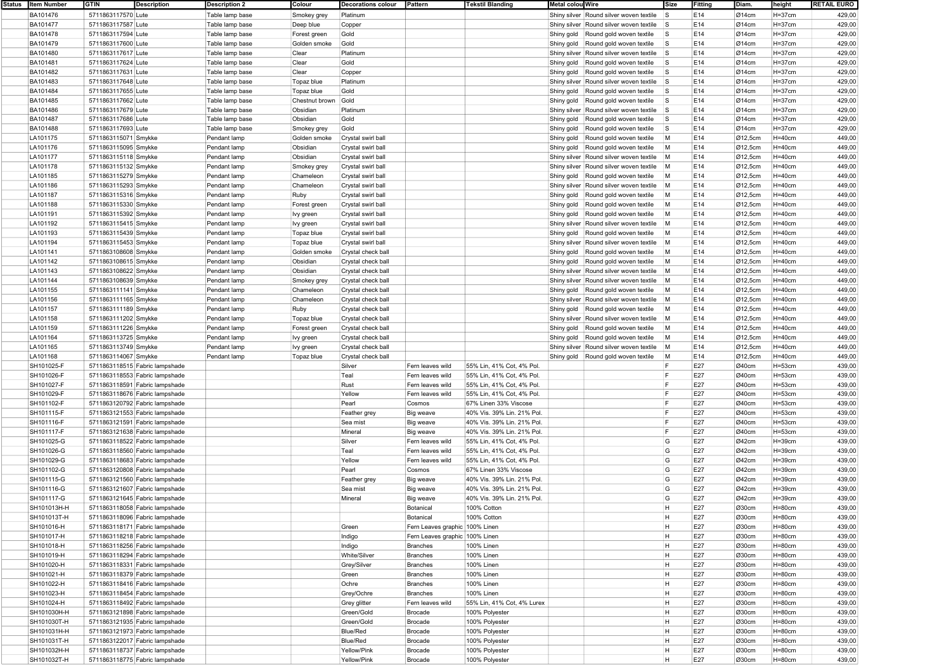| Status   Item Number | <b>GTIN</b>          | Description                    | <b>Description 2</b> | Colour         | Decorations colour | Pattern                        | <b>Tekstil Blanding</b>    | Metal colou Wire |                                         | <b>Size</b>  | Fitting | Diam.                | height     | <b>RETAIL EURO</b> |
|----------------------|----------------------|--------------------------------|----------------------|----------------|--------------------|--------------------------------|----------------------------|------------------|-----------------------------------------|--------------|---------|----------------------|------------|--------------------|
| BA101476             | 5711863117570 Lute   |                                | Table lamp base      | Smokey grey    | Platinum           |                                |                            |                  | Shiny silver Round silver woven textile | <b>S</b>     | E14     | Ø14cm                | $H = 37cm$ | 429,00             |
| BA101477             | 5711863117587 Lute   |                                | Table lamp base      | Deep blue      | Copper             |                                |                            |                  | Shiny silver Round silver woven textile | <b>S</b>     | E14     | Q14cm                | H=37cm     | 429,00             |
|                      |                      |                                |                      |                |                    |                                |                            |                  |                                         |              |         |                      |            |                    |
| BA101478             | 5711863117594 Lute   |                                | Table lamp base      | Forest green   | Gold               |                                |                            |                  | Shiny gold Round gold woven textile     | <b>S</b>     | E14     | Ø14cm                | $H = 37cm$ | 429,00             |
| BA101479             | 5711863117600 Lute   |                                | Table lamp base      | Golden smoke   | Gold               |                                |                            |                  | Shiny gold Round gold woven textile     | ls.          | E14     | $\varnothing$ 14cm   | H=37cm     | 429,00             |
| BA101480             | 5711863117617 Lute   |                                | Table lamp base      | Clear          | Platinum           |                                |                            |                  | Shiny silver Round silver woven textile | $\vert$ S    | E14     | $\varnothing$ 14cm   | $H = 37cm$ | 429,00             |
| BA101481             | 5711863117624 Lute   |                                | Table lamp base      | Clear          | Gold               |                                |                            |                  | Shiny gold Round gold woven textile     | $\mathsf{s}$ | E14     | Ø14cm                | $H = 37cm$ | 429,00             |
| BA101482             | 5711863117631 Lute   |                                | Table lamp base      | Clear          | Copper             |                                |                            |                  | Shiny gold Round gold woven textile     | ls.          | E14     | $\varnothing$ 14cm   | H=37cm     | 429,00             |
| BA101483             | 5711863117648 Lute   |                                | Table lamp base      | Topaz blue     | Platinum           |                                |                            |                  | Shiny silver Round silver woven textile | ls.          | E14     | Ø14cm                | $H = 37cm$ | 429,00             |
|                      |                      |                                |                      |                |                    |                                |                            |                  |                                         |              |         |                      |            |                    |
| BA101484             | 5711863117655 Lute   |                                | Table lamp base      | Topaz blue     | Gold               |                                |                            | Shiny gold       | Round gold woven textile                | ls.          | E14     | $\varnothing$ 14cm   | H=37cm     | 429,00             |
| BA101485             | 5711863117662 Lute   |                                | Table lamp base      | Chestnut brown | Gold               |                                |                            |                  | Shiny gold Round gold woven textile     | ls.          | E14     | Ø14cm                | $H = 37cm$ | 429,00             |
| BA101486             | 5711863117679 Lute   |                                | Table lamp base      | Obsidian       | Platinum           |                                |                            |                  | Shiny silver Round silver woven textile | <b>S</b>     | E14     | Ø14cm                | $H = 37cm$ | 429,00             |
| BA101487             | 5711863117686 Lute   |                                | Table lamp base      | Obsidian       | Gold               |                                |                            | Shiny gold       | Round gold woven textile                | <b>S</b>     | E14     | Ø14cm                | H=37cm     | 429,00             |
| BA101488             | 5711863117693 Lute   |                                | Table lamp base      | Smokey grey    | Gold               |                                |                            | Shiny gold       | Round gold woven textile                | <b>S</b>     | E14     | Ø14cm                | $H = 37cm$ | 429,00             |
| LA101175             | 5711863115071 Smykke |                                | Pendant lamp         | Golden smoke   | Crystal swirl ball |                                |                            | Shiny gold       | Round gold woven textile                | M            | E14     | $\varnothing$ 12,5cm | $H=40cm$   | 449,00             |
|                      |                      |                                |                      |                |                    |                                |                            |                  |                                         |              |         |                      |            |                    |
| LA101176             | 5711863115095 Smykke |                                | Pendant lamp         | Obsidian       | Crystal swirl ball |                                |                            |                  | Shiny gold Round gold woven textile     | M            | E14     | Ø12,5cm              | $H=40cm$   | 449,00             |
| LA101177             | 5711863115118 Smykke |                                | Pendant lamp         | Obsidian       | Crystal swirl ball |                                |                            |                  | Shiny silver Round silver woven textile | M            | E14     | Ø12,5cm              | $H=40cm$   | 449,00             |
| LA101178             | 5711863115132 Smykke |                                | Pendant lamp         | Smokey grey    | Crystal swirl ball |                                |                            |                  | Shiny silver Round silver woven textile | M            | E14     | $\varnothing$ 12,5cm | H=40cm     | 449,00             |
| LA101185             | 5711863115279 Smykke |                                | Pendant lamp         | Chameleon      | Crystal swirl ball |                                |                            |                  | Shiny gold Round gold woven textile     | M            | E14     | Ø12,5cm              | $H=40cm$   | 449,00             |
| LA101186             | 5711863115293 Smykke |                                | Pendant lamp         | Chameleon      | Crystal swirl ball |                                |                            |                  | Shiny silver Round silver woven textile | M            | E14     | Ø12,5cm              | H=40cm     | 449,00             |
|                      |                      |                                |                      |                |                    |                                |                            |                  |                                         |              |         |                      |            |                    |
| LA101187             | 5711863115316 Smykke |                                | Pendant lamp         | Ruby           | Crystal swirl ball |                                |                            | Shiny gold       | Round gold woven textile                | M            | E14     | Ø12,5cm              | $H=40cm$   | 449,00             |
| LA101188             | 5711863115330 Smykke |                                | Pendant lamp         | Forest green   | Crystal swirl ball |                                |                            |                  | Shiny gold   Round gold woven textile   | M            | E14     | Ø12,5cm              | $H=40cm$   | 449,00             |
| LA101191             | 5711863115392 Smykke |                                | Pendant lamp         | Ivy green      | Crystal swirl ball |                                |                            |                  | Shiny gold Round gold woven textile     | M            | E14     | Ø12,5cm              | H=40cm     | 449,00             |
| LA101192             | 5711863115415 Smykke |                                | Pendant lamp         | Ivy green      | Crystal swirl ball |                                |                            |                  | Shiny silver Round silver woven textile | M            | E14     | Ø12,5cm              | $H=40cm$   | 449,00             |
| LA101193             | 5711863115439 Smykke |                                | Pendant lamp         | Topaz blue     | Crystal swirl ball |                                |                            | Shiny gold       | Round gold woven textile                | M            | E14     | Ø12,5cm              | H=40cm     | 449,00             |
| LA101194             | 5711863115453 Smykke |                                | Pendant lamp         | Topaz blue     | Crystal swirl ball |                                |                            |                  | Shiny silver Round silver woven textile | M            | E14     | Ø12,5cm              | $H=40cm$   | 449,00             |
|                      |                      |                                |                      |                |                    |                                |                            |                  |                                         |              |         |                      |            |                    |
| LA101141             | 5711863108608 Smykke |                                | Pendant lamp         | Golden smoke   | Crystal check ball |                                |                            |                  | Shiny gold Round gold woven textile     | M            | E14     | Ø12,5cm              | $H=40cm$   | 449,00             |
| LA101142             | 5711863108615 Smykke |                                | Pendant lamp         | Obsidian       | Crystal check ball |                                |                            |                  | Shiny gold Round gold woven textile     | M            | E14     | $\varnothing$ 12,5cm | H=40cm     | 449,00             |
| LA101143             | 5711863108622 Smykke |                                | Pendant lamp         | Obsidian       | Crystal check ball |                                |                            |                  | Shiny silver Round silver woven textile | M            | E14     | Ø12,5cm              | $H=40cm$   | 449,00             |
| LA101144             | 5711863108639 Smykke |                                | Pendant lamp         | Smokey grey    | Crystal check ball |                                |                            |                  | Shiny silver Round silver woven textile | M            | E14     | Ø12,5cm              | H=40cm     | 449,00             |
| LA101155             | 5711863111141 Smykke |                                | Pendant lamp         | Chameleon      | Crystal check ball |                                |                            |                  | Shiny gold Round gold woven textile     | M            | E14     | Ø12,5cm              | $H=40cm$   | 449,00             |
| LA101156             | 5711863111165 Smykke |                                | Pendant lamp         | Chameleon      | Crystal check ball |                                |                            |                  | Shiny silver Round silver woven textile | M            | E14     | Ø12,5cm              | $H=40cm$   | 449,00             |
|                      |                      |                                |                      |                |                    |                                |                            |                  |                                         |              |         |                      |            |                    |
| LA101157             | 5711863111189 Smykke |                                | Pendant lamp         | Ruby           | Crystal check ball |                                |                            |                  | Shiny gold Round gold woven textile     | M            | E14     | $\varnothing$ 12,5cm | H=40cm     | 449,00             |
| LA101158             | 5711863111202 Smykke |                                | Pendant lamp         | Topaz blue     | Crystal check ball |                                |                            |                  | Shiny silver Round silver woven textile | M            | E14     | Ø12,5cm              | $H=40cm$   | 449,00             |
| LA101159             | 5711863111226 Smykke |                                | Pendant lamp         | Forest green   | Crystal check ball |                                |                            | Shiny gold       | Round gold woven textile                | M            | E14     | $\varnothing$ 12,5cm | H=40cm     | 449,00             |
| LA101164             | 5711863113725 Smykke |                                | Pendant lamp         | Ivy green      | Crystal check ball |                                |                            |                  | Shiny gold Round gold woven textile     | M            | E14     | Ø12,5cm              | $H=40cm$   | 449,00             |
| LA101165             | 5711863113749 Smykke |                                | Pendant lamp         | Ivy green      | Crystal check ball |                                |                            |                  | Shiny silver Round silver woven textile | M            | E14     | Ø12,5cm              | $H=40cm$   | 449,00             |
| LA101168             |                      |                                |                      |                |                    |                                |                            |                  |                                         | M            | E14     |                      |            |                    |
|                      | 5711863114067 Smykke |                                | Pendant lamp         | Topaz blue     | Crystal check ball |                                |                            |                  | Shiny gold Round gold woven textile     |              |         | $\varnothing$ 12,5cm | H=40cm     | 449,00             |
| SH101025-F           |                      | 5711863118515 Fabric lampshade |                      |                | Silver             | Fern leaves wild               | 55% Lin, 41% Cot, 4% Pol.  |                  |                                         | F            | E27     | Ø40cm                | $H = 53cm$ | 439,00             |
| SH101026-F           |                      | 5711863118553 Fabric lampshade |                      |                | Teal               | Fern leaves wild               | 55% Lin, 41% Cot, 4% Pol.  |                  |                                         | F            | E27     | Ø40cm                | $H = 53cm$ | 439,00             |
| SH101027-F           |                      | 5711863118591 Fabric lampshade |                      |                | Rust               | Fern leaves wild               | 55% Lin, 41% Cot, 4% Pol.  |                  |                                         | E            | E27     | Ø40cm                | $H = 53cm$ | 439,00             |
| SH101029-F           |                      | 5711863118676 Fabric lampshade |                      |                | Yellow             | Fern leaves wild               | 55% Lin, 41% Cot, 4% Pol.  |                  |                                         | F            | E27     | Ø40cm                | $H = 53cm$ | 439,00             |
| SH101102-F           |                      | 5711863120792 Fabric lampshade |                      |                | Pearl              | Cosmos                         | 67% Linen 33% Viscose      |                  |                                         | F            | E27     | Ø40cm                | $H = 53cm$ | 439,00             |
| SH101115-F           |                      | 5711863121553 Fabric lampshade |                      |                |                    |                                | 40% Vis. 39% Lin. 21% Pol. |                  |                                         | E            | E27     | Ø40cm                | H=53cm     | 439,00             |
|                      |                      |                                |                      |                | Feather grey       | Big weave                      |                            |                  |                                         |              |         |                      |            |                    |
| SH101116-F           |                      | 5711863121591 Fabric lampshade |                      |                | Sea mist           | Big weave                      | 40% Vis. 39% Lin. 21% Pol. |                  |                                         | F            | E27     | Ø40cm                | $H = 53cm$ | 439,00             |
| SH101117-F           |                      | 5711863121638 Fabric lampshade |                      |                | Mineral            | Big weave                      | 40% Vis. 39% Lin. 21% Pol. |                  |                                         | E            | E27     | Ø40cm                | $H = 53cm$ | 439,00             |
| SH101025-G           |                      | 5711863118522 Fabric lampshade |                      |                | Silver             | Fern leaves wild               | 55% Lin, 41% Cot, 4% Pol.  |                  |                                         | G            | E27     | Ø42cm                | $H = 39cm$ | 439,00             |
| SH101026-G           |                      | 5711863118560 Fabric lampshade |                      |                | Teal               | Fern leaves wild               | 55% Lin, 41% Cot, 4% Pol.  |                  |                                         | G            | E27     | Ø42cm                | H=39cm     | 439,00             |
| SH101029-G           |                      | 5711863118683 Fabric lampshade |                      |                | Yellow             | Fern leaves wild               | 55% Lin, 41% Cot, 4% Pol.  |                  |                                         | G            | E27     | Ø42cm                | $H = 39cm$ | 439,00             |
| SH101102-G           |                      | 5711863120808 Fabric lampshade |                      |                | Pearl              | Cosmos                         | 67% Linen 33% Viscose      |                  |                                         | G            | E27     | Ø42cm                | H=39cm     | 439,00             |
|                      |                      |                                |                      |                |                    |                                | 40% Vis. 39% Lin. 21% Pol. |                  |                                         | G            |         |                      |            |                    |
| SH101115-G           |                      | 5711863121560 Fabric lampshade |                      |                | Feather grey       | Big weave                      |                            |                  |                                         |              | E27     | Ø42cm                | $H = 39cm$ | 439,00             |
| SH101116-G           |                      | 5711863121607 Fabric lampshade |                      |                | Sea mist           | Big weave                      | 40% Vis. 39% Lin. 21% Pol. |                  |                                         | G            | E27     | Ø42cm                | $H = 39cm$ | 439,00             |
| SH101117-G           |                      | 5711863121645 Fabric lampshade |                      |                | Mineral            | Big weave                      | 40% Vis. 39% Lin. 21% Pol. |                  |                                         | G            | E27     | Ø42cm                | $H = 39cm$ | 439,00             |
| SH101013H-H          |                      | 5711863118058 Fabric lampshade |                      |                |                    | Botanical                      | 100% Cotton                |                  |                                         | H            | E27     | Ø30cm                | $H=80cm$   | 439,00             |
| SH101013T-H          |                      | 5711863118096 Fabric lampshade |                      |                |                    | Botanical                      | 100% Cotton                |                  |                                         | H.           | E27     | Ø30cm                | $H = 80cm$ | 439,00             |
| SH101016-H           |                      | 5711863118171 Fabric lampshade |                      |                | Green              | Fern Leaves graphic 100% Linen |                            |                  |                                         | H            | E27     | Ø30cm                | $H=80cm$   | 439,00             |
|                      |                      |                                |                      |                |                    | Fern Leaves graphic 100% Linen |                            |                  |                                         |              |         |                      |            |                    |
| SH101017-H           |                      | 5711863118218 Fabric lampshade |                      |                | Indigo             |                                |                            |                  |                                         | H            | E27     | Ø30cm                | $H=80cm$   | 439,00             |
| SH101018-H           |                      | 5711863118256 Fabric lampshade |                      |                | Indigo             | Branches                       | 100% Linen                 |                  |                                         | H            | E27     | Ø30cm                | $H = 80cm$ | 439,00             |
| SH101019-H           |                      | 5711863118294 Fabric lampshade |                      |                | White/Silver       | Branches                       | 100% Linen                 |                  |                                         | H            | E27     | Ø30cm                | $H = 80cm$ | 439,00             |
| SH101020-H           |                      | 5711863118331 Fabric lampshade |                      |                | Grey/Silver        | Branches                       | 100% Linen                 |                  |                                         | H            | E27     | Ø30cm                | H=80cm     | 439,00             |
| SH101021-H           |                      | 5711863118379 Fabric lampshade |                      |                | Green              | Branches                       | 100% Linen                 |                  |                                         | H            | E27     | Ø30cm                | $H=80cm$   | 439,00             |
| SH101022-H           |                      | 5711863118416 Fabric lampshade |                      |                | Ochre              | Branches                       | 100% Linen                 |                  |                                         | H            | E27     | Ø30cm                | $H = 80cm$ | 439,00             |
|                      |                      |                                |                      |                |                    |                                |                            |                  |                                         | H.           |         |                      |            |                    |
| SH101023-H           |                      | 5711863118454 Fabric lampshade |                      |                | Grey/Ochre         | Branches                       | 100% Linen                 |                  |                                         |              | E27     | Ø30cm                | $H = 80cm$ | 439,00             |
| SH101024-H           |                      | 5711863118492 Fabric lampshade |                      |                | Grey glitter       | Fern leaves wild               | 55% Lin, 41% Cot, 4% Lurex |                  |                                         | H            | E27     | Ø30cm                | $H = 80cm$ | 439,00             |
| SH101030H-H          |                      | 5711863121898 Fabric lampshade |                      |                | Green/Gold         | Brocade                        | 100% Polyester             |                  |                                         | H            | E27     | Ø30cm                | H=80cm     | 439,00             |
| SH101030T-H          |                      | 5711863121935 Fabric lampshade |                      |                | Green/Gold         | Brocade                        | 100% Polyester             |                  |                                         | H            | E27     | Ø30cm                | $H=80cm$   | 439,00             |
| SH101031H-H          |                      | 5711863121973 Fabric lampshade |                      |                | Blue/Red           | Brocade                        | 100% Polyester             |                  |                                         | H            | E27     | Ø30cm                | $H=80cm$   | 439,00             |
| SH101031T-H          |                      | 5711863122017 Fabric lampshade |                      |                | Blue/Red           | Brocade                        | 100% Polyester             |                  |                                         | H.           | E27     | Ø30cm                | $H = 80cm$ | 439,00             |
| SH101032H-H          |                      | 5711863118737 Fabric lampshade |                      |                | Yellow/Pink        | Brocade                        | 100% Polyester             |                  |                                         | H            | E27     | Ø30cm                | $H = 80cm$ | 439,00             |
|                      |                      |                                |                      |                |                    |                                |                            |                  |                                         |              |         |                      |            |                    |
| SH101032T-H          |                      | 5711863118775 Fabric lampshade |                      |                | Yellow/Pink        | Brocade                        | 100% Polyester             |                  |                                         | H.           | E27     | Ø30cm                | $H = 80cm$ | 439,00             |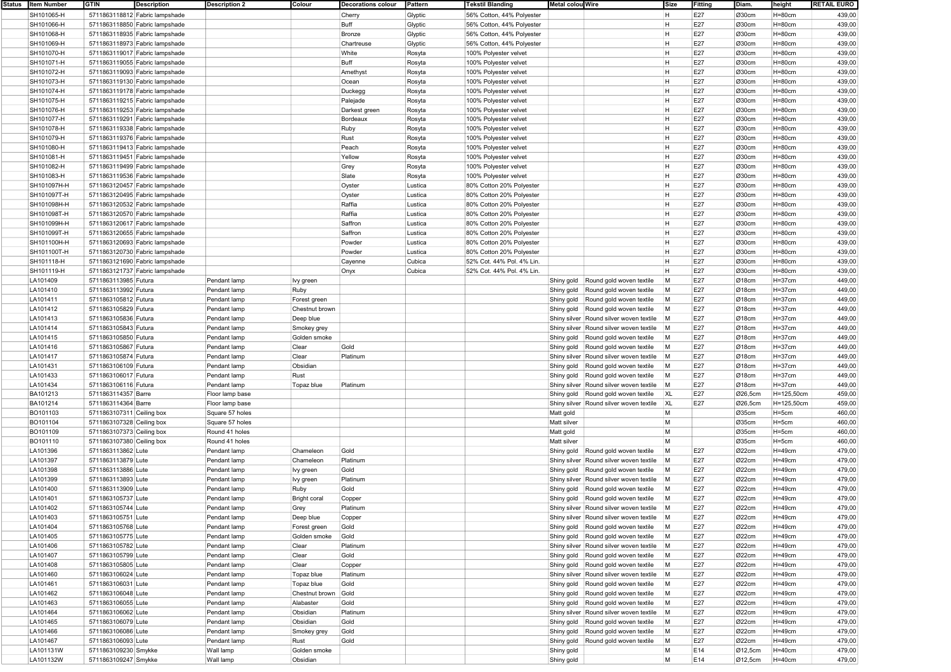| Status | <b>Item Number</b>   | GTIN                                     | <b>Description</b>             | <b>Description 2</b> | Colour              | <b>Decorations colour</b> | Pattern | <b>Tekstil Blanding</b>   | <b>Metal colou Wire</b> |                                           | Size      | Fitting    | Diam.   | height      | <b>RETAIL EURO</b> |
|--------|----------------------|------------------------------------------|--------------------------------|----------------------|---------------------|---------------------------|---------|---------------------------|-------------------------|-------------------------------------------|-----------|------------|---------|-------------|--------------------|
|        | SH101065-H           |                                          | 5711863118812 Fabric lampshade |                      |                     | Cherry                    | Glyptic | 56% Cotton, 44% Polyester |                         |                                           | H         | E27        | Ø30cm   | $H = 80cm$  | 439,00             |
|        | SH101066-H           |                                          | 5711863118850 Fabric lampshade |                      |                     | Buff                      | Glyptic | 56% Cotton, 44% Polyester |                         |                                           | H.        | E27        | Ø30cm   | $H = 80cm$  | 439,00             |
|        | SH101068-H           |                                          | 5711863118935 Fabric lampshade |                      |                     | Bronze                    | Glyptic | 56% Cotton, 44% Polyester |                         |                                           | H         | E27        | Ø30cm   | $H=80cm$    | 439,00             |
|        | SH101069-H           |                                          | 5711863118973 Fabric lampshade |                      |                     | Chartreuse                | Glyptic | 56% Cotton, 44% Polyester |                         |                                           | H         | E27        | Ø30cm   | $H = 80cm$  | 439,00             |
|        | SH101070-H           |                                          | 5711863119017 Fabric lampshade |                      |                     | White                     | Rosyta  | 100% Polyester velvet     |                         |                                           | H         | E27        | Ø30cm   | $H = 80cm$  | 439,00             |
|        | SH101071-H           |                                          | 5711863119055 Fabric lampshade |                      |                     | Buff                      | Rosyta  | 100% Polyester velvet     |                         |                                           | H         | E27        | Ø30cm   | $H = 80cm$  | 439,00             |
|        | SH101072-H           |                                          | 5711863119093 Fabric lampshade |                      |                     | Amethyst                  | Rosyta  | 100% Polyester velvet     |                         |                                           | H         | E27        | Ø30cm   | $H = 80cm$  | 439,00             |
|        | SH101073-H           |                                          | 5711863119130 Fabric lampshade |                      |                     | Ocean                     | Rosyta  | 100% Polyester velvet     |                         |                                           | H         | E27        | Ø30cm   | $H = 80cm$  | 439,00             |
|        | SH101074-H           |                                          | 5711863119178 Fabric lampshade |                      |                     | Duckegg                   | Rosyta  | 100% Polyester velvet     |                         |                                           | H         | E27        | Ø30cm   | $H=80cm$    | 439,00             |
|        | SH101075-H           |                                          | 5711863119215 Fabric lampshade |                      |                     | Palejade                  | Rosyta  | 100% Polyester velvet     |                         |                                           | H         | E27        | Ø30cm   | $H = 80cm$  | 439,00             |
|        | SH101076-H           |                                          | 5711863119253 Fabric lampshade |                      |                     | Darkest green             | Rosyta  | 100% Polyester velvet     |                         |                                           | H         | E27        | Ø30cm   | $H = 80cm$  | 439,00             |
|        | SH101077-H           |                                          | 5711863119291 Fabric lampshade |                      |                     | Bordeaux                  | Rosyta  | 100% Polyester velvet     |                         |                                           | H         | E27        | Ø30cm   | $H = 80cm$  | 439,00             |
|        | SH101078-H           |                                          | 5711863119338 Fabric lampshade |                      |                     | Ruby                      | Rosyta  | 100% Polyester velvet     |                         |                                           | H         | E27        | Ø30cm   | $H = 80cm$  | 439,00             |
|        | SH101079-H           |                                          | 5711863119376 Fabric lampshade |                      |                     | Rust                      |         | 100% Polyester velvet     |                         |                                           | H         | E27        | Ø30cm   | $H = 80cm$  | 439,00             |
|        |                      |                                          |                                |                      |                     |                           | Rosyta  |                           |                         |                                           | н         |            |         |             |                    |
|        | SH101080-H           |                                          | 5711863119413 Fabric lampshade |                      |                     | Peach                     | Rosyta  | 100% Polyester velvet     |                         |                                           | H         | E27<br>E27 | Ø30cm   | $H = 80cm$  | 439,00             |
|        | SH101081-H           |                                          | 5711863119451 Fabric lampshade |                      |                     | Yellow                    | Rosyta  | 100% Polyester velvet     |                         |                                           | H         |            | Ø30cm   | $H = 80cm$  | 439,00             |
|        | SH101082-H           |                                          | 5711863119499 Fabric lampshade |                      |                     | Grey                      | Rosyta  | 100% Polyester velvet     |                         |                                           |           | E27        | Ø30cm   | $H = 80cm$  | 439,00             |
|        | SH101083-H           |                                          | 5711863119536 Fabric lampshade |                      |                     | Slate                     | Rosyta  | 100% Polyester velvet     |                         |                                           | H         | E27        | Ø30cm   | $H = 80cm$  | 439,00             |
|        | SH101097H-H          |                                          | 5711863120457 Fabric lampshade |                      |                     | Oyster                    | Lustica | 80% Cotton 20% Polyester  |                         |                                           | H         | E27        | Ø30cm   | $H = 80cm$  | 439,00             |
|        | SH101097T-H          |                                          | 5711863120495 Fabric lampshade |                      |                     | Oyster                    | Lustica | 80% Cotton 20% Polyester  |                         |                                           | H         | E27        | Ø30cm   | $H = 80cm$  | 439,00             |
|        | SH101098H-H          |                                          | 5711863120532 Fabric lampshade |                      |                     | Raffia                    | Lustica | 80% Cotton 20% Polyester  |                         |                                           | H         | E27        | Ø30cm   | $H = 80cm$  | 439,00             |
|        | SH101098T-H          |                                          | 5711863120570 Fabric lampshade |                      |                     | Raffia                    | Lustica | 80% Cotton 20% Polyester  |                         |                                           | H         | E27        | Ø30cm   | $H = 80cm$  | 439,00             |
|        | SH101099H-H          |                                          | 5711863120617 Fabric lampshade |                      |                     | Saffron                   | Lustica | 80% Cotton 20% Polyester  |                         |                                           | H         | E27        | Ø30cm   | $H = 80cm$  | 439,00             |
|        | SH101099T-H          |                                          | 5711863120655 Fabric lampshade |                      |                     | Saffron                   | Lustica | 80% Cotton 20% Polyester  |                         |                                           | H         | E27        | Ø30cm   | $H=80cm$    | 439,00             |
|        | SH101100H-H          |                                          | 5711863120693 Fabric lampshade |                      |                     | Powder                    | Lustica | 80% Cotton 20% Polyester  |                         |                                           | н         | E27        | Ø30cm   | $H = 80cm$  | 439,00             |
|        | SH101100T-H          |                                          | 5711863120730 Fabric lampshade |                      |                     | Powder                    | Lustica | 80% Cotton 20% Polyester  |                         |                                           | H         | E27        | Ø30cm   | $H = 80cm$  | 439,00             |
|        | SH101118-H           |                                          | 5711863121690 Fabric lampshade |                      |                     | Cayenne                   | Cubica  | 52% Cot. 44% Pol. 4% Lin. |                         |                                           | H         | E27        | Ø30cm   | $H = 80cm$  | 439,00             |
|        | SH101119-H           |                                          | 5711863121737 Fabric lampshade |                      |                     | Onyx                      | Cubica  | 52% Cot. 44% Pol. 4% Lin. |                         |                                           | <b>H</b>  | E27        | Ø30cm   | $H = 80cm$  | 439,00             |
|        | LA101409             | 5711863113985 Futura                     |                                | Pendant lamp         | Ivy green           |                           |         |                           | Shiny gold              | Round gold woven textile                  | M         | E27        | Ø18cm   | $H = 37cm$  | 449,00             |
|        | LA101410             | 5711863113992 Futura                     |                                | Pendant lamp         | Ruby                |                           |         |                           | Shiny gold              | Round gold woven textile                  | M         | E27        | Ø18cm   | $H = 37cm$  | 449,00             |
|        | LA101411             | 5711863105812 Futura                     |                                | Pendant lamp         | Forest green        |                           |         |                           | Shiny gold              | Round gold woven textile                  | M         | E27        | Ø18cm   | $H = 37cm$  | 449,00             |
|        | LA101412             | 5711863105829 Futura                     |                                | Pendant lamp         | Chestnut brown      |                           |         |                           | Shiny gold              | Round gold woven textile                  | M         | E27        | Ø18cm   | $H = 37cm$  | 449,00             |
|        | LA101413             | 5711863105836 Futura                     |                                | Pendant lamp         | Deep blue           |                           |         |                           |                         | Shiny silver Round silver woven textile   | M         | E27        | Ø18cm   | $H = 37cm$  | 449,00             |
|        | LA101414             | 5711863105843 Futura                     |                                | Pendant lamp         | Smokey grey         |                           |         |                           |                         | Shiny silver Round silver woven textile   | M         | E27        | Ø18cm   | $H = 37cm$  | 449,00             |
|        | LA101415             | 5711863105850 Futura                     |                                | Pendant lamp         | Golden smoke        |                           |         |                           | Shiny gold              | Round gold woven textile                  | M         | E27        | Ø18cm   | $H = 37$ cm | 449,00             |
|        | LA101416             | 5711863105867 Futura                     |                                | Pendant lamp         | Clear               | Gold                      |         |                           | Shiny gold              | Round gold woven textile                  | M         | E27        | Ø18cm   | H=37cm      | 449,00             |
|        |                      |                                          |                                |                      | Clear               | Platinum                  |         |                           |                         |                                           | M         | E27        | Ø18cm   |             | 449,00             |
|        | LA101417             | 5711863105874 Futura                     |                                | Pendant lamp         |                     |                           |         |                           |                         | Shiny silver Round silver woven textile   |           | E27        |         | $H = 37cm$  |                    |
|        | LA101431             | 5711863106109 Futura                     |                                | Pendant lamp         | Obsidian            |                           |         |                           | Shiny gold              | Round gold woven textile                  | M         |            | Ø18cm   | $H = 37cm$  | 449,00             |
|        | LA101433             | 5711863106017 Futura                     |                                | Pendant lamp         | Rust                |                           |         |                           | Shiny gold              | Round gold woven textile                  | M         | E27        | Ø18cm   | $H = 37cm$  | 449,00             |
|        | LA101434             | 5711863106116 Futura                     |                                | Pendant lamp         | Topaz blue          | Platinum                  |         |                           |                         | Shiny silver Round silver woven textile   | M         | E27        | Ø18cm   | $H = 37cm$  | 449,00             |
|        | BA101213             | 5711863114357 Barre                      |                                | Floor lamp base      |                     |                           |         |                           | Shiny gold              | Round gold woven textile                  | <b>XL</b> | E27        | Ø26,5cm | H=125,50cm  | 459,00             |
|        | BA101214             | 5711863114364 Barre                      |                                | Floor lamp base      |                     |                           |         |                           |                         | Shiny silver Round silver woven textile   | <b>XL</b> | E27        | Ø26,5cm | H=125,50cm  | 459,00             |
|        | BO101103             | 5711863107311 Ceiling box                |                                | Square 57 holes      |                     |                           |         |                           | Matt gold               |                                           | M         |            | Ø35cm   | $H = 5cm$   | 460,00             |
|        | BO101104             | 5711863107328 Ceiling box                |                                | Square 57 holes      |                     |                           |         |                           | Matt silver             |                                           | M         |            | Ø35cm   | H=5cm       | 460,00             |
|        | BO101109             | 5711863107373 Ceiling box                |                                | Round 41 holes       |                     |                           |         |                           | Matt gold               |                                           | M         |            | Ø35cm   | H=5cm       | 460,00             |
|        | BO101110             | 5711863107380 Ceiling box                |                                | Round 41 holes       |                     |                           |         |                           | Matt silver             |                                           | M         |            | Ø35cm   | H=5cm       | 460,00             |
|        | LA101396             | 5711863113862 Lute                       |                                | Pendant lamp         | Chameleon           | Gold                      |         |                           | Shiny gold              | Round gold woven textile                  | M         | E27        | Ø22cm   | $H = 49cm$  | 479,00             |
|        | LA101397             | 5711863113879 Lute                       |                                | Pendant lamp         | Chameleon           | Platinum                  |         |                           |                         | Shiny silver Round silver woven textile   | M         | E27        | Ø22cm   | $H=49cm$    | 479,00             |
|        | LA101398             | 5711863113886 Lute                       |                                | Pendant lamp         | Ivy green           | Gold                      |         |                           | Shiny gold              | Round gold woven textile                  | M         | E27        | Ø22cm   | $H=49cm$    | 479,00             |
|        | LA101399             | 5711863113893 Lute                       |                                | Pendant lamp         | Ivy green           | Platinum                  |         |                           |                         | Shiny silver Round silver woven textile   | M         | E27        | Ø22cm   | $H = 49cm$  | 479,00             |
|        | LA101400             | 5711863113909 Lute                       |                                | Pendant lamp         | Ruby                | Gold                      |         |                           | Shiny gold              | Round gold woven textile                  | M         | E27        | Ø22cm   | $H = 49cm$  | 479,00             |
|        | LA101401             | 5711863105737 Lute                       |                                | Pendant lamp         | <b>Bright coral</b> | Copper                    |         |                           |                         | Shiny gold Round gold woven textile       | M         | E27        | Ø22cm   | $H = 49cm$  | 479,00             |
|        | LA101402             | 5711863105744 Lute                       |                                | Pendant lamp         | Grey                | Platinum                  |         |                           |                         | Shiny silver Round silver woven textile   | M         | E27        | Ø22cm   | $H = 49cm$  | 479,00             |
|        | LA101403             | 5711863105751 Lute                       |                                | Pendant lamp         | Deep blue           | Copper                    |         |                           |                         | Shiny silver Round silver woven textile M |           | E27        | Ø22cm   | $H=49cm$    | 479,00             |
|        | LA101404             | 5711863105768 Lute                       |                                | Pendant lamp         | Forest green        | Gold                      |         |                           |                         | Shiny gold Round gold woven textile       | M         | E27        | Ø22cm   | $H = 49cm$  | 479,00             |
|        | LA101405             | 5711863105775 Lute                       |                                | Pendant lamp         | Golden smoke        | Gold                      |         |                           |                         | Shiny gold Round gold woven textile       | M         | E27        | Ø22cm   | $H = 49cm$  | 479,00             |
|        | LA101406             | 5711863105782 Lute                       |                                | Pendant lamp         | Clear               | Platinum                  |         |                           |                         | Shiny silver Round silver woven textile   | M         | E27        | Ø22cm   | $H = 49cm$  | 479,00             |
|        | LA101407             | 5711863105799 Lute                       |                                | Pendant lamp         | Clear               | Gold                      |         |                           |                         | Shiny gold   Round gold woven textile     | M         | E27        | Ø22cm   | $H = 49cm$  | 479,00             |
|        |                      |                                          |                                |                      |                     |                           |         |                           |                         |                                           | M         | E27        |         |             |                    |
|        | LA101408<br>LA101460 | 5711863105805 Lute<br>5711863106024 Lute |                                | Pendant lamp         | Clear               | Copper<br>Platinum        |         |                           |                         | Shiny gold Round gold woven textile       | M         | E27        | Ø22cm   | $H = 49cm$  | 479,00             |
|        |                      | 5711863106031 Lute                       |                                | Pendant lamp         | Topaz blue          |                           |         |                           |                         | Shiny silver Round silver woven textile   |           | E27        | Ø22cm   | $H=49cm$    | 479,00             |
|        | LA101461             |                                          |                                | Pendant lamp         | Topaz blue          | Gold                      |         |                           |                         | Shiny gold Round gold woven textile       | M         |            | Ø22cm   | $H = 49cm$  | 479,00             |
|        | LA101462             | 5711863106048 Lute                       |                                | Pendant lamp         | Chestnut brown      | Gold                      |         |                           | Shiny gold              | Round gold woven textile                  | M         | E27        | Ø22cm   | $H = 49cm$  | 479,00             |
|        | LA101463             | 5711863106055 Lute                       |                                | Pendant lamp         | Alabaster           | Gold                      |         |                           |                         | Shiny gold   Round gold woven textile     | M         | E27        | Ø22cm   | $H = 49cm$  | 479,00             |
|        | LA101464             | 5711863106062 Lute                       |                                | Pendant lamp         | Obsidian            | Platinum                  |         |                           |                         | Shiny silver Round silver woven textile   | M         | E27        | Ø22cm   | $H = 49cm$  | 479,00             |
|        | LA101465             | 5711863106079 Lute                       |                                | Pendant lamp         | Obsidian            | Gold                      |         |                           | Shiny gold              | Round gold woven textile                  | M         | E27        | Ø22cm   | $H = 49cm$  | 479,00             |
|        | LA101466             | 5711863106086 Lute                       |                                | Pendant lamp         | Smokey grey         | Gold                      |         |                           | Shiny gold              | Round gold woven textile                  | M         | E27        | Ø22cm   | $H = 49cm$  | 479,00             |
|        | LA101467             | 5711863106093 Lute                       |                                | Pendant lamp         | Rust                | Gold                      |         |                           | Shiny gold              | Round gold woven textile                  | M         | E27        | Ø22cm   | $H = 49cm$  | 479,00             |
|        | LA101131W            | 5711863109230 Smykke                     |                                | Wall lamp            | Golden smoke        |                           |         |                           | Shiny gold              |                                           | M         | E14        | Ø12,5cm | $H=40cm$    | 479,00             |
|        | LA101132W            | 5711863109247 Smykke                     |                                | Wall lamp            | Obsidian            |                           |         |                           | Shiny gold              |                                           | M         | E14        | Ø12,5cm | $H=40cm$    | 479,00             |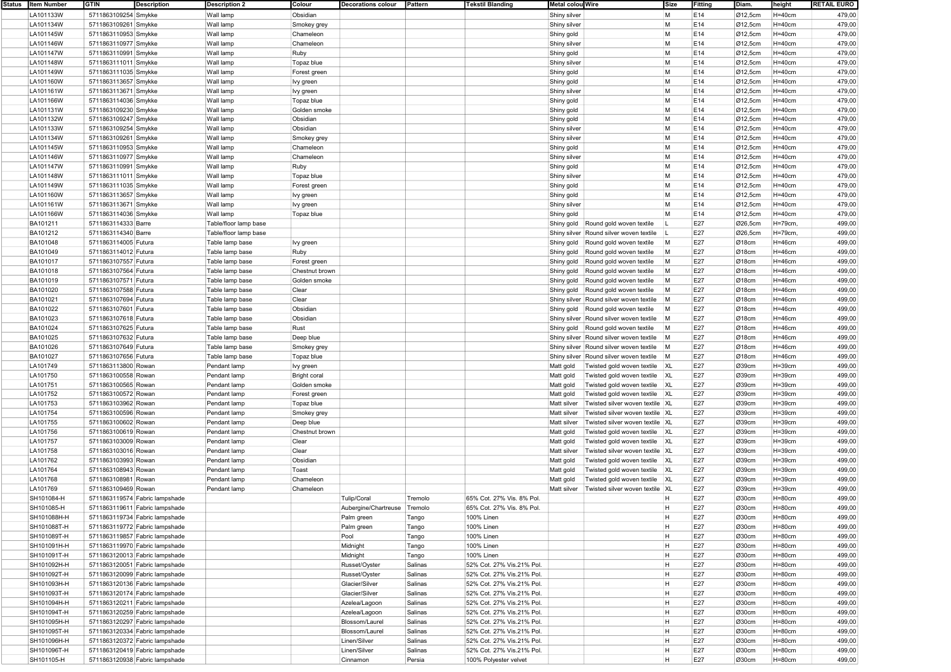| Status   Item Number | <b>GTIN</b>          | Description                    | <b>Description 2</b>  | Colour              | <b>Decorations colour</b> | Pattern | <b>Tekstil Blanding</b>   | Metal colou Wire |                                         | Size           | Fitting | Diam.                | height     | <b>RETAIL EURO</b> |
|----------------------|----------------------|--------------------------------|-----------------------|---------------------|---------------------------|---------|---------------------------|------------------|-----------------------------------------|----------------|---------|----------------------|------------|--------------------|
| LA101133W            | 5711863109254 Smykke |                                | Wall lamp             | Obsidian            |                           |         |                           | Shiny silver     |                                         | M              | E14     | Ø12,5cm              | $H=40cm$   | 479,00             |
| LA101134W            | 5711863109261 Smykke |                                | Wall lamp             | Smokey grey         |                           |         |                           | Shiny silver     |                                         | M              | E14     | $\varnothing$ 12,5cm | $H = 40cm$ | 479,00             |
| LA101145W            | 5711863110953 Smykke |                                | Wall lamp             | Chameleon           |                           |         |                           | Shiny gold       |                                         | M              | E14     | Ø12,5cm              | $H=40cm$   | 479,00             |
| LA101146W            | 5711863110977 Smykke |                                | Wall lamp             | Chameleon           |                           |         |                           | Shiny silver     |                                         | M              | E14     | Ø12,5cm              | $H=40cm$   | 479,00             |
|                      |                      |                                |                       |                     |                           |         |                           |                  |                                         |                |         |                      |            |                    |
| LA101147W            | 5711863110991 Smykke |                                | Wall lamp             | Ruby                |                           |         |                           | Shiny gold       |                                         | M              | E14     | Ø12,5cm              | $H=40cm$   | 479,00             |
| LA101148W            | 5711863111011 Smykke |                                | Wall lamp             | Topaz blue          |                           |         |                           | Shiny silver     |                                         | M              | E14     | Ø12,5cm              | $H=40cm$   | 479,00             |
| LA101149W            | 5711863111035 Smykke |                                | Wall lamp             | Forest green        |                           |         |                           | Shiny gold       |                                         | M              | E14     | Ø12,5cm              | $H = 40cm$ | 479,00             |
| LA101160W            | 5711863113657 Smykke |                                | Wall lamp             | Ivy green           |                           |         |                           | Shiny gold       |                                         | M              | E14     | Ø12,5cm              | $H=40cm$   | 479,00             |
| LA101161W            | 5711863113671 Smykke |                                | Wall lamp             | lvy green           |                           |         |                           | Shiny silver     |                                         | M              | E14     | Ø12,5cm              | $H=40cm$   | 479,00             |
| LA101166W            | 5711863114036 Smykke |                                | Wall lamp             | Topaz blue          |                           |         |                           | Shiny gold       |                                         | M              | E14     | Ø12,5cm              | $H=40cm$   | 479,00             |
| LA101131W            | 5711863109230 Smykke |                                | Wall lamp             | Golden smoke        |                           |         |                           | Shiny gold       |                                         | М              | E14     | Ø12,5cm              | $H=40cm$   | 479,00             |
| LA101132W            |                      |                                | Wall lamp             | Obsidian            |                           |         |                           |                  |                                         | M              | E14     |                      | $H = 40cm$ | 479,00             |
|                      | 5711863109247 Smykke |                                |                       |                     |                           |         |                           | Shiny gold       |                                         |                |         | $\varnothing$ 12,5cm |            |                    |
| LA101133W            | 5711863109254 Smykke |                                | Wall lamp             | Obsidian            |                           |         |                           | Shiny silver     |                                         | M              | E14     | Ø12,5cm              | $H=40cm$   | 479,00             |
| LA101134W            | 5711863109261 Smykke |                                | Wall lamp             | Smokey grey         |                           |         |                           | Shiny silver     |                                         | M              | E14     | Ø12,5cm              | $H=40cm$   | 479,00             |
| LA101145W            | 5711863110953 Smykke |                                | Wall lamp             | Chameleon           |                           |         |                           | Shiny gold       |                                         | M              | E14     | Ø12,5cm              | $H = 40cm$ | 479,00             |
| LA101146W            | 5711863110977 Smykke |                                | Wall lamp             | Chameleon           |                           |         |                           | Shiny silver     |                                         | M              | E14     | Ø12,5cm              | $H=40cm$   | 479,00             |
| LA101147W            | 5711863110991 Smykke |                                | Wall lamp             | Ruby                |                           |         |                           | Shiny gold       |                                         | M              | E14     | $\varnothing$ 12,5cm | $H = 40cm$ | 479,00             |
| LA101148W            | 5711863111011 Smykke |                                | Wall lamp             | Topaz blue          |                           |         |                           | Shiny silver     |                                         | M              | E14     | Ø12,5cm              | $H=40cm$   | 479,00             |
| LA101149W            | 5711863111035 Smykke |                                | Wall lamp             | Forest green        |                           |         |                           | Shiny gold       |                                         | M              | E14     | Ø12,5cm              | $H=40cm$   | 479,00             |
|                      |                      |                                |                       |                     |                           |         |                           |                  |                                         | M              |         |                      |            |                    |
| LA101160W            | 5711863113657 Smykke |                                | Wall lamp             | Ivy green           |                           |         |                           | Shiny gold       |                                         |                | E14     | Ø12,5cm              | $H=40cm$   | 479,00             |
| LA101161W            | 5711863113671 Smykke |                                | Wall lamp             | lvy green           |                           |         |                           | Shiny silver     |                                         | M              | E14     | Ø12,5cm              | $H=40cm$   | 479,00             |
| LA101166W            | 5711863114036 Smykke |                                | Wall lamp             | Topaz blue          |                           |         |                           | Shiny gold       |                                         | M              | E14     | Ø12,5cm              | $H=40cm$   | 479,00             |
| BA101211             | 5711863114333 Barre  |                                | Table/floor lamp base |                     |                           |         |                           |                  | Shiny gold Round gold woven textile     |                | E27     | Ø26,5cm              | H=79cm,    | 499,00             |
| BA101212             | 5711863114340 Barre  |                                | Table/floor lamp base |                     |                           |         |                           |                  | Shiny silver Round silver woven textile |                | E27     | Ø26,5cm              | H=79cm,    | 499,00             |
| BA101048             | 5711863114005 Futura |                                | Table lamp base       | lvy green           |                           |         |                           |                  | Shiny gold Round gold woven textile     | M              | E27     | $\varnothing$ 18cm   | $H=46cm$   | 499,00             |
| BA101049             | 5711863114012 Futura |                                | Table lamp base       | Ruby                |                           |         |                           |                  | Shiny gold Round gold woven textile     | M              | E27     | Ø18cm                | $H=46cm$   | 499,00             |
| BA101017             | 5711863107557 Futura |                                | Table lamp base       | Forest green        |                           |         |                           |                  | Shiny gold Round gold woven textile     | M              | E27     | Ø18cm                | $H = 46cm$ | 499,00             |
|                      | 5711863107564 Futura |                                |                       |                     |                           |         |                           |                  |                                         | M              |         |                      |            |                    |
| BA101018             |                      |                                | Table lamp base       | Chestnut brown      |                           |         |                           | Shiny gold       | Round gold woven textile                |                | E27     | Ø18cm                | $H=46cm$   | 499,00             |
| BA101019             | 5711863107571 Futura |                                | Table lamp base       | Golden smoke        |                           |         |                           |                  | Shiny gold Round gold woven textile     | M              | E27     | Ø18cm                | H=46cm     | 499,00             |
| BA101020             | 5711863107588 Futura |                                | Table lamp base       | Clear               |                           |         |                           |                  | Shiny gold Round gold woven textile     | M              | E27     | $\varnothing$ 18cm   | $H=46cm$   | 499,00             |
| BA101021             | 5711863107694 Futura |                                | Table lamp base       | Clear               |                           |         |                           |                  | Shiny silver Round silver woven textile | M              | E27     | Ø18cm                | $H = 46cm$ | 499,00             |
| BA101022             | 5711863107601 Futura |                                | Table lamp base       | Obsidian            |                           |         |                           |                  | Shiny gold Round gold woven textile     | M              | E27     | Ø18cm                | $H = 46cm$ | 499,00             |
| BA101023             | 5711863107618 Futura |                                | Table lamp base       | Obsidian            |                           |         |                           |                  | Shiny silver Round silver woven textile | M              | E27     | Ø18cm                | $H=46cm$   | 499,00             |
| BA101024             | 5711863107625 Futura |                                | Table lamp base       | Rust                |                           |         |                           |                  | Shiny gold Round gold woven textile     | M              | E27     | Ø18cm                | $H=46cm$   | 499,00             |
| BA101025             | 5711863107632 Futura |                                | Table lamp base       | Deep blue           |                           |         |                           |                  | Shiny silver Round silver woven textile | M              | E27     | $\varnothing$ 18cm   | $H=46cm$   | 499,00             |
|                      |                      |                                |                       |                     |                           |         |                           |                  |                                         |                |         |                      |            |                    |
| BA101026             | 5711863107649 Futura |                                | Table lamp base       | Smokey grey         |                           |         |                           |                  | Shiny silver Round silver woven textile | M              | E27     | Ø18cm                | $H=46cm$   | 499,00             |
| BA101027             | 5711863107656 Futura |                                | Table lamp base       | Topaz blue          |                           |         |                           |                  | Shiny silver Round silver woven textile | M              | E27     | Ø18cm                | $H=46cm$   | 499,00             |
| LA101749             | 5711863113800 Rowan  |                                | Pendant lamp          | Ivy green           |                           |         |                           | Matt gold        | Twisted gold woven textile              | XL             | E27     | Ø39cm                | $H = 39cm$ | 499,00             |
| LA101750             | 5711863100558 Rowan  |                                | Pendant lamp          | <b>Bright coral</b> |                           |         |                           | Matt gold        | Twisted gold woven textile              | XL             | E27     | Ø39cm                | $H = 39cm$ | 499,00             |
| LA101751             | 5711863100565 Rowan  |                                | Pendant lamp          | Golden smoke        |                           |         |                           | Matt gold        | Twisted gold woven textile              | X <sub>L</sub> | E27     | Ø39cm                | $H = 39cm$ | 499,00             |
| LA101752             | 5711863100572 Rowan  |                                | Pendant lamp          | Forest green        |                           |         |                           | Matt gold        | Twisted gold woven textile              | X <sub>L</sub> | E27     | Ø39cm                | $H = 39cm$ | 499,00             |
| LA101753             | 5711863103962 Rowan  |                                | Pendant lamp          | Topaz blue          |                           |         |                           | Matt silver      | Twisted silver woven textile   XL       |                | E27     | Ø39cm                | $H = 39cm$ | 499,00             |
| LA101754             | 5711863100596 Rowan  |                                | Pendant lamp          |                     |                           |         |                           | Matt silver      | Twisted silver woven textile XL         |                | E27     | Ø39cm                | $H = 39cm$ | 499,00             |
|                      |                      |                                |                       | Smokey grey         |                           |         |                           |                  |                                         |                |         |                      |            |                    |
| LA101755             | 5711863100602 Rowan  |                                | Pendant lamp          | Deep blue           |                           |         |                           | Matt silver      | Twisted silver woven textile   XL       |                | E27     | Ø39cm                | $H = 39cm$ | 499,00             |
| LA101756             | 5711863100619 Rowan  |                                | Pendant lamp          | Chestnut brown      |                           |         |                           | Matt gold        | Twisted gold woven textile XL           |                | E27     | Ø39cm                | $H = 39cm$ | 499,00             |
| LA101757             | 5711863103009 Rowan  |                                | Pendant lamp          | Clear               |                           |         |                           | Matt gold        | Twisted gold woven textile XL           |                | E27     | Ø39cm                | $H = 39cm$ | 499,00             |
| LA101758             | 5711863103016 Rowan  |                                | Pendant lamp          | Clear               |                           |         |                           | Matt silver      | Twisted silver woven textile XL         |                | E27     | Ø39cm                | $H = 39cm$ | 499,00             |
| LA101762             | 5711863103993 Rowan  |                                | Pendant lamp          | Obsidian            |                           |         |                           | Matt gold        | Twisted gold woven textile              | XL             | E27     | Ø39cm                | $H = 39cm$ | 499,00             |
| LA101764             | 5711863108943 Rowan  |                                | Pendant lamp          | Toast               |                           |         |                           | Matt gold        | Twisted gold woven textile              | XL             | E27     | Ø39cm                | $H = 39cm$ | 499,00             |
| LA101768             | 5711863108981 Rowan  |                                | Pendant lamp          | Chameleon           |                           |         |                           | Matt gold        | Twisted gold woven textile              | XL             | E27     | Ø39cm                | $H = 39cm$ | 499,00             |
| LA101769             | 5711863109469 Rowan  |                                | Pendant lamp          | Chameleon           |                           |         |                           | Matt silver      | Twisted silver woven textile            | XL             | E27     | Ø39cm                | $H = 39cm$ | 499,00             |
|                      |                      |                                |                       |                     |                           |         | 65% Cot. 27% Vis. 8% Pol. |                  |                                         | н              |         | Ø30cm                |            |                    |
| SH101084-H           |                      | 5711863119574 Fabric lampshade |                       |                     | Tulip/Coral               | Tremolo |                           |                  |                                         |                | E27     |                      | $H = 80cm$ | 499,00             |
| SH101085-H           |                      | 5711863119611 Fabric lampshade |                       |                     | Aubergine/Chartreuse      | Tremolo | 65% Cot. 27% Vis. 8% Pol. |                  |                                         | H              | E27     | Ø30cm                | H=80cm     | 499,00             |
| SH101088H-H          |                      | 5711863119734 Fabric lampshade |                       |                     | Palm green                | Tango   | 100% Linen                |                  |                                         | H              | E27     | Ø30cm                | $H=80cm$   | 499,00             |
| SH101088T-H          |                      | 5711863119772 Fabric lampshade |                       |                     | Palm green                | Tango   | 100% Linen                |                  |                                         | H              | E27     | Ø30cm                | $H=80cm$   | 499,00             |
| SH101089T-H          |                      | 5711863119857 Fabric lampshade |                       |                     | Pool                      | Tango   | 100% Linen                |                  |                                         | H              | E27     | Ø30cm                | $H=80cm$   | 499,00             |
| SH101091H-H          |                      | 5711863119970 Fabric lampshade |                       |                     | Midnight                  | Tango   | 100% Linen                |                  |                                         | H              | E27     | Ø30cm                | $H = 80cm$ | 499,00             |
| SH101091T-H          |                      | 5711863120013 Fabric lampshade |                       |                     | Midnight                  | Tango   | 100% Linen                |                  |                                         | H              | E27     | Ø30cm                | H=80cm     | 499,00             |
| SH101092H-H          |                      | 5711863120051 Fabric lampshade |                       |                     | Russet/Oyster             | Salinas | 52% Cot. 27% Vis.21% Pol. |                  |                                         | H              | E27     | Ø30cm                | H=80cm     | 499,00             |
|                      |                      | 5711863120099 Fabric lampshade |                       |                     |                           |         |                           |                  |                                         | H              | E27     | Ø30cm                | $H=80cm$   |                    |
| SH101092T-H          |                      |                                |                       |                     | Russet/Oyster             | Salinas | 52% Cot. 27% Vis.21% Pol. |                  |                                         |                |         |                      |            | 499,00             |
| SH101093H-H          |                      | 5711863120136 Fabric lampshade |                       |                     | Glacier/Silver            | Salinas | 52% Cot. 27% Vis.21% Pol. |                  |                                         | Η              | E27     | Ø30cm                | H=80cm     | 499,00             |
| SH101093T-H          |                      | 5711863120174 Fabric lampshade |                       |                     | Glacier/Silver            | Salinas | 52% Cot. 27% Vis.21% Pol. |                  |                                         | H              | E27     | Ø30cm                | $H = 80cm$ | 499,00             |
| SH101094H-H          |                      | 5711863120211 Fabric lampshade |                       |                     | Azelea/Lagoon             | Salinas | 52% Cot. 27% Vis.21% Pol. |                  |                                         | H              | E27     | Ø30cm                | $H = 80cm$ | 499,00             |
| SH101094T-H          |                      | 5711863120259 Fabric lampshade |                       |                     | Azelea/Lagoon             | Salinas | 52% Cot. 27% Vis.21% Pol. |                  |                                         | H              | E27     | Ø30cm                | H=80cm     | 499,00             |
| SH101095H-H          |                      | 5711863120297 Fabric lampshade |                       |                     | Blossom/Laurel            | Salinas | 52% Cot. 27% Vis.21% Pol. |                  |                                         | H              | E27     | Ø30cm                | $H=80cm$   | 499,00             |
| SH101095T-H          |                      | 5711863120334 Fabric lampshade |                       |                     | Blossom/Laurel            | Salinas | 52% Cot. 27% Vis.21% Pol. |                  |                                         | H              | E27     | Ø30cm                | $H=80cm$   | 499,00             |
| SH101096H-H          |                      | 5711863120372 Fabric lampshade |                       |                     | Linen/Silver              | Salinas | 52% Cot. 27% Vis.21% Pol. |                  |                                         | H              | E27     | Ø30cm                | $H = 80cm$ | 499,00             |
|                      |                      |                                |                       |                     |                           |         |                           |                  |                                         |                |         |                      |            |                    |
| SH101096T-H          |                      | 5711863120419 Fabric lampshade |                       |                     | Linen/Silver              | Salinas | 52% Cot. 27% Vis.21% Pol. |                  |                                         | H              | E27     | Ø30cm                | H=80cm     | 499,00             |
| SH101105-H           |                      | 5711863120938 Fabric lampshade |                       |                     | Cinnamon                  | Persia  | 100% Polyester velvet     |                  |                                         | H              | E27     | Ø30cm                | H=80cm     | 499,00             |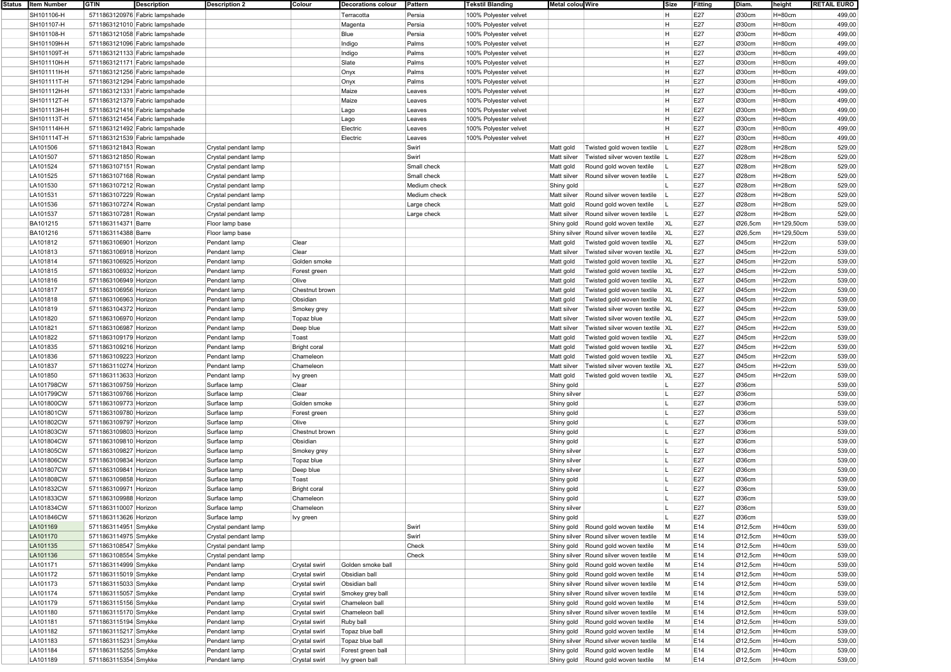| Status   Item Number | <b>GTIN</b>           | <b>Description</b>             | <b>Description 2</b> | Colour              | <b>Decorations colour</b> | Pattern      | <b>Tekstil Blanding</b> | Metal colou Wire |                                         | Size           | Fitting | Diam.   | height      | <b>RETAIL EURO</b> |
|----------------------|-----------------------|--------------------------------|----------------------|---------------------|---------------------------|--------------|-------------------------|------------------|-----------------------------------------|----------------|---------|---------|-------------|--------------------|
| SH101106-H           |                       | 5711863120976 Fabric lampshade |                      |                     | Terracotta                | Persia       | 100% Polyester velvet   |                  |                                         | н              | E27     | Ø30cm   | $H = 80cm$  | 499,00             |
| SH101107-H           |                       | 5711863121010 Fabric lampshade |                      |                     | Magenta                   | Persia       | 100% Polyester velvet   |                  |                                         | H              | E27     | Ø30cm   | $H = 80cm$  | 499,00             |
| SH101108-H           |                       | 5711863121058 Fabric lampshade |                      |                     | Blue                      | Persia       | 100% Polyester velvet   |                  |                                         | H              | E27     | Ø30cm   | $H = 80cm$  | 499,00             |
| SH101109H-H          |                       | 5711863121096 Fabric lampshade |                      |                     | Indigo                    | Palms        | 100% Polyester velvet   |                  |                                         | <b>H</b>       | E27     | Ø30cm   | $H = 80cm$  | 499,00             |
| SH101109T-H          |                       | 5711863121133 Fabric lampshade |                      |                     | Indigo                    | Palms        | 100% Polyester velvet   |                  |                                         | H              | E27     | Ø30cm   | $H = 80cm$  | 499,00             |
| SH101110H-H          |                       | 5711863121171 Fabric lampshade |                      |                     | Slate                     | Palms        | 100% Polyester velvet   |                  |                                         | н              | E27     | Ø30cm   | $H = 80cm$  | 499,00             |
|                      |                       |                                |                      |                     |                           |              |                         |                  |                                         | H              | E27     | Ø30cm   |             | 499,00             |
| SH101111H-H          |                       | 5711863121256 Fabric lampshade |                      |                     | Onyx                      | Palms        | 100% Polyester velvet   |                  |                                         |                |         |         | $H = 80cm$  |                    |
| SH101111T-H          |                       | 5711863121294 Fabric lampshade |                      |                     | Onyx                      | Palms        | 100% Polyester velvet   |                  |                                         | H              | E27     | Ø30cm   | H=80cm      | 499,00             |
| SH101112H-H          |                       | 5711863121331 Fabric lampshade |                      |                     | Maize                     | Leaves       | 100% Polyester velvet   |                  |                                         | H              | E27     | Ø30cm   | $H = 80cm$  | 499,00             |
| SH101112T-H          |                       | 5711863121379 Fabric lampshade |                      |                     | Maize                     | Leaves       | 100% Polyester velvet   |                  |                                         | H              | E27     | Ø30cm   | $H=80cm$    | 499,00             |
| SH101113H-H          |                       | 5711863121416 Fabric lampshade |                      |                     | Lago                      | Leaves       | 100% Polyester velvet   |                  |                                         | н              | E27     | Ø30cm   | $H=80cm$    | 499,00             |
| SH101113T-H          |                       | 5711863121454 Fabric lampshade |                      |                     | Lago                      | Leaves       | 100% Polyester velvet   |                  |                                         | H              | E27     | Ø30cm   | $H = 80cm$  | 499,00             |
| SH101114H-H          |                       | 5711863121492 Fabric lampshade |                      |                     | Electric                  | Leaves       | 100% Polyester velvet   |                  |                                         | H              | E27     | Ø30cm   | H=80cm      | 499,00             |
| SH101114T-H          |                       | 5711863121539 Fabric lampshade |                      |                     | Electric                  | Leaves       | 100% Polyester velvet   |                  |                                         | H.             | E27     | Ø30cm   | $H = 80cm$  | 499,00             |
| LA101506             | 5711863121843 Rowan   |                                | Crystal pendant lamp |                     |                           | Swirl        |                         | Matt gold        | Twisted gold woven textile              |                | E27     | Ø28cm   | $H=28cm$    | 529,00             |
| LA101507             | 5711863121850 Rowan   |                                | Crystal pendant lamp |                     |                           | Swirl        |                         | Matt silver      | Twisted silver woven textile L          |                | E27     | Ø28cm   | $H=28cm$    | 529,00             |
| LA101524             | 5711863107151 Rowan   |                                | Crystal pendant lamp |                     |                           | Small check  |                         | Matt gold        | Round gold woven textile                |                | E27     | Ø28cm   | $H=28cm$    | 529,00             |
| LA101525             | 5711863107168 Rowan   |                                | Crystal pendant lamp |                     |                           | Small check  |                         | Matt silver      | Round silver woven textile              |                | E27     | Ø28cm   | $H=28cm$    | 529,00             |
|                      |                       |                                |                      |                     |                           |              |                         |                  |                                         |                | E27     |         |             |                    |
| LA101530             | 5711863107212 Rowan   |                                | Crystal pendant lamp |                     |                           | Medium check |                         | Shiny gold       |                                         |                |         | Ø28cm   | $H = 28cm$  | 529,00             |
| LA101531             | 5711863107229 Rowan   |                                | Crystal pendant lamp |                     |                           | Medium check |                         | Matt silver      | Round silver woven textile              |                | E27     | Ø28cm   | $H=28cm$    | 529,00             |
| LA101536             | 5711863107274 Rowan   |                                | Crystal pendant lamp |                     |                           | Large check  |                         | Matt gold        | Round gold woven textile                |                | E27     | Ø28cm   | $H=28cm$    | 529,00             |
| LA101537             | 5711863107281 Rowan   |                                | Crystal pendant lamp |                     |                           | Large check  |                         | Matt silver      | Round silver woven textile              |                | E27     | Ø28cm   | $H = 28cm$  | 529,00             |
| BA101215             | 5711863114371 Barre   |                                | Floor lamp base      |                     |                           |              |                         | Shiny gold       | Round gold woven textile                | <b>XL</b>      | E27     | Ø26,5cm | H=129,50cm  | 539,00             |
| BA101216             | 5711863114388 Barre   |                                | Floor lamp base      |                     |                           |              |                         | Shiny silver     | Round silver woven textile              | XL             | E27     | Ø26,5cm | H=129,50cm  | 539,00             |
| LA101812             | 5711863106901 Horizon |                                | Pendant lamp         | Clear               |                           |              |                         | Matt gold        | Twisted gold woven textile XL           |                | E27     | Ø45cm   | $H=22cm$    | 539,00             |
| LA101813             | 5711863106918 Horizon |                                | Pendant lamp         | Clear               |                           |              |                         | Matt silver      | Twisted silver woven textile XL         |                | E27     | Ø45cm   | $H=22cm$    | 539,00             |
| LA101814             | 5711863106925 Horizon |                                | Pendant lamp         | Golden smoke        |                           |              |                         | Matt gold        | Twisted gold woven textile XL           |                | E27     | Ø45cm   | $H = 22$ cm | 539,00             |
| LA101815             | 5711863106932 Horizon |                                | Pendant lamp         | Forest green        |                           |              |                         | Matt gold        | Twisted gold woven textile              | X <sub>L</sub> | E27     | Ø45cm   | $H=22cm$    | 539,00             |
| LA101816             | 5711863106949 Horizon |                                | Pendant lamp         | Olive               |                           |              |                         | Matt gold        | Twisted gold woven textile              | X <sub>L</sub> | E27     | Ø45cm   | $H=22cm$    | 539,00             |
| LA101817             |                       |                                |                      |                     |                           |              |                         |                  | Twisted gold woven textile XL           |                | E27     | Ø45cm   | $H=22cm$    | 539,00             |
|                      | 5711863106956 Horizon |                                | Pendant lamp         | Chestnut brown      |                           |              |                         | Matt gold        |                                         |                |         |         |             |                    |
| LA101818             | 5711863106963 Horizon |                                | Pendant lamp         | Obsidian            |                           |              |                         | Matt gold        | Twisted gold woven textile XL           |                | E27     | Ø45cm   | $H=22cm$    | 539,00             |
| LA101819             | 5711863104372 Horizon |                                | Pendant lamp         | Smokey grey         |                           |              |                         | Matt silver      | Twisted silver woven textile XL         |                | E27     | Ø45cm   | $H = 22$ cm | 539,00             |
| LA101820             | 5711863106970 Horizon |                                | Pendant lamp         | Topaz blue          |                           |              |                         | Matt silver      | Twisted silver woven textile XL         |                | E27     | Ø45cm   | $H = 22cm$  | 539,00             |
| LA101821             | 5711863106987 Horizon |                                | Pendant lamp         | Deep blue           |                           |              |                         | Matt silver      | Twisted silver woven textile XL         |                | E27     | Ø45cm   | $H = 22$ cm | 539,00             |
| LA101822             | 5711863109179 Horizon |                                | Pendant lamp         | Toast               |                           |              |                         | Matt gold        | Twisted gold woven textile XL           |                | E27     | Ø45cm   | $H=22cm$    | 539,00             |
| LA101835             | 5711863109216 Horizon |                                | Pendant lamp         | <b>Bright coral</b> |                           |              |                         | Matt gold        | Twisted gold woven textile XL           |                | E27     | Ø45cm   | $H=22cm$    | 539,00             |
| LA101836             | 5711863109223 Horizon |                                | Pendant lamp         | Chameleon           |                           |              |                         | Matt gold        | Twisted gold woven textile              | X <sub>L</sub> | E27     | Ø45cm   | $H = 22$ cm | 539,00             |
| LA101837             | 5711863110274 Horizon |                                | Pendant lamp         | Chameleon           |                           |              |                         | Matt silver      | Twisted silver woven textile XL         |                | E27     | Ø45cm   | $H = 22cm$  | 539,00             |
| LA101850             | 5711863113633 Horizon |                                | Pendant lamp         | Ivy green           |                           |              |                         | Matt gold        | Twisted gold woven textile              | X <sub>L</sub> | E27     | Ø45cm   | $H=22cm$    | 539,00             |
| LA101798CW           | 5711863109759 Horizon |                                | Surface lamp         | Clear               |                           |              |                         | Shiny gold       |                                         |                | E27     | Ø36cm   |             | 539,00             |
| LA101799CW           | 5711863109766 Horizon |                                | Surface lamp         | Clear               |                           |              |                         | Shiny silver     |                                         |                | E27     | Ø36cm   |             | 539,00             |
| LA101800CW           | 5711863109773 Horizon |                                | Surface lamp         | Golden smoke        |                           |              |                         |                  |                                         |                | E27     | Ø36cm   |             | 539,00             |
|                      |                       |                                |                      |                     |                           |              |                         | Shiny gold       |                                         | н.             | E27     |         |             |                    |
| LA101801CW           | 5711863109780 Horizon |                                | Surface lamp         | Forest green        |                           |              |                         | Shiny gold       |                                         |                |         | Ø36cm   |             | 539,00             |
| LA101802CW           | 5711863109797 Horizon |                                | Surface lamp         | Olive               |                           |              |                         | Shiny gold       |                                         |                | E27     | Ø36cm   |             | 539,00             |
| LA101803CW           | 5711863109803 Horizon |                                | Surface lamp         | Chestnut brown      |                           |              |                         | Shiny gold       |                                         |                | E27     | Ø36cm   |             | 539,00             |
| LA101804CW           | 5711863109810 Horizon |                                | Surface lamp         | Obsidian            |                           |              |                         | Shiny gold       |                                         |                | E27     | Ø36cm   |             | 539,00             |
| LA101805CW           | 5711863109827 Horizon |                                | Surface lamp         | Smokey grey         |                           |              |                         | Shiny silver     |                                         |                | E27     | Ø36cm   |             | 539,00             |
| LA101806CW           | 5711863109834 Horizon |                                | Surface lamp         | Topaz blue          |                           |              |                         | Shiny silver     |                                         |                | E27     | Ø36cm   |             | 539,00             |
| LA101807CW           | 5711863109841 Horizon |                                | Surface lamp         | Deep blue           |                           |              |                         | Shiny silver     |                                         |                | E27     | Ø36cm   |             | 539,00             |
| LA101808CW           | 5711863109858 Horizon |                                | Surface lamp         | Toast               |                           |              |                         | Shiny gold       |                                         |                | E27     | Ø36cm   |             | 539,00             |
| LA101832CW           | 5711863109971 Horizon |                                | Surface lamp         | <b>Bright coral</b> |                           |              |                         | Shiny gold       |                                         |                | E27     | Ø36cm   |             | 539,00             |
| LA101833CW           | 5711863109988 Horizon |                                | Surface lamp         | Chameleon           |                           |              |                         | Shiny gold       |                                         |                | E27     | Ø36cm   |             | 539,00             |
| LA101834CW           | 5711863110007 Horizon |                                | Surface lamp         | Chameleor           |                           |              |                         | Shiny silver     |                                         |                | E27     | Ø36cm   |             | 539,00             |
| LA101846CW           | 5711863113626 Horizon |                                | Surface lamp         | Ivy green           |                           |              |                         | Shiny gold       |                                         |                | E27     | Ø36cm   |             | 539,00             |
| LA101169             |                       |                                | Crystal pendant lamp |                     |                           | Swirl        |                         |                  | Shiny gold   Round gold woven textile   | M              | E14     |         | $H=40cm$    |                    |
|                      | 5711863114951 Smykke  |                                |                      |                     |                           | Swirl        |                         |                  |                                         |                |         | Ø12,5cm |             | 539,00             |
| LA101170             | 5711863114975 Smykke  |                                | Crystal pendant lamp |                     |                           |              |                         |                  | Shiny silver Round silver woven textile | M              | E14     | Ø12,5cm | $H=40cm$    | 539,00             |
| LA101135             | 5711863108547 Smykke  |                                | Crystal pendant lamp |                     |                           | Check        |                         |                  | Shiny gold Round gold woven textile     | M              | E14     | Ø12,5cm | $H=40cm$    | 539,00             |
| LA101136             | 5711863108554 Smykke  |                                | Crystal pendant lamp |                     |                           | Check        |                         |                  | Shiny silver Round silver woven textile | M              | E14     | Ø12,5cm | $H=40cm$    | 539,00             |
| LA101171             | 5711863114999 Smykke  |                                | Pendant lamp         | Crystal swirl       | Golden smoke ball         |              |                         |                  | Shiny gold Round gold woven textile     | M              | E14     | Ø12,5cm | H=40cm      | 539,00             |
| LA101172             | 5711863115019 Smykke  |                                | Pendant lamp         | Crystal swirl       | Obsidian ball             |              |                         |                  | Shiny gold   Round gold woven textile   | M              | E14     | Ø12,5cm | $H=40cm$    | 539,00             |
| LA101173             | 5711863115033 Smykke  |                                | Pendant lamp         | Crystal swirl       | Obsidian ball             |              |                         |                  | Shiny silver Round silver woven textile | M              | E14     | Ø12,5cm | $H=40cm$    | 539,00             |
| LA101174             | 5711863115057 Smykke  |                                | Pendant lamp         | Crystal swirl       | Smokey grey ball          |              |                         |                  | Shiny silver Round silver woven textile | M              | E14     | Ø12,5cm | $H=40cm$    | 539,00             |
| LA101179             | 5711863115156 Smykke  |                                | Pendant lamp         | Crystal swirl       | Chameleon ball            |              |                         |                  | Shiny gold   Round gold woven textile   | M              | E14     | Ø12,5cm | $H=40cm$    | 539,00             |
| LA101180             | 5711863115170 Smykke  |                                | Pendant lamp         | Crystal swirl       | Chameleon ball            |              |                         |                  | Shiny silver Round silver woven textile | M              | E14     | Ø12,5cm | H=40cm      | 539,00             |
| LA101181             | 5711863115194 Smykke  |                                | Pendant lamp         | Crystal swirl       | Ruby ball                 |              |                         |                  | Shiny gold Round gold woven textile     | M              | E14     | Ø12,5cm | $H=40cm$    | 539,00             |
| LA101182             | 5711863115217 Smykke  |                                | Pendant lamp         | Crystal swirl       | Topaz blue ball           |              |                         |                  | Shiny gold   Round gold woven textile   | M              | E14     | Ø12,5cm | $H=40cm$    | 539,00             |
| LA101183             | 5711863115231 Smykke  |                                | Pendant lamp         | Crystal swirl       | Topaz blue ball           |              |                         |                  | Shiny silver Round silver woven textile | M              | E14     | Ø12,5cm | $H=40cm$    | 539,00             |
| LA101184             | 5711863115255 Smykke  |                                | Pendant lamp         |                     | Forest green ball         |              |                         |                  | Shiny gold Round gold woven textile     | M              | E14     | Ø12,5cm | $H=40cm$    | 539,00             |
|                      |                       |                                |                      | Crystal swirl       |                           |              |                         |                  |                                         |                |         |         |             |                    |
| LA101189             | 5711863115354 Smykke  |                                | Pendant lamp         | Crystal swirl       | Ivy green ball            |              |                         |                  | Shiny gold Round gold woven textile     | M              | E14     | Ø12,5cm | $H=40cm$    | 539,00             |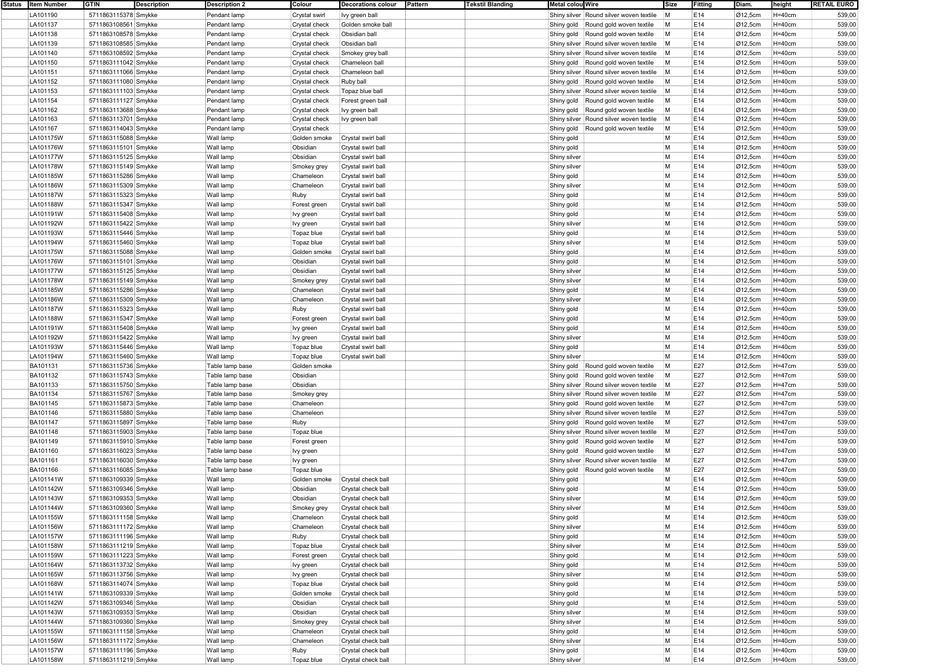| Status Item Number | <b>GTIN</b><br><b>Description</b> | <b>Description 2</b> | Colour        | <b>Decorations colour</b> | Pattern | <b>Tekstil Blanding</b> | Metal colou Wire                        | Size | Fitting | Diam.                | height     | <b>RETAIL EURO</b> |
|--------------------|-----------------------------------|----------------------|---------------|---------------------------|---------|-------------------------|-----------------------------------------|------|---------|----------------------|------------|--------------------|
| LA101190           | 5711863115378 Smykke              | Pendant lamp         | Crystal swirl | lvy green ball            |         |                         | Shiny silver Round silver woven textile | M    | E14     | Ø12,5cm              | $H=40cm$   | 539,00             |
| LA101137           | 5711863108561 Smykke              | Pendant lamp         | Crystal check | Golden smoke ball         |         |                         | Shiny gold Round gold woven textile     | M    | E14     | Ø12,5cm              | $H = 40cm$ | 539,00             |
| LA101138           | 5711863108578 Smykke              | Pendant lamp         |               | Obsidian ball             |         |                         | Shiny gold Round gold woven textile     | M    | E14     | Ø12,5cm              | $H=40cm$   | 539,00             |
|                    |                                   |                      | Crystal check |                           |         |                         |                                         |      |         |                      |            |                    |
| LA101139           | 5711863108585 Smykke              | Pendant lamp         | Crystal check | Obsidian ball             |         |                         | Shiny silver Round silver woven textile | M    | E14     | Ø12,5cm              | $H=40cm$   | 539,00             |
| LA101140           | 5711863108592 Smykke              | Pendant lamp         | Crystal check | Smokey grey ball          |         |                         | Shiny silver Round silver woven textile | M    | E14     | Ø12,5cm              | $H=40cm$   | 539,00             |
| LA101150           | 5711863111042 Smykke              | Pendant lamp         | Crystal check | Chameleon ball            |         |                         | Shiny gold Round gold woven textile     | M    | E14     | Ø12,5cm              | $H=40cm$   | 539,00             |
| LA101151           | 5711863111066 Smykke              | Pendant lamp         | Crystal check | Chameleon ball            |         |                         | Shiny silver Round silver woven textile | M    | E14     | Ø12,5cm              | $H=40cm$   | 539,00             |
| LA101152           | 5711863111080 Smykke              | Pendant lamp         | Crystal check | Ruby ball                 |         |                         | Shiny gold Round gold woven textile     | M    | E14     | Ø12,5cm              | $H=40cm$   | 539,00             |
| LA101153           | 5711863111103 Smykke              | Pendant lamp         | Crystal check | Topaz blue ball           |         |                         | Shiny silver Round silver woven textile | M    | E14     | Ø12,5cm              | $H=40cm$   | 539,00             |
|                    |                                   |                      |               |                           |         |                         |                                         |      |         |                      |            |                    |
| LA101154           | 5711863111127 Smykke              | Pendant lamp         | Crystal check | Forest green ball         |         |                         | Shiny gold Round gold woven textile     | M    | E14     | Ø12,5cm              | $H=40cm$   | 539,00             |
| LA101162           | 5711863113688 Smykke              | Pendant lamp         | Crystal check | lvy green ball            |         |                         | Shiny gold Round gold woven textile     | M    | E14     | Ø12,5cm              | $H=40cm$   | 539,00             |
| LA101163           | 5711863113701 Smykke              | Pendant lamp         | Crystal check | lvy green ball            |         |                         | Shiny silver Round silver woven textile | M    | E14     | Ø12,5cm              | $H=40cm$   | 539,00             |
| LA101167           | 5711863114043 Smykke              | Pendant lamp         | Crystal check |                           |         |                         | Shiny gold<br>Round gold woven textile  | M    | E14     | Ø12,5cm              | $H=40cm$   | 539,00             |
| LA101175W          | 5711863115088 Smykke              | Wall lamp            | Golden smoke  | Crystal swirl ball        |         |                         | Shiny gold                              | М    | E14     | Ø12,5cm              | $H=40cm$   | 539,00             |
| LA101176W          | 5711863115101 Smykke              | Wall lamp            | Obsidian      | Crystal swirl ball        |         |                         | Shiny gold                              | М    | E14     | Ø12,5cm              | $H=40cm$   | 539,00             |
| LA101177W          | 5711863115125 Smykke              | Wall lamp            | Obsidian      | Crystal swirl ball        |         |                         | Shiny silver                            | M    | E14     | Ø12,5cm              | $H=40cm$   | 539,00             |
|                    |                                   |                      |               |                           |         |                         |                                         | M    |         |                      |            | 539,00             |
| LA101178W          | 5711863115149 Smykke              | Wall lamp            | Smokey grey   | Crystal swirl ball        |         |                         | Shiny silver                            |      | E14     | Ø12,5cm              | $H=40cm$   |                    |
| LA101185W          | 5711863115286 Smykke              | Wall lamp            | Chameleon     | Crystal swirl ball        |         |                         | Shiny gold                              | M    | E14     | Ø12,5cm              | $H=40cm$   | 539,00             |
| LA101186W          | 5711863115309 Smykke              | Wall lamp            | Chameleon     | Crystal swirl ball        |         |                         | Shiny silver                            | M    | E14     | Ø12,5cm              | $H = 40cm$ | 539,00             |
| LA101187W          | 5711863115323 Smykke              | Wall lamp            | Ruby          | Crystal swirl ball        |         |                         | Shiny gold                              | M    | E14     | Ø12,5cm              | $H=40cm$   | 539,00             |
| LA101188W          | 5711863115347 Smykke              | Wall lamp            | Forest green  | Crystal swirl ball        |         |                         | Shiny gold                              | M    | E14     | Ø12,5cm              | $H=40cm$   | 539,00             |
| LA101191W          | 5711863115408 Smykke              | Wall lamp            | Ivy green     | Crystal swirl ball        |         |                         | Shiny gold                              | M    | E14     | Ø12,5cm              | $H=40cm$   | 539,00             |
|                    |                                   |                      |               |                           |         |                         |                                         | M    | E14     |                      | $H=40cm$   |                    |
| LA101192W          | 5711863115422 Smykke              | Wall lamp            | Ivy green     | Crystal swirl ball        |         |                         | Shiny silver                            |      |         | Ø12,5cm              |            | 539,00             |
| LA101193W          | 5711863115446 Smykke              | Wall lamp            | Topaz blue    | Crystal swirl ball        |         |                         | Shiny gold                              | M    | E14     | Ø12,5cm              | $H=40cm$   | 539,00             |
| LA101194W          | 5711863115460 Smykke              | Wall lamp            | Topaz blue    | Crystal swirl ball        |         |                         | Shiny silver                            | M    | E14     | Ø12,5cm              | $H=40cm$   | 539,00             |
| LA101175W          | 5711863115088 Smykke              | Wall lamp            | Golden smoke  | Crystal swirl ball        |         |                         | Shiny gold                              | M    | E14     | Ø12,5cm              | $H=40cm$   | 539,00             |
| LA101176W          | 5711863115101 Smykke              | Wall lamp            | Obsidian      | Crystal swirl ball        |         |                         | Shiny gold                              | M    | E14     | Ø12,5cm              | $H=40cm$   | 539,00             |
| LA101177W          | 5711863115125 Smykke              | Wall lamp            | Obsidian      | Crystal swirl ball        |         |                         | Shiny silver                            | M    | E14     | Ø12,5cm              | $H=40cm$   | 539,00             |
| LA101178W          | 5711863115149 Smykke              | Wall lamp            | Smokey grey   | Crystal swirl ball        |         |                         | Shiny silver                            | M    | E14     | Ø12,5cm              | $H = 40cm$ | 539,00             |
|                    |                                   |                      |               |                           |         |                         |                                         |      |         |                      |            |                    |
| LA101185W          | 5711863115286 Smykke              | Wall lamp            | Chameleon     | Crystal swirl ball        |         |                         | Shiny gold                              | M    | E14     | Ø12,5cm              | $H=40cm$   | 539,00             |
| LA101186W          | 5711863115309 Smykke              | Wall lamp            | Chameleon     | Crystal swirl ball        |         |                         | Shiny silver                            | M    | E14     | Ø12,5cm              | $H=40cm$   | 539,00             |
| LA101187W          | 5711863115323 Smykke              | Wall lamp            | Ruby          | Crystal swirl ball        |         |                         | Shiny gold                              | M    | E14     | Ø12,5cm              | $H=40cm$   | 539,00             |
| LA101188W          | 5711863115347 Smykke              | Wall lamp            | Forest green  | Crystal swirl ball        |         |                         | Shiny gold                              | M    | E14     | Ø12,5cm              | $H=40cm$   | 539,00             |
| LA101191W          | 5711863115408 Smykke              | Wall lamp            | lvy green     | Crystal swirl ball        |         |                         | Shiny gold                              | M    | E14     | Ø12,5cm              | $H=40cm$   | 539,00             |
| LA101192W          | 5711863115422 Smykke              | Wall lamp            | lvy green     | Crystal swirl ball        |         |                         | Shiny silver                            | M    | E14     | Ø12,5cm              | $H=40cm$   | 539,00             |
| LA101193W          |                                   | Wall lamp            |               |                           |         |                         |                                         | M    | E14     | Ø12,5cm              | $H=40cm$   | 539,00             |
|                    | 5711863115446 Smykke              |                      | Topaz blue    | Crystal swirl ball        |         |                         | Shiny gold                              |      |         |                      |            |                    |
| LA101194W          | 5711863115460 Smykke              | Wall lamp            | Topaz blue    | Crystal swirl ball        |         |                         | Shiny silver                            | M    | E14     | Ø12,5cm              | $H=40cm$   | 539,00             |
| BA101131           | 5711863115736 Smykke              | Table lamp base      | Golden smoke  |                           |         |                         | Shiny gold Round gold woven textile     | M    | E27     | Ø12,5cm              | $H = 47cm$ | 539,00             |
| BA101132           | 5711863115743 Smykke              | Table lamp base      | Obsidian      |                           |         |                         | Shiny gold Round gold woven textile     | M    | E27     | Ø12,5cm              | $H = 47cm$ | 539,00             |
| BA101133           | 5711863115750 Smykke              | Table lamp base      | Obsidian      |                           |         |                         | Shiny silver Round silver woven textile | M    | E27     | Ø12,5cm              | $H = 47cm$ | 539,00             |
| <b>BA101134</b>    | 5711863115767 Smykke              | Table lamp base      | Smokey grey   |                           |         |                         | Shiny silver Round silver woven textile | M    | E27     | $\varnothing$ 12,5cm | H=47cm     | 539,00             |
| BA101145           | 5711863115873 Smykke              | Table lamp base      | Chameleon     |                           |         |                         | Shiny gold Round gold woven textile     | M    | E27     | Ø12,5cm              | H=47cm     | 539,00             |
| BA101146           | 5711863115880 Smykke              | Table lamp base      | Chameleon     |                           |         |                         | Shiny silver Round silver woven textile | M    | E27     | Ø12,5cm              | H=47cm     | 539,00             |
|                    |                                   |                      |               |                           |         |                         |                                         |      |         |                      |            |                    |
| BA101147           | 5711863115897 Smykke              | Table lamp base      | Ruby          |                           |         |                         | Shiny gold Round gold woven textile     | M    | E27     | Ø12,5cm              | H=47cm     | 539,00             |
| BA101148           | 5711863115903 Smykke              | Table lamp base      | Topaz blue    |                           |         |                         | Shiny silver Round silver woven textile | M    | E27     | Ø12,5cm              | $H = 47cm$ | 539,00             |
| BA101149           | 5711863115910 Smykke              | Table lamp base      | Forest green  |                           |         |                         | Shiny gold Round gold woven textile     | M    | E27     | Ø12,5cm              | H=47cm     | 539,00             |
| BA101160           | 5711863116023 Smykke              | Table lamp base      | Ivy green     |                           |         |                         | Shiny gold Round gold woven textile     | M    | E27     | Ø12,5cm              | H=47cm     | 539,00             |
| BA101161           | 5711863116030 Smykke              | Table lamp base      | Ivy green     |                           |         |                         | Shiny silver Round silver woven textile | M    | E27     | Ø12,5cm              | $H=47cm$   | 539,00             |
| BA101166           | 5711863116085 Smykke              | Table lamp base      | Topaz blue    |                           |         |                         | Round gold woven textile<br>Shiny gold  | M    | E27     | Ø12,5cm              | H=47cm     | 539,00             |
| LA101141W          | 5711863109339 Smykke              | Wall lamp            | Golden smoke  | Crystal check ball        |         |                         | Shiny gold                              | М    | E14     | Ø12,5cm              | $H=40cm$   | 539,00             |
|                    |                                   |                      |               |                           |         |                         |                                         | M    |         |                      |            |                    |
| LA101142W          | 5711863109346 Smykke              | Wall lamp            | Obsidian      | Crystal check ball        |         |                         | Shiny gold                              |      | E14     | Ø12,5cm              | $H=40cm$   | 539,00             |
| LA101143W          | 5711863109353 Smykke              | Wall lamp            | Obsidian      | Crystal check ball        |         |                         | Shiny silver                            | M    | E14     | Ø12,5cm              | $H=40cm$   | 539,00             |
| LA101144W          | 5711863109360 Smykke              | Wall lamp            | Smokey grey   | Crystal check ball        |         |                         | Shiny silve                             | М    | E14     | Ø12,5cm              | $H=40cm$   | 539,00             |
| LA101155W          | 5711863111158 Smykke              | Wall lamp            | Chameleon     | Crystal check ball        |         |                         | Shiny gold                              | M    | E14     | Ø12,5cm              | $H=40cm$   | 539,00             |
| LA101156W          | 5711863111172 Smykke              | Wall lamp            | Chameleon     | Crystal check ball        |         |                         | Shiny silver                            | М    | E14     | Ø12,5cm              | $H = 40cm$ | 539,00             |
| LA101157W          | 5711863111196 Smykke              | Wall lamp            | Ruby          | Crystal check ball        |         |                         | Shiny gold                              | М    | E14     | Ø12,5cm              | $H = 40cm$ | 539,00             |
| LA101158W          | 5711863111219 Smykke              | Wall lamp            | Topaz blue    | Crystal check ball        |         |                         | Shiny silver                            | M    | E14     | Ø12,5cm              | $H=40cm$   | 539,00             |
|                    |                                   |                      |               |                           |         |                         |                                         | M    |         |                      |            |                    |
| LA101159W          | 5711863111223 Smykke              | Wall lamp            | Forest green  | Crystal check ball        |         |                         | Shiny gold                              |      | E14     | Ø12,5cm              | $H=40cm$   | 539,00             |
| LA101164W          | 5711863113732 Smykke              | Wall lamp            | lvy green     | Crystal check ball        |         |                         | Shiny gold                              | M    | E14     | Ø12,5cm              | $H = 40cm$ | 539,00             |
| LA101165W          | 5711863113756 Smykke              | Wall lamp            | Ivy green     | Crystal check ball        |         |                         | Shiny silver                            | M    | E14     | Ø12,5cm              | $H = 40cm$ | 539,00             |
| LA101168W          | 5711863114074 Smykke              | Wall lamp            | Topaz blue    | Crystal check ball        |         |                         | Shiny gold                              | M    | E14     | Ø12,5cm              | $H = 40cm$ | 539,00             |
| LA101141W          | 5711863109339 Smykke              | Wall lamp            | Golden smoke  | Crystal check ball        |         |                         | Shiny gold                              | M    | E14     | Ø12,5cm              | $H=40cm$   | 539,00             |
| LA101142W          | 5711863109346 Smykke              | Wall lamp            | Obsidian      | Crystal check ball        |         |                         | Shiny gold                              | M    | E14     | Ø12,5cm              | $H=40cm$   | 539,00             |
| LA101143W          | 5711863109353 Smykke              | Wall lamp            | Obsidian      | Crystal check ball        |         |                         | Shiny silver                            | M    | E14     | Ø12,5cm              | $H=40cm$   | 539,00             |
| LA101144W          | 5711863109360 Smykke              | Wall lamp            |               | Crystal check ball        |         |                         |                                         | М    | E14     | Ø12,5cm              | $H=40cm$   | 539,00             |
|                    |                                   |                      | Smokey grey   |                           |         |                         | Shiny silver                            |      |         |                      |            |                    |
| LA101155W          | 5711863111158 Smykke              | Wall lamp            | Chameleon     | Crystal check ball        |         |                         | Shiny gold                              | M    | E14     | Ø12,5cm              | $H = 40cm$ | 539,00             |
| LA101156W          | 5711863111172 Smykke              | Wall lamp            | Chameleon     | Crystal check ball        |         |                         | Shiny silver                            | M    | E14     | Ø12,5cm              | $H=40cm$   | 539,00             |
| LA101157W          | 5711863111196 Smykke              | Wall lamp            | Ruby          | Crystal check ball        |         |                         | Shiny gold                              | M    | E14     | Ø12,5cm              | $H=40cm$   | 539,00             |
| LA101158W          | 5711863111219 Smykke              | Wall lamp            | Topaz blue    | Crystal check ball        |         |                         | Shiny silver                            | М    | E14     | Ø12,5cm              | $H=40cm$   | 539,00             |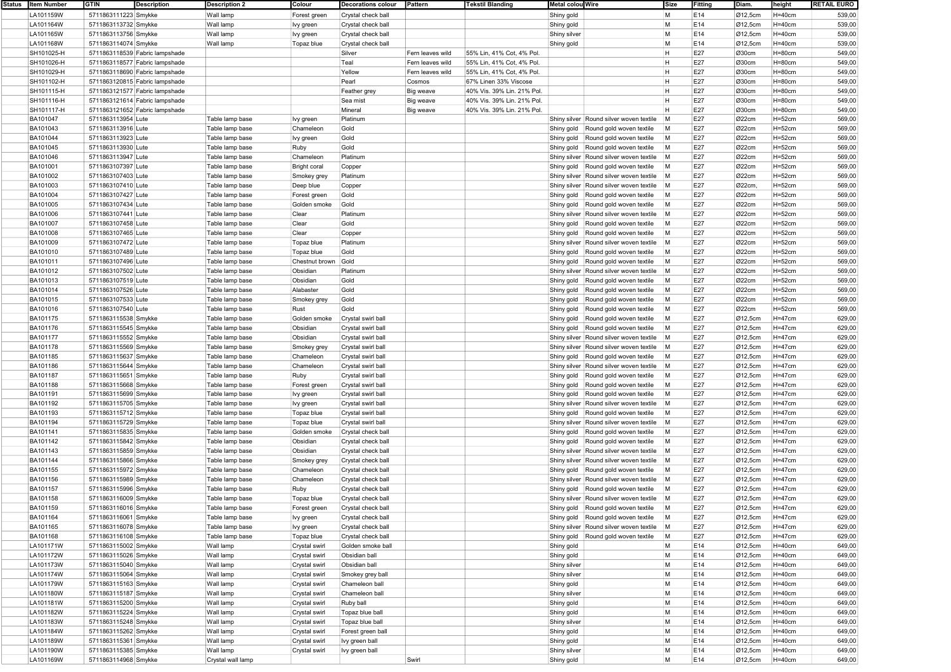| Status | <b>Item Number</b> |                      | <b>Description</b>             | <b>Description 2</b> | Colour              | <b>Decorations colour</b> | Pattern          | <b>Tekstil Blanding</b>    | Metal colou Wire                        | Size | Fitting | Diam.   | height      | <b>RETAIL EURO</b> |
|--------|--------------------|----------------------|--------------------------------|----------------------|---------------------|---------------------------|------------------|----------------------------|-----------------------------------------|------|---------|---------|-------------|--------------------|
|        | LA101159W          | 5711863111223 Smykke |                                | Wall lamp            | Forest green        | Crystal check ball        |                  |                            | Shiny gold                              | M    | E14     | Ø12,5cm | $H=40cm$    | 539,00             |
|        | LA101164W          | 5711863113732 Smykke |                                | Wall lamp            | Ivy green           | Crystal check ball        |                  |                            | Shiny gold                              | M    | E14     | Ø12,5cm | $H=40cm$    | 539,00             |
|        | LA101165W          | 5711863113756 Smykke |                                | Wall lamp            | Ivy green           | Crystal check ball        |                  |                            | Shiny silver                            | M    | E14     | Ø12,5cm | $H=40cm$    | 539,00             |
|        | LA101168W          | 5711863114074 Smykke |                                | Wall lamp            | Topaz blue          | Crystal check ball        |                  |                            | Shiny gold                              | M    | E14     | Ø12,5cm | $H=40cm$    | 539,00             |
|        | SH101025-H         |                      | 5711863118539 Fabric lampshade |                      |                     | Silver                    | Fern leaves wild | 55% Lin, 41% Cot, 4% Pol   |                                         | н    | E27     | Ø30cm   | $H = 80cm$  | 549,00             |
|        | SH101026-H         |                      | 5711863118577 Fabric lampshade |                      |                     | Teal                      | Fern leaves wild | 55% Lin, 41% Cot, 4% Pol   |                                         | H    | E27     | Ø30cm   | $H = 80cm$  | 549,00             |
|        | SH101029-H         |                      | 5711863118690 Fabric lampshade |                      |                     | Yellow                    | Fern leaves wild | 55% Lin, 41% Cot, 4% Pol   |                                         | H    | E27     | Ø30cm   | $H = 80cm$  | 549,00             |
|        | SH101102-H         |                      | 5711863120815 Fabric lampshade |                      |                     | Pearl                     | Cosmos           | 67% Linen 33% Viscose      |                                         | H    | E27     | Ø30cm   | $H = 80cm$  | 549,00             |
|        | SH101115-H         |                      | 5711863121577 Fabric lampshade |                      |                     | Feather grey              | Big weave        | 40% Vis. 39% Lin. 21% Pol. |                                         | H    | E27     | Ø30cm   | $H = 80cm$  | 549,00             |
|        | SH101116-H         |                      | 5711863121614 Fabric lampshade |                      |                     | Sea mis                   | Big weave        | 40% Vis. 39% Lin. 21% Pol. |                                         | н    | E27     | Ø30cm   | $H = 80cm$  | 549,00             |
|        | SH101117-H         |                      | 5711863121652 Fabric lampshade |                      |                     | Mineral                   | Big weave        | 40% Vis. 39% Lin. 21% Pol. |                                         | H    | E27     | Ø30cm   | $H = 80cm$  | 549,00             |
|        | BA101047           | 5711863113954 Lute   |                                | Table lamp base      | lvy green           | Platinum                  |                  |                            | Shiny silver Round silver woven textile | M    | E27     | Ø22cm   | $H = 52cm$  | 569,00             |
|        | BA101043           | 5711863113916 Lute   |                                | Table lamp base      | Chameleon           | Gold                      |                  |                            | Shiny gold Round gold woven textile     | M    | E27     | Ø22cm   | $H = 52cm$  | 569,00             |
|        | BA101044           | 5711863113923 Lute   |                                | Table lamp base      |                     | Gold                      |                  |                            | Shiny gold<br>Round gold woven textile  | M    | E27     | Ø22cm   | $H = 52cm$  | 569,00             |
|        |                    | 5711863113930 Lute   |                                |                      | lvy green           | Gold                      |                  |                            |                                         | M    | E27     | Ø22cm   |             |                    |
|        | BA101045           |                      |                                | Table lamp base      | Ruby                |                           |                  |                            | Shiny gold   Round gold woven textile   |      |         |         | $H = 52cm$  | 569,00             |
|        | BA101046           | 5711863113947 Lute   |                                | Table lamp base      | Chameleon           | Platinum                  |                  |                            | Shiny silver Round silver woven textile | M    | E27     | Ø22cm   | $H = 52cm$  | 569,00             |
|        | BA101001           | 5711863107397 Lute   |                                | Table lamp base      | <b>Bright coral</b> | Copper                    |                  |                            | Round gold woven textile<br>Shiny gold  | M    | E27     | Ø22cm   | $H = 52cm$  | 569,00             |
|        | <b>BA101002</b>    | 5711863107403 Lute   |                                | Table lamp base      | Smokey grey         | Platinum                  |                  |                            | Shiny silver Round silver woven textile | M    | E27     | Ø22cm   | $H = 52cm$  | 569,00             |
|        | BA101003           | 5711863107410 Lute   |                                | Table lamp base      | Deep blue           | Copper                    |                  |                            | Shiny silver Round silver woven textile | M    | E27     | Ø22cm,  | $H = 52cm$  | 569,00             |
|        | BA101004           | 5711863107427 Lute   |                                | Table lamp base      | Forest green        | Gold                      |                  |                            | Round gold woven textile<br>Shiny gold  | M    | E27     | Ø22cm   | $H = 52cm$  | 569,00             |
|        | BA101005           | 5711863107434 Lute   |                                | Table lamp base      | Golden smoke        | Gold                      |                  |                            | Shiny gold<br>Round gold woven textile  | M    | E27     | Ø22cm   | $H = 52cm$  | 569,00             |
|        | BA101006           | 5711863107441 Lute   |                                | Table lamp base      | Clear               | Platinum                  |                  |                            | Shiny silver Round silver woven textile | M    | E27     | Ø22cm   | $H = 52cm$  | 569,00             |
|        | <b>BA101007</b>    | 5711863107458 Lute   |                                | Table lamp base      | Clear               | Gold                      |                  |                            | Shiny gold<br>Round gold woven textile  | M    | E27     | Ø22cm   | $H = 52cm$  | 569,00             |
|        | BA101008           | 5711863107465 Lute   |                                | Table lamp base      | Clear               | Copper                    |                  |                            | Shiny gold<br>Round gold woven textile  | M    | E27     | Ø22cm   | $H=52cm$    | 569,00             |
|        | BA101009           | 5711863107472 Lute   |                                | Table lamp base      | Topaz blue          | Platinum                  |                  |                            | Shiny silver Round silver woven textile | M    | E27     | Ø22cm   | $H = 52$ cm | 569,00             |
|        | BA101010           | 5711863107489 Lute   |                                | Table lamp base      | Topaz blue          | Gold                      |                  |                            | Shiny gold<br>Round gold woven textile  | M    | E27     | Ø22cm   | $H = 52cm$  | 569,00             |
|        | BA101011           | 5711863107496 Lute   |                                | Table lamp base      | Chestnut brown      | Gold                      |                  |                            | Shiny gold<br>Round gold woven textile  | M    | E27     | Ø22cm   | $H = 52cm$  | 569,00             |
|        | <b>BA101012</b>    | 5711863107502 Lute   |                                | Table lamp base      | Obsidian            | Platinum                  |                  |                            | Shiny silver Round silver woven textile | M    | E27     | Ø22cm   | $H = 52cm$  | 569,00             |
|        | BA101013           | 5711863107519 Lute   |                                | Table lamp base      | Obsidian            | Gold                      |                  |                            | Shiny gold<br>Round gold woven textile  | M    | E27     | Ø22cm   | $H=52cm$    | 569,00             |
|        | BA101014           | 5711863107526 Lute   |                                | Table lamp base      | Alabaster           | Gold                      |                  |                            | Round gold woven textile<br>Shiny gold  | M    | E27     | Ø22cm   | $H = 52cm$  | 569,00             |
|        | BA101015           | 5711863107533 Lute   |                                | Table lamp base      | Smokey grey         | Gold                      |                  |                            | Shiny gold<br>Round gold woven textile  | M    | E27     | Ø22cm   | $H = 52cm$  | 569,00             |
|        | BA101016           | 5711863107540 Lute   |                                | Table lamp base      | Rust                | Gold                      |                  |                            | Shiny gold<br>Round gold woven textile  | M    | E27     | Ø22cm   | $H = 52cm$  | 569,00             |
|        | <b>BA101175</b>    | 5711863115538 Smykke |                                | Table lamp base      | Golden smoke        | Crystal swirl ball        |                  |                            | Shiny gold<br>Round gold woven textile  | M    | E27     | Ø12,5cm | $H = 47$ cm | 629,00             |
|        | BA101176           | 5711863115545 Smykke |                                | Table lamp base      | Obsidian            | Crystal swirl ball        |                  |                            | Shiny gold<br>Round gold woven textile  | M    | E27     | Ø12,5cm | $H = 47$ cm | 629,00             |
|        | BA101177           | 5711863115552 Smykke |                                | Table lamp base      | Obsidian            | Crystal swirl ball        |                  |                            | Shiny silver Round silver woven textile | M    | E27     | Ø12,5cm | $H = 47$ cm | 629,00             |
|        | BA101178           | 5711863115569 Smykke |                                |                      |                     | Crystal swirl ball        |                  |                            | Shiny silver Round silver woven textile | M    | E27     | Ø12,5cm | $H = 47$ cm | 629,00             |
|        |                    |                      |                                | Table lamp base      | Smokey grey         |                           |                  |                            |                                         |      |         |         |             |                    |
|        | BA101185           | 5711863115637 Smykke |                                | Table lamp base      | Chameleon           | Crystal swirl ball        |                  |                            | Shiny gold<br>Round gold woven textile  | M    | E27     | Ø12,5cm | $H = 47cm$  | 629,00             |
|        | BA101186           | 5711863115644 Smykke |                                | Table lamp base      | Chameleon           | Crystal swirl ball        |                  |                            | Shiny silver Round silver woven textile | M    | E27     | Ø12,5cm | $H = 47cm$  | 629,00             |
|        | BA101187           | 5711863115651 Smykke |                                | Table lamp base      | Ruby                | Crystal swirl ball        |                  |                            | Shiny gold<br>Round gold woven textile  | M    | E27     | Ø12,5cm | $H = 47cm$  | 629,00             |
|        | BA101188           | 5711863115668 Smykke |                                | Table lamp base      | Forest green        | Crystal swirl ball        |                  |                            | Round gold woven textile<br>Shiny gold  | M    | E27     | Ø12,5cm | $H = 47cm$  | 629,00             |
|        | BA101191           | 5711863115699 Smykke |                                | Table lamp base      | Ivy green           | Crystal swirl ball        |                  |                            | Shiny gold<br>Round gold woven textile  | M    | E27     | Ø12,5cm | $H = 47$ cm | 629,00             |
|        | BA101192           | 5711863115705 Smykke |                                | Table lamp base      | Ivy green           | Crystal swirl ball        |                  |                            | Shiny silver Round silver woven textile | M    | E27     | Ø12,5cm | $H = 47cm$  | 629,00             |
|        | <b>BA101193</b>    | 5711863115712 Smykke |                                | Table lamp base      | Topaz blue          | Crystal swirl ball        |                  |                            | Shiny gold<br>Round gold woven textile  | M    | E27     | Ø12,5cm | $H = 47cm$  | 629,00             |
|        | BA101194           | 5711863115729 Smykke |                                | Table lamp base      | Topaz blue          | Crystal swirl ball        |                  |                            | Shiny silver Round silver woven textile | M    | E27     | Ø12,5cm | $H = 47cm$  | 629,00             |
|        | BA101141           | 5711863115835 Smykke |                                | Table lamp base      | Golden smoke        | Crystal check ball        |                  |                            | Round gold woven textile<br>Shiny gold  | M    | E27     | Ø12,5cm | $H=47cm$    | 629,00             |
|        | BA101142           | 5711863115842 Smykke |                                | Table lamp base      | Obsidian            | Crystal check ball        |                  |                            | Shiny gold<br>Round gold woven textile  | M    | E27     | Ø12,5cm | $H = 47cm$  | 629,00             |
|        | BA101143           | 5711863115859 Smykke |                                | Table lamp base      | Obsidian            | Crystal check ball        |                  |                            | Shiny silver Round silver woven textile | M    | E27     | Ø12,5cm | $H = 47cm$  | 629,00             |
|        | <b>BA101144</b>    | 5711863115866 Smykke |                                | Table lamp base      | Smokey grey         | Crystal check ball        |                  |                            | Shiny silver Round silver woven textile | M    | E27     | Ø12,5cm | $H = 47$ cm | 629,00             |
|        | BA101155           | 5711863115972 Smykke |                                | Table lamp base      | Chameleon           | Crystal check ball        |                  |                            | Shiny gold<br>Round gold woven textile  | M    | E27     | Ø12,5cm | $H = 47cm$  | 629,00             |
|        | BA101156           | 5711863115989 Smykke |                                | Table lamp base      | Chameleon           | Crystal check ball        |                  |                            | Shiny silver Round silver woven textile | M    | E27     | Ø12,5cm | $H = 47$ cm | 629,00             |
|        | BA101157           | 5711863115996 Smykke |                                | Table lamp base      | Ruby                | Crystal check ball        |                  |                            | Shiny gold<br>Round gold woven textile  | M    | E27     | Ø12,5cm | $H = 47$ cm | 629,00             |
|        | BA101158           | 5711863116009 Smykke |                                | Table lamp base      | Topaz blue          | Crystal check ball        |                  |                            | Shiny silver Round silver woven textile | M    | E27     | Ø12,5cm | $H = 47cm$  | 629,00             |
|        | BA101159           | 5711863116016 Smykke |                                | Table lamp base      | Forest green        | Crystal check ball        |                  |                            | Shiny gold Round gold woven textile     | M    | E27     | Ø12.5cm | $H = 47cm$  | 629,00             |
|        | BA101164           | 5711863116061 Smykke |                                | Table lamp base      | Ivy green           | Crystal check ball        |                  |                            | Shiny gold Round gold woven textile     | M    | E27     | Ø12,5cm | $H=47cm$    | 629,00             |
|        | BA101165           | 5711863116078 Smykke |                                | Table lamp base      | Ivy green           | Crystal check ball        |                  |                            | Shiny silver Round silver woven textile | M    | E27     | Ø12,5cm | H=47cm      | 629,00             |
|        | BA101168           | 5711863116108 Smykke |                                | Table lamp base      | Topaz blue          | Crystal check ball        |                  |                            | Round gold woven textile<br>Shiny gold  | M    | E27     | Ø12,5cm | $H=47cm$    | 629,00             |
|        | LA101171W          | 5711863115002 Smykke |                                | Wall lamp            | Crystal swirl       | Golden smoke ball         |                  |                            | Shiny gold                              | M    | E14     | Ø12,5cm | $H=40cm$    | 649,00             |
|        | LA101172W          | 5711863115026 Smykke |                                | Wall lamp            | Crystal swirl       | Obsidian ball             |                  |                            | Shiny gold                              | M    | E14     | Ø12,5cm | $H=40cm$    | 649,00             |
|        | LA101173W          | 5711863115040 Smykke |                                | Wall lamp            | Crystal swirl       | Obsidian ball             |                  |                            | Shiny silver                            | M    | E14     | Ø12,5cm | $H=40cm$    |                    |
|        | LA101174W          |                      |                                | Wall lamp            |                     |                           |                  |                            |                                         | M    | E14     | Ø12,5cm | $H=40cm$    | 649,00             |
|        | LA101179W          | 5711863115064 Smykke |                                |                      | Crystal swirl       | Smokey grey ball          |                  |                            | Shiny silver                            |      |         |         |             | 649,00             |
|        |                    | 5711863115163 Smykke |                                | Wall lamp            | Crystal swirl       | Chameleon ball            |                  |                            | Shiny gold                              | M    | E14     | Ø12,5cm | $H=40cm$    | 649,00             |
|        | LA101180W          | 5711863115187 Smykke |                                | Wall lamp            | Crystal swirl       | Chameleon ball            |                  |                            | Shiny silver                            | M    | E14     | Ø12,5cm | $H=40cm$    | 649,00             |
|        | LA101181W          | 5711863115200 Smykke |                                | Wall lamp            | Crystal swirl       | Ruby ball                 |                  |                            | Shiny gold                              | M    | E14     | Ø12,5cm | $H=40cm$    | 649,00             |
|        | LA101182W          | 5711863115224 Smykke |                                | Wall lamp            | Crystal swirl       | Topaz blue ball           |                  |                            | Shiny gold                              | M    | E14     | Ø12,5cm | $H=40cm$    | 649,00             |
|        | LA101183W          | 5711863115248 Smykke |                                | Wall lamp            | Crystal swirl       | Topaz blue ball           |                  |                            | Shiny silver                            | M    | E14     | Ø12,5cm | $H=40cm$    | 649,00             |
|        | LA101184W          | 5711863115262 Smykke |                                | Wall lamp            | Crystal swirl       | Forest green ball         |                  |                            | Shiny gold                              | M    | E14     | Ø12,5cm | $H=40cm$    | 649,00             |
|        | LA101189W          | 5711863115361 Smykke |                                | Wall lamp            | Crystal swirl       | lvy green ball            |                  |                            | Shiny gold                              | M    | E14     | Ø12,5cm | $H=40cm$    | 649,00             |
|        | LA101190W          | 5711863115385 Smykke |                                | Wall lamp            | Crystal swirl       | Ivy green ball            |                  |                            | Shiny silver                            | M    | E14     | Ø12,5cm | $H=40cm$    | 649,00             |
|        | LA101169W          | 5711863114968 Smykke |                                | Crystal wall lamp    |                     |                           | Swirl            |                            | Shiny gold                              | M    | E14     | Ø12,5cm | $H=40cm$    | 649,00             |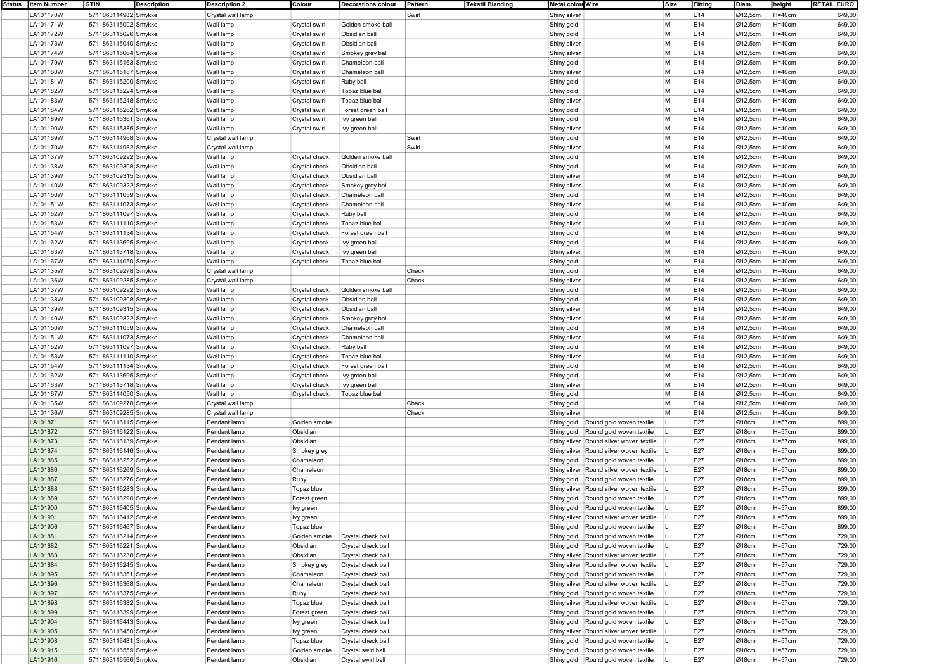| Status Item Number | <b>GTIN</b><br><b>Description</b> | <b>Description 2</b> | Colour        | <b>Decorations colour</b> | Pattern | <b>Tekstil Blanding</b><br>Metal colou Wire |                                         | Size | Fitting | Diam.   | height     | <b>RETAIL EURO</b> |
|--------------------|-----------------------------------|----------------------|---------------|---------------------------|---------|---------------------------------------------|-----------------------------------------|------|---------|---------|------------|--------------------|
| LA101170W          | 5711863114982 Smykke              | Crystal wall lamp    |               |                           | Swirl   | Shiny silver                                |                                         | M    | E14     | Ø12,5cm | $H=40cm$   | 649,00             |
| LA101171W          | 5711863115002 Smykke              | Wall lamp            | Crystal swirl | Golden smoke ball         |         | Shiny gold                                  |                                         | M    | E14     | Ø12,5cm | $H=40cm$   | 649,00             |
|                    |                                   |                      |               |                           |         |                                             |                                         |      |         |         |            |                    |
| LA101172W          | 5711863115026 Smykke              | Wall lamp            | Crystal swirl | Obsidian bal              |         | Shiny gold                                  |                                         | M    | E14     | Ø12,5cm | $H=40cm$   | 649,00             |
| LA101173W          | 5711863115040 Smykke              | Wall lamp            | Crystal swirl | Obsidian ball             |         | Shiny silver                                |                                         | M    | E14     | Ø12,5cm | $H=40cm$   | 649,00             |
| LA101174W          | 5711863115064 Smykke              | Wall lamp            | Crystal swirl | Smokey grey ball          |         | Shiny silver                                |                                         | M    | E14     | Ø12,5cm | $H=40cm$   | 649,00             |
| LA101179W          | 5711863115163 Smykke              | Wall lamp            | Crystal swirl | Chameleon ball            |         | Shiny gold                                  |                                         | M    | E14     | Ø12,5cm | $H=40cm$   | 649,00             |
| LA101180W          | 5711863115187 Smykke              | Wall lamp            | Crystal swirl | Chameleon ball            |         | Shiny silver                                |                                         | M    | E14     | Ø12,5cm | $H=40cm$   | 649,00             |
|                    |                                   |                      |               |                           |         |                                             |                                         |      |         |         |            |                    |
| LA101181W          | 5711863115200 Smykke              | Wall lamp            | Crystal swirl | Ruby ball                 |         | Shiny gold                                  |                                         | M    | E14     | Ø12,5cm | $H=40cm$   | 649,00             |
| LA101182W          | 5711863115224 Smykke              | Wall lamp            | Crystal swirl | Topaz blue ball           |         | Shiny gold                                  |                                         | M    | E14     | Ø12,5cm | $H=40cm$   | 649,00             |
| LA101183W          | 5711863115248 Smykke              | Wall lamp            | Crystal swirl | Topaz blue ball           |         | Shiny silver                                |                                         | M    | E14     | Ø12,5cm | $H=40cm$   | 649,00             |
| LA101184W          | 5711863115262 Smykke              | Wall lamp            | Crystal swirl | Forest green ball         |         | Shiny gold                                  |                                         | M    | E14     | Ø12,5cm | $H=40cm$   | 649,00             |
| LA101189W          |                                   | Wall lamp            |               | Ivy green ball            |         |                                             |                                         | M    | E14     | Ø12,5cm | $H=40cm$   | 649,00             |
|                    | 5711863115361 Smykke              |                      | Crystal swirl |                           |         | Shiny gold                                  |                                         |      |         |         |            |                    |
| LA101190W          | 5711863115385 Smykke              | Wall lamp            | Crystal swirl | Ivy green ball            |         | Shiny silver                                |                                         | M    | E14     | Ø12,5cm | $H=40cm$   | 649,00             |
| LA101169W          | 5711863114968 Smykke              | Crystal wall lamp    |               |                           | Swirl   | Shiny gold                                  |                                         | M    | E14     | Ø12,5cm | $H=40cm$   | 649,00             |
| LA101170W          | 5711863114982 Smykke              | Crystal wall lamp    |               |                           | Swirl   | Shiny silver                                |                                         | M    | E14     | Ø12,5cm | $H=40cm$   | 649,00             |
| LA101137W          | 5711863109292 Smykke              | Wall lamp            | Crystal check | Golden smoke ball         |         | Shiny gold                                  |                                         | M    | E14     | Ø12,5cm | $H=40cm$   | 649,00             |
|                    |                                   |                      |               |                           |         |                                             |                                         |      |         |         |            |                    |
| LA101138W          | 5711863109308 Smykke              | Wall lamp            | Crystal check | Obsidian ball             |         | Shiny gold                                  |                                         | M    | E14     | Ø12,5cm | $H=40cm$   | 649,00             |
| LA101139W          | 5711863109315 Smykke              | Wall lamp            | Crystal check | Obsidian ball             |         | Shiny silver                                |                                         | M    | E14     | Ø12,5cm | $H=40cm$   | 649,00             |
| LA101140W          | 5711863109322 Smykke              | Wall lamp            | Crystal check | Smokey grey ball          |         | Shiny silver                                |                                         | M    | E14     | Ø12,5cm | $H=40cm$   | 649,00             |
| LA101150W          | 5711863111059 Smykke              | Wall lamp            | Crystal check | Chameleon ball            |         | Shiny gold                                  |                                         | M    | E14     | Ø12,5cm | $H=40cm$   | 649,00             |
|                    |                                   | Wall lamp            |               | Chameleon ball            |         |                                             |                                         | M    | E14     | Ø12,5cm | $H=40cm$   | 649,00             |
| LA101151W          | 5711863111073 Smykke              |                      | Crystal check |                           |         | Shiny silver                                |                                         |      |         |         |            |                    |
| LA101152W          | 5711863111097 Smykke              | Wall lamp            | Crystal check | Ruby ball                 |         | Shiny gold                                  |                                         | M    | E14     | Ø12,5cm | H=40cm     | 649,00             |
| LA101153W          | 5711863111110 Smykke              | Wall lamp            | Crystal check | Topaz blue ball           |         | Shiny silver                                |                                         | M    | E14     | Ø12,5cm | $H=40cm$   | 649,00             |
| LA101154W          | 5711863111134 Smykke              | Wall lamp            | Crystal check | Forest green ball         |         | Shiny gold                                  |                                         | M    | E14     | Ø12,5cm | H=40cm     | 649,00             |
| LA101162W          | 5711863113695 Smykke              | Wall lamp            | Crystal check | Ivy green ball            |         | Shiny gold                                  |                                         | M    | E14     | Ø12,5cm | $H=40cm$   | 649,00             |
|                    |                                   |                      |               |                           |         |                                             |                                         |      |         |         |            |                    |
| LA101163W          | 5711863113718 Smykke              | Wall lamp            | Crystal check | lvy green ball            |         | Shiny silver                                |                                         | M    | E14     | Ø12,5cm | $H = 40cm$ | 649,00             |
| LA101167W          | 5711863114050 Smykke              | Wall lamp            | Crystal check | Topaz blue ball           |         | Shiny gold                                  |                                         | M    | E14     | Ø12,5cm | H=40cm     | 649,00             |
| LA101135W          | 5711863109278 Smykke              | Crystal wall lamp    |               |                           | Check   | Shiny gold                                  |                                         | M    | E14     | Ø12,5cm | $H=40cm$   | 649,00             |
| LA101136W          | 5711863109285 Smykke              | Crystal wall lamp    |               |                           | Check   | Shiny silver                                |                                         | M    | E14     | Ø12,5cm | $H=40cm$   | 649,00             |
| LA101137W          | 5711863109292 Smykke              | Wall lamp            |               | Golden smoke ball         |         |                                             |                                         | M    | E14     | Ø12,5cm | $H=40cm$   | 649,00             |
|                    |                                   |                      | Crystal check |                           |         | Shiny gold                                  |                                         |      |         |         |            |                    |
| LA101138W          | 5711863109308 Smykke              | Wall lamp            | Crystal check | Obsidian ball             |         | Shiny gold                                  |                                         | M    | E14     | Ø12,5cm | $H=40cm$   | 649,00             |
| LA101139W          | 5711863109315 Smykke              | Wall lamp            | Crystal check | Obsidian ball             |         | Shiny silver                                |                                         | M    | E14     | Ø12,5cm | $H=40cm$   | 649,00             |
| LA101140W          | 5711863109322 Smykke              | Wall lamp            | Crystal check | Smokey grey ball          |         | Shiny silver                                |                                         | M    | E14     | Ø12,5cm | $H=40cm$   | 649,00             |
| LA101150W          | 5711863111059 Smykke              | Wall lamp            | Crystal check | Chameleon ball            |         | Shiny gold                                  |                                         | M    | E14     | Ø12,5cm | $H=40cm$   | 649,00             |
|                    |                                   |                      |               |                           |         |                                             |                                         |      |         |         |            |                    |
| LA101151W          | 5711863111073 Smykke              | Wall lamp            | Crystal check | Chameleon ball            |         | Shiny silver                                |                                         | M    | E14     | Ø12,5cm | $H=40cm$   | 649,00             |
| LA101152W          | 5711863111097 Smykke              | Wall lamp            | Crystal check | Ruby ball                 |         | Shiny gold                                  |                                         | M    | E14     | Ø12,5cm | $H=40cm$   | 649,00             |
| LA101153W          | 5711863111110 Smykke              | Wall lamp            | Crystal check | Topaz blue ball           |         | Shiny silver                                |                                         | M    | E14     | Ø12,5cm | H=40cm     | 649,00             |
| LA101154W          | 5711863111134 Smykke              | Wall lamp            | Crystal check | Forest green ball         |         | Shiny gold                                  |                                         | M    | E14     | Ø12,5cm | $H=40cm$   | 649,00             |
| LA101162W          | 5711863113695 Smykke              | Wall lamp            |               | Ivy green ball            |         | Shiny gold                                  |                                         | M    | E14     | Ø12,5cm | $H=40cm$   | 649,00             |
|                    |                                   |                      | Crystal check |                           |         |                                             |                                         |      |         |         |            |                    |
| LA101163W          | 5711863113718 Smykke              | Wall lamp            | Crystal check | Ivy green ball            |         | Shiny silver                                |                                         | M    | E14     | Ø12,5cm | $H=40cm$   | 649,00             |
| LA101167W          | 5711863114050 Smykke              | Wall lamp            | Crystal check | Topaz blue ball           |         | Shiny gold                                  |                                         | M    | E14     | Ø12,5cm | $H=40cm$   | 649,00             |
| LA101135W          | 5711863109278 Smykke              | Crystal wall lamp    |               |                           | Check   | Shiny gold                                  |                                         | M    | E14     | Ø12,5cm | H=40cm     | 649,00             |
| LA101136W          | 5711863109285 Smykke              | Crystal wall lamp    |               |                           | Check   | Shiny silver                                |                                         | M    | E14     | Ø12,5cm | $H=40cm$   | 649,00             |
|                    |                                   |                      |               |                           |         |                                             |                                         |      |         |         |            |                    |
| LA101871           | 5711863116115 Smykke              | Pendant lamp         | Golden smoke  |                           |         | Shiny gold                                  | Round gold woven textile                |      | E27     | Ø18cm   | H=57cm     | 899,00             |
| LA101872           | 5711863116122 Smykke              | Pendant lamp         | Obsidian      |                           |         |                                             | Shiny gold Round gold woven textile     |      | E27     | Ø18cm   | H=57cm     | 899,00             |
| LA101873           | 5711863116139 Smykke              | Pendant lamp         | Obsidian      |                           |         |                                             | Shiny silver Round silver woven textile |      | E27     | Ø18cm   | H=57cm     | 899,00             |
| LA101874           | 5711863116146 Smykke              | Pendant lamp         | Smokey grey   |                           |         |                                             | Shiny silver Round silver woven textile |      | E27     | Ø18cm   | H=57cm     | 899,00             |
| LA101885           | 5711863116252 Smykke              |                      | Chameleon     |                           |         |                                             |                                         |      | E27     | Ø18cm   | H=57cm     | 899,00             |
|                    |                                   | Pendant lamp         |               |                           |         |                                             | Shiny gold Round gold woven textile     |      |         |         |            |                    |
| LA101886           | 5711863116269 Smykke              | Pendant lamp         | Chameleon     |                           |         |                                             | Shiny silver Round silver woven textile |      | E27     | Ø18cm   | H=57cm     | 899,00             |
| LA101887           | 5711863116276 Smykke              | Pendant lamp         | Ruby          |                           |         |                                             | Shiny gold Round gold woven textile     |      | E27     | Ø18cm   | H=57cm     | 899,00             |
| LA101888           | 5711863116283 Smykke              | Pendant lamp         | Topaz blue    |                           |         |                                             | Shiny silver Round silver woven textile |      | E27     | Ø18cm   | H=57cm     | 899,00             |
| LA101889           | 5711863116290 Smykke              | Pendant lamp         | Forest green  |                           |         |                                             | Shiny gold Round gold woven textile     |      | E27     | Ø18cm   | H=57cm     | 899,00             |
| LA101900           | 5711863116405 Smykke              |                      |               |                           |         |                                             | Shiny gold Round gold woven textile     |      | E27     | Ø18cm   | $H = 57cm$ | 899,00             |
|                    |                                   | Pendant lamp         | lvy green     |                           |         |                                             |                                         |      |         |         |            |                    |
| LA101901           | 5711863116412 Smykke              | Pendant lamp         | Ivy green     |                           |         |                                             | Shiny silver Round silver woven textile |      | E27     | Ø18cm   | H=57cm     | 899,00             |
| LA101906           | 5711863116467 Smykke              | Pendant lamp         | Topaz blue    |                           |         |                                             | Shiny gold Round gold woven textile     |      | E27     | Ø18cm   | H=57cm     | 899,00             |
| LA101881           | 5711863116214 Smykke              | Pendant lamp         | Golden smoke  | Crystal check ball        |         |                                             | Shiny gold   Round gold woven textile   |      | E27     | Ø18cm   | H=57cm     | 729,00             |
| LA101882           | 5711863116221 Smykke              | Pendant lamp         | Obsidian      | Crystal check ball        |         |                                             | Shiny gold   Round gold woven textile   |      | E27     | Ø18cm   | H=57cm     | 729,00             |
|                    |                                   |                      |               |                           |         |                                             |                                         |      |         |         |            |                    |
| LA101883           | 5711863116238 Smykke              | Pendant lamp         | Obsidian      | Crystal check ball        |         |                                             | Shiny silver Round silver woven textile |      | E27     | Ø18cm   | H=57cm     | 729,00             |
| LA101884           | 5711863116245 Smykke              | Pendant lamp         | Smokey grey   | Crystal check ball        |         |                                             | Shiny silver Round silver woven textile |      | E27     | Ø18cm   | H=57cm     | 729,00             |
| LA101895           | 5711863116351 Smykke              | Pendant lamp         | Chameleon     | Crystal check ball        |         |                                             | Shiny gold Round gold woven textile     |      | E27     | Ø18cm   | H=57cm     | 729,00             |
| LA101896           | 5711863116368 Smykke              | Pendant lamp         | Chameleon     | Crystal check ball        |         |                                             | Shiny silver Round silver woven textile |      | E27     | Ø18cm   | H=57cm     | 729,00             |
| LA101897           |                                   |                      |               | Crystal check ball        |         |                                             | Shiny gold Round gold woven textile     |      | E27     | Ø18cm   | H=57cm     | 729,00             |
|                    | 5711863116375 Smykke              | Pendant lamp         | Ruby          |                           |         |                                             |                                         |      |         |         |            |                    |
| LA101898           | 5711863116382 Smykke              | Pendant lamp         | Topaz blue    | Crystal check ball        |         |                                             | Shiny silver Round silver woven textile |      | E27     | Ø18cm   | H=57cm     | 729,00             |
| LA101899           | 5711863116399 Smykke              | Pendant lamp         | Forest green  | Crystal check ball        |         |                                             | Shiny gold Round gold woven textile     |      | E27     | Ø18cm   | H=57cm     | 729,00             |
| LA101904           | 5711863116443 Smykke              | Pendant lamp         | Ivy green     | Crystal check ball        |         |                                             | Shiny gold Round gold woven textile     |      | E27     | Ø18cm   | H=57cm     | 729,00             |
| LA101905           | 5711863116450 Smykke              | Pendant lamp         | Ivy green     | Crystal check ball        |         |                                             | Shiny silver Round silver woven textile |      | E27     | Ø18cm   | H=57cm     | 729,00             |
| LA101908           | 5711863116481 Smykke              | Pendant lamp         | Topaz blue    | Crystal check ball        |         |                                             | Shiny gold Round gold woven textile     |      | E27     | Ø18cm   | H=57cm     | 729,00             |
|                    |                                   |                      |               |                           |         |                                             |                                         |      |         |         |            |                    |
| LA101915           | 5711863116559 Smykke              | Pendant lamp         | Golden smoke  | Crystal swirl ball        |         |                                             | Shiny gold Round gold woven textile     |      | E27     | Ø18cm   | H=57cm     | 729,00             |
| LA101916           | 5711863116566 Smykke              | Pendant lamp         | Obsidian      | Crystal swirl ball        |         |                                             | Shiny gold Round gold woven textile     |      | E27     | Ø18cm   | H=57cm     | 729,00             |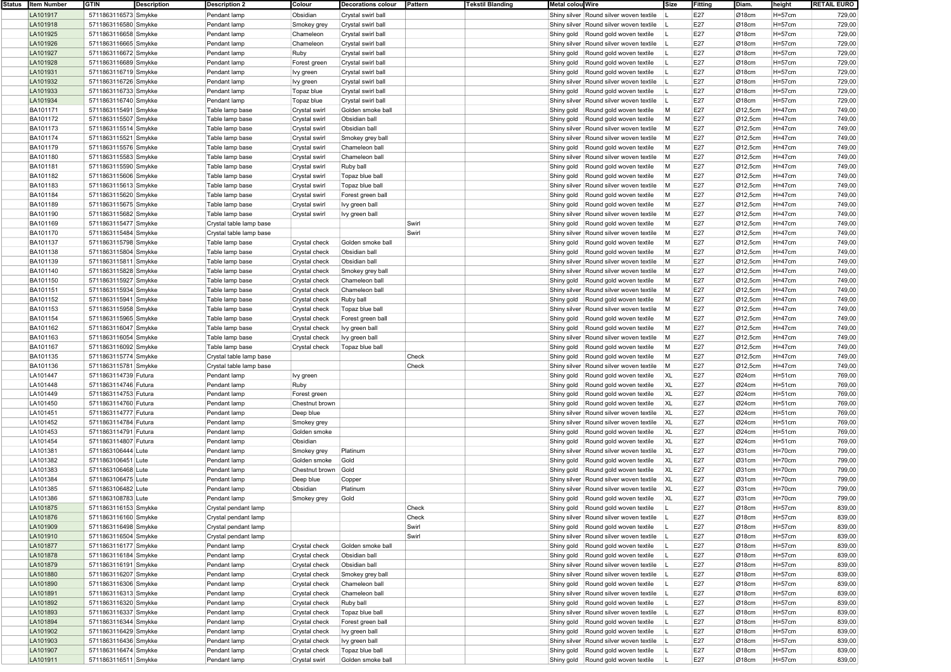| Status   Item Number | GTIN                 | <b>Description</b> | <b>Description 2</b>    | Colour         | <b>Decorations colour</b> | Pattern | <b>Tekstil Blanding</b> | Metal colou Wire                        | Size      | Fitting | Diam.                | height     | <b>RETAIL EURO</b> |
|----------------------|----------------------|--------------------|-------------------------|----------------|---------------------------|---------|-------------------------|-----------------------------------------|-----------|---------|----------------------|------------|--------------------|
| LA101917             | 5711863116573 Smykke |                    | Pendant lamp            | Obsidian       | Crystal swirl ball        |         |                         | Shiny silver Round silver woven textile |           | E27     | Ø18cm                | H=57cm     | 729,00             |
| LA101918             | 5711863116580 Smykke |                    | Pendant lamp            | Smokey grey    | Crystal swirl ball        |         |                         | Shiny silver Round silver woven textile |           | E27     | Ø18cm                | H=57cm     | 729,00             |
| LA101925             | 5711863116658 Smykke |                    | Pendant lamp            | Chameleon      | Crystal swirl ball        |         |                         | Shiny gold Round gold woven textile     |           | E27     | Ø18cm                | H=57cm     | 729,00             |
|                      |                      |                    |                         |                |                           |         |                         | Shiny silver Round silver woven textile |           |         |                      |            |                    |
| LA101926             | 5711863116665 Smykke |                    | Pendant lamp            | Chameleon      | Crystal swirl ball        |         |                         |                                         |           | E27     | $\varnothing$ 18cm   | H=57cm     | 729,00             |
| LA101927             | 5711863116672 Smykke |                    | Pendant lamp            | Ruby           | Crystal swirl ball        |         |                         | Shiny gold Round gold woven textile     |           | E27     | $\varnothing$ 18cm   | H=57cm     | 729,00             |
| LA101928             | 5711863116689 Smykke |                    | Pendant lamp            | Forest green   | Crystal swirl ball        |         |                         | Shiny gold Round gold woven textile     |           | E27     | $\varnothing$ 18cm   | H=57cm     | 729,00             |
| LA101931             | 5711863116719 Smykke |                    | Pendant lamp            | Ivy green      | Crystal swirl ball        |         |                         | Shiny gold Round gold woven textile     |           | E27     | $\varnothing$ 18cm   | H=57cm     | 729,00             |
| LA101932             | 5711863116726 Smykke |                    | Pendant lamp            | Ivy green      | Crystal swirl ball        |         |                         | Shiny silver Round silver woven textile |           | E27     | Ø18cm                | H=57cm     | 729,00             |
| LA101933             | 5711863116733 Smykke |                    | Pendant lamp            | Topaz blue     | Crystal swirl ball        |         |                         | Shiny gold Round gold woven textile     |           | E27     | Ø18cm                | H=57cm     | 729,00             |
| LA101934             | 5711863116740 Smykke |                    | Pendant lamp            | Topaz blue     | Crystal swirl ball        |         |                         | Shiny silver Round silver woven textile |           | E27     | Ø18cm                | H=57cm     | 729,00             |
| BA101171             | 5711863115491 Smykke |                    | Table lamp base         | Crystal swirl  | Golden smoke ball         |         |                         | Shiny gold Round gold woven textile     | M         | E27     | Ø12,5cm              | H=47cm     | 749,00             |
|                      |                      |                    |                         |                | Obsidian ball             |         |                         |                                         | M         |         |                      |            |                    |
| BA101172             | 5711863115507 Smykke |                    | Table lamp base         | Crystal swirl  |                           |         |                         | Shiny gold Round gold woven textile     |           | E27     | $\varnothing$ 12,5cm | H=47cm     | 749,00             |
| BA101173             | 5711863115514 Smykke |                    | Table lamp base         | Crystal swirl  | Obsidian ball             |         |                         | Shiny silver Round silver woven textile | M         | E27     | Ø12,5cm              | $H = 47cm$ | 749,00             |
| <b>BA101174</b>      | 5711863115521 Smykke |                    | Table lamp base         | Crystal swirl  | Smokey grey ball          |         |                         | Shiny silver Round silver woven textile | M         | E27     | $\varnothing$ 12,5cm | H=47cm     | 749,00             |
| BA101179             | 5711863115576 Smykke |                    | Table lamp base         | Crystal swirl  | Chameleon ball            |         |                         | Shiny gold Round gold woven textile     | M         | E27     | Ø12,5cm              | $H = 47cm$ | 749,00             |
| BA101180             | 5711863115583 Smykke |                    | Table lamp base         | Crystal swirl  | Chameleon ball            |         |                         | Shiny silver Round silver woven textile | M         | E27     | Ø12,5cm              | H=47cm     | 749,00             |
| BA101181             | 5711863115590 Smykke |                    | Table lamp base         | Crystal swirl  | Ruby ball                 |         |                         | Shiny gold Round gold woven textile     | M         | E27     | $\varnothing$ 12,5cm | H=47cm     | 749,00             |
| BA101182             | 5711863115606 Smykke |                    | Table lamp base         | Crystal swirl  | Topaz blue ball           |         |                         | Shiny gold Round gold woven textile     | M         | E27     | Ø12,5cm              | $H = 47cm$ | 749,00             |
| BA101183             | 5711863115613 Smykke |                    | Table lamp base         | Crystal swirl  | Topaz blue ball           |         |                         | Shiny silver Round silver woven textile | M         | E27     | $\varnothing$ 12,5cm | H=47cm     | 749,00             |
|                      |                      |                    |                         |                |                           |         |                         |                                         |           |         |                      |            |                    |
| <b>BA101184</b>      | 5711863115620 Smykke |                    | Table lamp base         | Crystal swirl  | Forest green ball         |         |                         | Shiny gold Round gold woven textile     | M         | E27     | $\varnothing$ 12,5cm | $H = 47cm$ | 749,00             |
| BA101189             | 5711863115675 Smykke |                    | Table lamp base         | Crystal swirl  | lvy green ball            |         |                         | Shiny gold Round gold woven textile     | M         | E27     | Ø12,5cm              | H=47cm     | 749,00             |
| <b>BA101190</b>      | 5711863115682 Smykke |                    | Table lamp base         | Crystal swirl  | lvy green ball            |         |                         | Shiny silver Round silver woven textile | M         | E27     | $\varnothing$ 12,5cm | H=47cm     | 749,00             |
| BA101169             | 5711863115477 Smykke |                    | Crystal table lamp base |                |                           | Swirl   |                         | Shiny gold Round gold woven textile     | M         | E27     | Ø12,5cm              | $H = 47cm$ | 749,00             |
| BA101170             | 5711863115484 Smykke |                    | Crystal table lamp base |                |                           | Swirl   |                         | Shiny silver Round silver woven textile | M         | E27     | $\varnothing$ 12,5cm | H=47cm     | 749,00             |
| BA101137             | 5711863115798 Smykke |                    | Table lamp base         | Crystal check  | Golden smoke ball         |         |                         | Shiny gold Round gold woven textile     | M         | E27     | Ø12,5cm              | $H = 47cm$ | 749,00             |
| BA101138             | 5711863115804 Smykke |                    | Table lamp base         | Crystal check  | Obsidian ball             |         |                         | Shiny gold Round gold woven textile     | M         | E27     | Ø12,5cm              | H=47cm     | 749,00             |
| <b>BA101139</b>      |                      |                    |                         |                | Obsidian ball             |         |                         | Shiny silver Round silver woven textile | M         | E27     | Ø12,5cm              | H=47cm     | 749,00             |
|                      | 5711863115811 Smykke |                    | Table lamp base         | Crystal check  |                           |         |                         |                                         |           |         |                      |            |                    |
| BA101140             | 5711863115828 Smykke |                    | Table lamp base         | Crystal check  | Smokey grey ball          |         |                         | Shiny silver Round silver woven textile | M         | E27     | Ø12,5cm              | $H=47cm$   | 749,00             |
| BA101150             | 5711863115927 Smykke |                    | Table lamp base         | Crystal check  | Chameleon ball            |         |                         | Shiny gold Round gold woven textile     | M         | E27     | $\varnothing$ 12,5cm | H=47cm     | 749,00             |
| <b>BA101151</b>      | 5711863115934 Smykke |                    | Table lamp base         | Crystal check  | Chameleon ball            |         |                         | Shiny silver Round silver woven textile | M         | E27     | Ø12,5cm              | $H = 47cm$ | 749,00             |
| BA101152             | 5711863115941 Smykke |                    | Table lamp base         | Crystal check  | Ruby ball                 |         |                         | Shiny gold Round gold woven textile     | M         | E27     | Ø12,5cm              | $H = 47cm$ | 749,00             |
| <b>BA101153</b>      | 5711863115958 Smykke |                    | Table lamp base         | Crystal check  | Topaz blue ball           |         |                         | Shiny silver Round silver woven textile | M         | E27     | $\varnothing$ 12,5cm | H=47cm     | 749,00             |
| BA101154             | 5711863115965 Smykke |                    | Table lamp base         | Crystal check  | Forest green ball         |         |                         | Shiny gold Round gold woven textile     | M         | E27     | Ø12,5cm              | $H = 47cm$ | 749,00             |
| BA101162             | 5711863116047 Smykke |                    | Table lamp base         | Crystal check  | lvy green ball            |         |                         | Shiny gold Round gold woven textile     | M         | E27     | $\varnothing$ 12,5cm | H=47cm     | 749,00             |
|                      |                      |                    |                         |                |                           |         |                         |                                         | M         | E27     |                      | $H = 47cm$ |                    |
| BA101163             | 5711863116054 Smykke |                    | Table lamp base         | Crystal check  | lvy green ball            |         |                         | Shiny silver Round silver woven textile |           |         | $\varnothing$ 12,5cm |            | 749,00             |
| BA101167             | 5711863116092 Smykke |                    | Table lamp base         | Crystal check  | Topaz blue ball           |         |                         | Shiny gold Round gold woven textile     | M         | E27     | Ø12,5cm              | H=47cm     | 749,00             |
| <b>BA101135</b>      | 5711863115774 Smykke |                    | Crystal table lamp base |                |                           | Check   |                         | Shiny gold Round gold woven textile     | M         | E27     | Ø12,5cm              | H=47cm     | 749,00             |
| BA101136             | 5711863115781 Smykke |                    | Crystal table lamp base |                |                           | Check   |                         | Shiny silver Round silver woven textile | M         | E27     | Ø12,5cm              | $H = 47cm$ | 749,00             |
| LA101447             | 5711863114739 Futura |                    | Pendant lamp            | Ivy green      |                           |         |                         | Shiny gold Round gold woven textile     | XL        | E27     | Ø24cm                | H=51cm     | 769,00             |
| LA101448             | 5711863114746 Futura |                    | Pendant lamp            | Ruby           |                           |         |                         | Shiny gold Round gold woven textile     | XL        | E27     | Ø24cm                | $H = 51cm$ | 769,00             |
| LA101449             | 5711863114753 Futura |                    | Pendant lamp            | Forest green   |                           |         |                         | Shiny gold Round gold woven textile     | <b>XL</b> | E27     | Ø24cm                | H=51cm     | 769,00             |
| LA101450             | 5711863114760 Futura |                    | Pendant lamp            | Chestnut brown |                           |         |                         | Shiny gold Round gold woven textile     | <b>XL</b> | E27     | Ø24cm                | H=51cm     | 769,00             |
| LA101451             | 5711863114777 Futura |                    |                         |                |                           |         |                         |                                         | XL        | E27     | Ø24cm                | H=51cm     | 769,00             |
|                      |                      |                    | Pendant lamp            | Deep blue      |                           |         |                         | Shiny silver Round silver woven textile |           |         |                      |            |                    |
| LA101452             | 5711863114784 Futura |                    | Pendant lamp            | Smokey grey    |                           |         |                         | Shiny silver Round silver woven textile | XL        | E27     | Ø24cm                | H=51cm     | 769,00             |
| LA101453             | 5711863114791 Futura |                    | Pendant lamp            | Golden smoke   |                           |         |                         | Shiny gold Round gold woven textile     | XL        | E27     | Ø24cm                | H=51cm     | 769,00             |
| LA101454             | 5711863114807 Futura |                    | Pendant lamp            | Obsidian       |                           |         |                         | Shiny gold Round gold woven textile     | XL        | E27     | Ø24cm                | $H = 51cm$ | 769,00             |
| LA101381             | 5711863106444 Lute   |                    | Pendant lamp            | Smokey grey    | Platinum                  |         |                         | Shiny silver Round silver woven textile | XL        | E27     | Ø31cm                | H=70cm     | 799,00             |
| LA101382             | 5711863106451 Lute   |                    | Pendant lamp            | Golden smoke   | Gold                      |         |                         | Shiny gold Round gold woven textile     | XL        | E27     | Ø31cm                | H=70cm     | 799,00             |
| LA101383             | 5711863106468 Lute   |                    | Pendant lamp            | Chestnut brown | Gold                      |         |                         | Shiny gold Round gold woven textile     | <b>XL</b> | E27     | Ø31cm                | H=70cm     | 799,00             |
| LA101384             | 5711863106475 Lute   |                    | Pendant lamp            | Deep blue      | Copper                    |         |                         | Shiny silver Round silver woven textile | XL        | E27     | Ø31cm                | $H = 70cm$ | 799,00             |
| LA101385             | 5711863106482 Lute   |                    | Pendant lamp            | Obsidian       | Platinum                  |         |                         | Shiny silver Round silver woven textile | XL        | E27     | Ø31cm                | H=70cm     | 799,00             |
|                      |                      |                    |                         |                |                           |         |                         |                                         |           |         |                      |            |                    |
| LA101386             | 5711863108783 Lute   |                    | Pendant lamp            | Smokey grey    | Gold                      |         |                         | Shiny gold Round gold woven textile     | XL        | E27     | Ø31cm                | H=70cm     | 799,00             |
| LA101875             | 5711863116153 Smykke |                    | Crystal pendant lamp    |                |                           | Check   |                         | Shiny gold Round gold woven textile     |           | E27     | Ø18cm                | $H = 57cm$ | 839,00             |
| LA101876             | 5711863116160 Smykke |                    | Crystal pendant lamp    |                |                           | Check   |                         | Shiny silver Round silver woven textile |           | E27     | Ø18cm                | H=57cm     | 839,00             |
| LA101909             | 5711863116498 Smykke |                    | Crystal pendant lamp    |                |                           | Swirl   |                         | Shiny gold Round gold woven textile     |           | E27     | Ø18cm                | H=57cm     | 839,00             |
| LA101910             | 5711863116504 Smykke |                    | Crystal pendant lamp    |                |                           | Swirl   |                         | Shiny silver Round silver woven textile |           | E27     | Ø18cm                | H=57cm     | 839,00             |
| LA101877             | 5711863116177 Smykke |                    | Pendant lamp            | Crystal check  | Golden smoke ball         |         |                         | Shiny gold   Round gold woven textile   |           | E27     | Ø18cm                | H=57cm     | 839,00             |
| LA101878             | 5711863116184 Smykke |                    | Pendant lamp            | Crystal check  | Obsidian ball             |         |                         | Shiny gold   Round gold woven textile   |           | E27     | Ø18cm                | H=57cm     | 839,00             |
|                      |                      |                    |                         |                |                           |         |                         |                                         |           |         |                      |            |                    |
| LA101879             | 5711863116191 Smykke |                    | Pendant lamp            | Crystal check  | Obsidian ball             |         |                         | Shiny silver Round silver woven textile |           | E27     | Ø18cm                | H=57cm     | 839,00             |
| LA101880             | 5711863116207 Smykke |                    | Pendant lamp            | Crystal check  | Smokey grey ball          |         |                         | Shiny silver Round silver woven textile |           | E27     | Ø18cm                | H=57cm     | 839,00             |
| LA101890             | 5711863116306 Smykke |                    | Pendant lamp            | Crystal check  | Chameleon ball            |         |                         | Shiny gold Round gold woven textile     |           | E27     | Ø18cm                | H=57cm     | 839,00             |
| LA101891             | 5711863116313 Smykke |                    | Pendant lamp            | Crystal check  | Chameleon ball            |         |                         | Shiny silver Round silver woven textile |           | E27     | Ø18cm                | H=57cm     | 839,00             |
| LA101892             | 5711863116320 Smykke |                    | Pendant lamp            | Crystal check  | Ruby ball                 |         |                         | Shiny gold   Round gold woven textile   |           | E27     | Ø18cm                | H=57cm     | 839,00             |
| LA101893             | 5711863116337 Smykke |                    | Pendant lamp            | Crystal check  | Topaz blue ball           |         |                         | Shiny silver Round silver woven textile |           | E27     | Ø18cm                | H=57cm     | 839,00             |
| LA101894             | 5711863116344 Smykke |                    | Pendant lamp            | Crystal check  | Forest green ball         |         |                         | Shiny gold Round gold woven textile     |           | E27     | Ø18cm                | H=57cm     | 839,00             |
| LA101902             | 5711863116429 Smykke |                    | Pendant lamp            | Crystal check  | lvy green ball            |         |                         | Shiny gold   Round gold woven textile   |           | E27     | Ø18cm                | H=57cm     | 839,00             |
| LA101903             | 5711863116436 Smykke |                    | Pendant lamp            |                |                           |         |                         | Shiny silver Round silver woven textile |           |         |                      |            |                    |
|                      |                      |                    |                         | Crystal check  | lvy green ball            |         |                         |                                         |           | E27     | Ø18cm                | H=57cm     | 839,00             |
| LA101907             | 5711863116474 Smykke |                    | Pendant lamp            | Crystal check  | Topaz blue ball           |         |                         | Shiny gold Round gold woven textile     |           | E27     | Ø18cm                | H=57cm     | 839,00             |
| LA101911             | 5711863116511 Smykke |                    | Pendant lamp            | Crystal swirl  | Golden smoke ball         |         |                         | Shiny gold Round gold woven textile     |           | E27     | Ø18cm                | H=57cm     | 839,00             |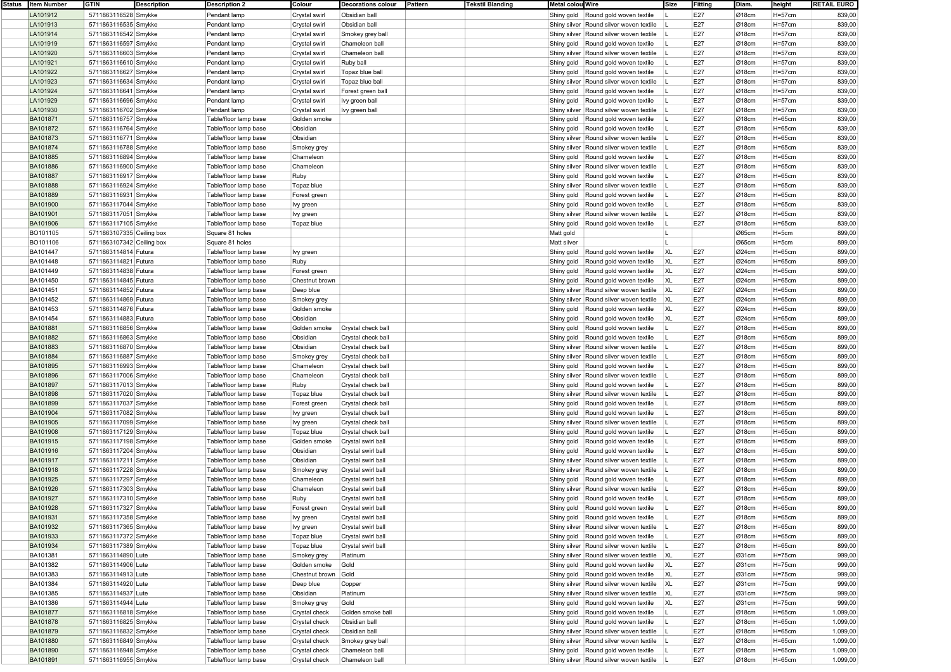| Status   Item Number | <b>GTIN</b>               | <b>Description</b> | <b>Description 2</b>  | Colour         | <b>Decorations colour</b> | Pattern | <b>Tekstil Blanding</b> | Metal colou Wire                        | Size      | Fitting | Diam. | height      | <b>RETAIL EURO</b> |
|----------------------|---------------------------|--------------------|-----------------------|----------------|---------------------------|---------|-------------------------|-----------------------------------------|-----------|---------|-------|-------------|--------------------|
| LA101912             | 5711863116528 Smykke      |                    | Pendant lamp          | Crystal swirl  | Obsidian ball             |         |                         | Shiny gold Round gold woven textile     |           | E27     | Ø18cm | $H = 57cm$  | 839,00             |
| LA101913             | 5711863116535 Smykke      |                    | Pendant lamp          | Crystal swirl  | Obsidian ball             |         |                         | Shiny silver Round silver woven textile |           | E27     | Ø18cm | H=57cm      | 839,00             |
| LA101914             | 5711863116542 Smykke      |                    | Pendant lamp          | Crystal swirl  | Smokey grey ball          |         |                         | Shiny silver Round silver woven textile |           | E27     | Ø18cm | $H = 57cm$  | 839,00             |
| LA101919             | 5711863116597 Smykke      |                    | Pendant lamp          | Crystal swirl  | Chameleon ball            |         |                         | Shiny gold Round gold woven textile     |           | E27     | Ø18cm | $H = 57cm$  | 839,00             |
| LA101920             | 5711863116603 Smykke      |                    | Pendant lamp          | Crystal swirl  | Chameleon ball            |         |                         | Shiny silver Round silver woven textile |           | E27     | Ø18cm | H=57cm      | 839,00             |
| LA101921             | 5711863116610 Smykke      |                    | Pendant lamp          |                |                           |         |                         |                                         |           | E27     |       |             |                    |
|                      |                           |                    |                       | Crystal swirl  | Ruby ball                 |         |                         | Shiny gold<br>Round gold woven textile  |           |         | Ø18cm | H=57cm      | 839,00             |
| LA101922             | 5711863116627 Smykke      |                    | Pendant lamp          | Crystal swirl  | Topaz blue ball           |         |                         | Shiny gold<br>Round gold woven textile  |           | E27     | Ø18cm | H=57cm      | 839,00             |
| LA101923             | 5711863116634 Smykke      |                    | Pendant lamp          | Crystal swirl  | Topaz blue ball           |         |                         | Shiny silver Round silver woven textile |           | E27     | Ø18cm | $H = 57cm$  | 839,00             |
| LA101924             | 5711863116641 Smykke      |                    | Pendant lamp          | Crystal swirl  | Forest green ball         |         |                         | Shiny gold<br>Round gold woven textile  |           | E27     | Ø18cm | H=57cm      | 839,00             |
| LA101929             | 5711863116696 Smykke      |                    | Pendant lamp          | Crystal swirl  | lvy green ball            |         |                         | Shiny gold<br>Round gold woven textile  |           | E27     | Ø18cm | H=57cm      | 839,00             |
| LA101930             | 5711863116702 Smykke      |                    | Pendant lamp          | Crystal swirl  | lvy green ball            |         |                         | Shiny silver Round silver woven textile |           | E27     | Ø18cm | H=57cm      | 839,00             |
| BA101871             | 5711863116757 Smykke      |                    | Table/floor lamp base | Golden smoke   |                           |         |                         | Round gold woven textile<br>Shiny gold  |           | E27     | Ø18cm | $H = 65cm$  | 839,00             |
| BA101872             | 5711863116764 Smykke      |                    | Table/floor lamp base | Obsidian       |                           |         |                         | Shiny gold<br>Round gold woven textile  |           | E27     | Ø18cm | $H = 65cm$  | 839,00             |
| <b>BA101873</b>      | 5711863116771 Smykke      |                    | Table/floor lamp base | Obsidian       |                           |         |                         | Shiny silver Round silver woven textile |           | E27     | Ø18cm | $H = 65$ cm | 839,00             |
|                      |                           |                    |                       |                |                           |         |                         |                                         |           |         |       |             |                    |
| BA101874             | 5711863116788 Smykke      |                    | Table/floor lamp base | Smokey grey    |                           |         |                         | Shiny silver Round silver woven textile |           | E27     | Ø18cm | $H=65cm$    | 839,00             |
| BA101885             | 5711863116894 Smykke      |                    | Table/floor lamp base | Chameleon      |                           |         |                         | Round gold woven textile<br>Shiny gold  |           | E27     | Ø18cm | $H=65cm$    | 839,00             |
| <b>BA101886</b>      | 5711863116900 Smykke      |                    | Table/floor lamp base | Chameleon      |                           |         |                         | Shiny silver Round silver woven textile |           | E27     | Ø18cm | $H = 65cm$  | 839,00             |
| BA101887             | 5711863116917 Smykke      |                    | Table/floor lamp base | Ruby           |                           |         |                         | Shiny gold<br>Round gold woven textile  |           | E27     | Ø18cm | $H = 65cm$  | 839,00             |
| <b>BA101888</b>      | 5711863116924 Smykke      |                    | Table/floor lamp base | Topaz blue     |                           |         |                         | Shiny silver Round silver woven textile |           | E27     | Ø18cm | $H = 65cm$  | 839,00             |
| <b>BA101889</b>      | 5711863116931 Smykke      |                    | Table/floor lamp base | Forest green   |                           |         |                         | Round gold woven textile<br>Shiny gold  |           | E27     | Ø18cm | $H=65cm$    | 839,00             |
| BA101900             | 5711863117044 Smykke      |                    | Table/floor lamp base | Ivy green      |                           |         |                         | Shiny gold<br>Round gold woven textile  |           | E27     | Ø18cm | $H=65cm$    | 839,00             |
| <b>BA101901</b>      | 5711863117051 Smykke      |                    | Table/floor lamp base |                |                           |         |                         | Shiny silver Round silver woven textile |           | E27     | Ø18cm | $H = 65$ cm | 839,00             |
|                      |                           |                    |                       | Ivy green      |                           |         |                         |                                         |           |         |       |             |                    |
| BA101906             | 5711863117105 Smykke      |                    | Table/floor lamp base | Topaz blue     |                           |         |                         | Shiny gold<br>Round gold woven textile  |           | E27     | Ø18cm | H=65cm      | 839,00             |
| BO101105             | 5711863107335 Ceiling box |                    | Square 81 holes       |                |                           |         |                         | Matt gold                               |           |         | Ø65cm | $H = 5cm$   | 899,00             |
| BO101106             | 5711863107342 Ceiling box |                    | Square 81 holes       |                |                           |         |                         | Matt silver                             |           |         | Ø65cm | H=5cm       | 899,00             |
| BA101447             | 5711863114814 Futura      |                    | Table/floor lamp base | lvy green      |                           |         |                         | Round gold woven textile<br>Shiny gold  | <b>XL</b> | E27     | Ø24cm | $H = 65cm$  | 899,00             |
| <b>BA101448</b>      | 5711863114821 Futura      |                    | Table/floor lamp base | Ruby           |                           |         |                         | Shiny gold<br>Round gold woven textile  | <b>XL</b> | E27     | Ø24cm | $H = 65$ cm | 899,00             |
| BA101449             | 5711863114838 Futura      |                    | Table/floor lamp base | Forest green   |                           |         |                         | Shiny gold<br>Round gold woven textile  | <b>XL</b> | E27     | Ø24cm | $H = 65cm$  | 899,00             |
| <b>BA101450</b>      | 5711863114845 Futura      |                    | Table/floor lamp base | Chestnut brown |                           |         |                         | Shiny gold<br>Round gold woven textile  | <b>XL</b> | E27     | Ø24cm | $H = 65cm$  | 899,00             |
| BA101451             | 5711863114852 Futura      |                    | Table/floor lamp base | Deep blue      |                           |         |                         | Shiny silver Round silver woven textile | XL        | E27     | Ø24cm | $H=65cm$    | 899,00             |
|                      |                           |                    |                       |                |                           |         |                         |                                         |           |         |       |             |                    |
| BA101452             | 5711863114869 Futura      |                    | Table/floor lamp base | Smokey grey    |                           |         |                         | Shiny silver Round silver woven textile | <b>XL</b> | E27     | Ø24cm | $H = 65cm$  | 899,00             |
| <b>BA101453</b>      | 5711863114876 Futura      |                    | Table/floor lamp base | Golden smoke   |                           |         |                         | Shiny gold<br>Round gold woven textile  | <b>XL</b> | E27     | Ø24cm | $H = 65$ cm | 899,00             |
| BA101454             | 5711863114883 Futura      |                    | Table/floor lamp base | Obsidian       |                           |         |                         | Round gold woven textile<br>Shiny gold  | <b>XL</b> | E27     | Ø24cm | $H = 65cm$  | 899,00             |
| <b>BA101881</b>      | 5711863116856 Smykke      |                    | Table/floor lamp base | Golden smoke   | Crystal check ball        |         |                         | Shiny gold<br>Round gold woven textile  |           | E27     | Ø18cm | $H = 65cm$  | 899,00             |
| <b>BA101882</b>      | 5711863116863 Smykke      |                    | Table/floor lamp base | Obsidian       | Crystal check ball        |         |                         | Shiny gold<br>Round gold woven textile  |           | E27     | Ø18cm | $H = 65cm$  | 899,00             |
| BA101883             | 5711863116870 Smykke      |                    | Table/floor lamp base | Obsidian       | Crystal check ball        |         |                         | Shiny silver Round silver woven textile |           | E27     | Ø18cm | $H=65cm$    | 899,00             |
| <b>BA101884</b>      | 5711863116887 Smykke      |                    | Table/floor lamp base | Smokey grey    | Crystal check ball        |         |                         | Shiny silver Round silver woven textile |           | E27     | Ø18cm | $H = 65$ cm | 899,00             |
| BA101895             | 5711863116993 Smykke      |                    | Table/floor lamp base | Chameleon      | Crystal check ball        |         |                         | Shiny gold<br>Round gold woven textile  |           | E27     | Ø18cm | $H = 65cm$  | 899,00             |
|                      |                           |                    |                       |                |                           |         |                         |                                         |           | E27     |       |             |                    |
| <b>BA101896</b>      | 5711863117006 Smykke      |                    | Table/floor lamp base | Chameleon      | Crystal check ball        |         |                         | Shiny silver Round silver woven textile |           |         | Ø18cm | $H = 65$ cm | 899,00             |
| BA101897             | 5711863117013 Smykke      |                    | Table/floor lamp base | Ruby           | Crystal check ball        |         |                         | Round gold woven textile<br>Shiny gold  |           | E27     | Ø18cm | $H = 65cm$  | 899,00             |
| BA101898             | 5711863117020 Smykke      |                    | Table/floor lamp base | Topaz blue     | Crystal check ball        |         |                         | Shiny silver Round silver woven textile |           | E27     | Ø18cm | $H=65cm$    | 899,00             |
| <b>BA101899</b>      | 5711863117037 Smykke      |                    | Table/floor lamp base | Forest green   | Crystal check ball        |         |                         | Shiny gold<br>Round gold woven textile  |           | E27     | Ø18cm | $H = 65$ cm | 899,00             |
| BA101904             | 5711863117082 Smykke      |                    | Table/floor lamp base | Ivy green      | Crystal check ball        |         |                         | Shiny gold<br>Round gold woven textile  |           | E27     | Ø18cm | $H = 65cm$  | 899,00             |
| <b>BA101905</b>      | 5711863117099 Smykke      |                    | Table/floor lamp base | Ivy green      | Crystal check ball        |         |                         | Shiny silver Round silver woven textile |           | E27     | Ø18cm | $H = 65cm$  | 899,00             |
| BA101908             | 5711863117129 Smykke      |                    | Table/floor lamp base | Topaz blue     | Crystal check ball        |         |                         | Round gold woven textile<br>Shiny gold  |           | E27     | Ø18cm | $H = 65cm$  | 899,00             |
| BA101915             | 5711863117198 Smykke      |                    | Table/floor lamp base | Golden smoke   | Crystal swirl ball        |         |                         | Shiny gold<br>Round gold woven textile  |           | E27     | Ø18cm | $H=65cm$    | 899,00             |
| <b>BA101916</b>      |                           |                    |                       |                |                           |         |                         |                                         |           | E27     | Ø18cm | $H = 65$ cm | 899,00             |
|                      | 5711863117204 Smykke      |                    | Table/floor lamp base | Obsidian       | Crystal swirl ball        |         |                         | Shiny gold<br>Round gold woven textile  |           |         |       |             |                    |
| BA101917             | 5711863117211 Smykke      |                    | Table/floor lamp base | Obsidian       | Crystal swirl ball        |         |                         | Shiny silver Round silver woven textile |           | E27     | Ø18cm | $H = 65cm$  | 899,00             |
| <b>BA101918</b>      | 5711863117228 Smykke      |                    | Table/floor lamp base | Smokey grey    | Crystal swirl ball        |         |                         | Shiny silver Round silver woven textile |           | E27     | Ø18cm | $H = 65cm$  | 899,00             |
| BA101925             | 5711863117297 Smykke      |                    | Table/floor lamp base | Chameleon      | Crystal swirl ball        |         |                         | Shiny gold Round gold woven textile     |           | E27     | Ø18cm | $H = 65cm$  | 899,00             |
| BA101926             | 5711863117303 Smykke      |                    | Table/floor lamp base | Chameleon      | Crystal swirl ball        |         |                         | Shiny silver Round silver woven textile |           | E27     | Ø18cm | $H = 65$ cm | 899,00             |
| <b>BA101927</b>      | 5711863117310 Smykke      |                    | Table/floor lamp base | Ruby           | Crystal swirl ball        |         |                         | Shiny gold Round gold woven textile     |           | E27     | Ø18cm | $H = 65$ cm | 899,00             |
| BA101928             | 5711863117327 Smykke      |                    | Table/floor lamp base | Forest green   | Crystal swirl ball        |         |                         | Shiny gold   Round gold woven textile   |           | E27     | Ø18cm | H=65cm      | 899,00             |
| BA101931             | 5711863117358 Smykke      |                    | Table/floor lamp base | Ivy green      | Crystal swirl ball        |         |                         | Shiny gold   Round gold woven textile   |           | E27     | Ø18cm | $H = 65cm$  | 899,00             |
| BA101932             | 5711863117365 Smykke      |                    | Table/floor lamp base |                | Crystal swirl ball        |         |                         | Shiny silver Round silver woven textile |           | E27     | Ø18cm | $H = 65cm$  | 899,00             |
|                      |                           |                    |                       | Ivy green      |                           |         |                         |                                         |           |         |       |             |                    |
| BA101933             | 5711863117372 Smykke      |                    | Table/floor lamp base | Topaz blue     | Crystal swirl ball        |         |                         | Shiny gold   Round gold woven textile   |           | E27     | Ø18cm | $H=65cm$    | 899,00             |
| BA101934             | 5711863117389 Smykke      |                    | Table/floor lamp base | Topaz blue     | Crystal swirl ball        |         |                         | Shiny silver Round silver woven textile |           | E27     | Ø18cm | $H = 65cm$  | 899,00             |
| BA101381             | 5711863114890 Lute        |                    | Table/floor lamp base | Smokey grey    | Platinum                  |         |                         | Shiny silver Round silver woven textile | XL        | E27     | Ø31cm | H=75cm      | 999,00             |
| BA101382             | 5711863114906 Lute        |                    | Table/floor lamp base | Golden smoke   | Gold                      |         |                         | Shiny gold   Round gold woven textile   | <b>XL</b> | E27     | Ø31cm | H=75cm      | 999,00             |
| BA101383             | 5711863114913 Lute        |                    | Table/floor lamp base | Chestnut brown | Gold                      |         |                         | Shiny gold   Round gold woven textile   | <b>XL</b> | E27     | Ø31cm | H=75cm      | 999,00             |
| BA101384             | 5711863114920 Lute        |                    | Table/floor lamp base | Deep blue      | Copper                    |         |                         | Shiny silver Round silver woven textile | XL        | E27     | Ø31cm | H=75cm      | 999,00             |
| BA101385             | 5711863114937 Lute        |                    | Table/floor lamp base | Obsidian       | Platinum                  |         |                         | Shiny silver Round silver woven textile | XL        | E27     | Ø31cm | H=75cm      | 999,00             |
| BA101386             | 5711863114944 Lute        |                    | Table/floor lamp base | Smokey grey    | Gold                      |         |                         | Shiny gold Round gold woven textile     | <b>XL</b> | E27     | Ø31cm | $H = 75cm$  | 999,00             |
|                      |                           |                    | Table/floor lamp base |                | Golden smoke ball         |         |                         |                                         |           |         |       |             |                    |
| BA101877             | 5711863116818 Smykke      |                    |                       | Crystal check  |                           |         |                         | Shiny gold   Round gold woven textile   |           | E27     | Ø18cm | $H = 65cm$  | 1.099,00           |
| BA101878             | 5711863116825 Smykke      |                    | Table/floor lamp base | Crystal check  | Obsidian ball             |         |                         | Shiny gold   Round gold woven textile   |           | E27     | Ø18cm | $H = 65cm$  | 1.099,00           |
| BA101879             | 5711863116832 Smykke      |                    | Table/floor lamp base | Crystal check  | Obsidian ball             |         |                         | Shiny silver Round silver woven textile |           | E27     | Ø18cm | $H = 65cm$  | 1.099,00           |
| BA101880             | 5711863116849 Smykke      |                    | Table/floor lamp base | Crystal check  | Smokey grey ball          |         |                         | Shiny silver Round silver woven textile |           | E27     | Ø18cm | $H = 65cm$  | 1.099,00           |
| BA101890             | 5711863116948 Smykke      |                    | Table/floor lamp base | Crystal check  | Chameleon ball            |         |                         | Shiny gold   Round gold woven textile   |           | E27     | Ø18cm | $H = 65cm$  | 1.099,00           |
| BA101891             | 5711863116955 Smykke      |                    | Table/floor lamp base | Crystal check  | Chameleon ball            |         |                         | Shiny silver Round silver woven textile |           | E27     | Ø18cm | $H=65cm$    | 1.099,00           |